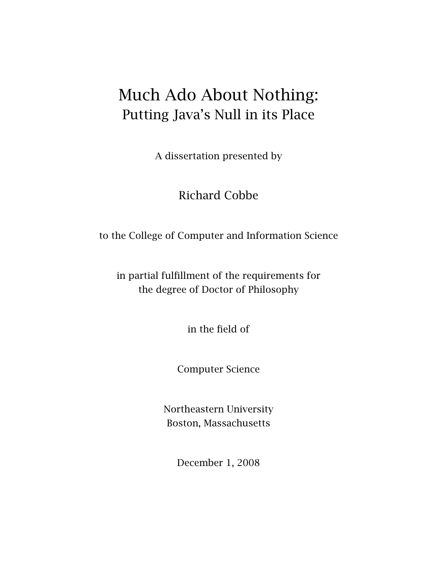# Much Ado About Nothing: Putting Java's Null in its Place

A dissertation presented by

# Richard Cobbe

to the College of Computer and Information Science

in partial fulfillment of the requirements for the degree of Doctor of Philosophy

in the field of

Computer Science

Northeastern University Boston, Massachusetts

December 1, 2008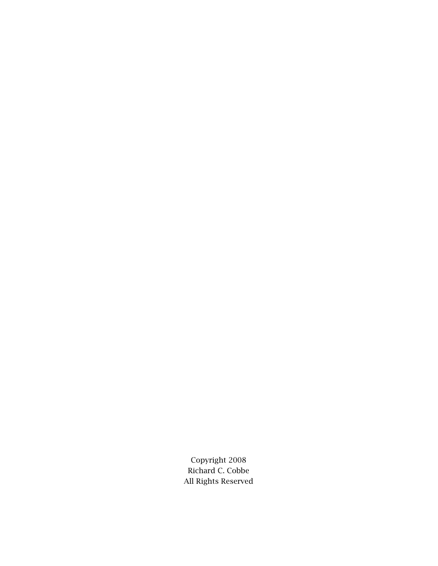Copyright 2008 Richard C. Cobbe All Rights Reserved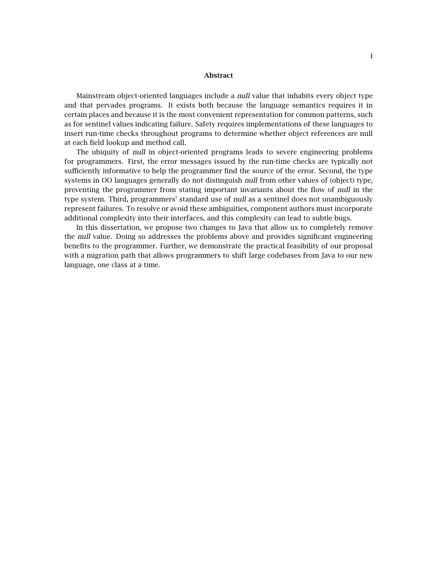#### Abstract

Mainstream object-oriented languages include a null value that inhabits every object type and that pervades programs. It exists both because the language semantics requires it in certain places and because it is the most convenient representation for common patterns, such as for sentinel values indicating failure. Safety requires implementations of these languages to insert run-time checks throughout programs to determine whether object references are null at each field lookup and method call.

The ubiquity of null in object-oriented programs leads to severe engineering problems for programmers. First, the error messages issued by the run-time checks are typically not sufficiently informative to help the programmer find the source of the error. Second, the type systems in OO languages generally do not distinguish null from other values of (object) type, preventing the programmer from stating important invariants about the flow of null in the type system. Third, programmers' standard use of *null* as a sentinel does not unambiguously represent failures. To resolve or avoid these ambiguities, component authors must incorporate additional complexity into their interfaces, and this complexity can lead to subtle bugs.

In this dissertation, we propose two changes to Java that allow us to completely remove the null value. Doing so addresses the problems above and provides significant engineering benefits to the programmer. Further, we demonstrate the practical feasibility of our proposal with a migration path that allows programmers to shift large codebases from Java to our new language, one class at a time.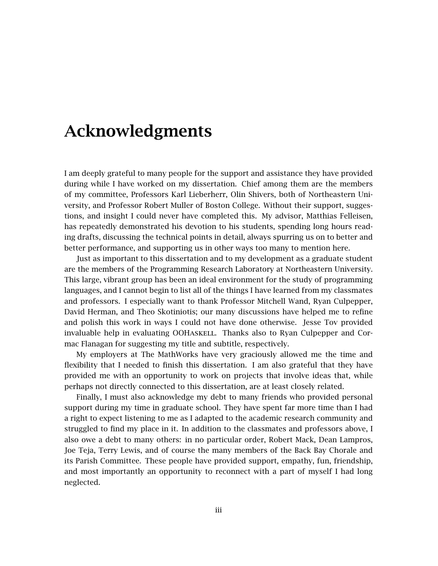# Acknowledgments

I am deeply grateful to many people for the support and assistance they have provided during while I have worked on my dissertation. Chief among them are the members of my committee, Professors Karl Lieberherr, Olin Shivers, both of Northeastern University, and Professor Robert Muller of Boston College. Without their support, suggestions, and insight I could never have completed this. My advisor, Matthias Felleisen, has repeatedly demonstrated his devotion to his students, spending long hours reading drafts, discussing the technical points in detail, always spurring us on to better and better performance, and supporting us in other ways too many to mention here.

Just as important to this dissertation and to my development as a graduate student are the members of the Programming Research Laboratory at Northeastern University. This large, vibrant group has been an ideal environment for the study of programming languages, and I cannot begin to list all of the things I have learned from my classmates and professors. I especially want to thank Professor Mitchell Wand, Ryan Culpepper, David Herman, and Theo Skotiniotis; our many discussions have helped me to refine and polish this work in ways I could not have done otherwise. Jesse Tov provided invaluable help in evaluating OOHaskell. Thanks also to Ryan Culpepper and Cormac Flanagan for suggesting my title and subtitle, respectively.

My employers at The MathWorks have very graciously allowed me the time and flexibility that I needed to finish this dissertation. I am also grateful that they have provided me with an opportunity to work on projects that involve ideas that, while perhaps not directly connected to this dissertation, are at least closely related.

Finally, I must also acknowledge my debt to many friends who provided personal support during my time in graduate school. They have spent far more time than I had a right to expect listening to me as I adapted to the academic research community and struggled to find my place in it. In addition to the classmates and professors above, I also owe a debt to many others: in no particular order, Robert Mack, Dean Lampros, Joe Teja, Terry Lewis, and of course the many members of the Back Bay Chorale and its Parish Committee. These people have provided support, empathy, fun, friendship, and most importantly an opportunity to reconnect with a part of myself I had long neglected.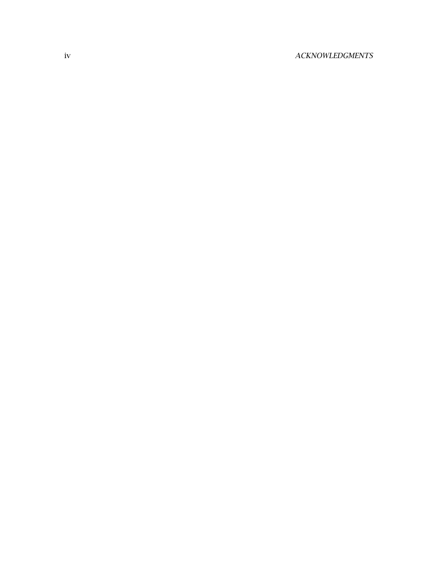### iv ACKNOWLEDGMENTS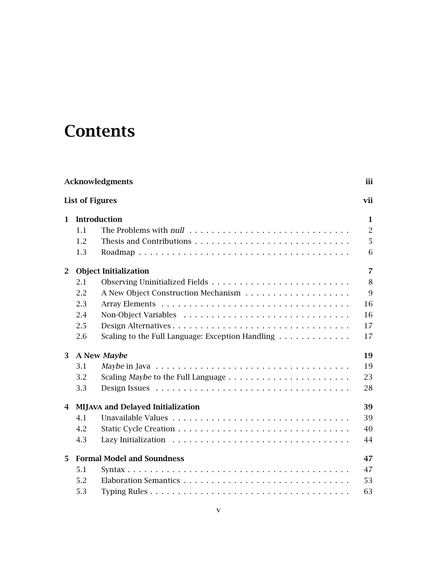# **Contents**

|                        |                                                | <b>Acknowledgments</b>                           | iii            |  |
|------------------------|------------------------------------------------|--------------------------------------------------|----------------|--|
| <b>List of Figures</b> |                                                |                                                  |                |  |
| $\mathbf{1}$           | Introduction                                   |                                                  |                |  |
|                        | 1.1                                            |                                                  | $\overline{2}$ |  |
|                        | 1.2                                            |                                                  | 5              |  |
|                        | 1.3                                            |                                                  | 6              |  |
| 2                      | $\overline{7}$<br><b>Object Initialization</b> |                                                  |                |  |
|                        | 2.1                                            |                                                  | 8              |  |
|                        | 2.2                                            |                                                  | 9              |  |
|                        | 2.3                                            |                                                  | 16             |  |
|                        | 2.4                                            |                                                  | 16             |  |
|                        | 2.5                                            |                                                  | 17             |  |
|                        | 2.6                                            | Scaling to the Full Language: Exception Handling | 17             |  |
| 3                      | 19<br>A New Maybe                              |                                                  |                |  |
|                        | 3.1                                            |                                                  | 19             |  |
|                        | 3.2                                            |                                                  | 23             |  |
|                        | 3.3                                            |                                                  | 28             |  |
| 4                      |                                                | <b>MIJAVA and Delayed Initialization</b>         | 39             |  |
|                        | 4.1                                            |                                                  | 39             |  |
|                        | 4.2                                            |                                                  | 40             |  |
|                        | 4.3                                            |                                                  | 44             |  |
| 5                      | <b>Formal Model and Soundness</b>              |                                                  |                |  |
|                        | 5.1                                            |                                                  | 47             |  |
|                        | 5.2                                            |                                                  | 53             |  |
|                        | 5.3                                            |                                                  | 63             |  |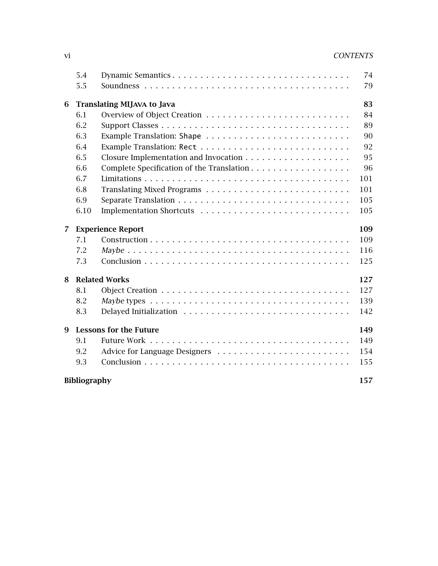#### vi CONTENTS

|   | 5.4                               |  | 74  |  |  |  |
|---|-----------------------------------|--|-----|--|--|--|
|   | 5.5                               |  | 79  |  |  |  |
| 6 | <b>Translating MIJAVA to Java</b> |  |     |  |  |  |
|   | 6.1                               |  | 84  |  |  |  |
|   | 6.2                               |  | 89  |  |  |  |
|   | 6.3                               |  | 90  |  |  |  |
|   | 6.4                               |  | 92  |  |  |  |
|   | 6.5                               |  | 95  |  |  |  |
|   | 6.6                               |  | 96  |  |  |  |
|   | 6.7                               |  | 101 |  |  |  |
|   | 6.8                               |  | 101 |  |  |  |
|   | 6.9                               |  | 105 |  |  |  |
|   | 6.10                              |  | 105 |  |  |  |
| 7 | <b>Experience Report</b>          |  |     |  |  |  |
|   | 7.1                               |  | 109 |  |  |  |
|   | 7.2                               |  | 116 |  |  |  |
|   | 7.3                               |  | 125 |  |  |  |
| 8 | <b>Related Works</b>              |  | 127 |  |  |  |
|   | 8.1                               |  | 127 |  |  |  |
|   | 8.2                               |  | 139 |  |  |  |
|   | 8.3                               |  | 142 |  |  |  |
| 9 | <b>Lessons for the Future</b>     |  |     |  |  |  |
|   | 9.1                               |  | 149 |  |  |  |
|   | 9.2                               |  | 154 |  |  |  |
|   | 9.3                               |  | 155 |  |  |  |
|   | <b>Bibliography</b>               |  |     |  |  |  |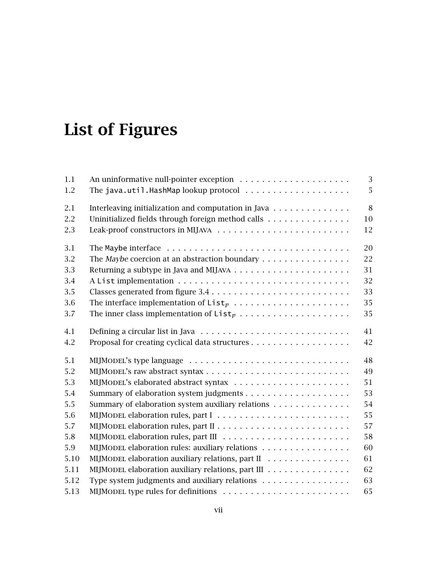# List of Figures

| 1.1  |                                                                            | 3  |
|------|----------------------------------------------------------------------------|----|
| 1.2  | The java.util.HashMap lookup protocol $\ldots \ldots \ldots \ldots \ldots$ | 5  |
| 2.1  | Interleaving initialization and computation in Java                        | 8  |
| 2.2  | Uninitialized fields through foreign method calls                          | 10 |
| 2.3  |                                                                            | 12 |
| 3.1  |                                                                            | 20 |
| 3.2  | The Maybe coercion at an abstraction boundary                              | 22 |
| 3.3  |                                                                            | 31 |
| 3.4  |                                                                            | 32 |
| 3.5  |                                                                            | 33 |
| 3.6  |                                                                            | 35 |
| 3.7  |                                                                            | 35 |
| 4.1  |                                                                            | 41 |
| 4.2  |                                                                            | 42 |
| 5.1  |                                                                            | 48 |
| 5.2  |                                                                            | 49 |
| 5.3  |                                                                            | 51 |
| 5.4  |                                                                            | 53 |
| 5.5  | Summary of elaboration system auxiliary relations                          | 54 |
| 5.6  |                                                                            | 55 |
| 5.7  |                                                                            | 57 |
| 5.8  |                                                                            | 58 |
| 5.9  | MIJMODEL elaboration rules: auxiliary relations                            | 60 |
| 5.10 | MIJMODEL elaboration auxiliary relations, part II                          | 61 |
| 5.11 | MIJMODEL elaboration auxiliary relations, part III                         | 62 |
| 5.12 | Type system judgments and auxiliary relations                              | 63 |
| 5.13 |                                                                            | 65 |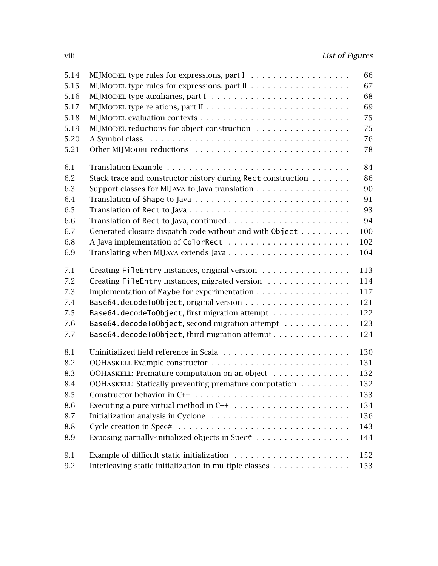| 5.14 |                                                              | 66  |
|------|--------------------------------------------------------------|-----|
| 5.15 |                                                              | 67  |
| 5.16 |                                                              | 68  |
| 5.17 |                                                              | 69  |
| 5.18 |                                                              | 75  |
| 5.19 | MIJMODEL reductions for object construction                  | 75  |
| 5.20 |                                                              | 76  |
| 5.21 |                                                              | 78  |
| 6.1  |                                                              | 84  |
| 6.2  | Stack trace and constructor history during Rect construction | 86  |
| 6.3  | Support classes for MIJAVA-to-Java translation               | 90  |
| 6.4  |                                                              | 91  |
| 6.5  |                                                              | 93  |
| 6.6  |                                                              | 94  |
| 6.7  | Generated closure dispatch code without and with Object      | 100 |
| 6.8  |                                                              | 102 |
| 6.9  |                                                              | 104 |
| 7.1  | Creating FileEntry instances, original version               | 113 |
| 7.2  | Creating FileEntry instances, migrated version               | 114 |
| 7.3  | Implementation of Maybe for experimentation                  | 117 |
| 7.4  |                                                              | 121 |
| 7.5  | Base64.decodeToObject, first migration attempt               | 122 |
| 7.6  | Base64.decodeToObject, second migration attempt              | 123 |
| 7.7  | Base64.decodeToObject, third migration attempt               | 124 |
| 8.1  |                                                              | 130 |
| 8.2  |                                                              | 131 |
| 8.3  | OOHASKELL: Premature computation on an object                | 132 |
| 8.4  | OOHASKELL: Statically preventing premature computation       | 132 |
| 8.5  |                                                              | 133 |
| 8.6  |                                                              | 134 |
| 8.7  |                                                              | 136 |
| 8.8  |                                                              | 143 |
| 8.9  | Exposing partially-initialized objects in Spec#              | 144 |
| 9.1  |                                                              | 152 |
| 9.2  | Interleaving static initialization in multiple classes       | 153 |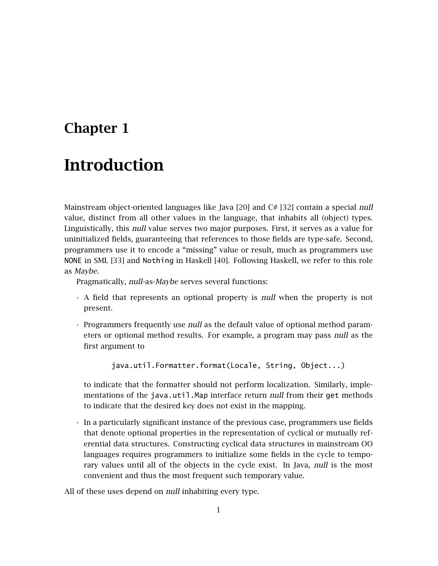# Chapter 1

# Introduction

Mainstream object-oriented languages like Java [20] and C# [32] contain a special *null* value, distinct from all other values in the language, that inhabits all (object) types. Linguistically, this null value serves two major purposes. First, it serves as a value for uninitialized fields, guaranteeing that references to those fields are type-safe. Second, programmers use it to encode a "missing" value or result, much as programmers use NONE in SML [33] and Nothing in Haskell [40]. Following Haskell, we refer to this role as Maybe.

Pragmatically, null-as-Maybe serves several functions:

- A field that represents an optional property is null when the property is not present.
- Programmers frequently use *null* as the default value of optional method parameters or optional method results. For example, a program may pass null as the first argument to

java.util.Formatter.format(Locale, String, Object...)

to indicate that the formatter should not perform localization. Similarly, implementations of the java.util.Map interface return *null* from their get methods to indicate that the desired key does not exist in the mapping.

• In a particularly significant instance of the previous case, programmers use fields that denote optional properties in the representation of cyclical or mutually referential data structures. Constructing cyclical data structures in mainstream OO languages requires programmers to initialize some fields in the cycle to temporary values until all of the objects in the cycle exist. In Java, null is the most convenient and thus the most frequent such temporary value.

All of these uses depend on null inhabiting every type.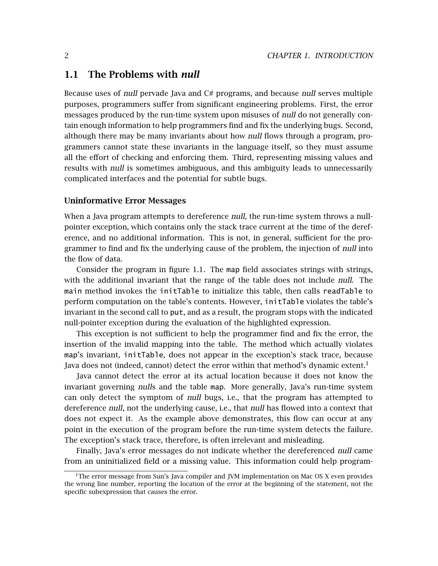### 1.1 The Problems with *null*

Because uses of *null* pervade Java and  $C#$  programs, and because *null* serves multiple purposes, programmers suffer from significant engineering problems. First, the error messages produced by the run-time system upon misuses of null do not generally contain enough information to help programmers find and fix the underlying bugs. Second, although there may be many invariants about how null flows through a program, programmers cannot state these invariants in the language itself, so they must assume all the effort of checking and enforcing them. Third, representing missing values and results with *null* is sometimes ambiguous, and this ambiguity leads to unnecessarily complicated interfaces and the potential for subtle bugs.

#### Uninformative Error Messages

When a Java program attempts to dereference *null*, the run-time system throws a nullpointer exception, which contains only the stack trace current at the time of the dereference, and no additional information. This is not, in general, sufficient for the programmer to find and fix the underlying cause of the problem, the injection of *null* into the flow of data.

Consider the program in figure 1.1. The map field associates strings with strings, with the additional invariant that the range of the table does not include null. The main method invokes the initTable to initialize this table, then calls readTable to perform computation on the table's contents. However, initTable violates the table's invariant in the second call to put, and as a result, the program stops with the indicated null-pointer exception during the evaluation of the highlighted expression.

This exception is not sufficient to help the programmer find and fix the error, the insertion of the invalid mapping into the table. The method which actually violates map's invariant, initTable, does not appear in the exception's stack trace, because Java does not (indeed, cannot) detect the error within that method's dynamic extent.<sup>1</sup>

Java cannot detect the error at its actual location because it does not know the invariant governing *nulls* and the table map. More generally, Java's run-time system can only detect the symptom of null bugs, i.e., that the program has attempted to dereference *null*, not the underlying cause, i.e., that *null* has flowed into a context that does not expect it. As the example above demonstrates, this flow can occur at any point in the execution of the program before the run-time system detects the failure. The exception's stack trace, therefore, is often irrelevant and misleading.

Finally, Java's error messages do not indicate whether the dereferenced null came from an uninitialized field or a missing value. This information could help program-

<sup>&</sup>lt;sup>1</sup>The error message from Sun's Java compiler and JVM implementation on Mac OS X even provides the wrong line number, reporting the location of the error at the beginning of the statement, not the specific subexpression that causes the error.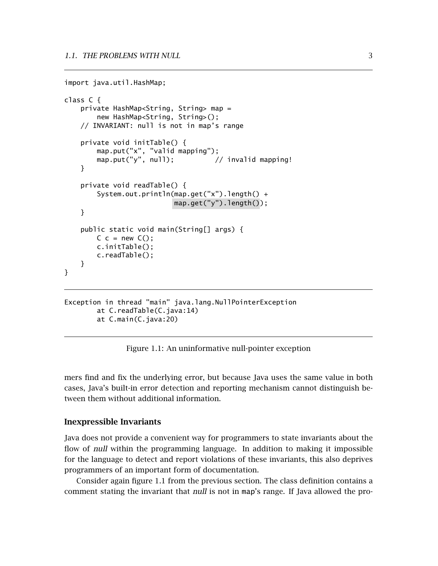```
import java.util.HashMap;
class C {
   private HashMap<String, String> map =
       new HashMap<String, String>();
   // INVARIANT: null is not in map's range
   private void initTable() {
       map.put("x", "valid mapping");
       map.put("y", null); // invalid mapping!
   }
   private void readTable() {
        System.out.println(map.get("x").length() +
                          map.get("y").length());
   }
   public static void main(String[] args) {
       C = new C();c.initTable();
       c.readTable();
   }
}
```

```
Exception in thread "main" java.lang.NullPointerException
       at C.readTable(C.java:14)
       at C.main(C.java:20)
```
Figure 1.1: An uninformative null-pointer exception

mers find and fix the underlying error, but because Java uses the same value in both cases, Java's built-in error detection and reporting mechanism cannot distinguish between them without additional information.

#### Inexpressible Invariants

Java does not provide a convenient way for programmers to state invariants about the flow of *null* within the programming language. In addition to making it impossible for the language to detect and report violations of these invariants, this also deprives programmers of an important form of documentation.

Consider again figure 1.1 from the previous section. The class definition contains a comment stating the invariant that null is not in map's range. If Java allowed the pro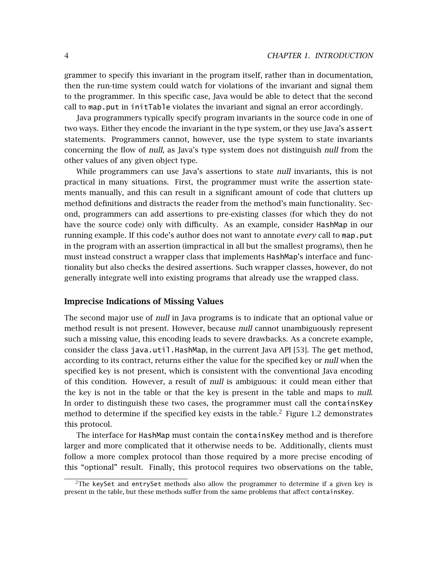grammer to specify this invariant in the program itself, rather than in documentation, then the run-time system could watch for violations of the invariant and signal them to the programmer. In this specific case, Java would be able to detect that the second call to map.put in initTable violates the invariant and signal an error accordingly.

Java programmers typically specify program invariants in the source code in one of two ways. Either they encode the invariant in the type system, or they use Java's assert statements. Programmers cannot, however, use the type system to state invariants concerning the flow of null, as Java's type system does not distinguish null from the other values of any given object type.

While programmers can use Java's assertions to state *null* invariants, this is not practical in many situations. First, the programmer must write the assertion statements manually, and this can result in a significant amount of code that clutters up method definitions and distracts the reader from the method's main functionality. Second, programmers can add assertions to pre-existing classes (for which they do not have the source code) only with difficulty. As an example, consider HashMap in our running example. If this code's author does not want to annotate *every* call to map.put in the program with an assertion (impractical in all but the smallest programs), then he must instead construct a wrapper class that implements HashMap's interface and functionality but also checks the desired assertions. Such wrapper classes, however, do not generally integrate well into existing programs that already use the wrapped class.

#### Imprecise Indications of Missing Values

The second major use of *null* in Java programs is to indicate that an optional value or method result is not present. However, because *null* cannot unambiguously represent such a missing value, this encoding leads to severe drawbacks. As a concrete example, consider the class java.util.HashMap, in the current Java API [53]. The get method, according to its contract, returns either the value for the specified key or *null* when the specified key is not present, which is consistent with the conventional Java encoding of this condition. However, a result of null is ambiguous: it could mean either that the key is not in the table or that the key is present in the table and maps to null. In order to distinguish these two cases, the programmer must call the containsKey method to determine if the specified key exists in the table.<sup>2</sup> Figure 1.2 demonstrates this protocol.

The interface for HashMap must contain the containsKey method and is therefore larger and more complicated that it otherwise needs to be. Additionally, clients must follow a more complex protocol than those required by a more precise encoding of this "optional" result. Finally, this protocol requires two observations on the table,

<sup>&</sup>lt;sup>2</sup>The keySet and entrySet methods also allow the programmer to determine if a given key is present in the table, but these methods suffer from the same problems that affect containsKey.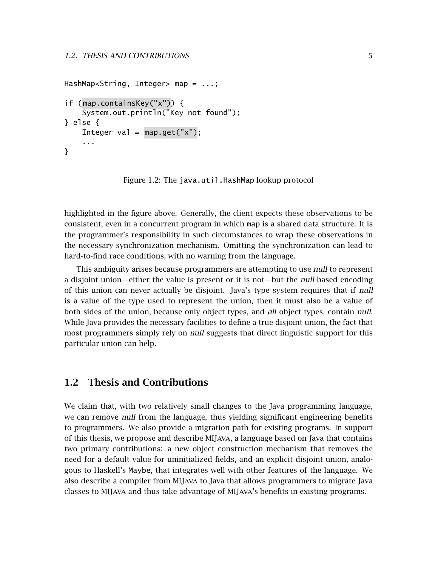```
HashMap<String, Integer> map = ...;
if (map.containsKey("x")) {
    System.out.println("Key not found");
} else {
    Integer val = map.get('x");
    ...
}
```
Figure 1.2: The java.util.HashMap lookup protocol

highlighted in the figure above. Generally, the client expects these observations to be consistent, even in a concurrent program in which map is a shared data structure. It is the programmer's responsibility in such circumstances to wrap these observations in the necessary synchronization mechanism. Omitting the synchronization can lead to hard-to-find race conditions, with no warning from the language.

This ambiguity arises because programmers are attempting to use null to represent a disjoint union—either the value is present or it is not—but the null-based encoding of this union can never actually be disjoint. Java's type system requires that if null is a value of the type used to represent the union, then it must also be a value of both sides of the union, because only object types, and *all* object types, contain null. While Java provides the necessary facilities to define a true disjoint union, the fact that most programmers simply rely on *null* suggests that direct linguistic support for this particular union can help.

## 1.2 Thesis and Contributions

We claim that, with two relatively small changes to the Java programming language, we can remove null from the language, thus yielding significant engineering benefits to programmers. We also provide a migration path for existing programs. In support of this thesis, we propose and describe MIJava, a language based on Java that contains two primary contributions: a new object construction mechanism that removes the need for a default value for uninitialized fields, and an explicit disjoint union, analogous to Haskell's Maybe, that integrates well with other features of the language. We also describe a compiler from MIJava to Java that allows programmers to migrate Java classes to MIJava and thus take advantage of MIJava's benefits in existing programs.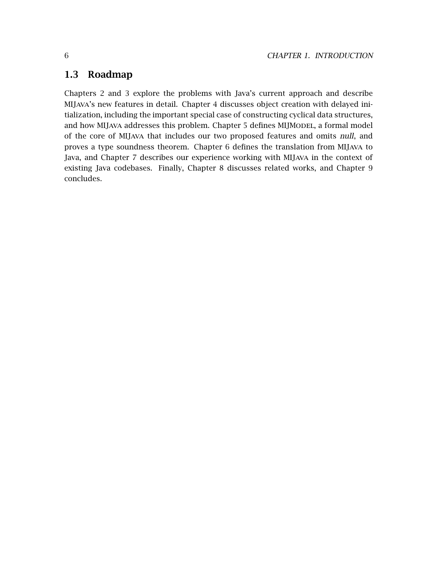# 1.3 Roadmap

Chapters 2 and 3 explore the problems with Java's current approach and describe MIJava's new features in detail. Chapter 4 discusses object creation with delayed initialization, including the important special case of constructing cyclical data structures, and how MIJAVA addresses this problem. Chapter 5 defines MIJMODEL, a formal model of the core of MIJava that includes our two proposed features and omits null, and proves a type soundness theorem. Chapter 6 defines the translation from MIJava to Java, and Chapter 7 describes our experience working with MIJava in the context of existing Java codebases. Finally, Chapter 8 discusses related works, and Chapter 9 concludes.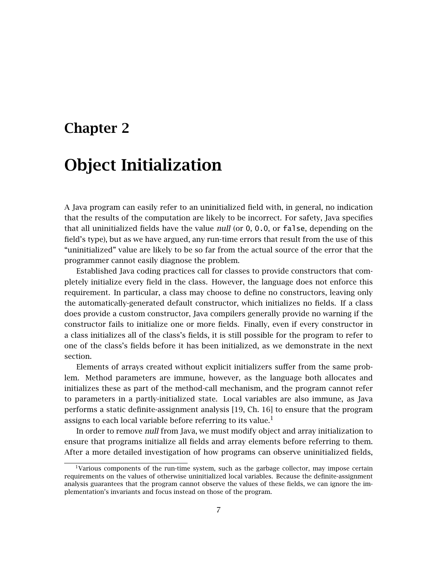# Chapter 2

# Object Initialization

A Java program can easily refer to an uninitialized field with, in general, no indication that the results of the computation are likely to be incorrect. For safety, Java specifies that all uninitialized fields have the value  $null$  (or 0, 0.0, or false, depending on the field's type), but as we have argued, any run-time errors that result from the use of this "uninitialized" value are likely to be so far from the actual source of the error that the programmer cannot easily diagnose the problem.

Established Java coding practices call for classes to provide constructors that completely initialize every field in the class. However, the language does not enforce this requirement. In particular, a class may choose to define no constructors, leaving only the automatically-generated default constructor, which initializes no fields. If a class does provide a custom constructor, Java compilers generally provide no warning if the constructor fails to initialize one or more fields. Finally, even if every constructor in a class initializes all of the class's fields, it is still possible for the program to refer to one of the class's fields before it has been initialized, as we demonstrate in the next section.

Elements of arrays created without explicit initializers suffer from the same problem. Method parameters are immune, however, as the language both allocates and initializes these as part of the method-call mechanism, and the program cannot refer to parameters in a partly-initialized state. Local variables are also immune, as Java performs a static definite-assignment analysis [19, Ch. 16] to ensure that the program assigns to each local variable before referring to its value.<sup>1</sup>

In order to remove null from Java, we must modify object and array initialization to ensure that programs initialize all fields and array elements before referring to them. After a more detailed investigation of how programs can observe uninitialized fields,

 $1$ Various components of the run-time system, such as the garbage collector, may impose certain requirements on the values of otherwise uninitialized local variables. Because the definite-assignment analysis guarantees that the program cannot observe the values of these fields, we can ignore the implementation's invariants and focus instead on those of the program.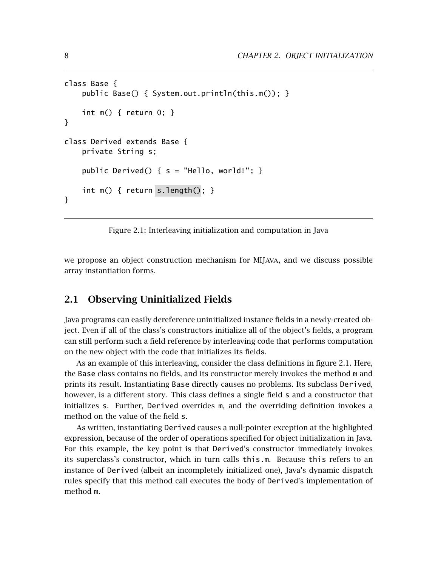```
class Base {
    public Base() { System.out.println(this.m()); }
    int m() { return 0; }
}
class Derived extends Base {
    private String s;
    public Derived() { s = "Hello, world!"; }
    int m() { return s.length(); }
}
```
Figure 2.1: Interleaving initialization and computation in Java

we propose an object construction mechanism for MIJava, and we discuss possible array instantiation forms.

### 2.1 Observing Uninitialized Fields

Java programs can easily dereference uninitialized instance fields in a newly-created object. Even if all of the class's constructors initialize all of the object's fields, a program can still perform such a field reference by interleaving code that performs computation on the new object with the code that initializes its fields.

As an example of this interleaving, consider the class definitions in figure 2.1. Here, the Base class contains no fields, and its constructor merely invokes the method m and prints its result. Instantiating Base directly causes no problems. Its subclass Derived, however, is a different story. This class defines a single field s and a constructor that initializes s. Further, Derived overrides m, and the overriding definition invokes a method on the value of the field s.

As written, instantiating Derived causes a null-pointer exception at the highlighted expression, because of the order of operations specified for object initialization in Java. For this example, the key point is that Derived's constructor immediately invokes its superclass's constructor, which in turn calls this.m. Because this refers to an instance of Derived (albeit an incompletely initialized one), Java's dynamic dispatch rules specify that this method call executes the body of Derived's implementation of method m.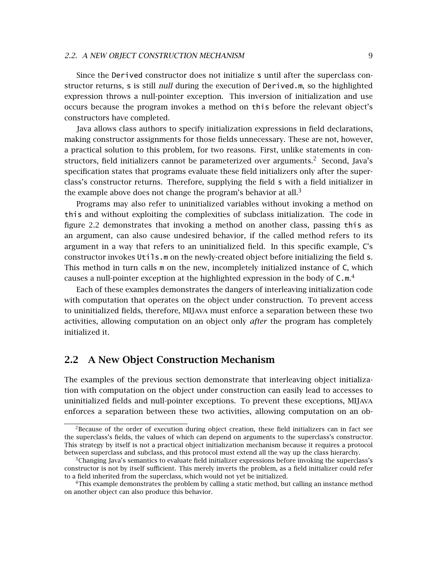#### 2.2. A NEW OBJECT CONSTRUCTION MECHANISM 9

Since the Derived constructor does not initialize s until after the superclass constructor returns, s is still *null* during the execution of Derived.m, so the highlighted expression throws a null-pointer exception. This inversion of initialization and use occurs because the program invokes a method on this before the relevant object's constructors have completed.

Java allows class authors to specify initialization expressions in field declarations, making constructor assignments for those fields unnecessary. These are not, however, a practical solution to this problem, for two reasons. First, unlike statements in constructors, field initializers cannot be parameterized over arguments.<sup>2</sup> Second, Java's specification states that programs evaluate these field initializers only after the superclass's constructor returns. Therefore, supplying the field s with a field initializer in the example above does not change the program's behavior at all.<sup>3</sup>

Programs may also refer to uninitialized variables without invoking a method on this and without exploiting the complexities of subclass initialization. The code in figure 2.2 demonstrates that invoking a method on another class, passing this as an argument, can also cause undesired behavior, if the called method refers to its argument in a way that refers to an uninitialized field. In this specific example, C's constructor invokes Utils.m on the newly-created object before initializing the field s. This method in turn calls m on the new, incompletely initialized instance of C, which causes a null-pointer exception at the highlighted expression in the body of  $C.m.<sup>4</sup>$ 

Each of these examples demonstrates the dangers of interleaving initialization code with computation that operates on the object under construction. To prevent access to uninitialized fields, therefore, MIJava must enforce a separation between these two activities, allowing computation on an object only *after* the program has completely initialized it.

### 2.2 A New Object Construction Mechanism

The examples of the previous section demonstrate that interleaving object initialization with computation on the object under construction can easily lead to accesses to uninitialized fields and null-pointer exceptions. To prevent these exceptions, MIJava enforces a separation between these two activities, allowing computation on an ob-

 ${}^{2}$ Because of the order of execution during object creation, these field initializers can in fact see the superclass's fields, the values of which can depend on arguments to the superclass's constructor. This strategy by itself is not a practical object initialization mechanism because it requires a protocol between superclass and subclass, and this protocol must extend all the way up the class hierarchy.

 $3$ Changing Java's semantics to evaluate field initializer expressions before invoking the superclass's constructor is not by itself sufficient. This merely inverts the problem, as a field initializer could refer to a field inherited from the superclass, which would not yet be initialized.

<sup>&</sup>lt;sup>4</sup>This example demonstrates the problem by calling a static method, but calling an instance method on another object can also produce this behavior.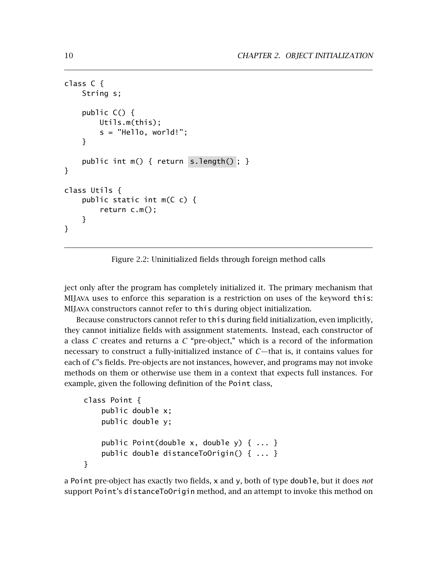```
class C {
    String s;
    public C() \{Utils.m(this);
        s = "Hello, world!";}
    public int m() \{ return s.length(); \}}
class Utils {
    public static int m(C c) {
        return c.m();
    }
}
```
#### Figure 2.2: Uninitialized fields through foreign method calls

ject only after the program has completely initialized it. The primary mechanism that MIJava uses to enforce this separation is a restriction on uses of the keyword this: MIJava constructors cannot refer to this during object initialization.

Because constructors cannot refer to this during field initialization, even implicitly, they cannot initialize fields with assignment statements. Instead, each constructor of a class *C* creates and returns a *C* "pre-object," which is a record of the information necessary to construct a fully-initialized instance of *C*—that is, it contains values for each of *C*'s fields. Pre-objects are not instances, however, and programs may not invoke methods on them or otherwise use them in a context that expects full instances. For example, given the following definition of the Point class,

```
class Point {
    public double x;
    public double y;
    public Point(double x, double y) { ... }
    public double distanceToOrigin() { ... }
}
```
a Point pre-object has exactly two fields, x and y, both of type double, but it does *not* support Point's distanceToOrigin method, and an attempt to invoke this method on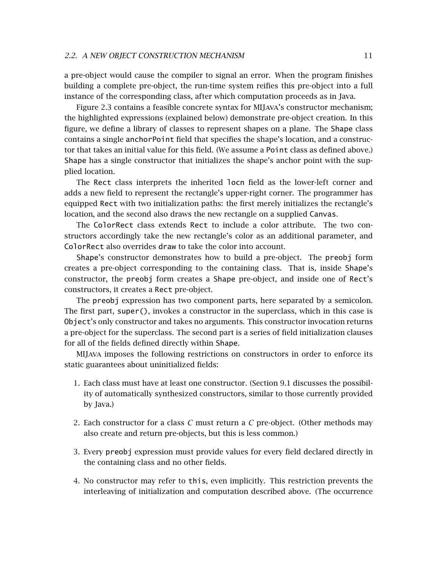a pre-object would cause the compiler to signal an error. When the program finishes building a complete pre-object, the run-time system reifies this pre-object into a full instance of the corresponding class, after which computation proceeds as in Java.

Figure 2.3 contains a feasible concrete syntax for MIJava's constructor mechanism; the highlighted expressions (explained below) demonstrate pre-object creation. In this figure, we define a library of classes to represent shapes on a plane. The Shape class contains a single anchorPoint field that specifies the shape's location, and a constructor that takes an initial value for this field. (We assume a Point class as defined above.) Shape has a single constructor that initializes the shape's anchor point with the supplied location.

The Rect class interprets the inherited locn field as the lower-left corner and adds a new field to represent the rectangle's upper-right corner. The programmer has equipped Rect with two initialization paths: the first merely initializes the rectangle's location, and the second also draws the new rectangle on a supplied Canvas.

The ColorRect class extends Rect to include a color attribute. The two constructors accordingly take the new rectangle's color as an additional parameter, and ColorRect also overrides draw to take the color into account.

Shape's constructor demonstrates how to build a pre-object. The preobj form creates a pre-object corresponding to the containing class. That is, inside Shape's constructor, the preobj form creates a Shape pre-object, and inside one of Rect's constructors, it creates a Rect pre-object.

The preobj expression has two component parts, here separated by a semicolon. The first part, super(), invokes a constructor in the superclass, which in this case is Object's only constructor and takes no arguments. This constructor invocation returns a pre-object for the superclass. The second part is a series of field initialization clauses for all of the fields defined directly within Shape.

MIJava imposes the following restrictions on constructors in order to enforce its static guarantees about uninitialized fields:

- 1. Each class must have at least one constructor. (Section 9.1 discusses the possibility of automatically synthesized constructors, similar to those currently provided by Java.)
- 2. Each constructor for a class *C* must return a *C* pre-object. (Other methods may also create and return pre-objects, but this is less common.)
- 3. Every preobj expression must provide values for every field declared directly in the containing class and no other fields.
- 4. No constructor may refer to this, even implicitly. This restriction prevents the interleaving of initialization and computation described above. (The occurrence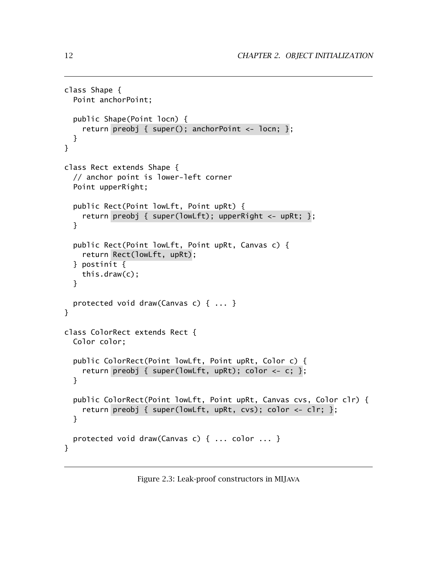```
class Shape {
 Point anchorPoint;
 public Shape(Point locn) {
    return preobj { super(); anchorPoint <- locn; };
  }
}
class Rect extends Shape {
 // anchor point is lower-left corner
 Point upperRight;
 public Rect(Point lowLft, Point upRt) {
    return preobj { super(lowLft); upperRight <- upRt; };
  }
 public Rect(Point lowLft, Point upRt, Canvas c) {
    return Rect(lowLft, upRt);
  } postinit {
   this.draw(c);
  }
 protected void draw(Canvas c) { ... }
}
class ColorRect extends Rect {
 Color color;
 public ColorRect(Point lowLft, Point upRt, Color c) {
    return preobj { super(lowLft, upRt); color <- c; };
  }
 public ColorRect(Point lowLft, Point upRt, Canvas cvs, Color clr) {
    return preobj { super(lowLft, upRt, cvs); color <- clr; };
  }
 protected void draw(Canvas c) { ... color ... }
}
```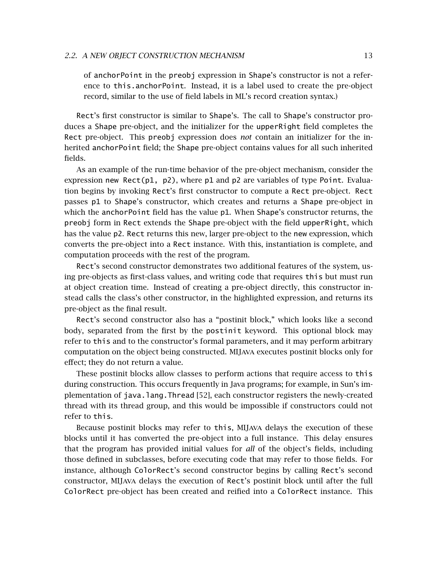of anchorPoint in the preobj expression in Shape's constructor is not a reference to this.anchorPoint. Instead, it is a label used to create the pre-object record, similar to the use of field labels in ML's record creation syntax.)

Rect's first constructor is similar to Shape's. The call to Shape's constructor produces a Shape pre-object, and the initializer for the upperRight field completes the Rect pre-object. This preobj expression does *not* contain an initializer for the inherited anchorPoint field; the Shape pre-object contains values for all such inherited fields.

As an example of the run-time behavior of the pre-object mechanism, consider the expression new Rect(p1, p2), where p1 and p2 are variables of type Point. Evaluation begins by invoking Rect's first constructor to compute a Rect pre-object. Rect passes p1 to Shape's constructor, which creates and returns a Shape pre-object in which the anchorPoint field has the value p1. When Shape's constructor returns, the preobj form in Rect extends the Shape pre-object with the field upperRight, which has the value p2. Rect returns this new, larger pre-object to the new expression, which converts the pre-object into a Rect instance. With this, instantiation is complete, and computation proceeds with the rest of the program.

Rect's second constructor demonstrates two additional features of the system, using pre-objects as first-class values, and writing code that requires this but must run at object creation time. Instead of creating a pre-object directly, this constructor instead calls the class's other constructor, in the highlighted expression, and returns its pre-object as the final result.

Rect's second constructor also has a "postinit block," which looks like a second body, separated from the first by the postinit keyword. This optional block may refer to this and to the constructor's formal parameters, and it may perform arbitrary computation on the object being constructed. MIJava executes postinit blocks only for effect; they do not return a value.

These postinit blocks allow classes to perform actions that require access to this during construction. This occurs frequently in Java programs; for example, in Sun's implementation of java.lang.Thread [52], each constructor registers the newly-created thread with its thread group, and this would be impossible if constructors could not refer to this.

Because postinit blocks may refer to this, MIJava delays the execution of these blocks until it has converted the pre-object into a full instance. This delay ensures that the program has provided initial values for *all* of the object's fields, including those defined in subclasses, before executing code that may refer to those fields. For instance, although ColorRect's second constructor begins by calling Rect's second constructor, MIJava delays the execution of Rect's postinit block until after the full ColorRect pre-object has been created and reified into a ColorRect instance. This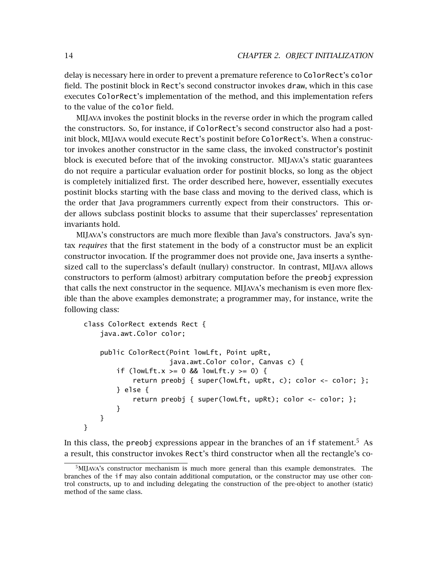delay is necessary here in order to prevent a premature reference to ColorRect's color field. The postinit block in Rect's second constructor invokes draw, which in this case executes ColorRect's implementation of the method, and this implementation refers to the value of the color field.

MIJava invokes the postinit blocks in the reverse order in which the program called the constructors. So, for instance, if ColorRect's second constructor also had a postinit block, MIJava would execute Rect's postinit before ColorRect's. When a constructor invokes another constructor in the same class, the invoked constructor's postinit block is executed before that of the invoking constructor. MIJava's static guarantees do not require a particular evaluation order for postinit blocks, so long as the object is completely initialized first. The order described here, however, essentially executes postinit blocks starting with the base class and moving to the derived class, which is the order that Java programmers currently expect from their constructors. This order allows subclass postinit blocks to assume that their superclasses' representation invariants hold.

MIJava's constructors are much more flexible than Java's constructors. Java's syntax *requires* that the first statement in the body of a constructor must be an explicit constructor invocation. If the programmer does not provide one, Java inserts a synthesized call to the superclass's default (nullary) constructor. In contrast, MIJava allows constructors to perform (almost) arbitrary computation before the preobj expression that calls the next constructor in the sequence. MIJava's mechanism is even more flexible than the above examples demonstrate; a programmer may, for instance, write the following class:

```
class ColorRect extends Rect {
    java.awt.Color color;
    public ColorRect(Point lowLft, Point upRt,
                     java.awt.Color color, Canvas c) {
        if (lowLft.x >= 0 && lowLft.y >= 0) {
            return preobj { super(lowLft, upRt, c); color <- color; };
        } else {
            return preobj { super(lowLft, upRt); color <- color; };
        }
    }
}
```
In this class, the preobj expressions appear in the branches of an  $if$  statement.<sup>5</sup> As a result, this constructor invokes Rect's third constructor when all the rectangle's co-

<sup>5</sup>MIJava's constructor mechanism is much more general than this example demonstrates. The branches of the if may also contain additional computation, or the constructor may use other control constructs, up to and including delegating the construction of the pre-object to another (static) method of the same class.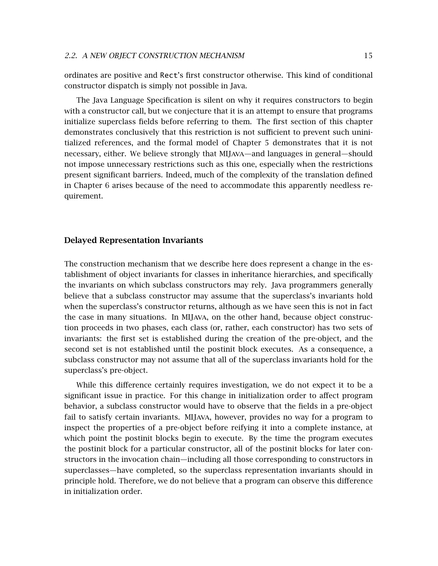ordinates are positive and Rect's first constructor otherwise. This kind of conditional constructor dispatch is simply not possible in Java.

The Java Language Specification is silent on why it requires constructors to begin with a constructor call, but we conjecture that it is an attempt to ensure that programs initialize superclass fields before referring to them. The first section of this chapter demonstrates conclusively that this restriction is not sufficient to prevent such uninitialized references, and the formal model of Chapter 5 demonstrates that it is not necessary, either. We believe strongly that MIJava—and languages in general—should not impose unnecessary restrictions such as this one, especially when the restrictions present significant barriers. Indeed, much of the complexity of the translation defined in Chapter 6 arises because of the need to accommodate this apparently needless requirement.

#### Delayed Representation Invariants

The construction mechanism that we describe here does represent a change in the establishment of object invariants for classes in inheritance hierarchies, and specifically the invariants on which subclass constructors may rely. Java programmers generally believe that a subclass constructor may assume that the superclass's invariants hold when the superclass's constructor returns, although as we have seen this is not in fact the case in many situations. In MIJava, on the other hand, because object construction proceeds in two phases, each class (or, rather, each constructor) has two sets of invariants: the first set is established during the creation of the pre-object, and the second set is not established until the postinit block executes. As a consequence, a subclass constructor may not assume that all of the superclass invariants hold for the superclass's pre-object.

While this difference certainly requires investigation, we do not expect it to be a significant issue in practice. For this change in initialization order to affect program behavior, a subclass constructor would have to observe that the fields in a pre-object fail to satisfy certain invariants. MIJava, however, provides no way for a program to inspect the properties of a pre-object before reifying it into a complete instance, at which point the postinit blocks begin to execute. By the time the program executes the postinit block for a particular constructor, all of the postinit blocks for later constructors in the invocation chain—including all those corresponding to constructors in superclasses—have completed, so the superclass representation invariants should in principle hold. Therefore, we do not believe that a program can observe this difference in initialization order.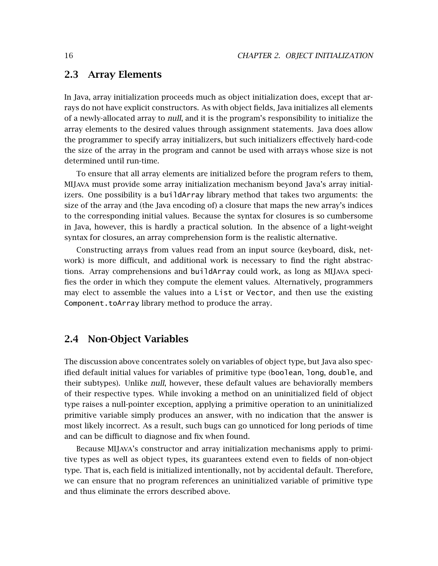### 2.3 Array Elements

In Java, array initialization proceeds much as object initialization does, except that arrays do not have explicit constructors. As with object fields, Java initializes all elements of a newly-allocated array to null, and it is the program's responsibility to initialize the array elements to the desired values through assignment statements. Java does allow the programmer to specify array initializers, but such initializers effectively hard-code the size of the array in the program and cannot be used with arrays whose size is not determined until run-time.

To ensure that all array elements are initialized before the program refers to them, MIJava must provide some array initialization mechanism beyond Java's array initializers. One possibility is a buildArray library method that takes two arguments: the size of the array and (the Java encoding of) a closure that maps the new array's indices to the corresponding initial values. Because the syntax for closures is so cumbersome in Java, however, this is hardly a practical solution. In the absence of a light-weight syntax for closures, an array comprehension form is the realistic alternative.

Constructing arrays from values read from an input source (keyboard, disk, network) is more difficult, and additional work is necessary to find the right abstractions. Array comprehensions and buildArray could work, as long as MIJava specifies the order in which they compute the element values. Alternatively, programmers may elect to assemble the values into a List or Vector, and then use the existing Component. toArray library method to produce the array.

### 2.4 Non-Object Variables

The discussion above concentrates solely on variables of object type, but Java also specified default initial values for variables of primitive type (boolean, long, double, and their subtypes). Unlike *null*, however, these default values are behaviorally members of their respective types. While invoking a method on an uninitialized field of object type raises a null-pointer exception, applying a primitive operation to an uninitialized primitive variable simply produces an answer, with no indication that the answer is most likely incorrect. As a result, such bugs can go unnoticed for long periods of time and can be difficult to diagnose and fix when found.

Because MIJava's constructor and array initialization mechanisms apply to primitive types as well as object types, its guarantees extend even to fields of non-object type. That is, each field is initialized intentionally, not by accidental default. Therefore, we can ensure that no program references an uninitialized variable of primitive type and thus eliminate the errors described above.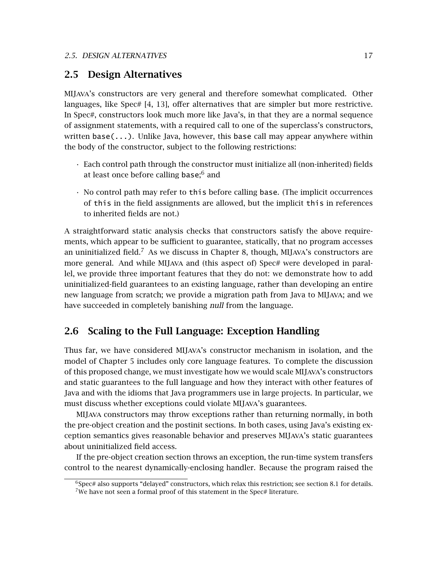### 2.5 Design Alternatives

MIJava's constructors are very general and therefore somewhat complicated. Other languages, like Spec# [4, 13], offer alternatives that are simpler but more restrictive. In Spec#, constructors look much more like Java's, in that they are a normal sequence of assignment statements, with a required call to one of the superclass's constructors, written base(...). Unlike Java, however, this base call may appear anywhere within the body of the constructor, subject to the following restrictions:

- Each control path through the constructor must initialize all (non-inherited) fields at least once before calling base;<sup>6</sup> and
- No control path may refer to this before calling base. (The implicit occurrences of this in the field assignments are allowed, but the implicit this in references to inherited fields are not.)

A straightforward static analysis checks that constructors satisfy the above requirements, which appear to be sufficient to guarantee, statically, that no program accesses an uninitialized field.<sup>7</sup> As we discuss in Chapter 8, though, MIJAVA's constructors are more general. And while MIJava and (this aspect of) Spec# were developed in parallel, we provide three important features that they do not: we demonstrate how to add uninitialized-field guarantees to an existing language, rather than developing an entire new language from scratch; we provide a migration path from Java to MIJava; and we have succeeded in completely banishing *null* from the language.

## 2.6 Scaling to the Full Language: Exception Handling

Thus far, we have considered MIJava's constructor mechanism in isolation, and the model of Chapter 5 includes only core language features. To complete the discussion of this proposed change, we must investigate how we would scale MIJava's constructors and static guarantees to the full language and how they interact with other features of Java and with the idioms that Java programmers use in large projects. In particular, we must discuss whether exceptions could violate MIJava's guarantees.

MIJava constructors may throw exceptions rather than returning normally, in both the pre-object creation and the postinit sections. In both cases, using Java's existing exception semantics gives reasonable behavior and preserves MIJava's static guarantees about uninitialized field access.

If the pre-object creation section throws an exception, the run-time system transfers control to the nearest dynamically-enclosing handler. Because the program raised the

 $6$ Spec# also supports "delayed" constructors, which relax this restriction; see section 8.1 for details. <sup>7</sup>We have not seen a formal proof of this statement in the Spec# literature.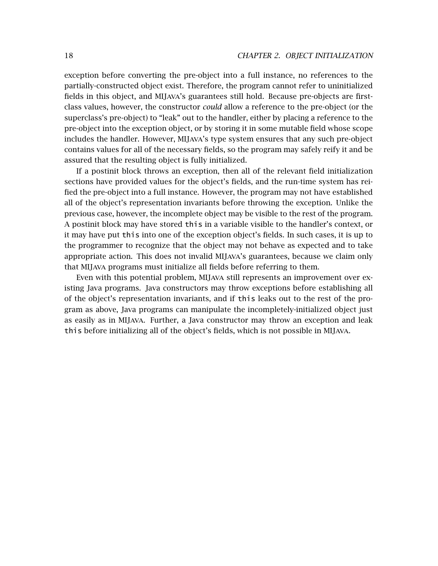exception before converting the pre-object into a full instance, no references to the partially-constructed object exist. Therefore, the program cannot refer to uninitialized fields in this object, and MIJava's guarantees still hold. Because pre-objects are firstclass values, however, the constructor *could* allow a reference to the pre-object (or the superclass's pre-object) to "leak" out to the handler, either by placing a reference to the pre-object into the exception object, or by storing it in some mutable field whose scope includes the handler. However, MIJava's type system ensures that any such pre-object contains values for all of the necessary fields, so the program may safely reify it and be assured that the resulting object is fully initialized.

If a postinit block throws an exception, then all of the relevant field initialization sections have provided values for the object's fields, and the run-time system has reified the pre-object into a full instance. However, the program may not have established all of the object's representation invariants before throwing the exception. Unlike the previous case, however, the incomplete object may be visible to the rest of the program. A postinit block may have stored this in a variable visible to the handler's context, or it may have put this into one of the exception object's fields. In such cases, it is up to the programmer to recognize that the object may not behave as expected and to take appropriate action. This does not invalid MIJava's guarantees, because we claim only that MIJava programs must initialize all fields before referring to them.

Even with this potential problem, MIJava still represents an improvement over existing Java programs. Java constructors may throw exceptions before establishing all of the object's representation invariants, and if this leaks out to the rest of the program as above, Java programs can manipulate the incompletely-initialized object just as easily as in MIJava. Further, a Java constructor may throw an exception and leak this before initializing all of the object's fields, which is not possible in MIJava.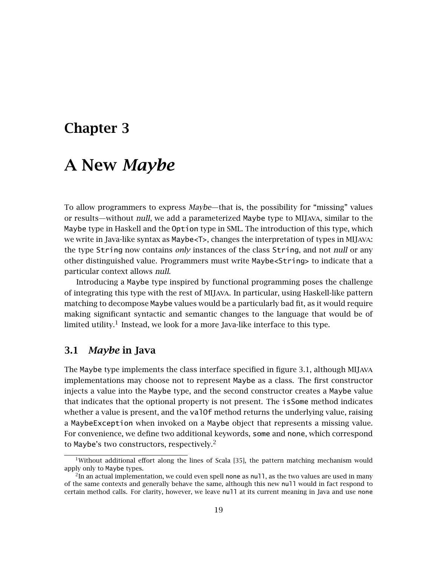# Chapter 3

# A New *Maybe*

To allow programmers to express *Maybe*—that is, the possibility for "missing" values or results—without null, we add a parameterized Maybe type to MIJava, similar to the Maybe type in Haskell and the Option type in SML. The introduction of this type, which we write in Java-like syntax as Maybe<T>, changes the interpretation of types in MIJava: the type String now contains *only* instances of the class String, and not null or any other distinguished value. Programmers must write Maybe<String> to indicate that a particular context allows null.

Introducing a Maybe type inspired by functional programming poses the challenge of integrating this type with the rest of MIJava. In particular, using Haskell-like pattern matching to decompose Maybe values would be a particularly bad fit, as it would require making significant syntactic and semantic changes to the language that would be of limited utility. $1$  Instead, we look for a more Java-like interface to this type.

### 3.1 *Maybe* in Java

The Maybe type implements the class interface specified in figure 3.1, although MIJava implementations may choose not to represent Maybe as a class. The first constructor injects a value into the Maybe type, and the second constructor creates a Maybe value that indicates that the optional property is not present. The isSome method indicates whether a value is present, and the valOf method returns the underlying value, raising a MaybeException when invoked on a Maybe object that represents a missing value. For convenience, we define two additional keywords, some and none, which correspond to Maybe's two constructors, respectively.<sup>2</sup>

 $1$ Without additional effort along the lines of Scala [35], the pattern matching mechanism would apply only to Maybe types.

 $^2$ In an actual implementation, we could even spell none as nu11, as the two values are used in many of the same contexts and generally behave the same, although this new null would in fact respond to certain method calls. For clarity, however, we leave null at its current meaning in Java and use none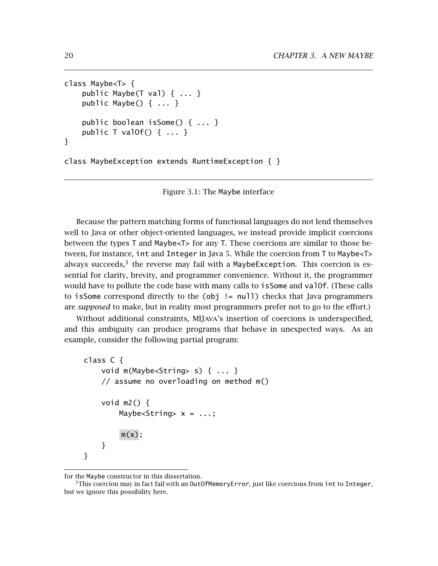```
class Maybe<T> {
   public Maybe(T val) { ... }
   public Maybe() { ... }
   public boolean isSome() { ... }
   public T valOf() { ... }
}
class MaybeException extends RuntimeException { }
```
Figure 3.1: The Maybe interface

Because the pattern matching forms of functional languages do not lend themselves well to Java or other object-oriented languages, we instead provide implicit coercions between the types T and Maybe<T> for any T. These coercions are similar to those between, for instance, int and Integer in Java 5. While the coercion from T to Maybe<T> always succeeds, $3$  the reverse may fail with a MaybeException. This coercion is essential for clarity, brevity, and programmer convenience. Without it, the programmer would have to pollute the code base with many calls to isSome and valOf. (These calls to is Some correspond directly to the  $(obj != null)$  checks that Java programmers are *supposed* to make, but in reality most programmers prefer not to go to the effort.)

Without additional constraints, MIJava's insertion of coercions is underspecified, and this ambiguity can produce programs that behave in unexpected ways. As an example, consider the following partial program:

```
class C {
    void m(Maybe<String> s) { ... }
    // assume no overloading on method m()
    void m2() {
        Maybe<String> x = ...;m(x);
    }
}
```
for the Maybe constructor in this dissertation.

 $3$ This coercion may in fact fail with an OutOfMemoryError, just like coercions from int to Integer, but we ignore this possibility here.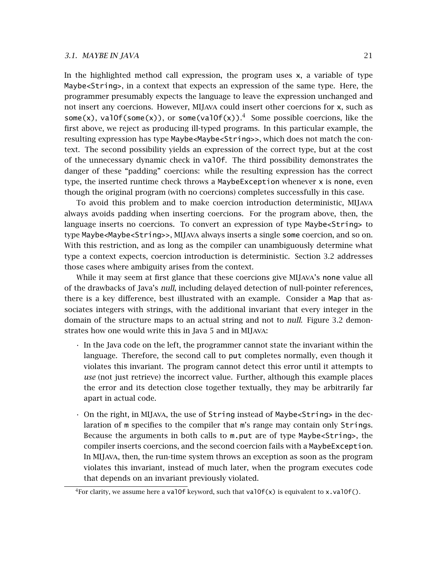In the highlighted method call expression, the program uses x, a variable of type Maybe<String>, in a context that expects an expression of the same type. Here, the programmer presumably expects the language to leave the expression unchanged and not insert any coercions. However, MIJava could insert other coercions for x, such as some(x), valOf(some(x)), or some(valOf(x)).<sup>4</sup> Some possible coercions, like the first above, we reject as producing ill-typed programs. In this particular example, the resulting expression has type Maybe<Maybe<String>>, which does not match the context. The second possibility yields an expression of the correct type, but at the cost of the unnecessary dynamic check in valOf. The third possibility demonstrates the danger of these "padding" coercions: while the resulting expression has the correct type, the inserted runtime check throws a MaybeException whenever x is none, even though the original program (with no coercions) completes successfully in this case.

To avoid this problem and to make coercion introduction deterministic, MIJava always avoids padding when inserting coercions. For the program above, then, the language inserts no coercions. To convert an expression of type Maybe<String> to type Maybe<Maybe<String>>, MIJava always inserts a single some coercion, and so on. With this restriction, and as long as the compiler can unambiguously determine what type a context expects, coercion introduction is deterministic. Section 3.2 addresses those cases where ambiguity arises from the context.

While it may seem at first glance that these coercions give MIJava's none value all of the drawbacks of Java's null, including delayed detection of null-pointer references, there is a key difference, best illustrated with an example. Consider a Map that associates integers with strings, with the additional invariant that every integer in the domain of the structure maps to an actual string and not to null. Figure 3.2 demonstrates how one would write this in Java 5 and in MIJava:

- In the Java code on the left, the programmer cannot state the invariant within the language. Therefore, the second call to put completes normally, even though it violates this invariant. The program cannot detect this error until it attempts to *use* (not just retrieve) the incorrect value. Further, although this example places the error and its detection close together textually, they may be arbitrarily far apart in actual code.
- On the right, in MIJava, the use of String instead of Maybe<String> in the declaration of m specifies to the compiler that m's range may contain only Strings. Because the arguments in both calls to m.put are of type Maybe<String>, the compiler inserts coercions, and the second coercion fails with a MaybeException. In MIJava, then, the run-time system throws an exception as soon as the program violates this invariant, instead of much later, when the program executes code that depends on an invariant previously violated.

<sup>&</sup>lt;sup>4</sup>For clarity, we assume here a val0f keyword, such that val0f(x) is equivalent to x.val0f().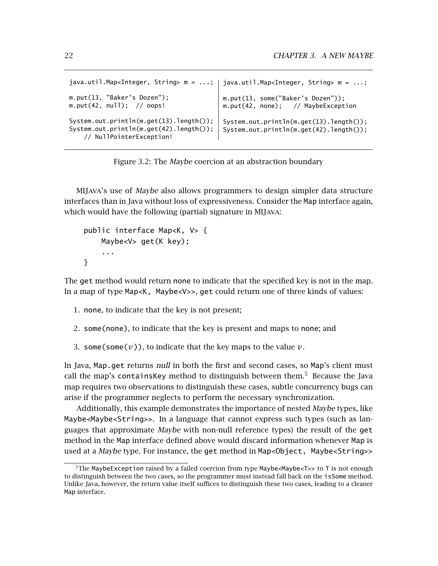```
java.util.Map<Integer, String> m = ...;
m.put(13, "Baker's Dozen");
m.put(42, null); // oops!
System.out.println(m.get(13).length());
System.out.println(m.get(42).length());
   // NullPointerException!
                                         java.util.Map<Integer, String> m = ...;
                                         m.put(13, some("Baker's Dozen"));
                                         m.put(42, none); // MaybeException
                                         System.out.println(m.get(13).length());
                                         System.out.println(m.get(42).length());
```
Figure 3.2: The Maybe coercion at an abstraction boundary

MIJava's use of Maybe also allows programmers to design simpler data structure interfaces than in Java without loss of expressiveness. Consider the Map interface again, which would have the following (partial) signature in MIJava:

```
public interface Map<K, V> {
    Maybe<V> get(K key);
    ...
}
```
The get method would return none to indicate that the specified key is not in the map. In a map of type Map<K, Maybe<V>>, get could return one of three kinds of values:

- 1. none, to indicate that the key is not present;
- 2. some(none), to indicate that the key is present and maps to none; and
- 3. some(some( $v$ )), to indicate that the key maps to the value  $v$ .

In Java, Map.get returns null in both the first and second cases, so Map's client must call the map's containsKey method to distinguish between them.<sup>5</sup> Because the Java map requires two observations to distinguish these cases, subtle concurrency bugs can arise if the programmer neglects to perform the necessary synchronization.

Additionally, this example demonstrates the importance of nested Maybe types, like Maybe<Maybe<String>>. In a language that cannot express such types (such as languages that approximate Maybe with non-null reference types) the result of the get method in the Map interface defined above would discard information whenever Map is used at a *Maybe* type. For instance, the get method in Map<Object, Maybe<String>>

 $5$ The MaybeException raised by a failed coercion from type Maybe<Maybe<T>> to T is not enough to distinguish between the two cases, so the programmer must instead fall back on the isSome method. Unlike Java, however, the return value itself suffices to distinguish these two cases, leading to a cleaner Map interface.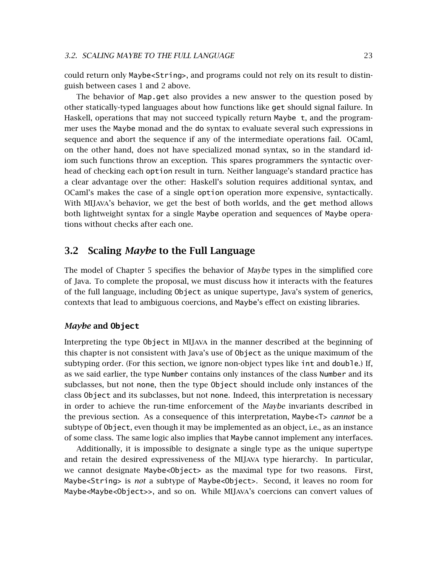could return only Maybe<String>, and programs could not rely on its result to distinguish between cases 1 and 2 above.

The behavior of Map.get also provides a new answer to the question posed by other statically-typed languages about how functions like get should signal failure. In Haskell, operations that may not succeed typically return Maybe t, and the programmer uses the Maybe monad and the do syntax to evaluate several such expressions in sequence and abort the sequence if any of the intermediate operations fail. OCaml, on the other hand, does not have specialized monad syntax, so in the standard idiom such functions throw an exception. This spares programmers the syntactic overhead of checking each option result in turn. Neither language's standard practice has a clear advantage over the other: Haskell's solution requires additional syntax, and OCaml's makes the case of a single option operation more expensive, syntactically. With MIJava's behavior, we get the best of both worlds, and the get method allows both lightweight syntax for a single Maybe operation and sequences of Maybe operations without checks after each one.

### 3.2 Scaling *Maybe* to the Full Language

The model of Chapter 5 specifies the behavior of *Maybe* types in the simplified core of Java. To complete the proposal, we must discuss how it interacts with the features of the full language, including Object as unique supertype, Java's system of generics, contexts that lead to ambiguous coercions, and Maybe's effect on existing libraries.

#### *Maybe* and **Object**

Interpreting the type Object in MIJava in the manner described at the beginning of this chapter is not consistent with Java's use of Object as the unique maximum of the subtyping order. (For this section, we ignore non-object types like int and double.) If, as we said earlier, the type Number contains only instances of the class Number and its subclasses, but not none, then the type Object should include only instances of the class Object and its subclasses, but not none. Indeed, this interpretation is necessary in order to achieve the run-time enforcement of the Maybe invariants described in the previous section. As a consequence of this interpretation, Maybe<T> *cannot* be a subtype of Object, even though it may be implemented as an object, i.e., as an instance of some class. The same logic also implies that Maybe cannot implement any interfaces.

Additionally, it is impossible to designate a single type as the unique supertype and retain the desired expressiveness of the MIJava type hierarchy. In particular, we cannot designate Maybe<Object> as the maximal type for two reasons. First, Maybe<String> is *not* a subtype of Maybe<Object>. Second, it leaves no room for Maybe<Maybe<Object>>, and so on. While MIJAVA's coercions can convert values of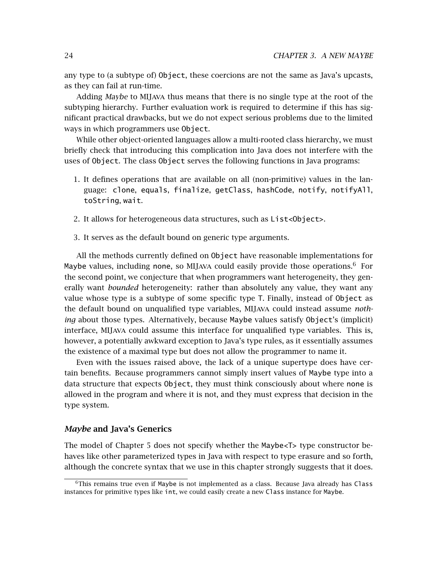any type to (a subtype of) Object, these coercions are not the same as Java's upcasts, as they can fail at run-time.

Adding Maybe to MIJava thus means that there is no single type at the root of the subtyping hierarchy. Further evaluation work is required to determine if this has significant practical drawbacks, but we do not expect serious problems due to the limited ways in which programmers use Object.

While other object-oriented languages allow a multi-rooted class hierarchy, we must briefly check that introducing this complication into Java does not interfere with the uses of Object. The class Object serves the following functions in Java programs:

- 1. It defines operations that are available on all (non-primitive) values in the language: clone, equals, finalize, getClass, hashCode, notify, notifyAll, toString, wait.
- 2. It allows for heterogeneous data structures, such as List<Object>.
- 3. It serves as the default bound on generic type arguments.

All the methods currently defined on Object have reasonable implementations for Maybe values, including none, so MIJAVA could easily provide those operations. $6$  For the second point, we conjecture that when programmers want heterogeneity, they generally want *bounded* heterogeneity: rather than absolutely any value, they want any value whose type is a subtype of some specific type T. Finally, instead of Object as the default bound on unqualified type variables, MIJava could instead assume *nothing* about those types. Alternatively, because Maybe values satisfy Object's (implicit) interface, MIJava could assume this interface for unqualified type variables. This is, however, a potentially awkward exception to Java's type rules, as it essentially assumes the existence of a maximal type but does not allow the programmer to name it.

Even with the issues raised above, the lack of a unique supertype does have certain benefits. Because programmers cannot simply insert values of Maybe type into a data structure that expects Object, they must think consciously about where none is allowed in the program and where it is not, and they must express that decision in the type system.

#### *Maybe* and Java's Generics

The model of Chapter 5 does not specify whether the Maybe<T> type constructor behaves like other parameterized types in Java with respect to type erasure and so forth, although the concrete syntax that we use in this chapter strongly suggests that it does.

 $6$ This remains true even if Maybe is not implemented as a class. Because Java already has Class instances for primitive types like int, we could easily create a new Class instance for Maybe.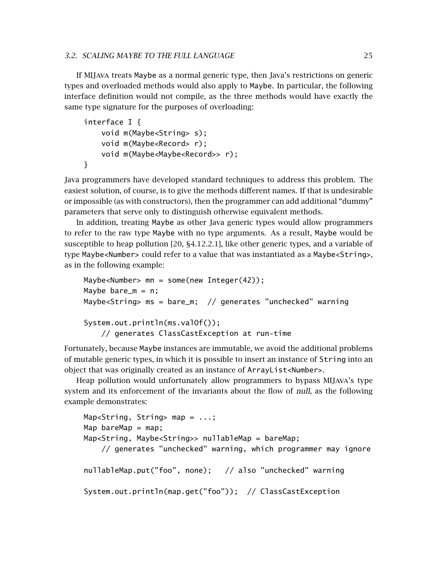#### 3.2. SCALING MAYBE TO THE FULL LANGUAGE 25

If MIJava treats Maybe as a normal generic type, then Java's restrictions on generic types and overloaded methods would also apply to Maybe. In particular, the following interface definition would not compile, as the three methods would have exactly the same type signature for the purposes of overloading:

```
interface I {
    void m(Maybe<String> s);
    void m(Maybe<Record> r);
    void m(Maybe<Maybe<Record>> r);
}
```
Java programmers have developed standard techniques to address this problem. The easiest solution, of course, is to give the methods different names. If that is undesirable or impossible (as with constructors), then the programmer can add additional "dummy" parameters that serve only to distinguish otherwise equivalent methods.

In addition, treating Maybe as other Java generic types would allow programmers to refer to the raw type Maybe with no type arguments. As a result, Maybe would be susceptible to heap pollution [20, §4.12.2.1], like other generic types, and a variable of type Maybe<Number> could refer to a value that was instantiated as a Maybe<String>, as in the following example:

```
Maybe<Number> mn = some(new Integer(42));
Maybe bare_m = n;
Maybe<String> ms = bare_m; // generates "unchecked" warning
System.out.println(ms.valOf());
    // generates ClassCastException at run-time
```
Fortunately, because Maybe instances are immutable, we avoid the additional problems of mutable generic types, in which it is possible to insert an instance of String into an object that was originally created as an instance of ArrayList<Number>.

Heap pollution would unfortunately allow programmers to bypass MIJava's type system and its enforcement of the invariants about the flow of *null*, as the following example demonstrates:

```
Map<String, String> map = ...;
Map bareMap = map;
Map<String, Maybe<String>> nullableMap = bareMap;
    // generates "unchecked" warning, which programmer may ignore
nullableMap.put("foo", none); // also "unchecked" warning
System.out.println(map.get("foo")); // ClassCastException
```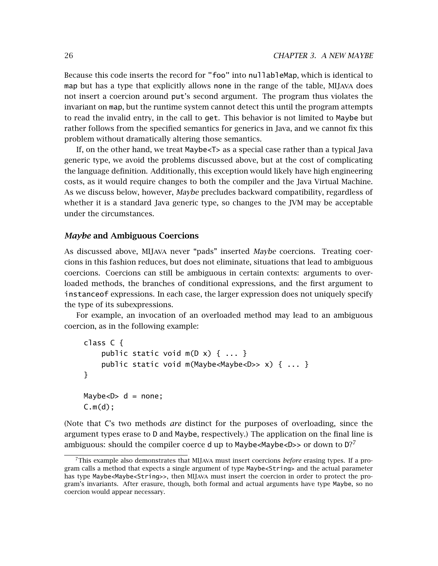Because this code inserts the record for "foo" into nullableMap, which is identical to map but has a type that explicitly allows none in the range of the table, MIJava does not insert a coercion around put's second argument. The program thus violates the invariant on map, but the runtime system cannot detect this until the program attempts to read the invalid entry, in the call to get. This behavior is not limited to Maybe but rather follows from the specified semantics for generics in Java, and we cannot fix this problem without dramatically altering those semantics.

If, on the other hand, we treat  $\text{Maybe}\leq\text{T}>$  as a special case rather than a typical Java generic type, we avoid the problems discussed above, but at the cost of complicating the language definition. Additionally, this exception would likely have high engineering costs, as it would require changes to both the compiler and the Java Virtual Machine. As we discuss below, however, Maybe precludes backward compatibility, regardless of whether it is a standard Java generic type, so changes to the JVM may be acceptable under the circumstances.

#### *Maybe* and Ambiguous Coercions

As discussed above, MIJava never "pads" inserted Maybe coercions. Treating coercions in this fashion reduces, but does not eliminate, situations that lead to ambiguous coercions. Coercions can still be ambiguous in certain contexts: arguments to overloaded methods, the branches of conditional expressions, and the first argument to instanceof expressions. In each case, the larger expression does not uniquely specify the type of its subexpressions.

For example, an invocation of an overloaded method may lead to an ambiguous coercion, as in the following example:

```
class C {
    public static void m(D x) \{ ... \}public static void m(Maybe<Maybe<D>> x) \{ \ldots \}}
Maybe<D> d = none;C.m(d);
```
(Note that C's two methods *are* distinct for the purposes of overloading, since the argument types erase to D and Maybe, respectively.) The application on the final line is ambiguous: should the compiler coerce d up to Maybe<Maybe<D>> or down to  $D$ ?

<sup>7</sup>This example also demonstrates that MIJava must insert coercions *before* erasing types. If a program calls a method that expects a single argument of type Maybe<String> and the actual parameter has type Maybe<Maybe<String>>, then MIJAVA must insert the coercion in order to protect the program's invariants. After erasure, though, both formal and actual arguments have type Maybe, so no coercion would appear necessary.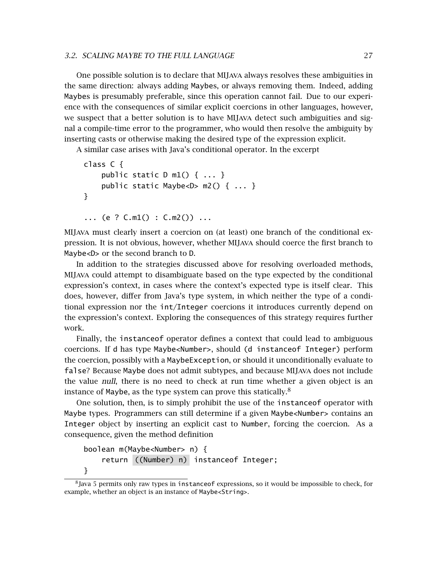#### 3.2. SCALING MAYBE TO THE FULL LANGUAGE 27

One possible solution is to declare that MIJava always resolves these ambiguities in the same direction: always adding Maybes, or always removing them. Indeed, adding Maybes is presumably preferable, since this operation cannot fail. Due to our experience with the consequences of similar explicit coercions in other languages, however, we suspect that a better solution is to have MIJava detect such ambiguities and signal a compile-time error to the programmer, who would then resolve the ambiguity by inserting casts or otherwise making the desired type of the expression explicit.

A similar case arises with Java's conditional operator. In the excerpt

```
class C {
    public static D m1() \{ \ldots \}public static Maybe<D> m2() { ... }
}
... (e ? C.m1() : C.m2()) ...
```
MIJava must clearly insert a coercion on (at least) one branch of the conditional expression. It is not obvious, however, whether MIJava should coerce the first branch to Maybe<D> or the second branch to D.

In addition to the strategies discussed above for resolving overloaded methods, MIJava could attempt to disambiguate based on the type expected by the conditional expression's context, in cases where the context's expected type is itself clear. This does, however, differ from Java's type system, in which neither the type of a conditional expression nor the int/Integer coercions it introduces currently depend on the expression's context. Exploring the consequences of this strategy requires further work.

Finally, the instanceof operator defines a context that could lead to ambiguous coercions. If d has type Maybe<Number>, should (d instanceof Integer) perform the coercion, possibly with a MaybeException, or should it unconditionally evaluate to false? Because Maybe does not admit subtypes, and because MIJava does not include the value null, there is no need to check at run time whether a given object is an instance of Maybe, as the type system can prove this statically.<sup>8</sup>

One solution, then, is to simply prohibit the use of the instanceof operator with Maybe types. Programmers can still determine if a given Maybe<Number> contains an Integer object by inserting an explicit cast to Number, forcing the coercion. As a consequence, given the method definition

```
boolean m(Maybe<Number> n) {
    return ((Number) n) instanceof Integer;
}
```
<sup>8</sup> Java 5 permits only raw types in instanceof expressions, so it would be impossible to check, for example, whether an object is an instance of Maybe<String>.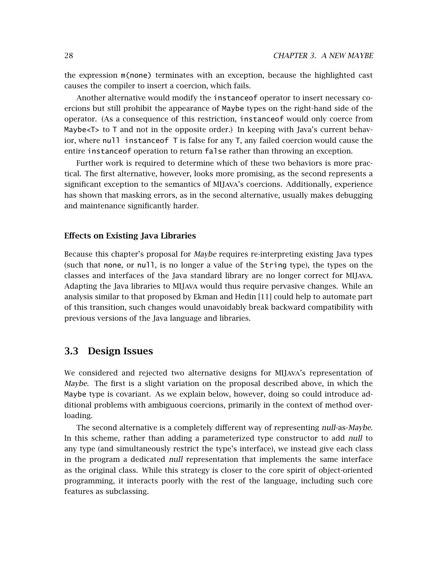the expression m(none) terminates with an exception, because the highlighted cast causes the compiler to insert a coercion, which fails.

Another alternative would modify the instanceof operator to insert necessary coercions but still prohibit the appearance of Maybe types on the right-hand side of the operator. (As a consequence of this restriction, instanceof would only coerce from Maybe<T> to T and not in the opposite order.) In keeping with Java's current behavior, where null instanceof T is false for any T, any failed coercion would cause the entire instanceof operation to return false rather than throwing an exception.

Further work is required to determine which of these two behaviors is more practical. The first alternative, however, looks more promising, as the second represents a significant exception to the semantics of MIJava's coercions. Additionally, experience has shown that masking errors, as in the second alternative, usually makes debugging and maintenance significantly harder.

## Effects on Existing Java Libraries

Because this chapter's proposal for *Maybe* requires re-interpreting existing Java types (such that none, or null, is no longer a value of the String type), the types on the classes and interfaces of the Java standard library are no longer correct for MIJava. Adapting the Java libraries to MIJava would thus require pervasive changes. While an analysis similar to that proposed by Ekman and Hedin [11] could help to automate part of this transition, such changes would unavoidably break backward compatibility with previous versions of the Java language and libraries.

## 3.3 Design Issues

We considered and rejected two alternative designs for MIJava's representation of Maybe. The first is a slight variation on the proposal described above, in which the Maybe type is covariant. As we explain below, however, doing so could introduce additional problems with ambiguous coercions, primarily in the context of method overloading.

The second alternative is a completely different way of representing null-as-Maybe. In this scheme, rather than adding a parameterized type constructor to add null to any type (and simultaneously restrict the type's interface), we instead give each class in the program a dedicated null representation that implements the same interface as the original class. While this strategy is closer to the core spirit of object-oriented programming, it interacts poorly with the rest of the language, including such core features as subclassing.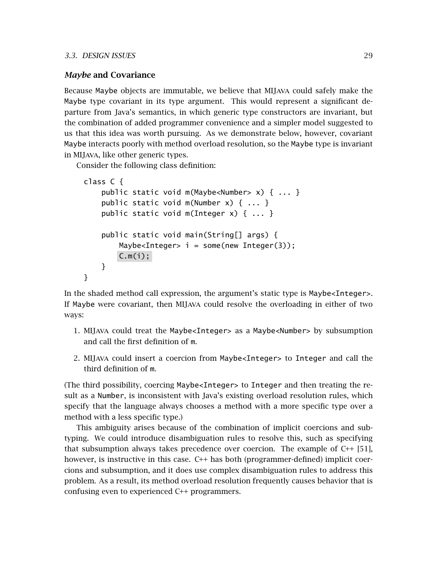## *Maybe* and Covariance

Because Maybe objects are immutable, we believe that MIJava could safely make the Maybe type covariant in its type argument. This would represent a significant departure from Java's semantics, in which generic type constructors are invariant, but the combination of added programmer convenience and a simpler model suggested to us that this idea was worth pursuing. As we demonstrate below, however, covariant Maybe interacts poorly with method overload resolution, so the Maybe type is invariant in MIJava, like other generic types.

Consider the following class definition:

```
class C {
   public static void m(Maybe<Number> x) { ... }
    public static void m(Number x) { ... }
    public static void m(Integer x) { ... }
   public static void main(String[] args) {
        Maybe\lt-Integer> i = some(new Integer(3));C.m(i);}
}
```
In the shaded method call expression, the argument's static type is Maybe<Integer>. If Maybe were covariant, then MIJava could resolve the overloading in either of two ways:

- 1. MIJava could treat the Maybe<Integer> as a Maybe<Number> by subsumption and call the first definition of m.
- 2. MIJava could insert a coercion from Maybe<Integer> to Integer and call the third definition of m.

(The third possibility, coercing Maybe<Integer> to Integer and then treating the result as a Number, is inconsistent with Java's existing overload resolution rules, which specify that the language always chooses a method with a more specific type over a method with a less specific type.)

This ambiguity arises because of the combination of implicit coercions and subtyping. We could introduce disambiguation rules to resolve this, such as specifying that subsumption always takes precedence over coercion. The example of C++ [51], however, is instructive in this case. C++ has both (programmer-defined) implicit coercions and subsumption, and it does use complex disambiguation rules to address this problem. As a result, its method overload resolution frequently causes behavior that is confusing even to experienced C++ programmers.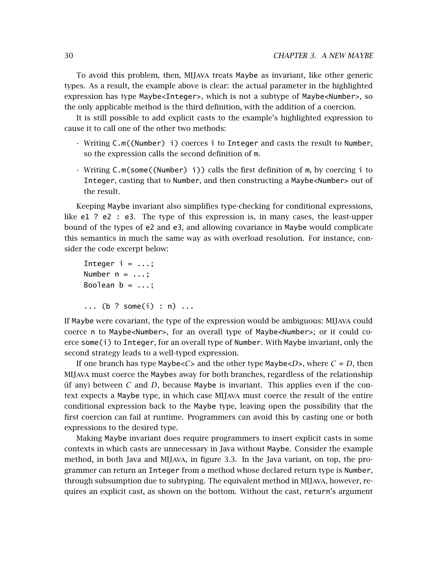To avoid this problem, then, MIJava treats Maybe as invariant, like other generic types. As a result, the example above is clear: the actual parameter in the highlighted expression has type Maybe<Integer>, which is not a subtype of Maybe<Number>, so the only applicable method is the third definition, with the addition of a coercion.

It is still possible to add explicit casts to the example's highlighted expression to cause it to call one of the other two methods:

- Writing C.m((Number) i) coerces i to Integer and casts the result to Number, so the expression calls the second definition of m.
- Writing C.m(some((Number) i)) calls the first definition of m, by coercing i to Integer, casting that to Number, and then constructing a Maybe<Number> out of the result.

Keeping Maybe invariant also simplifies type-checking for conditional expressions, like e1 ? e2 : e3. The type of this expression is, in many cases, the least-upper bound of the types of e2 and e3, and allowing covariance in Maybe would complicate this semantics in much the same way as with overload resolution. For instance, consider the code excerpt below:

```
Integer i = ...;Number n = ...;Boolean b = \ldots;... (b ? some(i) : n) ...
```
If Maybe were covariant, the type of the expression would be ambiguous: MIJava could coerce n to Maybe<Number>, for an overall type of Maybe<Number>; or it could coerce some(i) to Integer, for an overall type of Number. With Maybe invariant, only the second strategy leads to a well-typed expression.

If one branch has type Maybe $\langle C \rangle$  and the other type Maybe $\langle D \rangle$ , where  $C \neq D$ , then MIJava must coerce the Maybes away for both branches, regardless of the relationship (if any) between *C* and *D*, because Maybe is invariant. This applies even if the context expects a Maybe type, in which case MIJava must coerce the result of the entire conditional expression back to the Maybe type, leaving open the possibility that the first coercion can fail at runtime. Programmers can avoid this by casting one or both expressions to the desired type.

Making Maybe invariant does require programmers to insert explicit casts in some contexts in which casts are unnecessary in Java without Maybe. Consider the example method, in both Java and MIJava, in figure 3.3. In the Java variant, on top, the programmer can return an Integer from a method whose declared return type is Number, through subsumption due to subtyping. The equivalent method in MIJava, however, requires an explicit cast, as shown on the bottom. Without the cast, return's argument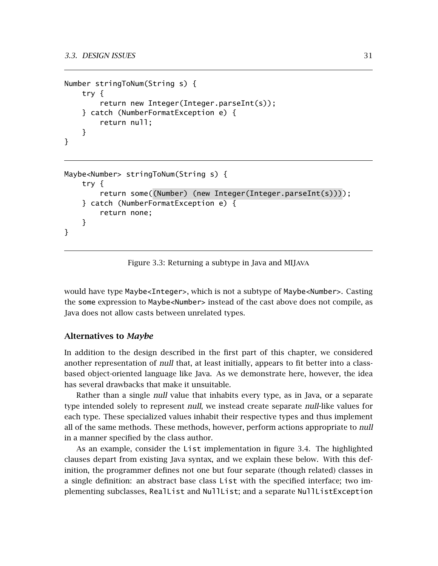```
Number stringToNum(String s) {
    try {
        return new Integer(Integer.parseInt(s));
    } catch (NumberFormatException e) {
        return null;
    }
}
```

```
Maybe<Number> stringToNum(String s) {
    try {
        return some((Number) (new Integer(Integer.parseInt(s))));
    } catch (NumberFormatException e) {
        return none;
    }
}
```
Figure 3.3: Returning a subtype in Java and MIJava

would have type Maybe<Integer>, which is not a subtype of Maybe<Number>. Casting the some expression to Maybe<Number> instead of the cast above does not compile, as Java does not allow casts between unrelated types.

#### Alternatives to *Maybe*

In addition to the design described in the first part of this chapter, we considered another representation of *null* that, at least initially, appears to fit better into a classbased object-oriented language like Java. As we demonstrate here, however, the idea has several drawbacks that make it unsuitable.

Rather than a single null value that inhabits every type, as in Java, or a separate type intended solely to represent null, we instead create separate null-like values for each type. These specialized values inhabit their respective types and thus implement all of the same methods. These methods, however, perform actions appropriate to null in a manner specified by the class author.

As an example, consider the List implementation in figure 3.4. The highlighted clauses depart from existing Java syntax, and we explain these below. With this definition, the programmer defines not one but four separate (though related) classes in a single definition: an abstract base class List with the specified interface; two implementing subclasses, RealList and NullList; and a separate NullListException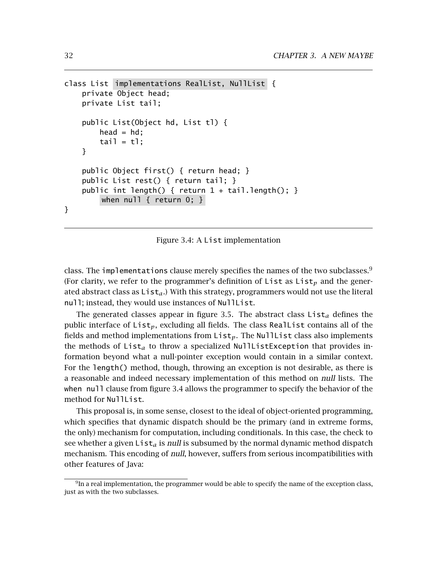```
class List implementations RealList, NullList {
   private Object head;
   private List tail;
   public List(Object hd, List tl) {
        head = hd;
        tail = t!;
   }
   public Object first() { return head; }
   public List rest() { return tail; }
   public int length() { return 1 + tail.length(); }
        when null \{ return 0; \}}
```
Figure 3.4: A List implementation

class. The implementations clause merely specifies the names of the two subclasses. $9$ (For clarity, we refer to the programmer's definition of List as List<sub>p</sub> and the generated abstract class as List*a*.) With this strategy, programmers would not use the literal null; instead, they would use instances of NullList.

The generated classes appear in figure 3.5. The abstract class  $List<sub>a</sub>$  defines the public interface of List*p*, excluding all fields. The class RealList contains all of the fields and method implementations from  $List_{p}$ . The NullList class also implements the methods of List<sub>a</sub> to throw a specialized NullListException that provides information beyond what a null-pointer exception would contain in a similar context. For the length() method, though, throwing an exception is not desirable, as there is a reasonable and indeed necessary implementation of this method on null lists. The when null clause from figure 3.4 allows the programmer to specify the behavior of the method for NullList.

This proposal is, in some sense, closest to the ideal of object-oriented programming, which specifies that dynamic dispatch should be the primary (and in extreme forms, the only) mechanism for computation, including conditionals. In this case, the check to see whether a given  $List_a$  is *null* is subsumed by the normal dynamic method dispatch mechanism. This encoding of *null*, however, suffers from serious incompatibilities with other features of Java:

 $9$ In a real implementation, the programmer would be able to specify the name of the exception class, just as with the two subclasses.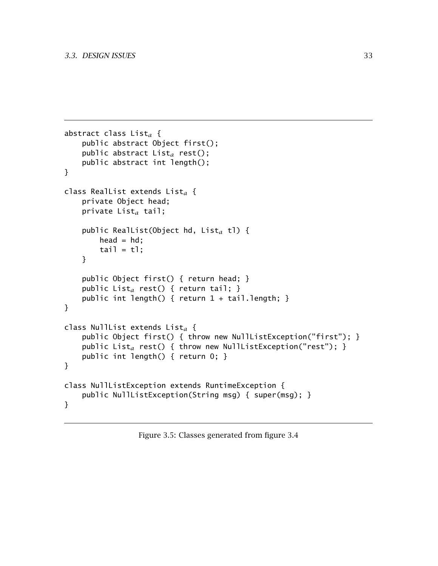```
abstract class Lista {
    public abstract Object first();
    public abstract Lista rest();
    public abstract int length();
}
class RealList extends Lista {
    private Object head;
    private Lista tail;
    public RealList(Object hd, Lista tl) {
        head = hd;
        tail = t!;
    }
    public Object first() { return head; }
    public Lista rest() { return tail; }
    public int length() { return 1 + tail.length; }
}
class NullList extends Lista {
    public Object first() { throw new NullListException("first"); }
    public List<sub>a</sub> rest() { throw new NullListException("rest"); }
    public int length() { return 0; }
}
class NullListException extends RuntimeException {
    public NullListException(String msg) { super(msg); }
}
```
Figure 3.5: Classes generated from figure 3.4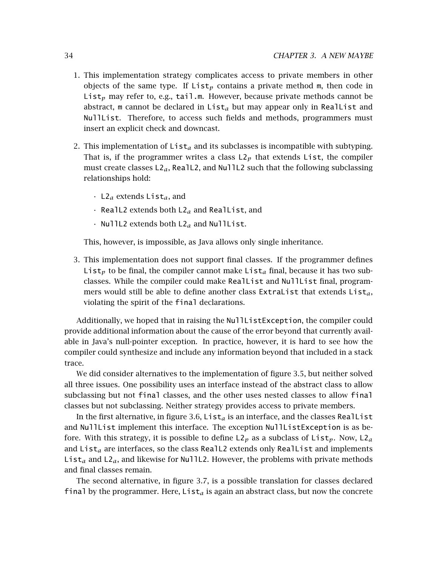- 1. This implementation strategy complicates access to private members in other objects of the same type. If  $List_{p}$  contains a private method m, then code in List<sub>p</sub> may refer to, e.g., tail.m. However, because private methods cannot be abstract, m cannot be declared in List*<sup>a</sup>* but may appear only in RealList and NullList. Therefore, to access such fields and methods, programmers must insert an explicit check and downcast.
- 2. This implementation of List*<sup>a</sup>* and its subclasses is incompatible with subtyping. That is, if the programmer writes a class  $L2<sub>p</sub>$  that extends List, the compiler must create classes L2*a*, RealL2, and NullL2 such that the following subclassing relationships hold:
	- L2*<sup>a</sup>* extends List*a*, and
	- RealL2 extends both L2*<sup>a</sup>* and RealList, and
	- $\cdot$  NullL2 extends both  $L2_a$  and NullList.

This, however, is impossible, as Java allows only single inheritance.

3. This implementation does not support final classes. If the programmer defines List<sub>p</sub> to be final, the compiler cannot make List<sub>a</sub> final, because it has two subclasses. While the compiler could make RealList and NullList final, programmers would still be able to define another class ExtraList that extends List*a*, violating the spirit of the final declarations.

Additionally, we hoped that in raising the NullListException, the compiler could provide additional information about the cause of the error beyond that currently available in Java's null-pointer exception. In practice, however, it is hard to see how the compiler could synthesize and include any information beyond that included in a stack trace.

We did consider alternatives to the implementation of figure 3.5, but neither solved all three issues. One possibility uses an interface instead of the abstract class to allow subclassing but not final classes, and the other uses nested classes to allow final classes but not subclassing. Neither strategy provides access to private members.

In the first alternative, in figure 3.6, List<sub>a</sub> is an interface, and the classes RealList and NullList implement this interface. The exception NullListException is as before. With this strategy, it is possible to define L2*<sup>p</sup>* as a subclass of List*p*. Now, L2*<sup>a</sup>* and List*<sup>a</sup>* are interfaces, so the class RealL2 extends only RealList and implements List<sub>a</sub> and L2<sub>a</sub>, and likewise for NullL2. However, the problems with private methods and final classes remain.

The second alternative, in figure 3.7, is a possible translation for classes declared final by the programmer. Here,  $List_a$  is again an abstract class, but now the concrete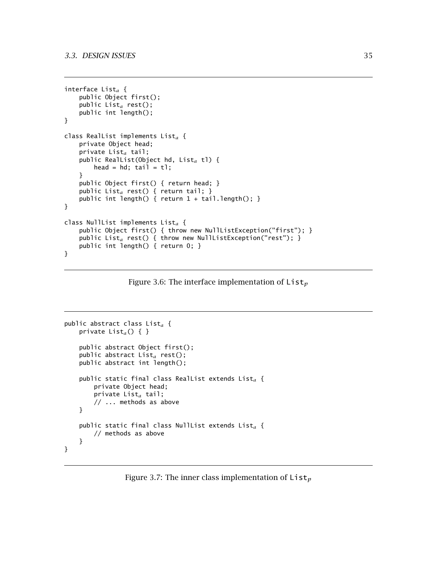```
interface Lista {
    public Object first();
    public Lista rest();
    public int length();
}
class RealList implements Lista {
    private Object head;
    private Lista tail;
    public RealList(Object hd, Lista tl) {
        head = hd; tail = t];
    }
    public Object first() { return head; }
    public Lista rest() { return tail; }
    public int length() { return 1 + tail.length(); }
}
class NullList implements Lista {
    public Object first() { throw new NullListException("first"); }
    public List<sub>a</sub> rest() { throw new NullListException("rest"); }
    public int length() { return 0; }
}
```
Figure 3.6: The interface implementation of List*<sup>p</sup>*

```
public abstract class Lista {
    private Lista() { }
    public abstract Object first();
    public abstract Lista rest();
    public abstract int length();
    public static final class RealList extends Lista {
        private Object head;
        private Lista tail;
        // ... methods as above
    }
    public static final class NullList extends Lista {
        // methods as above
    }
}
```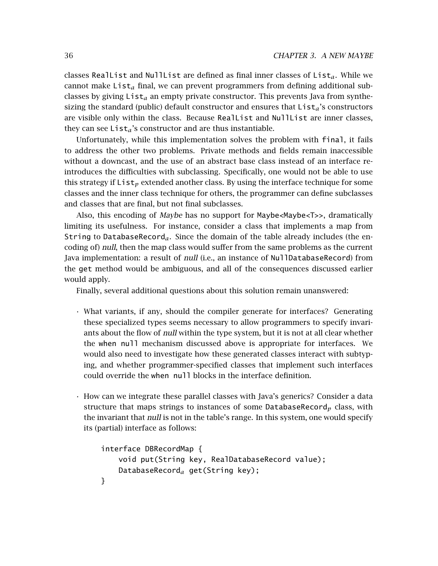classes RealList and NullList are defined as final inner classes of List*a*. While we cannot make List*<sup>a</sup>* final, we can prevent programmers from defining additional subclasses by giving  $List_a$  an empty private constructor. This prevents Java from synthesizing the standard (public) default constructor and ensures that List*a*'s constructors are visible only within the class. Because RealList and NullList are inner classes, they can see  $List_a$ 's constructor and are thus instantiable.

Unfortunately, while this implementation solves the problem with final, it fails to address the other two problems. Private methods and fields remain inaccessible without a downcast, and the use of an abstract base class instead of an interface reintroduces the difficulties with subclassing. Specifically, one would not be able to use this strategy if  $List<sub>p</sub>$  extended another class. By using the interface technique for some classes and the inner class technique for others, the programmer can define subclasses and classes that are final, but not final subclasses.

Also, this encoding of *Maybe* has no support for Maybe<Maybe<T>>, dramatically limiting its usefulness. For instance, consider a class that implements a map from String to DatabaseRecord*a*. Since the domain of the table already includes (the encoding of) null, then the map class would suffer from the same problems as the current Java implementation: a result of *null* (i.e., an instance of NullDatabaseRecord) from the get method would be ambiguous, and all of the consequences discussed earlier would apply.

Finally, several additional questions about this solution remain unanswered:

- What variants, if any, should the compiler generate for interfaces? Generating these specialized types seems necessary to allow programmers to specify invariants about the flow of null within the type system, but it is not at all clear whether the when null mechanism discussed above is appropriate for interfaces. We would also need to investigate how these generated classes interact with subtyping, and whether programmer-specified classes that implement such interfaces could override the when null blocks in the interface definition.
- How can we integrate these parallel classes with Java's generics? Consider a data structure that maps strings to instances of some DatabaseRecord*<sup>p</sup>* class, with the invariant that null is not in the table's range. In this system, one would specify its (partial) interface as follows:

```
interface DBRecordMap {
   void put(String key, RealDatabaseRecord value);
   DatabaseRecorda get(String key);
}
```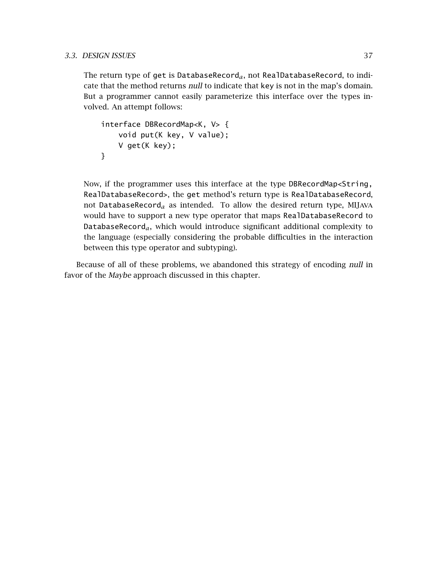#### 3.3. DESIGN ISSUES 37

The return type of get is DatabaseRecord*a*, not RealDatabaseRecord, to indicate that the method returns null to indicate that key is not in the map's domain. But a programmer cannot easily parameterize this interface over the types involved. An attempt follows:

```
interface DBRecordMap<K, V> {
    void put(K key, V value);
    V get(K key);
}
```
Now, if the programmer uses this interface at the type DBRecordMap<String, RealDatabaseRecord>, the get method's return type is RealDatabaseRecord, not DatabaseRecord*<sup>a</sup>* as intended. To allow the desired return type, MIJava would have to support a new type operator that maps RealDatabaseRecord to DatabaseRecord*a*, which would introduce significant additional complexity to the language (especially considering the probable difficulties in the interaction between this type operator and subtyping).

Because of all of these problems, we abandoned this strategy of encoding null in favor of the Maybe approach discussed in this chapter.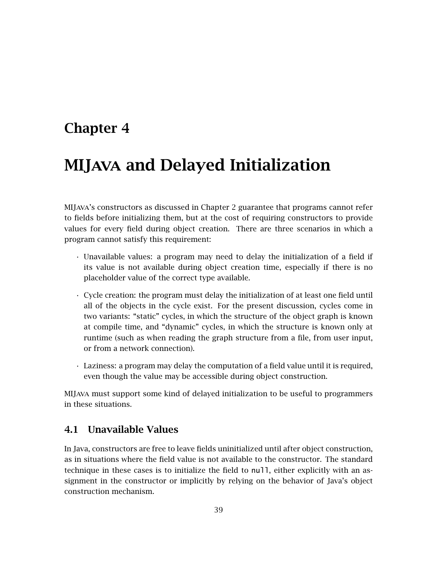# Chapter 4

# MIJava and Delayed Initialization

MIJava's constructors as discussed in Chapter 2 guarantee that programs cannot refer to fields before initializing them, but at the cost of requiring constructors to provide values for every field during object creation. There are three scenarios in which a program cannot satisfy this requirement:

- Unavailable values: a program may need to delay the initialization of a field if its value is not available during object creation time, especially if there is no placeholder value of the correct type available.
- Cycle creation: the program must delay the initialization of at least one field until all of the objects in the cycle exist. For the present discussion, cycles come in two variants: "static" cycles, in which the structure of the object graph is known at compile time, and "dynamic" cycles, in which the structure is known only at runtime (such as when reading the graph structure from a file, from user input, or from a network connection).
- Laziness: a program may delay the computation of a field value until it is required, even though the value may be accessible during object construction.

MIJava must support some kind of delayed initialization to be useful to programmers in these situations.

# 4.1 Unavailable Values

In Java, constructors are free to leave fields uninitialized until after object construction, as in situations where the field value is not available to the constructor. The standard technique in these cases is to initialize the field to null, either explicitly with an assignment in the constructor or implicitly by relying on the behavior of Java's object construction mechanism.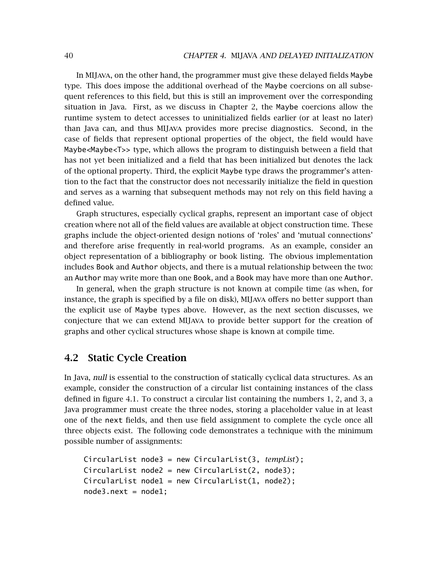In MIJava, on the other hand, the programmer must give these delayed fields Maybe type. This does impose the additional overhead of the Maybe coercions on all subsequent references to this field, but this is still an improvement over the corresponding situation in Java. First, as we discuss in Chapter 2, the Maybe coercions allow the runtime system to detect accesses to uninitialized fields earlier (or at least no later) than Java can, and thus MIJava provides more precise diagnostics. Second, in the case of fields that represent optional properties of the object, the field would have Maybe<Maybe<T>> type, which allows the program to distinguish between a field that has not yet been initialized and a field that has been initialized but denotes the lack of the optional property. Third, the explicit Maybe type draws the programmer's attention to the fact that the constructor does not necessarily initialize the field in question and serves as a warning that subsequent methods may not rely on this field having a defined value.

Graph structures, especially cyclical graphs, represent an important case of object creation where not all of the field values are available at object construction time. These graphs include the object-oriented design notions of 'roles' and 'mutual connections' and therefore arise frequently in real-world programs. As an example, consider an object representation of a bibliography or book listing. The obvious implementation includes Book and Author objects, and there is a mutual relationship between the two: an Author may write more than one Book, and a Book may have more than one Author.

In general, when the graph structure is not known at compile time (as when, for instance, the graph is specified by a file on disk), MIJava offers no better support than the explicit use of Maybe types above. However, as the next section discusses, we conjecture that we can extend MIJava to provide better support for the creation of graphs and other cyclical structures whose shape is known at compile time.

# 4.2 Static Cycle Creation

In Java, null is essential to the construction of statically cyclical data structures. As an example, consider the construction of a circular list containing instances of the class defined in figure 4.1. To construct a circular list containing the numbers 1, 2, and 3, a Java programmer must create the three nodes, storing a placeholder value in at least one of the next fields, and then use field assignment to complete the cycle once all three objects exist. The following code demonstrates a technique with the minimum possible number of assignments:

```
CircularList node3 = new CircularList(3, tempList);
CircularList node2 = new CircularList(2, node3);
CircularList node1 = new CircularList(1, node2);node3.next = node1;
```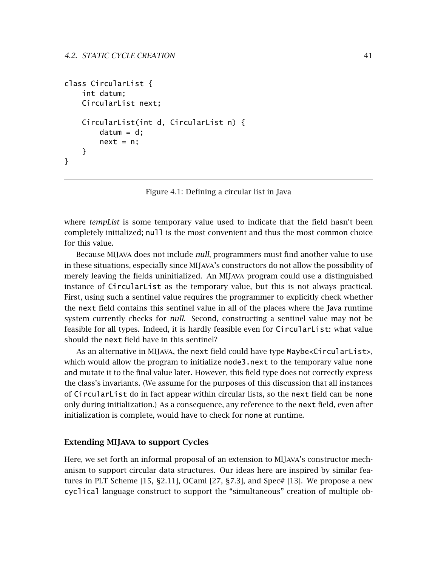```
class CircularList {
    int datum;
    CircularList next;
    CircularList(int d, CircularList n) {
        datum = d;
        next = n;}
}
```
Figure 4.1: Defining a circular list in Java

where *tempList* is some temporary value used to indicate that the field hasn't been completely initialized; null is the most convenient and thus the most common choice for this value.

Because MIJava does not include null, programmers must find another value to use in these situations, especially since MIJava's constructors do not allow the possibility of merely leaving the fields uninitialized. An MIJava program could use a distinguished instance of CircularList as the temporary value, but this is not always practical. First, using such a sentinel value requires the programmer to explicitly check whether the next field contains this sentinel value in all of the places where the Java runtime system currently checks for *null*. Second, constructing a sentinel value may not be feasible for all types. Indeed, it is hardly feasible even for CircularList: what value should the next field have in this sentinel?

As an alternative in MIJava, the next field could have type Maybe<CircularList>, which would allow the program to initialize node3.next to the temporary value none and mutate it to the final value later. However, this field type does not correctly express the class's invariants. (We assume for the purposes of this discussion that all instances of CircularList do in fact appear within circular lists, so the next field can be none only during initialization.) As a consequence, any reference to the next field, even after initialization is complete, would have to check for none at runtime.

## Extending MIJava to support Cycles

Here, we set forth an informal proposal of an extension to MIJava's constructor mechanism to support circular data structures. Our ideas here are inspired by similar features in PLT Scheme  $[15, §2.11]$ , OCaml  $[27, §7.3]$ , and Spec $# [13]$ . We propose a new cyclical language construct to support the "simultaneous" creation of multiple ob-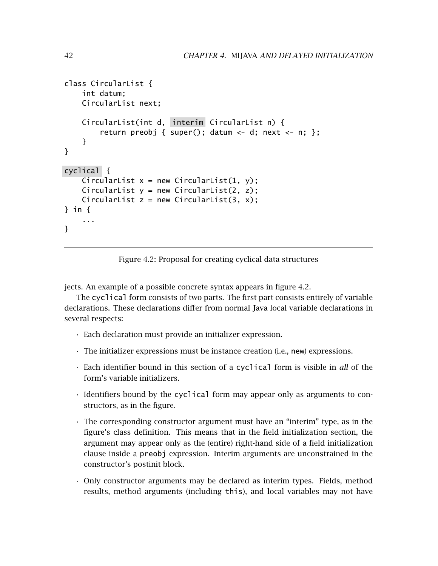```
class CircularList {
    int datum;
    CircularList next;
    CircularList(int d, interim CircularList n) {
        return preobj { super(); datum <- d; next <- n; };
    }
}
cyclical {
    CircularList x = new CircularList(1, y);CircularList y = new CircularList(2, z);CircularList z = new CircularList(3, x);} in {
    ...
}
```
Figure 4.2: Proposal for creating cyclical data structures

jects. An example of a possible concrete syntax appears in figure 4.2.

The cyclical form consists of two parts. The first part consists entirely of variable declarations. These declarations differ from normal Java local variable declarations in several respects:

- Each declaration must provide an initializer expression.
- The initializer expressions must be instance creation (i.e., new) expressions.
- Each identifier bound in this section of a cyclical form is visible in *all* of the form's variable initializers.
- Identifiers bound by the cyclical form may appear only as arguments to constructors, as in the figure.
- The corresponding constructor argument must have an "interim" type, as in the figure's class definition. This means that in the field initialization section, the argument may appear only as the (entire) right-hand side of a field initialization clause inside a preobj expression. Interim arguments are unconstrained in the constructor's postinit block.
- Only constructor arguments may be declared as interim types. Fields, method results, method arguments (including this), and local variables may not have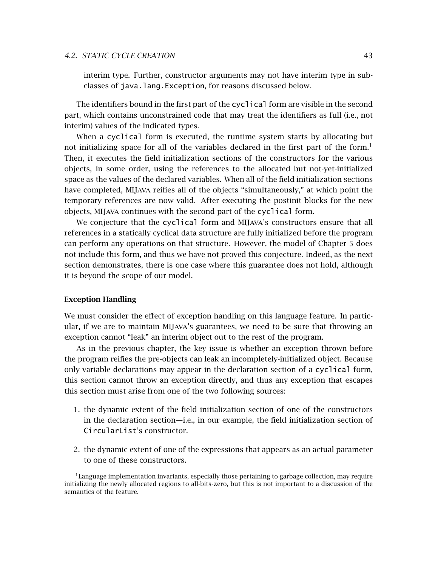interim type. Further, constructor arguments may not have interim type in subclasses of java.lang.Exception, for reasons discussed below.

The identifiers bound in the first part of the cyclical form are visible in the second part, which contains unconstrained code that may treat the identifiers as full (i.e., not interim) values of the indicated types.

When a cyclical form is executed, the runtime system starts by allocating but not initializing space for all of the variables declared in the first part of the form.<sup>1</sup> Then, it executes the field initialization sections of the constructors for the various objects, in some order, using the references to the allocated but not-yet-initialized space as the values of the declared variables. When all of the field initialization sections have completed, MIJava reifies all of the objects "simultaneously," at which point the temporary references are now valid. After executing the postinit blocks for the new objects, MIJava continues with the second part of the cyclical form.

We conjecture that the cyclical form and MIJava's constructors ensure that all references in a statically cyclical data structure are fully initialized before the program can perform any operations on that structure. However, the model of Chapter 5 does not include this form, and thus we have not proved this conjecture. Indeed, as the next section demonstrates, there is one case where this guarantee does not hold, although it is beyond the scope of our model.

#### Exception Handling

We must consider the effect of exception handling on this language feature. In particular, if we are to maintain MIJava's guarantees, we need to be sure that throwing an exception cannot "leak" an interim object out to the rest of the program.

As in the previous chapter, the key issue is whether an exception thrown before the program reifies the pre-objects can leak an incompletely-initialized object. Because only variable declarations may appear in the declaration section of a cyclical form, this section cannot throw an exception directly, and thus any exception that escapes this section must arise from one of the two following sources:

- 1. the dynamic extent of the field initialization section of one of the constructors in the declaration section—i.e., in our example, the field initialization section of CircularList's constructor.
- 2. the dynamic extent of one of the expressions that appears as an actual parameter to one of these constructors.

 $1$ Language implementation invariants, especially those pertaining to garbage collection, may require initializing the newly allocated regions to all-bits-zero, but this is not important to a discussion of the semantics of the feature.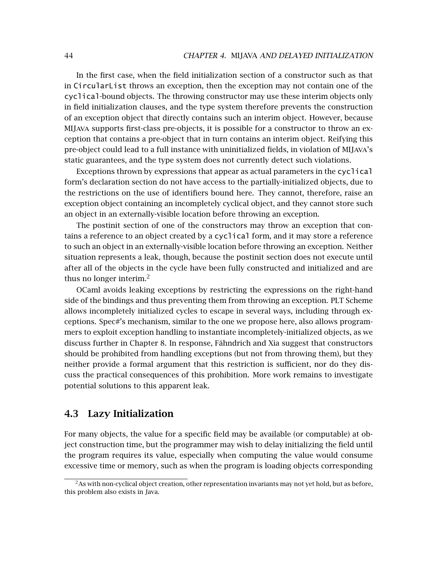In the first case, when the field initialization section of a constructor such as that in CircularList throws an exception, then the exception may not contain one of the cyclical-bound objects. The throwing constructor may use these interim objects only in field initialization clauses, and the type system therefore prevents the construction of an exception object that directly contains such an interim object. However, because MIJava supports first-class pre-objects, it is possible for a constructor to throw an exception that contains a pre-object that in turn contains an interim object. Reifying this pre-object could lead to a full instance with uninitialized fields, in violation of MIJava's static guarantees, and the type system does not currently detect such violations.

Exceptions thrown by expressions that appear as actual parameters in the cyclical form's declaration section do not have access to the partially-initialized objects, due to the restrictions on the use of identifiers bound here. They cannot, therefore, raise an exception object containing an incompletely cyclical object, and they cannot store such an object in an externally-visible location before throwing an exception.

The postinit section of one of the constructors may throw an exception that contains a reference to an object created by a cyclical form, and it may store a reference to such an object in an externally-visible location before throwing an exception. Neither situation represents a leak, though, because the postinit section does not execute until after all of the objects in the cycle have been fully constructed and initialized and are thus no longer interim.<sup>2</sup>

OCaml avoids leaking exceptions by restricting the expressions on the right-hand side of the bindings and thus preventing them from throwing an exception. PLT Scheme allows incompletely initialized cycles to escape in several ways, including through exceptions. Spec#'s mechanism, similar to the one we propose here, also allows programmers to exploit exception handling to instantiate incompletely-initialized objects, as we discuss further in Chapter 8. In response, Fähndrich and Xia suggest that constructors should be prohibited from handling exceptions (but not from throwing them), but they neither provide a formal argument that this restriction is sufficient, nor do they discuss the practical consequences of this prohibition. More work remains to investigate potential solutions to this apparent leak.

# 4.3 Lazy Initialization

For many objects, the value for a specific field may be available (or computable) at object construction time, but the programmer may wish to delay initializing the field until the program requires its value, especially when computing the value would consume excessive time or memory, such as when the program is loading objects corresponding

 $2As$  with non-cyclical object creation, other representation invariants may not yet hold, but as before, this problem also exists in Java.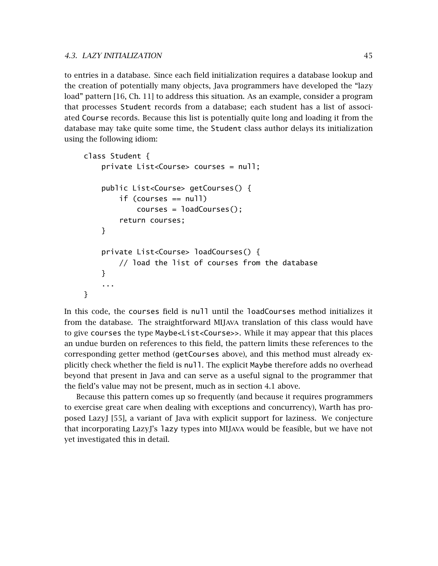to entries in a database. Since each field initialization requires a database lookup and the creation of potentially many objects, Java programmers have developed the "lazy load" pattern [16, Ch. 11] to address this situation. As an example, consider a program that processes Student records from a database; each student has a list of associated Course records. Because this list is potentially quite long and loading it from the database may take quite some time, the Student class author delays its initialization using the following idiom:

```
class Student {
    private List<Course> courses = null;
    public List<Course> getCourses() {
        if (courses == null)
            course = loadCourse();
        return courses;
    }
    private List<Course> loadCourses() {
        // load the list of courses from the database
    }
    ...
}
```
In this code, the courses field is null until the loadCourses method initializes it from the database. The straightforward MIJava translation of this class would have to give courses the type Maybe<List<Course>>. While it may appear that this places an undue burden on references to this field, the pattern limits these references to the corresponding getter method (getCourses above), and this method must already explicitly check whether the field is null. The explicit Maybe therefore adds no overhead beyond that present in Java and can serve as a useful signal to the programmer that the field's value may not be present, much as in section 4.1 above.

Because this pattern comes up so frequently (and because it requires programmers to exercise great care when dealing with exceptions and concurrency), Warth has proposed LazyJ [55], a variant of Java with explicit support for laziness. We conjecture that incorporating LazyJ's lazy types into MIJava would be feasible, but we have not yet investigated this in detail.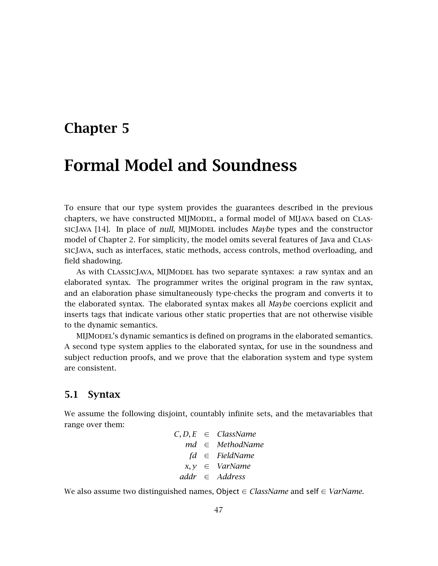# Chapter 5

# Formal Model and Soundness

To ensure that our type system provides the guarantees described in the previous chapters, we have constructed MIJMODEL, a formal model of MIJAVA based on CLAS- $SICJAVA$  [14]. In place of *null*, MIJMODEL includes *Maybe* types and the constructor model of Chapter 2. For simplicity, the model omits several features of Java and ClassicJava, such as interfaces, static methods, access controls, method overloading, and field shadowing.

As with ClassicJava, MIJModel has two separate syntaxes: a raw syntax and an elaborated syntax. The programmer writes the original program in the raw syntax, and an elaboration phase simultaneously type-checks the program and converts it to the elaborated syntax. The elaborated syntax makes all Maybe coercions explicit and inserts tags that indicate various other static properties that are not otherwise visible to the dynamic semantics.

MIJModel's dynamic semantics is defined on programs in the elaborated semantics. A second type system applies to the elaborated syntax, for use in the soundness and subject reduction proofs, and we prove that the elaboration system and type system are consistent.

# 5.1 Syntax

We assume the following disjoint, countably infinite sets, and the metavariables that range over them:

> $C, D, E \in ClassName$ *md* ∈ *MethodName fd* ∈ *FieldName x, y* ∈ *VarName addr* ∈ *Address*

We also assume two distinguished names, Object ∈ *ClassName* and self ∈ *VarName*.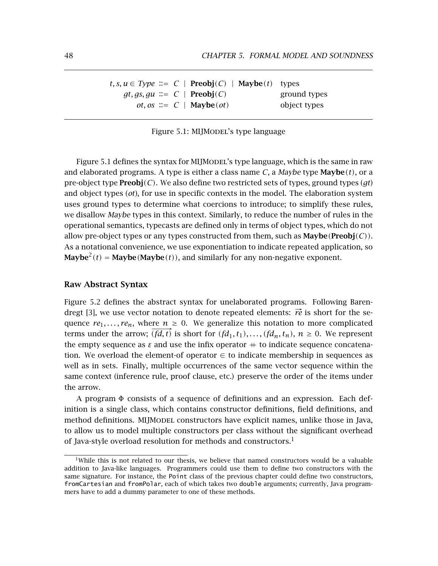| t, s, $u \in Type :: = C$   <b>Preobj</b> $(C)$   <b>Maybe</b> $(t)$ types |              |
|----------------------------------------------------------------------------|--------------|
| <i>gt</i> , <i>gs</i> , <i>gu</i> ::= $C$   <b>Preobj</b> $(C)$            | ground types |
| <i>ot, os</i> ::= $C$   <b>Maybe</b> $(\alpha t)$                          | object types |

Figure 5.1: MIJMODEL's type language

Figure 5.1 defines the syntax for MIJMODEL's type language, which is the same in raw and elaborated programs. A type is either a class name  $C$ , a *Maybe* type **Maybe**(*t*), or a pre-object type Preobj*(C)*. We also define two restricted sets of types, ground types (*gt*) and object types (*ot*), for use in specific contexts in the model. The elaboration system uses ground types to determine what coercions to introduce; to simplify these rules, we disallow *Maybe* types in this context. Similarly, to reduce the number of rules in the operational semantics, typecasts are defined only in terms of object types, which do not allow pre-object types or any types constructed from them, such as Maybe*(*Preobj*(C))*. As a notational convenience, we use exponentiation to indicate repeated application, so **Maybe**<sup>2</sup>(*t*) = **Maybe**(**Maybe**(*t*)), and similarly for any non-negative exponent.

#### Raw Abstract Syntax

Figure 5.2 defines the abstract syntax for unelaborated programs. Following Barendregt [3], we use vector notation to denote repeated elements:  $\vec{re}$  is short for the sequence  $re_1, \ldots, re_n$ , where  $n \geq 0$ . We generalize this notation to more complicated terms under the arrow;  $(\overrightarrow{fd}, \overrightarrow{t})$  is short for  $(\overrightarrow{fd}_1, t_1), \ldots, (\overrightarrow{fd}_n, t_n), n \ge 0$ . We represent the empty sequence as  $\varepsilon$  and use the infix operator  $+$  to indicate sequence concatenation. We overload the element-of operator  $\in$  to indicate membership in sequences as well as in sets. Finally, multiple occurrences of the same vector sequence within the same context (inference rule, proof clause, etc.) preserve the order of the items under the arrow.

A program <sup>Φ</sup> consists of a sequence of definitions and an expression. Each definition is a single class, which contains constructor definitions, field definitions, and method definitions. MIJMODEL constructors have explicit names, unlike those in Java, to allow us to model multiple constructors per class without the significant overhead of Java-style overload resolution for methods and constructors.<sup>1</sup>

 $1$ While this is not related to our thesis, we believe that named constructors would be a valuable addition to Java-like languages. Programmers could use them to define two constructors with the same signature. For instance, the Point class of the previous chapter could define two constructors, fromCartesian and fromPolar, each of which takes two double arguments; currently, Java programmers have to add a dummy parameter to one of these methods.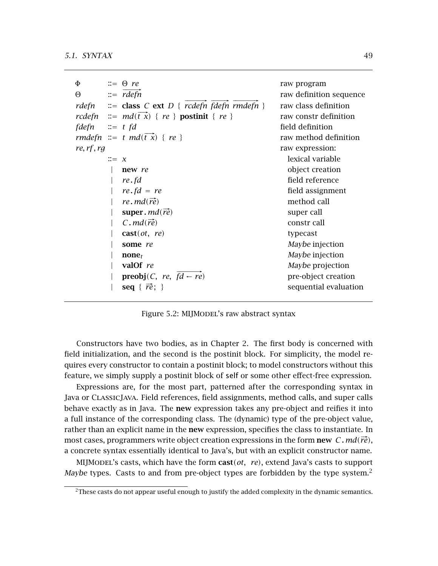| Ф               |                    | $\therefore$ $\theta$ re                                    | raw program             |
|-----------------|--------------------|-------------------------------------------------------------|-------------------------|
| $\Theta$        |                    | $ ::=$ rdefn                                                | raw definition sequence |
|                 |                    | rdefn := class $C$ ext $D \{$ redefn fdefn rmdefn $\}$      | raw class definition    |
|                 |                    | rcdefn ::= $md(\overrightarrow{tx})$ { re } postinit { re } | raw constr definition   |
| $fdefn ::= tfd$ |                    |                                                             | field definition        |
|                 |                    | rmdefn ::= t md( $\overrightarrow{tx}$ ) { re }             | raw method definition   |
| re, rf, rg      |                    |                                                             | raw expression:         |
|                 | $\mathbb{R}^n = X$ |                                                             | lexical variable        |
|                 |                    | new re                                                      | object creation         |
|                 |                    | re.fd                                                       | field reference         |
|                 |                    | $re.fd = re$                                                | field assignment        |
|                 |                    | $re$ . $md(\vec{re})$                                       | method call             |
|                 |                    | super. $md(\vec{re})$                                       | super call              |
|                 |                    | $C$ . $md(\vec{re})$                                        | constr call             |
|                 |                    | $\textbf{cast}(ot, re)$                                     | typecast                |
|                 |                    | some re                                                     | Maybe injection         |
|                 |                    | $\mathbf{none}_t$                                           | Maybe injection         |
|                 |                    | valOf re                                                    | <i>Maybe</i> projection |
|                 |                    | <b>preobj</b> $(C, re, fd - re)$                            | pre-object creation     |
|                 |                    | seq { $\vec{re}$ ; }                                        | sequential evaluation   |
|                 |                    |                                                             |                         |

Figure 5.2: MIJMODEL's raw abstract syntax

Constructors have two bodies, as in Chapter 2. The first body is concerned with field initialization, and the second is the postinit block. For simplicity, the model requires every constructor to contain a postinit block; to model constructors without this feature, we simply supply a postinit block of self or some other effect-free expression.

Expressions are, for the most part, patterned after the corresponding syntax in Java or ClassicJava. Field references, field assignments, method calls, and super calls behave exactly as in Java. The new expression takes any pre-object and reifies it into a full instance of the corresponding class. The (dynamic) type of the pre-object value, rather than an explicit name in the **new** expression, specifies the class to instantiate. In most cases, programmers write object creation expressions in the form new *C*.*md(* #–*re)*, a concrete syntax essentially identical to Java's, but with an explicit constructor name.

MIJModel's casts, which have the form cast*(ot, re)*, extend Java's casts to support *Maybe* types. Casts to and from pre-object types are forbidden by the type system.<sup>2</sup>

<sup>&</sup>lt;sup>2</sup>These casts do not appear useful enough to justify the added complexity in the dynamic semantics.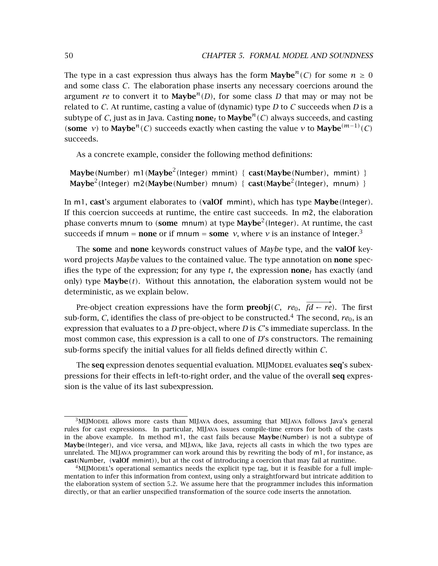The type in a cast expression thus always has the form **Maybe**<sup>*n*</sup>(*C*) for some  $n \ge 0$ and some class *C*. The elaboration phase inserts any necessary coercions around the argument *re* to convert it to **Maybe**<sup>*n*</sup>(*D*), for some class *D* that may or may not be related to *C*. At runtime, casting a value of (dynamic) type *D* to *C* succeeds when *D* is a subtype of *C*, just as in Java. Casting none*<sup>t</sup>* to Maybe*<sup>n</sup> (C)* always succeeds, and casting *(some v)* to Maybe<sup>*n*</sup>(*C*) succeeds exactly when casting the value *v* to Maybe<sup>*(m-1)*</sup>*(C)* succeeds.

As a concrete example, consider the following method definitions:

Maybe*(*Number*)* m1*(*Maybe<sup>2</sup> *(*Integer*)* mmint*)* { cast*(*Maybe*(*Number*),* mmint*)* } Maybe<sup>2</sup> *(*Integer*)* m2*(*Maybe*(*Number*)* mnum*)* { cast*(*Maybe<sup>2</sup> *(*Integer*),* mnum*)* }

In m1, cast's argument elaborates to *(*valOf mmint*)*, which has type Maybe*(*Integer*)*. If this coercion succeeds at runtime, the entire cast succeeds. In m2, the elaboration phase converts mnum to (some mnum) at type Maybe<sup>2</sup>(Integer). At runtime, the cast succeeds if mnum = **none** or if mnum = **some**  $v$ , where  $v$  is an instance of Integer.<sup>3</sup>

The some and none keywords construct values of *Maybe* type, and the **valOf** keyword projects *Maybe* values to the contained value. The type annotation on **none** specifies the type of the expression; for any type  $t$ , the expression **none** $t$  has exactly (and only) type  $\text{Maybe}(t)$ . Without this annotation, the elaboration system would not be deterministic, as we explain below.

Pre-object creation expressions have the form  $\mathbf{preobj}(\mathcal{C}, \text{ } re_0, \text{ } \overrightarrow{fd \leftarrow re})$ . The first sub-form,  $C$ , identifies the class of pre-object to be constructed.<sup>4</sup> The second,  $re_0$ , is an expression that evaluates to a *D* pre-object, where *D* is *C*'s immediate superclass. In the most common case, this expression is a call to one of *D*'s constructors. The remaining sub-forms specify the initial values for all fields defined directly within *C*.

The seq expression denotes sequential evaluation. MIJMODEL evaluates seq's subexpressions for their effects in left-to-right order, and the value of the overall seq expression is the value of its last subexpression.

 $3$ MIJMODEL allows more casts than MIJAVA does, assuming that MIJAVA follows Java's general rules for cast expressions. In particular, MIJava issues compile-time errors for both of the casts in the above example. In method m1, the cast fails because Maybe*(*Number*)* is not a subtype of Maybe*(*Integer*)*, and vice versa, and MIJava, like Java, rejects all casts in which the two types are unrelated. The MIJava programmer can work around this by rewriting the body of m1, for instance, as cast*(*Number*, (*valOf mmint*))*, but at the cost of introducing a coercion that may fail at runtime.

 $4$ MIJMODEL's operational semantics needs the explicit type tag, but it is feasible for a full implementation to infer this information from context, using only a straightforward but intricate addition to the elaboration system of section 5.2. We assume here that the programmer includes this information directly, or that an earlier unspecified transformation of the source code inserts the annotation.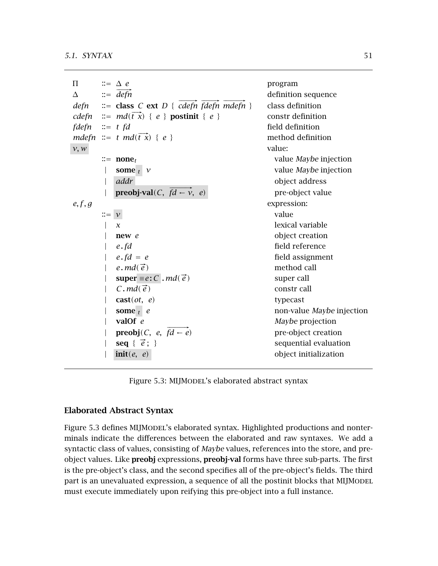| $\Pi$<br>$\mathrel{\mathop:}= \Delta e$ |                                   |                                                          | program                   |
|-----------------------------------------|-----------------------------------|----------------------------------------------------------|---------------------------|
| $\Delta$                                |                                   | $\equiv$ defn                                            | definition sequence       |
|                                         |                                   | $defn$ := class C ext D { cdefn fdefn mdefn }            | class definition          |
|                                         |                                   | cdefn ::= $md(\overrightarrow{tx}) \{e\}$ postinit { e } | constr definition         |
| $fdefn ::= tfd$                         |                                   |                                                          | field definition          |
|                                         |                                   | mdefn ::= t md( $\overrightarrow{t}$ x) { e }            | method definition         |
| V, W                                    |                                   |                                                          | value:                    |
|                                         |                                   | $\mathrel{\mathop:}= \mathbf{none}_t$                    | value Maybe injection     |
|                                         |                                   | some $t \, \nu$                                          | value Maybe injection     |
|                                         |                                   | addr                                                     | object address            |
|                                         |                                   | <b>preobj-val</b> (C, $\overrightarrow{fd - v}$ , e)     | pre-object value          |
| e, f, g                                 |                                   |                                                          | expression:               |
|                                         | $\mathrel{\mathop:}= \mathcal{V}$ |                                                          | value                     |
|                                         |                                   | $\chi$                                                   | lexical variable          |
|                                         |                                   | new e                                                    | object creation           |
|                                         |                                   | $e$ . $fd$                                               | field reference           |
|                                         |                                   | $e$ . $fd = e$                                           | field assignment          |
|                                         |                                   | e. $md(\vec{e})$                                         | method call               |
|                                         |                                   | super $\equiv e$ : C . md( $\vec{e}$ )                   | super call                |
|                                         |                                   | $C$ . $md(\vec{e})$                                      | constr call               |
|                                         |                                   | $\textbf{cast}(ot, e)$                                   | typecast                  |
|                                         |                                   | some $te$                                                | non-value Maybe injection |
|                                         |                                   | valOf $e$                                                | Maybe projection          |
|                                         |                                   | <b>preobj</b> $(C, e, \overrightarrow{fd - e})$          | pre-object creation       |
|                                         |                                   | seq { $\vec{e}$ ; }                                      | sequential evaluation     |
|                                         |                                   | init(e, e)                                               | object initialization     |
|                                         |                                   |                                                          |                           |

Figure 5.3: MIJMODEL's elaborated abstract syntax

## Elaborated Abstract Syntax

Figure 5.3 defines MIJMODEL's elaborated syntax. Highlighted productions and nonterminals indicate the differences between the elaborated and raw syntaxes. We add a syntactic class of values, consisting of Maybe values, references into the store, and preobject values. Like preobj expressions, preobj-val forms have three sub-parts. The first is the pre-object's class, and the second specifies all of the pre-object's fields. The third part is an unevaluated expression, a sequence of all the postinit blocks that MIJMODEL must execute immediately upon reifying this pre-object into a full instance.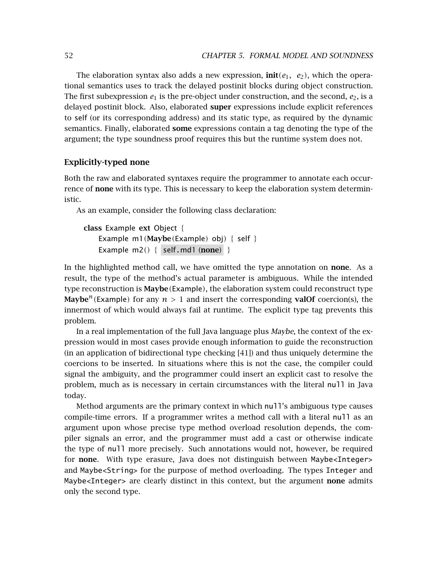The elaboration syntax also adds a new expression,  $\text{init}(e_1, e_2)$ , which the operational semantics uses to track the delayed postinit blocks during object construction. The first subexpression  $e_1$  is the pre-object under construction, and the second,  $e_2$ , is a delayed postinit block. Also, elaborated **super** expressions include explicit references to self (or its corresponding address) and its static type, as required by the dynamic semantics. Finally, elaborated **some** expressions contain a tag denoting the type of the argument; the type soundness proof requires this but the runtime system does not.

## Explicitly-typed none

Both the raw and elaborated syntaxes require the programmer to annotate each occurrence of **none** with its type. This is necessary to keep the elaboration system deterministic.

As an example, consider the following class declaration:

```
class Example ext Object {
   Example m1(Maybe(Example) obj) { self }
   Example m2() { self.md1 (none) }
```
In the highlighted method call, we have omitted the type annotation on **none**. As a result, the type of the method's actual parameter is ambiguous. While the intended type reconstruction is Maybe*(*Example*)*, the elaboration system could reconstruct type **Maybe**<sup>*n*</sup>(Example) for any  $n > 1$  and insert the corresponding **valOf** coercion(s), the innermost of which would always fail at runtime. The explicit type tag prevents this problem.

In a real implementation of the full Java language plus Maybe, the context of the expression would in most cases provide enough information to guide the reconstruction (in an application of bidirectional type checking [41]) and thus uniquely determine the coercions to be inserted. In situations where this is not the case, the compiler could signal the ambiguity, and the programmer could insert an explicit cast to resolve the problem, much as is necessary in certain circumstances with the literal null in Java today.

Method arguments are the primary context in which null's ambiguous type causes compile-time errors. If a programmer writes a method call with a literal null as an argument upon whose precise type method overload resolution depends, the compiler signals an error, and the programmer must add a cast or otherwise indicate the type of null more precisely. Such annotations would not, however, be required for none. With type erasure, Java does not distinguish between Maybe<Integer> and Maybe<String> for the purpose of method overloading. The types Integer and Maybe<Integer> are clearly distinct in this context, but the argument **none** admits only the second type.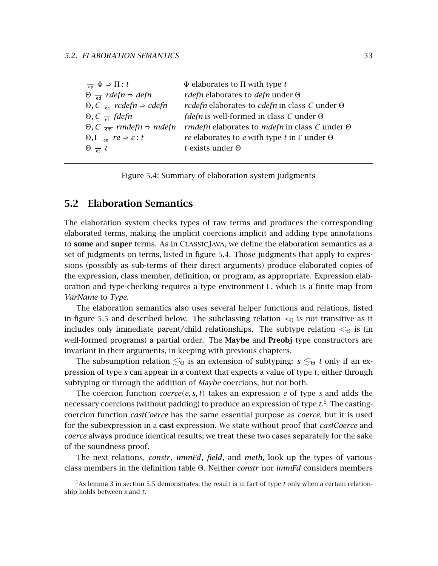| $\frac{1}{\sqrt{e^p}} \Phi \Rightarrow \Pi : t$                    | $\Phi$ elaborates to $\Pi$ with type t                                         |
|--------------------------------------------------------------------|--------------------------------------------------------------------------------|
| $\Theta$ $\frac{1}{\sqrt{2}}$ rdefn $\Rightarrow$ defn             | <i>rdefn</i> elaborates to <i>defn</i> under $\Theta$                          |
| $\Theta$ , C $\vert_{\overline{ec}}$ rcdefn $\Rightarrow$ cdefn    | <i>rcdefn</i> elaborates to <i>cdefn</i> in class C under $\Theta$             |
| $\Theta$ , C $\Big _{\text{eff}}$ fdefn                            | <i>fdefn</i> is well-formed in class C under $\Theta$                          |
| $\Theta$ , C $\vert_{\epsilon_{\rm m}}$ rmdefn $\Rightarrow$ mdefn | <i>rmdefn</i> elaborates to <i>mdefn</i> in class C under $\Theta$             |
| $\Theta, \Gamma \models_{ee} re \Rightarrow e : t$                 | <i>re</i> elaborates to <i>e</i> with type <i>t</i> in $\Gamma$ under $\Theta$ |
| $\Theta$ $\frac{1}{\epsilon t}$ t                                  | t exists under $\Theta$                                                        |
|                                                                    |                                                                                |

Figure 5.4: Summary of elaboration system judgments

# 5.2 Elaboration Semantics

The elaboration system checks types of raw terms and produces the corresponding elaborated terms, making the implicit coercions implicit and adding type annotations to some and super terms. As in CLASSICJAVA, we define the elaboration semantics as a set of judgments on terms, listed in figure 5.4. Those judgments that apply to expressions (possibly as sub-terms of their direct arguments) produce elaborated copies of the expression, class member, definition, or program, as appropriate. Expression elaboration and type-checking requires a type environment Γ, which is a finite map from *VarName* to *Type*.

The elaboration semantics also uses several helper functions and relations, listed in figure 5.5 and described below. The subclassing relation  $\prec_{\Theta}$  is not transitive as it includes only immediate parent/child relationships. The subtype relation <:<sub>Θ</sub> is (in well-formed programs) a partial order. The **Maybe** and **Preobj** type constructors are invariant in their arguments, in keeping with previous chapters.

The subsumption relation  $\lesssim_{\Theta}$  is an extension of subtyping: *s*  $\lesssim_{\Theta}$  *t* only if an expression of type *s* can appear in a context that expects a value of type *t*, either through subtyping or through the addition of Maybe coercions, but not both.

The coercion function  $coerce(e, s, t)$  takes an expression  $e$  of type  $s$  and adds the necessary coercions (without padding) to produce an expression of type *t*. <sup>5</sup> The castingcoercion function *castCoerce* has the same essential purpose as *coerce*, but it is used for the subexpression in a cast expression. We state without proof that *castCoerce* and *coerce* always produce identical results; we treat these two cases separately for the sake of the soundness proof.

The next relations, *constr* , *immFd*, *field*, and *meth*, look up the types of various class members in the definition table <sup>Θ</sup>. Neither *constr* nor *immFd* considers members

<sup>5</sup>As lemma 3 in section 5.5 demonstrates, the result is in fact of type *t* only when a certain relationship holds between *s* and *t*.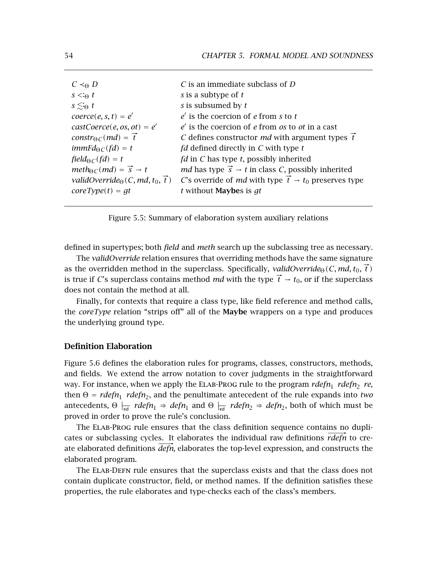| $C \prec_{\Theta} D$                         | C is an immediate subclass of D                                              |
|----------------------------------------------|------------------------------------------------------------------------------|
| $s < \Theta$ t                               | s is a subtype of t                                                          |
| $s \lesssim_{\Theta} t$                      | s is subsumed by t                                                           |
| $coerce(e, s, t) = e'$                       | $e'$ is the coercion of e from s to t                                        |
| $castCoerce(e, os, ot) = e'$                 | $e'$ is the coercion of e from os to ot in a cast                            |
| $constr_{\Theta}C(md) = \vec{t}$             | C defines constructor <i>md</i> with argument types $\tilde{t}$              |
| $immEd_{\Theta C}(fd) = t$                   | <i>fd</i> defined directly in C with type t                                  |
| $field_{\Theta C}(fd) = t$                   | $fd$ in $C$ has type $t$ , possibly inherited                                |
| $meth_{\Theta}C(md) = \vec{s} \rightarrow t$ | <i>md</i> has type $\vec{s} \rightarrow t$ in class C, possibly inherited    |
| validOverride $\Theta(C, md, t_0, \vec{t})$  | C's override of <i>md</i> with type $\vec{t} \rightarrow t_0$ preserves type |
| $coreType(t) = gt$                           | t without <b>Maybes</b> is <i>gt</i>                                         |

Figure 5.5: Summary of elaboration system auxiliary relations

defined in supertypes; both *field* and *meth* search up the subclassing tree as necessary.

The *validOverride* relation ensures that overriding methods have the same signature as the overridden method in the superclass. Specifically, *validOverride* $\Theta$ (*C*, *md*, *t*<sub>0</sub>,  $\vec{t}$ ) is true if *C*'s superclass contains method *md* with the type  $\vec{t} \rightarrow t_0$ , or if the superclass does not contain the method at all.

Finally, for contexts that require a class type, like field reference and method calls, the *coreType* relation "strips off" all of the Maybe wrappers on a type and produces the underlying ground type.

#### Definition Elaboration

Figure 5.6 defines the elaboration rules for programs, classes, constructors, methods, and fields. We extend the arrow notation to cover judgments in the straightforward way. For instance, when we apply the ELAB-PROG rule to the program  $rdefn_1$   $rdefn_2$  *re*, then  $\Theta = rdefn_1$  *rdefn*<sub>2</sub>, and the penultimate antecedent of the rule expands into *two* antecedents,  $\Theta$   $\frac{1}{\epsilon d}$  *rdefn*<sub>1</sub>  $\Rightarrow$  *defn*<sub>1</sub> and  $\Theta$   $\frac{1}{\epsilon d}$  *rdefn*<sub>2</sub>  $\Rightarrow$  *defn*<sub>2</sub>, both of which must be proved in order to prove the rule's conclusion.

The Elab-Prog rule ensures that the class definition sequence contains no duplicates or subclassing cycles. It elaborates the individual raw definitions *rdefn* to create elaborated definitions *defn*, elaborates the top-level expression, and constructs the elaborated program.

The Elab-Defn rule ensures that the superclass exists and that the class does not contain duplicate constructor, field, or method names. If the definition satisfies these properties, the rule elaborates and type-checks each of the class's members.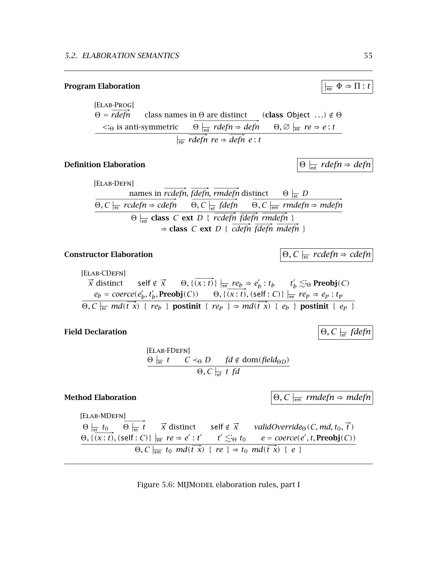# **Program Elaboration**  $\sqrt{\frac{1}{\epsilon_p} \Phi} \Rightarrow \Pi : t$ [Elab-Prog]  $\Theta$  = rdefn  $\frac{1}{rdefn}$  class names in  $\Theta$  are distinct **(class Object** *...***)** ∉  $\Theta$  $\leq$ :<sub>Θ</sub> is anti-symmetric  $\Theta \mid_{\text{ed}} \text{rdefn} \Rightarrow \text{defn} \quad \Theta, \emptyset \mid_{\text{ee}} \text{re} \Rightarrow e : t$  $\frac{1}{\epsilon_{\rm p}} \frac{1}{\text{rdefn}} \frac{1}{\epsilon_{\rm p}} \cdot \frac{1}{\epsilon_{\rm p}}$ **Definition Elaboration**  $\boxed{\Theta \mid_{\text{ed}} \text{rdef } n \Rightarrow \text{def } n}$ [ELAB-DEFN] **hames in** *rcdefn*,  $\overrightarrow{fdefn}$ ,  $\overrightarrow{rmeden}$  distinct Θ  $\frac{1}{e^{t}}$  *D* <u>Θ, C  $\frac{1}{\sqrt{\epsilon}}$  *rcdefn* ⇒ *cdefn*</u>  $\overrightarrow{m}$  rinner <u>Θ, C  $\frac{1}{\sqrt{ef}}$  *fdefn*</u>  $\frac{U_{\text{ref}} U}{\text{er } D}$ <sup>Θ</sup>*, <sup>C</sup>* em *rmdefn* <sup>⇒</sup> *mdefn*  $\Theta$   $\frac{1}{\text{ed}}$  class *C* ext *D* {  $\frac{1}{\text{rcdefn}}$   $\frac{1}{\text{fdefn}}$   $\frac{1}{\text{fdefn}}$   $\frac{1}{\text{fdefn}}$  }  $\Rightarrow$  class *C* ext *D* { *cdefn*  $\frac{1}{2}$  *cdefn*  $\frac{1}{2}$  *fdefn*  $\frac{1}{2}$  *mdefn* }

**Constructor Elaboration**  $\boxed{\Theta, C \mid_{\mathsf{ec}} \mathsf{r} \mathsf{c} \mathsf{d} \mathsf{e} \mathsf{f} \mathsf{n} \Rightarrow \mathsf{c} \mathsf{d} \mathsf{e} \mathsf{f} \mathsf{n}}$ 

[ELAB-CDEFN]  $\vec{x}$  distinct self  $\notin \vec{x}$   $\Theta$ ,  $\{\overrightarrow{(x : t)}\}\Big|_{\text{ee}}$   $re_b \Rightarrow e'_b$  $b \text{ } t'$ **b**  $t'$ **b**  $\leq$ **·** $\Theta$  **Preobj** $(C)$  $e_b = \text{coerce}(e'_b)$  $\alpha'_{b}$ ,  $t'_{b}$  $\frac{1}{b}$ , **Preobj**(*C*))  $\Theta$ , {(x : *t*), (self : *C*)}  $\Big|_{\text{ee}}$  *re<sub>p</sub>*  $\Rightarrow$  *e<sub>p</sub>* : *t<sub>p</sub>*<br>  $\overrightarrow{b}$ , **Preobj**(*C*))  $\Theta$ , {(x : *t*), (self : *C*)}  $\Big|_{\text{ee}}$  *re<sub>p</sub>*  $\Rightarrow$  *e<sub>p</sub>* : *t<sub>p</sub>*  $\frac{1}{\sqrt{1-\frac{1}{\sqrt{1-\frac{1}{\sqrt{1-\frac{1}{\sqrt{1-\frac{1}{\sqrt{1-\frac{1}{\sqrt{1-\frac{1}{\sqrt{1-\frac{1}{\sqrt{1-\frac{1}{\sqrt{1-\frac{1}{\sqrt{1-\frac{1}{\sqrt{1-\frac{1}{\sqrt{1-\frac{1}{\sqrt{1-\frac{1}{\sqrt{1-\frac{1}{\sqrt{1-\frac{1}{\sqrt{1-\frac{1}{\sqrt{1-\frac{1}{\sqrt{1-\frac{1}{\sqrt{1-\frac{1}{\sqrt{1-\frac{1}{\sqrt{1-\frac{1}{\sqrt{1-\frac{1}{\sqrt{1-\frac{1}{\sqrt{1-\frac$ 

Field Declaration **Θ**, *C*  $\frac{1}{e^f}$  *fdefn* 

$$
\frac{\Theta \mid_{\text{et}} t \quad C \prec_{\Theta} D \quad fd \notin \text{dom}(\text{field}_{\Theta D})}{\Theta, C \mid_{\text{et}} t \text{ fd}}
$$

# Method Elaboration  $\boxed{\Theta, C \mid_{em} rmdefn \Rightarrow mdefn}$

[ELAB-MDEFN]  $\Theta$   $\frac{1}{\sqrt{\epsilon}}$  *t*<sub>0</sub>  $\frac{1}{\sqrt{1-\frac{1}{2}}}$  $\overrightarrow{\Theta}$   $\overrightarrow{e}$   $\overrightarrow{t}$   $\overrightarrow{v}$  distinct self  $\notin \overrightarrow{x}$  validOverride<sub> $\Theta$ </sub>(*C, md, t*<sub>0</sub>*, t*<sup>1</sup>)  $\frac{\Theta_{\text{let}}(t)}{\Theta_{\text{t}}(x:t)}$ , (self : C)  $\frac{\Theta_{\text{let}}(t)}{\Theta_{\text{te}}}$  re  $\Rightarrow e': t'$   $t' \leq_{\Theta} t_0$   $e = \text{coerce}(e', t, \text{Preobj}(C))$  $\frac{1}{\sqrt{6}}$  *c*  $\frac{1}{\sqrt{6}}$  *t*<sub>0</sub> *md*(*t*  $\vec{x}$ ) { *re* } ⇒ *t*<sub>0</sub> *md*(*t*  $\vec{x}$ ) { *e* }

Figure 5.6: MIJMODEL elaboration rules, part I

$$
f_{\rm{max}}
$$

$$
\boxed{\Theta \ C \ \sqcup \ fdefn}
$$

$$
\frac{}{\Phi \Rightarrow \Pi \cdot t}
$$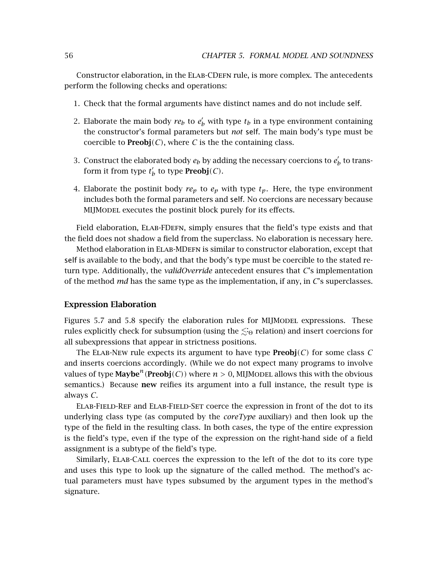Constructor elaboration, in the Elab-CDefn rule, is more complex. The antecedents perform the following checks and operations:

- 1. Check that the formal arguments have distinct names and do not include self.
- 2. Elaborate the main body  $re_b$  to  $e'_b$  with type  $t_b$  in a type environment containing the constructor's formal parameters but *not* self. The main body's type must be coercible to **Preobj** $(C)$ , where *C* is the the containing class.
- 3. Construct the elaborated body  $e_b$  by adding the necessary coercions to  $e'_b$  $_{b}^{\prime}$  to transform it from type  $t'_{\ell}$  $_{b}^{\prime}$  to type  $\textbf{Preobj}(\mathcal{C})$ .
- 4. Elaborate the postinit body  $re_p$  to  $e_p$  with type  $t_p$ . Here, the type environment includes both the formal parameters and self. No coercions are necessary because MIJModel executes the postinit block purely for its effects.

Field elaboration, Elab-FDefn, simply ensures that the field's type exists and that the field does not shadow a field from the superclass. No elaboration is necessary here.

Method elaboration in Elab-MDefn is similar to constructor elaboration, except that self is available to the body, and that the body's type must be coercible to the stated return type. Additionally, the *validOverride* antecedent ensures that *C*'s implementation of the method *md* has the same type as the implementation, if any, in *C*'s superclasses.

## Expression Elaboration

Figures 5.7 and 5.8 specify the elaboration rules for MIJMODEL expressions. These rules explicitly check for subsumption (using the  $\lesssim_{\Theta}$  relation) and insert coercions for all subexpressions that appear in strictness positions.

The ELAB-New rule expects its argument to have type  $\text{Preobj}(C)$  for some class  $C$ and inserts coercions accordingly. (While we do not expect many programs to involve values of type  $\mathsf{Maybe}^n(\mathsf{Preobj}(\mathcal{C}))$  where  $n>0,$  MIJMODEL allows this with the obvious semantics.) Because new reifies its argument into a full instance, the result type is always *C*.

Elab-Field-Ref and Elab-Field-Set coerce the expression in front of the dot to its underlying class type (as computed by the *coreType* auxiliary) and then look up the type of the field in the resulting class. In both cases, the type of the entire expression is the field's type, even if the type of the expression on the right-hand side of a field assignment is a subtype of the field's type.

Similarly, Elab-Call coerces the expression to the left of the dot to its core type and uses this type to look up the signature of the called method. The method's actual parameters must have types subsumed by the argument types in the method's signature.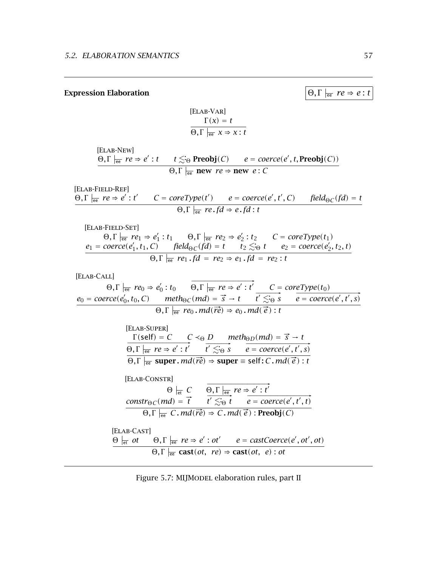# Expression Elaboration  $\boxed{\Theta, \Gamma \mid_{\text{ee}} \text{re}} \Rightarrow e : t$

$$
\begin{array}{c}\n[\text{ELAB-VAR}] \\
\Gamma(x) = t \\
\hline\n\Theta, \Gamma \mid_{\text{ee}} x \Rightarrow x : t\n\end{array}
$$

[ELAB-NEW]  
\n
$$
\frac{\Theta, \Gamma \mid_{ee} re \Rightarrow e': t \quad t \leq_{\Theta} \text{Preobj}(C) \quad e = \text{coerce}(e', t, \text{Preobj}(C))}{\Theta, \Gamma \mid_{ee} \text{ new } re \Rightarrow \text{new } e: C}
$$

[ELAB-FIELDB-REF]  
\n
$$
\frac{\Theta, \Gamma \mid_{ee} re \Rightarrow e': t' \qquad C = coreType(t') \qquad e = corece(e', t', C) \qquad field_{\Theta C}(fd) = t}{\Theta, \Gamma \mid_{ee} re.fd \Rightarrow e.fd:t}
$$

[ELAB-FileLD-SET]  
\n
$$
\Theta, \Gamma \mid_{\text{ee}} \text{re}_1 \Rightarrow e'_1 : t_1 \qquad \Theta, \Gamma \mid_{\text{ee}} \text{re}_2 \Rightarrow e'_2 : t_2 \qquad C = coreType(t_1)
$$
\n
$$
e_1 = corece(e'_1, t_1, C) \qquad field_{\Theta C}(fd) = t \qquad t_2 \lesssim_{\Theta} t \qquad e_2 = corece(e'_2, t_2, t)
$$
\n
$$
\Theta, \Gamma \mid_{\text{ee}} \text{re}_1 \cdot fd = \text{re}_2 \Rightarrow e_1 \cdot fd = \text{re}_2 : t
$$

[ELAB-CALL]  
\n
$$
\Theta, \Gamma \mid_{\text{ee}} \text{re}_0 \Rightarrow e'_0 : t_0 \qquad \overline{\Theta, \Gamma \mid_{\text{ee}} \text{re} \Rightarrow e' : t'} \qquad C = \text{coreType}(t_0)
$$
\n
$$
\underline{e_0} = \text{coerce}(e'_0, t_0, C) \qquad \text{meth}_{\Theta C}(md) = \overline{s} \rightarrow t \qquad \overline{t'} \leq \overline{\Theta} \overline{s} \qquad e = \text{coerce}(e', t', s)}
$$
\n
$$
\Theta, \Gamma \mid_{\text{ee}} \text{re}_0 \cdot \text{md}(\overrightarrow{re}) \Rightarrow e_0 \cdot \text{md}(\overrightarrow{e}) : t
$$
\n[ELAB-SUPER]

$$
\frac{\Gamma(\text{self}) = C}{\Theta, \Gamma \mid_{\text{ee}} \text{re} \Rightarrow e' : t'} \xrightarrow{C \prec_{\Theta} D \quad \text{meth}_{\Theta D}(\text{md}) = \overrightarrow{s} \rightarrow t}_{\Theta, \Gamma \mid_{\text{ee}} \text{re} \Rightarrow e' : t'} \overrightarrow{t' \leq_{\Theta} s} \xrightarrow{e = \text{coerce}(e', t', s)}_{\Theta, \Gamma \mid_{\text{ee}} \text{super.} \text{md}(\overrightarrow{re}) \Rightarrow \text{super} \equiv \text{self}: C \cdot \text{md}(\overrightarrow{e}) : t}
$$

[Elab-Constr]

$$
\theta \mid_{\text{et}} C
$$
\n
$$
\theta \mid_{\text{et}} C
$$
\n
$$
\theta \mid_{\text{et}} C
$$
\n
$$
\theta \mid_{\text{et}} C
$$
\n
$$
\theta \mid_{\text{et}} C
$$
\n
$$
\theta \mid_{\text{et}} C
$$
\n
$$
\theta \mid_{\text{et}} C
$$
\n
$$
\theta \mid_{\text{et}} C
$$
\n
$$
\theta \mid_{\text{et}} C
$$
\n
$$
\theta \mid_{\text{et}} C
$$
\n
$$
\theta \mid_{\text{et}} C
$$
\n
$$
\theta \mid_{\text{et}} C
$$
\n
$$
\theta \mid_{\text{et}} C
$$
\n
$$
\theta \mid_{\text{et}} C
$$
\n
$$
\theta \mid_{\text{et}} C
$$
\n
$$
\theta \mid_{\text{et}} C
$$
\n
$$
\theta \mid_{\text{et}} C
$$
\n
$$
\theta \mid_{\text{et}} C
$$
\n
$$
\theta \mid_{\text{et}} C
$$
\n
$$
\theta \mid_{\text{et}} C
$$
\n
$$
\theta \mid_{\text{et}} C
$$

$$
\frac{\text{[ELAB-CAST]}}{\Theta \mid_{et} ot} \frac{\Theta, \Gamma \mid_{ee} re \Rightarrow e': ot' \qquad e = castCoerce(e', ot', ot)}{\Theta, \Gamma \mid_{ee} cast(ot, re) \Rightarrow cast(ot, e): ot}
$$

Figure 5.7: MIJMODEL elaboration rules, part II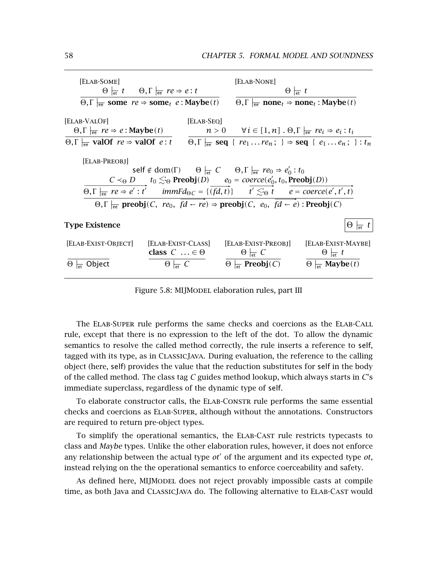| [ELAB-SOME]                                                        |                                                                                              | [ELAB-NONE]                                                                                                                                                                                                                                                                                         |                                                              |
|--------------------------------------------------------------------|----------------------------------------------------------------------------------------------|-----------------------------------------------------------------------------------------------------------------------------------------------------------------------------------------------------------------------------------------------------------------------------------------------------|--------------------------------------------------------------|
|                                                                    | $\Theta$ $\Big _{\text{et}}$ t $\Theta$ , $\Gamma$ $\Big _{\text{ee}}$ re $\Rightarrow$ e: t | $\Theta$ $\frac{1}{\sqrt{2}}$ t                                                                                                                                                                                                                                                                     |                                                              |
|                                                                    |                                                                                              | $\Theta, \Gamma \models_{\mathsf{ee}} \mathsf{some} \ \mathsf{re} \Rightarrow \mathsf{some}_t \ \mathsf{e} : \mathsf{Maybe}(t) \qquad \Theta, \Gamma \models_{\mathsf{ee}} \mathsf{none}_t \Rightarrow \mathsf{none}_t : \mathsf{Maybe}(t)$                                                         |                                                              |
| [ELAB-VALOF]                                                       | [ELAB-SEQ]                                                                                   |                                                                                                                                                                                                                                                                                                     |                                                              |
| $\Theta, \Gamma \models_{ee} re \Rightarrow e : \textbf{Maybe}(t)$ |                                                                                              | $n > 0$ $\forall i \in [1, n]$ . $\Theta, \Gamma \models_{\mathsf{ee}} \mathsf{re}_i \Rightarrow e_i : t_i$                                                                                                                                                                                         |                                                              |
|                                                                    |                                                                                              | $\Theta, \Gamma \models_{\mathsf{ee}} \mathsf{valOf} \ \mathsf{re} \Rightarrow \mathsf{valOf} \ \mathsf{e} : t \qquad \Theta, \Gamma \models_{\mathsf{ee}} \mathsf{seq} \ \{ \ \mathsf{re}_1 \dots \mathsf{re}_n; \ \} \Rightarrow \mathsf{seq} \ \{ \ \mathsf{e}_1 \dots \mathsf{e}_n; \ \} : t_n$ |                                                              |
| [ELAB-PREOBJ]                                                      |                                                                                              |                                                                                                                                                                                                                                                                                                     |                                                              |
|                                                                    |                                                                                              | self $\notin$ dom( $\Gamma$ ) $\qquad \Theta \models_{\text{et}} C$ $\qquad \Theta, \Gamma \models_{\text{ee}} r e_0 \Rightarrow e'_0 : t_0$                                                                                                                                                        |                                                              |
|                                                                    |                                                                                              | $C \prec_{\Theta} D$ $t_0 \lesssim_{\Theta}$ Preobj $(D)$ $e_0 = \text{coerce}(e'_0, t_0, \text{Preobj}(D))$                                                                                                                                                                                        |                                                              |
|                                                                    |                                                                                              | $\overrightarrow{\Theta,\Gamma}\mid_{\overrightarrow{ee}} re \Rightarrow e': t'$ imm $Fd_{\Theta C} = \{\overrightarrow{(fd,t)}\}$ $\overrightarrow{t' \leq_{\Theta} t}$ $\overrightarrow{e} = coerce(e', t', t)$                                                                                   |                                                              |
|                                                                    |                                                                                              | $\Theta, \Gamma \models_{\mathsf{ee}} \mathsf{preobj}(\mathcal{C}, \text{ re}_0, \overrightarrow{fd - re}) \Rightarrow \mathsf{preobj}(\mathcal{C}, \text{ e}_0, \overrightarrow{fd - e}) : \mathsf{Preobj}(\mathcal{C})$                                                                           |                                                              |
| <b>Type Existence</b>                                              |                                                                                              |                                                                                                                                                                                                                                                                                                     | $\Theta$ $\frac{1}{\sqrt{\text{et}}}$ t                      |
| [ELAB-EXIST-OBJECT]                                                | [ELAB-EXIST-CLASS]<br>class $C \ldots \in \Theta$                                            | [ELAB-EXIST-PREOBJ]<br>$\Theta$ $\left _{\text{et}} C\right $                                                                                                                                                                                                                                       | [ELAB-EXIST-MAYBE]<br>$\Theta$ $\left _{\text{et}} t\right $ |
| $\Theta \models_{\mathsf{et}} \mathsf{Object}$                     | $\Theta \models c$                                                                           | $\Theta$ $\left _{\text{et}}$ Preobj $(C)$                                                                                                                                                                                                                                                          | $\Theta$ $\Big _{\text{at}}$ Maybe(t)                        |

Figure 5.8: MIJMODEL elaboration rules, part III

The Elab-Super rule performs the same checks and coercions as the Elab-Call rule, except that there is no expression to the left of the dot. To allow the dynamic semantics to resolve the called method correctly, the rule inserts a reference to self, tagged with its type, as in ClassicJava. During evaluation, the reference to the calling object (here, self) provides the value that the reduction substitutes for self in the body of the called method. The class tag *C* guides method lookup, which always starts in *C*'s immediate superclass, regardless of the dynamic type of self.

To elaborate constructor calls, the ELAB-CONSTR rule performs the same essential checks and coercions as Elab-Super, although without the annotations. Constructors are required to return pre-object types.

To simplify the operational semantics, the ELAB-CAST rule restricts typecasts to class and Maybe types. Unlike the other elaboration rules, however, it does not enforce any relationship between the actual type *ot'* of the argument and its expected type *ot*, instead relying on the the operational semantics to enforce coerceability and safety.

As defined here, MIJMODEL does not reject provably impossible casts at compile time, as both Java and CLASSICJAVA do. The following alternative to ELAB-CAST would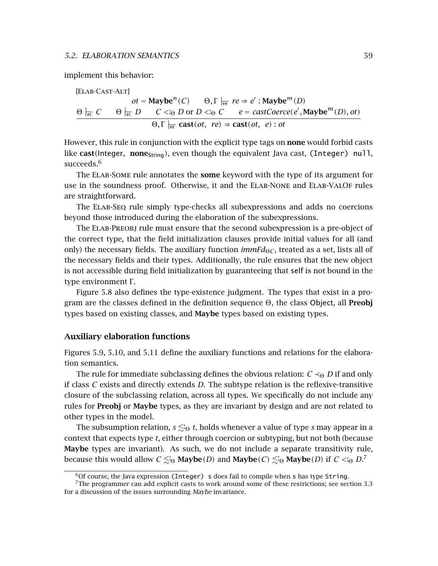implement this behavior:

[ELAB-CAST-ALT]  
\n
$$
ot = \text{Maybe}^n(C)
$$
  $\Theta, \Gamma \mid_{ee} re \Rightarrow e': \text{Maybe}^m(D)$   
\n $\Theta \mid_{et} C$   $\Theta \mid_{et} D$   $C <_{\Theta} D$  or  $D <_{\Theta} C$   $e = \text{castCoerce}(e', \text{Maybe}^m(D), ot)$   
\n $\Theta, \Gamma \mid_{ee} \text{cast}(ot, re) \Rightarrow \text{cast}(ot, e): ot$ 

However, this rule in conjunction with the explicit type tags on **none** would forbid casts like cast(Integer, none<sub>String</sub>), even though the equivalent Java cast, (Integer) null, succeeds. $6$ 

The ELAB-SOME rule annotates the **some** keyword with the type of its argument for use in the soundness proof. Otherwise, it and the Elab-None and Elab-ValOf rules are straightforward.

The Elab-Seq rule simply type-checks all subexpressions and adds no coercions beyond those introduced during the elaboration of the subexpressions.

The Elab-Preobj rule must ensure that the second subexpression is a pre-object of the correct type, that the field initialization clauses provide initial values for all (and only) the necessary fields. The auxiliary function *immFd*<sub>Θ*C*</sub>, treated as a set, lists all of the necessary fields and their types. Additionally, the rule ensures that the new object is not accessible during field initialization by guaranteeing that self is not bound in the type environment <sup>Γ</sup> .

Figure 5.8 also defines the type-existence judgment. The types that exist in a program are the classes defined in the definition sequence  $\Theta$ , the class Object, all **Preobj** types based on existing classes, and Maybe types based on existing types.

#### Auxiliary elaboration functions

Figures 5.9, 5.10, and 5.11 define the auxiliary functions and relations for the elaboration semantics.

The rule for immediate subclassing defines the obvious relation:  $C \prec_{\Theta} D$  if and only if class *C* exists and directly extends *D*. The subtype relation is the reflexive-transitive closure of the subclassing relation, across all types. We specifically do not include any rules for **Preobj** or **Maybe** types, as they are invariant by design and are not related to other types in the model.

The subsumption relation,  $s \lesssim_{\Theta} t$ , holds whenever a value of type *s* may appear in a context that expects type *t*, either through coercion or subtyping, but not both (because Maybe types are invariant). As such, we do not include a separate transitivity rule, because this would allow  $C \lesssim_{\Theta} M$ aybe $(D)$  and  $M$ aybe $(C) \lesssim_{\Theta} M$ aybe $(D)$  if  $C \le_{\Theta} D$ .<sup>7</sup>

 $60f$  course, the Java expression (Integer) s does fail to compile when s has type String.

 $7$ The programmer can add explicit casts to work around some of these restrictions; see section 3.3 for a discussion of the issues surrounding Maybe invariance.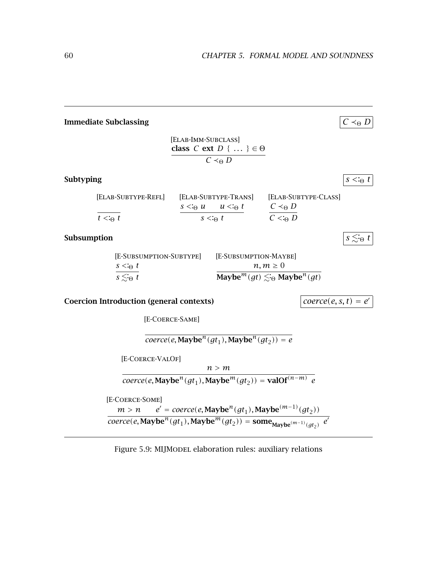

Figure 5.9: MIJMODEL elaboration rules: auxiliary relations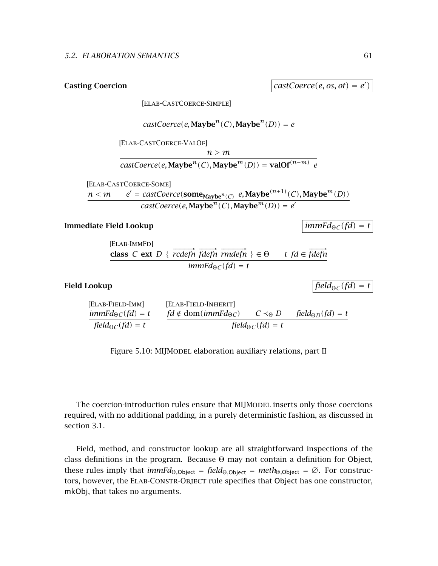**Casting Coercion**  $\vert \text{castCoerce}(e, os, ot) = e' \rangle$ 

[Elab-CastCoerce-Simple]

$$
castCoerce(e, \text{Maybe}^n(C), \text{Maybe}^n(D)) = e
$$

[Elab-CastCoerce-ValOf]

*n > m*  $\text{castCoerce}(e, \text{Maybe}^n(C), \text{Maybe}^m(D)) = \text{valOf}^{(n-m)}$  *e* 

[ELAB-CASTCOERCE-SOME]  
\n
$$
n < m
$$
  $e' = castCoerce(\text{some}_{\text{Maybe}^n(C)} e, \text{Maybe}^{(n+1)}(C), \text{Maybe}^m(D))$   
\n $castCoerce(e, \text{Maybe}^n(C), \text{Maybe}^m(D)) = e'$ 

**Immediate Field Lookup**  $\left| \text{immEd}_{\Theta C}(f d) \right| = t$ 

[Elab-ImmFd]  $\frac{\text{class C ext } D \{ \text{rcdefn } \overrightarrow{fdefn } \text{ rmedefn } \} \in \Theta$  *t*  $fd \in \overrightarrow{fdefn }$  $\liminf d_{\Theta}C$ <sup>*(fd*)</sub> = *t*</sup>

| Field Lookup                                                                                        |                                                                  |                                                                           | $\left  \text{field}_{\Theta C}(fd) = t \right $ |
|-----------------------------------------------------------------------------------------------------|------------------------------------------------------------------|---------------------------------------------------------------------------|--------------------------------------------------|
| [ELAB-FIELD-IMM]<br>$immEd_{\Theta C}(fd) = t$<br>field <sub><math>\Theta C</math></sub> $(fd) = t$ | [ELAB-FIELD-INHERIT]<br>$fd \notin \text{dom}(immEd_{\Theta C})$ | $C \prec_{\Theta} D$<br>field <sub><math>\Theta C</math></sub> $(fd) = t$ | field <sub><math>\Theta D</math></sub> $fd) = t$ |
|                                                                                                     |                                                                  |                                                                           |                                                  |

Figure 5.10: MIJMODEL elaboration auxiliary relations, part II

The coercion-introduction rules ensure that MIJMODEL inserts only those coercions required, with no additional padding, in a purely deterministic fashion, as discussed in section 3.1.

Field, method, and constructor lookup are all straightforward inspections of the class definitions in the program. Because <sup>Θ</sup> may not contain a definition for Object, these rules imply that  $immFd_{\Theta,\text{Object}} = field_{\Theta,\text{Object}} = meth_{\Theta,\text{Object}} = \emptyset$ . For constructors, however, the Elab-Constr-Object rule specifies that Object has one constructor, mkObj, that takes no arguments.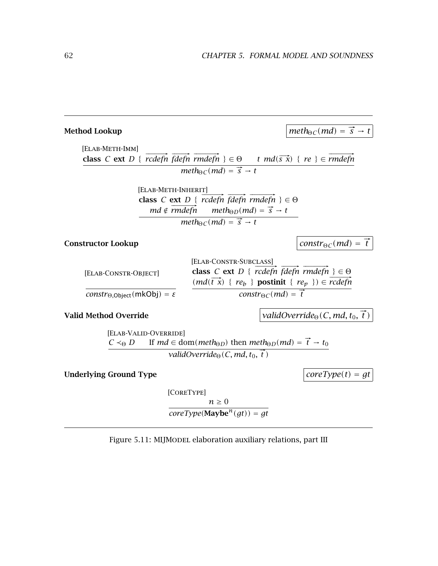| <b>Method Lookup</b>                                                                                                                                                                                         |                                                                                                                                                                                                                                    | $meth_{\Theta C}(md) = \vec{s} \rightarrow t$                                                                                                                                                                                       |  |
|--------------------------------------------------------------------------------------------------------------------------------------------------------------------------------------------------------------|------------------------------------------------------------------------------------------------------------------------------------------------------------------------------------------------------------------------------------|-------------------------------------------------------------------------------------------------------------------------------------------------------------------------------------------------------------------------------------|--|
| [ELAB-METH-IMM]                                                                                                                                                                                              |                                                                                                                                                                                                                                    |                                                                                                                                                                                                                                     |  |
|                                                                                                                                                                                                              | $meth_{\theta C}(md) = \vec{s} \rightarrow t$                                                                                                                                                                                      |                                                                                                                                                                                                                                     |  |
| [ELAB-METH-INHERIT]                                                                                                                                                                                          | class C ext D { $r$ cdefn $f$ defn $r$ mdefn } $\in \Theta$<br>$md \notin \overrightarrow{rmdefn}$ $meth_{\Theta D}(md) = \overrightarrow{s} \rightarrow t$<br>$\overline{meth_{\Theta C}(md)} = \overrightarrow{s} \rightarrow t$ |                                                                                                                                                                                                                                     |  |
| <b>Constructor Lookup</b>                                                                                                                                                                                    |                                                                                                                                                                                                                                    | $constr_{\Theta C}(md) = \vec{t}$                                                                                                                                                                                                   |  |
| [ELAB-CONSTR-OBJECT]<br>$constr_{\Theta,\Theta}$ bject (mkObj) = $\varepsilon$                                                                                                                               | [ELAB-CONSTR-SUBCLASS]                                                                                                                                                                                                             | class C ext D { $r$ cdefn $f$ defn $r$ mdefn } $\in \Theta$<br>$(md(\overrightarrow{tx}) \{ \text{re}_b \}$ postinit $\{ \text{re}_p \}$ ) $\in \overrightarrow{rcdefn}$<br>$\overline{constr_{\theta C}(md)} = \overrightarrow{t}$ |  |
| <b>Valid Method Override</b>                                                                                                                                                                                 |                                                                                                                                                                                                                                    | validOverride $_{\Theta}$ (C, md, t <sub>0</sub> , $\vec{t}$ )                                                                                                                                                                      |  |
| [ELAB-VALID-OVERRIDE]<br>$C \prec_{\Theta} D$ If $md \in \text{dom}(meth_{\Theta D})$ then $meth_{\Theta D}(md) = \vec{t} \rightarrow t_0$<br>validOverride $_{\Theta}$ (C, md, t <sub>0</sub> , $\vec{t}$ ) |                                                                                                                                                                                                                                    |                                                                                                                                                                                                                                     |  |
| <b>Underlying Ground Type</b>                                                                                                                                                                                |                                                                                                                                                                                                                                    | $coreType(t) = gt$                                                                                                                                                                                                                  |  |
| [CORETYPE]                                                                                                                                                                                                   | $n \geq 0$<br>$\overline{coreType(\textbf{Maybe}^n(gt))} = gt$                                                                                                                                                                     |                                                                                                                                                                                                                                     |  |

Figure 5.11: MIJMODEL elaboration auxiliary relations, part III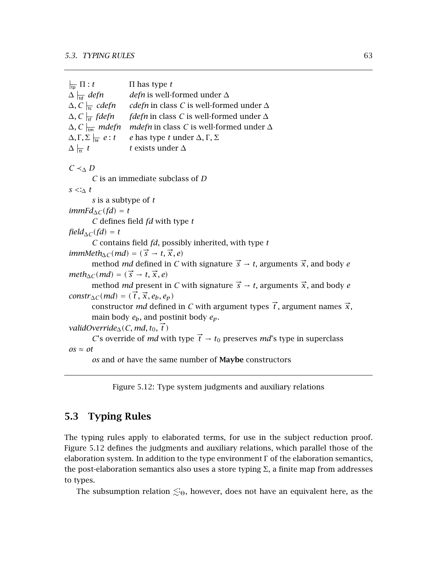| $\frac{1}{\ln} \Pi$ : t                                                                       | $\Pi$ has type t                                                                                        |  |  |
|-----------------------------------------------------------------------------------------------|---------------------------------------------------------------------------------------------------------|--|--|
| $\Delta \mid_{\overline{\text{td}}}$ defn                                                     | <i>defn</i> is well-formed under $\Delta$                                                               |  |  |
|                                                                                               | $\Delta$ , C $\frac{1}{k}$ <i>cdefn cdefn</i> in class C is well-formed under $\Delta$                  |  |  |
| $\Delta$ , C $\frac{1}{\pi}$ fdefn                                                            | <i>fdefn</i> in class C is well-formed under $\Delta$                                                   |  |  |
| $\Delta$ , C $\frac{1}{\text{tm}}$ mdefn                                                      | <i>mdefn</i> in class C is well-formed under $\Delta$                                                   |  |  |
| $\Delta, \Gamma, \Sigma \models e : t$                                                        | <i>e</i> has type <i>t</i> under $\Delta$ , $\Gamma$ , $\Sigma$                                         |  |  |
| $\Delta \vert_{\overline{\text{tt}}} t$                                                       | t exists under $\Delta$                                                                                 |  |  |
| $C \prec_{\wedge} D$                                                                          |                                                                                                         |  |  |
|                                                                                               | $C$ is an immediate subclass of $D$                                                                     |  |  |
| $s < \Delta t$                                                                                |                                                                                                         |  |  |
| s is a subtype of t                                                                           |                                                                                                         |  |  |
| $immEd_{\Delta C}(fd) = t$                                                                    |                                                                                                         |  |  |
|                                                                                               | C defines field <i>fd</i> with type <i>t</i>                                                            |  |  |
| field <sub><math>\wedge</math>C</sub> $(fd) = t$                                              |                                                                                                         |  |  |
|                                                                                               | C contains field <i>fd</i> , possibly inherited, with type t                                            |  |  |
| $immMeth_{\Delta C}(md) = (\vec{s} \rightarrow t, \vec{x}, e)$                                |                                                                                                         |  |  |
|                                                                                               | method <i>md</i> defined in C with signature $\vec{s} \rightarrow t$ , arguments $\vec{x}$ , and body e |  |  |
| $meth_{\Delta}C(md) = (\vec{s} \rightarrow t, \vec{x}, e)$                                    |                                                                                                         |  |  |
|                                                                                               | method <i>md</i> present in C with signature $\vec{s} \rightarrow t$ , arguments $\vec{x}$ , and body e |  |  |
| $constr_{\Delta C}(md) = (\vec{t}, \vec{x}, e_b, e_p)$                                        |                                                                                                         |  |  |
| constructor <i>md</i> defined in C with argument types $\vec{t}$ , argument names $\vec{x}$ , |                                                                                                         |  |  |
| main body $e_b$ , and postinit body $e_p$ .                                                   |                                                                                                         |  |  |
| validOverride <sub><math>\Delta</math></sub> (C, md, t <sub>0</sub> , $\vec{t}$ )             |                                                                                                         |  |  |
|                                                                                               | C's override of <i>md</i> with type $\vec{t} \rightarrow t_0$ preserves <i>md</i> 's type in superclass |  |  |
| $\cos \approx \omega t$                                                                       |                                                                                                         |  |  |
|                                                                                               | os and ot have the same number of <b>Maybe</b> constructors                                             |  |  |

Figure 5.12: Type system judgments and auxiliary relations

# 5.3 Typing Rules

The typing rules apply to elaborated terms, for use in the subject reduction proof. Figure 5.12 defines the judgments and auxiliary relations, which parallel those of the elaboration system. In addition to the type environment <sup>Γ</sup> of the elaboration semantics, the post-elaboration semantics also uses a store typing  $\Sigma$ , a finite map from addresses to types.

The subsumption relation  $\lesssim_{\Theta}$ , however, does not have an equivalent here, as the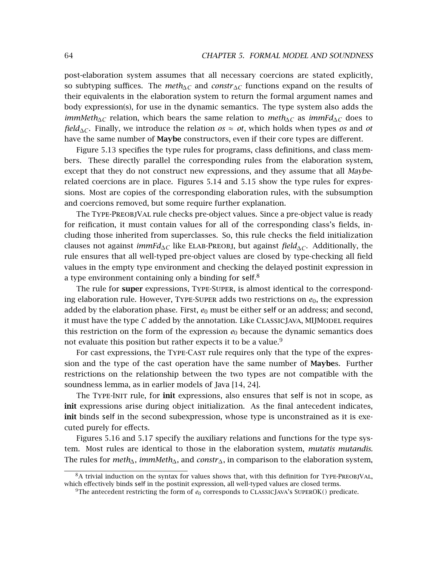post-elaboration system assumes that all necessary coercions are stated explicitly, so subtyping suffices. The *meth*∆*<sup>C</sup>* and *constr*∆*<sup>C</sup>* functions expand on the results of their equivalents in the elaboration system to return the formal argument names and body expression(s), for use in the dynamic semantics. The type system also adds the *immMeth*∆*C* relation, which bears the same relation to *meth*∆*C* as *immFd*∆*C* does to *field*∆*C*. Finally, we introduce the relation *os* <sup>≈</sup> *ot*, which holds when types *os* and *ot* have the same number of Maybe constructors, even if their core types are different.

Figure 5.13 specifies the type rules for programs, class definitions, and class members. These directly parallel the corresponding rules from the elaboration system, except that they do not construct new expressions, and they assume that all *Maybe*related coercions are in place. Figures 5.14 and 5.15 show the type rules for expressions. Most are copies of the corresponding elaboration rules, with the subsumption and coercions removed, but some require further explanation.

The Type-PreobjVal rule checks pre-object values. Since a pre-object value is ready for reification, it must contain values for all of the corresponding class's fields, including those inherited from superclasses. So, this rule checks the field initialization clauses not against *immFd*∆*<sup>C</sup>* like Elab-Preobj, but against *field*∆*C*. Additionally, the rule ensures that all well-typed pre-object values are closed by type-checking all field values in the empty type environment and checking the delayed postinit expression in a type environment containing only a binding for self.<sup>8</sup>

The rule for super expressions, TYPE-SUPER, is almost identical to the corresponding elaboration rule. However, TYPE-SUPER adds two restrictions on  $e_0$ , the expression added by the elaboration phase. First,  $e_0$  must be either self or an address; and second, it must have the type *C* added by the annotation. Like CLASSICJAVA, MIJMODEL requires this restriction on the form of the expression  $e_0$  because the dynamic semantics does not evaluate this position but rather expects it to be a value.<sup>9</sup>

For cast expressions, the Type-Cast rule requires only that the type of the expression and the type of the cast operation have the same number of Maybes. Further restrictions on the relationship between the two types are not compatible with the soundness lemma, as in earlier models of Java [14, 24].

The Type-Init rule, for **init** expressions, also ensures that self is not in scope, as init expressions arise during object initialization. As the final antecedent indicates, init binds self in the second subexpression, whose type is unconstrained as it is executed purely for effects.

Figures 5.16 and 5.17 specify the auxiliary relations and functions for the type system. Most rules are identical to those in the elaboration system, *mutatis mutandis.* The rules for *meth*∆, *immMeth*∆, and *constr*∆, in comparison to the elaboration system,

<sup>&</sup>lt;sup>8</sup>A trivial induction on the syntax for values shows that, with this definition for TYPE-PREOBJVAL, which effectively binds self in the postinit expression, all well-typed values are closed terms.

<sup>&</sup>lt;sup>9</sup>The antecedent restricting the form of  $e_0$  corresponds to CLASSICJAVA's SUPEROK() predicate.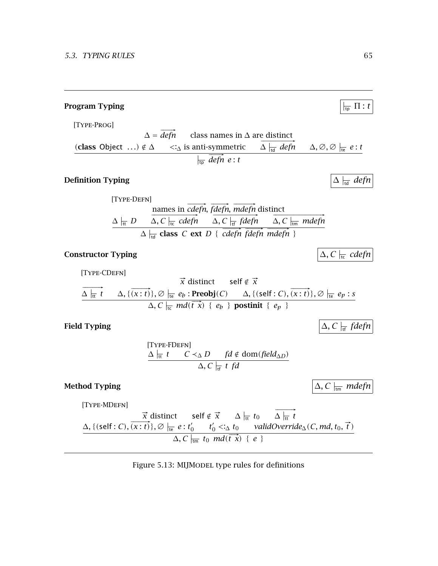

Figure 5.13: MIJMODEL type rules for definitions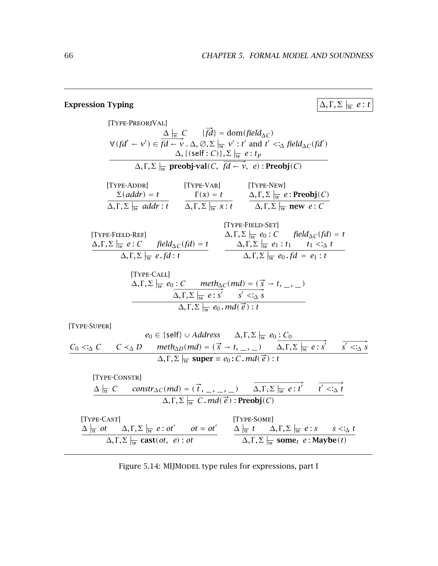| <b>Expression Typing</b>                                                                                                                                                                                                                              |                                                                                                                                                                                                                       |                                                                                                                                                                                                          | $\Delta, \Gamma, \Sigma \models_{\text{te}} e : t$ |
|-------------------------------------------------------------------------------------------------------------------------------------------------------------------------------------------------------------------------------------------------------|-----------------------------------------------------------------------------------------------------------------------------------------------------------------------------------------------------------------------|----------------------------------------------------------------------------------------------------------------------------------------------------------------------------------------------------------|----------------------------------------------------|
| [TYPE-PREOBJVAL]                                                                                                                                                                                                                                      |                                                                                                                                                                                                                       |                                                                                                                                                                                                          |                                                    |
|                                                                                                                                                                                                                                                       |                                                                                                                                                                                                                       | $\forall (fd' \leftarrow v') \in \frac{\Delta \mid_{\overline{\text{tt}}} C}{fd \leftarrow v}$ . $\Delta, \emptyset, \Sigma \mid_{\overline{\text{te}}} v' : t'$ and $t' < \Delta$ field $\Delta_C(fd')$ |                                                    |
|                                                                                                                                                                                                                                                       | $\Delta$ , {(self: C)}, $\Sigma \vert_{\overline{\text{te}}} e$ : $t_p$                                                                                                                                               |                                                                                                                                                                                                          |                                                    |
|                                                                                                                                                                                                                                                       | $\Delta, \Gamma, \Sigma \models_{\text{re}} \text{preobj-val}(C, \overrightarrow{fd - v}, e)$ : Preobj $(C)$                                                                                                          |                                                                                                                                                                                                          |                                                    |
| [TYPE-ADDR]                                                                                                                                                                                                                                           | [TYPE-VAR] [TYPE-NEW]                                                                                                                                                                                                 | $\Sigma(\text{addr}) = t$ $\Gamma(x) = t$ $\Delta, \Gamma, \Sigma \mid_{\text{te}} e : \text{Preobj}(C)$                                                                                                 |                                                    |
|                                                                                                                                                                                                                                                       |                                                                                                                                                                                                                       | $\Delta, \Gamma, \Sigma \models_{\text{te}} \text{addr}: t \quad \Delta, \Gamma, \Sigma \models_{\text{te}} x: t \quad \Delta, \Gamma, \Sigma \models_{\text{te}} \text{new } e: C$                      |                                                    |
|                                                                                                                                                                                                                                                       |                                                                                                                                                                                                                       | [TYPE-FIELD-SET]                                                                                                                                                                                         |                                                    |
| [TYPE-FIELD-REF]                                                                                                                                                                                                                                      |                                                                                                                                                                                                                       | $\Delta, \Gamma, \Sigma \models_{\text{te}} e_0 : C$ field $_{\Delta C}(fd) = t$                                                                                                                         |                                                    |
| $\Delta, \Gamma, \Sigma \mid_{\text{te}} e : C$ field $\Delta_C(fd) = t$<br>$\Delta, \Gamma, \Sigma \mid_{\text{te}} e f d : t$<br>$\Delta, \Gamma, \Sigma \mid_{\text{te}} e f d : t$<br>$\Delta, \Gamma, \Sigma \mid_{\text{te}} e_0 f d = e_1 : t$ |                                                                                                                                                                                                                       |                                                                                                                                                                                                          |                                                    |
|                                                                                                                                                                                                                                                       |                                                                                                                                                                                                                       |                                                                                                                                                                                                          |                                                    |
| [TYPE-CALL]                                                                                                                                                                                                                                           |                                                                                                                                                                                                                       |                                                                                                                                                                                                          |                                                    |
|                                                                                                                                                                                                                                                       | $\Delta, \Gamma, \Sigma \mid_{\text{te}}^{\mathbb{E}} e_0 : C \quad \text{meth}_{\Delta C}(md) = (\vec{s} \rightarrow t, \_,\_)$<br>$\Delta, \Gamma, \Sigma \mid_{\text{te}}^{\mathbb{E}} e : s' \quad s' < \Delta s$ |                                                                                                                                                                                                          |                                                    |
|                                                                                                                                                                                                                                                       |                                                                                                                                                                                                                       |                                                                                                                                                                                                          |                                                    |
|                                                                                                                                                                                                                                                       | $\Delta, \Gamma, \Sigma \models_{\mathsf{re}} e_0 \mathsf{.} \mathsf{md}(\vec{e}) : t$                                                                                                                                |                                                                                                                                                                                                          |                                                    |
| [TYPE-SUPER]                                                                                                                                                                                                                                          |                                                                                                                                                                                                                       |                                                                                                                                                                                                          |                                                    |
|                                                                                                                                                                                                                                                       | $e_0 \in \{ \text{self} \} \cup Address \quad \Delta, \Gamma, \Sigma \mid_{\text{te}} e_0 : C_0$                                                                                                                      |                                                                                                                                                                                                          |                                                    |
| $C_0 < \Delta C$ $C < \Delta D$ meth $\Delta D(md) = (\vec{s} \rightarrow t, \_ , \_ )$ $\Delta, \Gamma, \Sigma  _{\overline{te}} e : s'$ $\overline{s' < \Delta s}$                                                                                  |                                                                                                                                                                                                                       |                                                                                                                                                                                                          |                                                    |
|                                                                                                                                                                                                                                                       | $\Delta, \Gamma, \Sigma \models_{\mathbf{F}} \mathbf{super} \equiv e_0 : C \cdot md(\vec{e}) : t$                                                                                                                     |                                                                                                                                                                                                          |                                                    |
| [TYPE-CONSTR]                                                                                                                                                                                                                                         |                                                                                                                                                                                                                       |                                                                                                                                                                                                          |                                                    |
| $\Delta \vert_{\overline{\text{tt}}} C$ constr $_{\Delta C}(md) = (\vec{t}, \_, \_, \_)$ $\Delta, \Gamma, \Sigma \vert_{\overline{\text{te}}} e : t'$ $\overline{t' < \Delta t}$                                                                      |                                                                                                                                                                                                                       |                                                                                                                                                                                                          |                                                    |
|                                                                                                                                                                                                                                                       | $\Delta, \Gamma, \Sigma \models_{\mathsf{re}} C \cdot md(\vec{e}) : \mathsf{Preobj}(\mathcal{C})$                                                                                                                     |                                                                                                                                                                                                          |                                                    |
| [TYPE-CAST]                                                                                                                                                                                                                                           |                                                                                                                                                                                                                       | [TYPE-SOME]                                                                                                                                                                                              |                                                    |

| $\Delta, \Gamma, \Sigma \models_{\text{re}} \text{cast}(ot, e) : ot$                                                                | $\Delta, \Gamma, \Sigma \models_{\text{re}} \text{some}_t \ e : \text{Maybe}(t)$                                                 |
|-------------------------------------------------------------------------------------------------------------------------------------|----------------------------------------------------------------------------------------------------------------------------------|
| $\Delta \models_{tt} \mathit{ot} \quad \Delta, \Gamma, \Sigma \models_{te} e : \mathit{ot}' \quad \mathit{ot} \approx \mathit{ot}'$ | $\Delta \left  \frac{1}{\ln t} \right $ $\Delta, \Gamma, \Sigma \left  \frac{1}{\ln t} \right $ $e: S \subseteq S \leq \Delta t$ |
| $ IYPE-CAST $                                                                                                                       | <b>TI YPE-SOMET</b>                                                                                                              |

Figure 5.14: MIJMODEL type rules for expressions, part I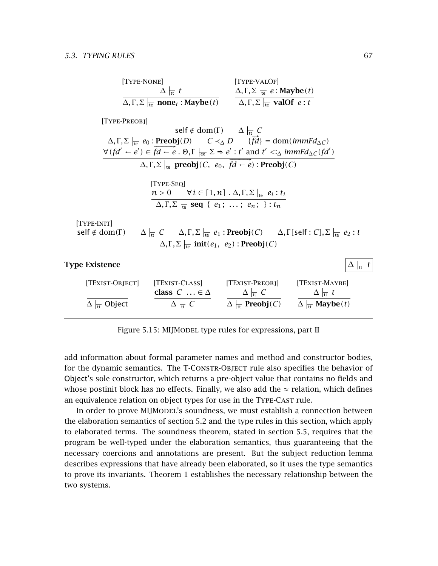| [TYPE-NONE]                                  |                                                                                                                                                                                                | [TYPE-VALOF]                                                                                                                                               |                                                |
|----------------------------------------------|------------------------------------------------------------------------------------------------------------------------------------------------------------------------------------------------|------------------------------------------------------------------------------------------------------------------------------------------------------------|------------------------------------------------|
|                                              |                                                                                                                                                                                                | $\Delta \left  \frac{1}{\text{tr}} t \right $ $\Delta, \Gamma, \Sigma \left  \frac{1}{\text{te}} e : \text{Maybe}(t) \right $                              |                                                |
|                                              | $\Delta, \Gamma, \Sigma \models_{\text{re}} \text{none}_t : \text{Maybe}(t) \qquad \Delta, \Gamma, \Sigma \models_{\text{re}} \text{valOf } e : t$                                             |                                                                                                                                                            |                                                |
|                                              |                                                                                                                                                                                                |                                                                                                                                                            |                                                |
| [TYPE-PREOBJ]                                | self $\notin \text{dom}(\Gamma)$ $\Delta \vert_{\overline{\text{tt}}} C$                                                                                                                       |                                                                                                                                                            |                                                |
|                                              | $\Delta, \Gamma, \Sigma \models_{\text{re}} e_0 : \text{Preobj}(D) \qquad C \prec_{\Delta} D \qquad \{fd\} = \text{dom}(immEd_{\Delta C})$                                                     |                                                                                                                                                            |                                                |
|                                              | $\forall (fd' \leftarrow e') \in \overline{fd \leftarrow e}$ . $\Theta, \Gamma \mid_{ee} \Sigma \Rightarrow e' : t'$ and $t' \lt \Delta$ imm $Fd_{\Delta C}(fd')$                              |                                                                                                                                                            |                                                |
|                                              | $\Delta, \Gamma, \Sigma \models_{\mathbf{e}} \mathbf{preobj}(\mathcal{C}, e_0, \overrightarrow{fd - e}) : \mathbf{Preobj}(\mathcal{C})$                                                        |                                                                                                                                                            |                                                |
|                                              |                                                                                                                                                                                                |                                                                                                                                                            |                                                |
|                                              | [TYPE-SEO]                                                                                                                                                                                     |                                                                                                                                                            |                                                |
|                                              | $n > 0$ $\forall i \in [1, n]$ . $\Delta, \Gamma, \Sigma \models_{\text{re}} e_i : t_i$                                                                                                        |                                                                                                                                                            |                                                |
|                                              | $\Delta, \Gamma, \Sigma \models_{\mathsf{re}} \mathsf{seq} \ \{ \ e_1 \ ; \ \ldots \ ; \ e_n \ ; \ \} : t_n$                                                                                   |                                                                                                                                                            |                                                |
|                                              |                                                                                                                                                                                                |                                                                                                                                                            |                                                |
| [TYPE-INIT]                                  |                                                                                                                                                                                                |                                                                                                                                                            |                                                |
|                                              | self $\notin$ dom( $\Gamma$ ) $\Delta \vert_{\text{tr}} C$ $\Delta, \Gamma, \Sigma \vert_{\text{te}} e_1$ : <b>Preobj</b> $(C)$ $\Delta, \Gamma$ [self: C], $\Sigma \vert_{\text{te}} e_2$ : t |                                                                                                                                                            |                                                |
|                                              | $\Delta, \Gamma, \Sigma \models_{\text{re}} \text{init}(e_1, e_2)$ : Preobj $(C)$                                                                                                              |                                                                                                                                                            |                                                |
| <b>Type Existence</b>                        |                                                                                                                                                                                                |                                                                                                                                                            | $\Delta \vphantom{1}_{\overline{\mathrm{tt}}}$ |
| [TEXIST-OBJECT]                              | [TEXIST-CLASS]<br>class $C \ldots \in \Delta$ $\Delta \vert_{\pi} C$                                                                                                                           | [TEXIST-PREOBJ]                                                                                                                                            | [TEXIST-MAYBE]<br>$\Delta \mid_{tt} t$         |
| $\Delta \vert_{\overline{\text{tt}}}$ Object |                                                                                                                                                                                                | $\Delta \vert_{\overline{\text{tt}}} C$ $\Delta \vert_{\overline{\text{tt}}}$ <b>Preobj</b> $(C)$ $\Delta \vert_{\overline{\text{tt}}}$ <b>Maybe</b> $(t)$ |                                                |
|                                              |                                                                                                                                                                                                |                                                                                                                                                            |                                                |

Figure 5.15: MIJMODEL type rules for expressions, part II

add information about formal parameter names and method and constructor bodies, for the dynamic semantics. The T-CONSTR-OBJECT rule also specifies the behavior of Object's sole constructor, which returns a pre-object value that contains no fields and whose postinit block has no effects. Finally, we also add the  $\approx$  relation, which defines an equivalence relation on object types for use in the TYPE-CAST rule.

In order to prove MIJMODEL's soundness, we must establish a connection between the elaboration semantics of section 5.2 and the type rules in this section, which apply to elaborated terms. The soundness theorem, stated in section 5.5, requires that the program be well-typed under the elaboration semantics, thus guaranteeing that the necessary coercions and annotations are present. But the subject reduction lemma describes expressions that have already been elaborated, so it uses the type semantics to prove its invariants. Theorem 1 establishes the necessary relationship between the two systems.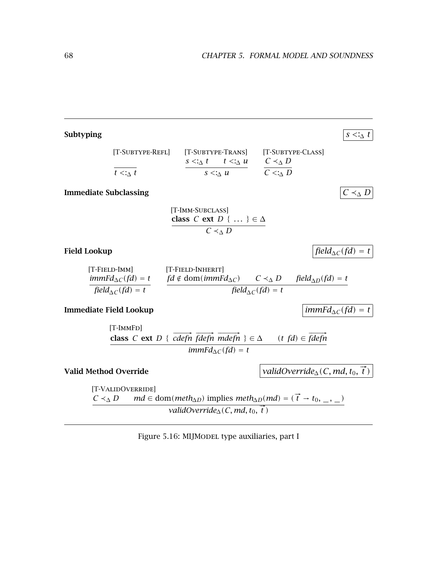Subtyping  
\n[T-SUBTYPE-REFL] [T-SUBTYPE-TransS] [T-SUBTYPE-CLASS]  
\n
$$
\frac{s <_{\Delta} t}{t <_{\Delta} t}
$$
  $\frac{t <_{\Delta} u}{s <_{\Delta} u}$   $\frac{C <_{\Delta} D}{C <_{\Delta} D}$   
\n  
\nImmediate Subclassing  
\n[T-IMM-SUBCLASS]  
\n
$$
\frac{[T-IMM-SUBCLASS]}{C \prec_{\Delta} D}
$$
\n
$$
\frac{[T-IMM-SUBCLASS]}{C \prec_{\Delta} D}
$$
\n
$$
\frac{[T-TELD-IMH]}{C \prec_{\Delta} D}
$$
\n
$$
\frac{[T-TELD-IMH] [T-FELD-INHERT]}{H}
$$
\n
$$
\frac{[T-HELD-IMHET]}{H}
$$
  $\frac{[T-HELD-IMHET]}{H}$   $\frac{[T-HELD-IMHET]}{H}$   $\frac{[T-HELD-IMHET]}{H}$   $\frac{[T-HELD-IMHET]}{H}$   $\frac{[T-HELD-IMHET]}{H}$   $\frac{[T-HELD-IMHET]}{H}$   $\frac{[T-HACF]}{H}$   $\frac{[T-HACF]}{H}$   $\frac{[T-HACF]}{H}$   $\frac{[T-HACF]}{H}$   $\frac{[T-HACF]}{H}$   $\frac{[T-HACF]}{H}$   $\frac{[T-HACF]}{H}$   $\frac{[T-HACF]}{H}$   $\frac{[T-HACF]}{H}$   $\frac{[T-HACF]}{H}$   $\frac{[T-HACF]}{H}$   $\frac{[T-HACF]}{H}$   $\frac{[T-HACF]}{H}$   $\frac{[T-HACF]}{H}$   $\frac{[T-HACF]}{H}$   $\frac{[T-HACF]}{H}$   $\frac{[T-HACF]}{H}$   $\frac{[T-HACF]}{H}$   $\frac{[T-HACF]}{H}$   $\frac{[T-HACF]}{H}$   $\frac{[T-HACF]}{H}$   $\frac{[T-HACF]}{H}$  

Figure 5.16: MIJMODEL type auxiliaries, part I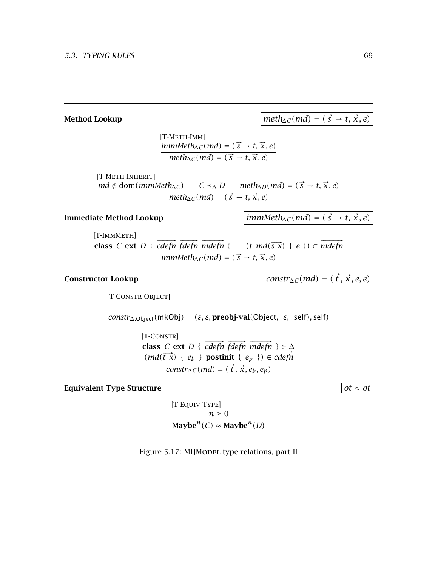| <b>Method Lookup</b>                                                                                                                                                                           | $meth_{\Delta C}(md) = (\vec{s} \rightarrow t, \vec{x}, e)$            |
|------------------------------------------------------------------------------------------------------------------------------------------------------------------------------------------------|------------------------------------------------------------------------|
| [T-METH-IMM]<br>$immMethod_{\Delta C}(md) = (\vec{s} \rightarrow t, \vec{x}, e)$<br>$\overline{meth_{AC}(md) = (\vec{s} \rightarrow t, \vec{x}, e)}$                                           |                                                                        |
|                                                                                                                                                                                                |                                                                        |
| [T-METH-INHERIT]<br>$md \notin dom(immMethod_{\Delta C})$ $C \prec_{\Delta} D$ $meth_{\Delta D}(md) = (\vec{s} \rightarrow t, \vec{x}, e)$                                                     |                                                                        |
| $\overline{meth_{AC}(md) = (\vec{s} \rightarrow t, \vec{x}, e)}$                                                                                                                               |                                                                        |
| <b>Immediate Method Lookup</b>                                                                                                                                                                 | $\lim\text{Meth}_{\Delta C}(md) = (\vec{s} \rightarrow t, \vec{x}, e)$ |
| [T-IMMMETH]<br>class C ext D { $\overrightarrow{cdefn}$ $\overrightarrow{fdefn}$ $\overrightarrow{mdefn}$ } (t $md(\overrightarrow{s} \overrightarrow{x})$ { e }) $\in \overrightarrow{mdefn}$ |                                                                        |
| $\overrightarrow{nmM}$ eth $\wedge_C$ (md) = $(\overrightarrow{s} \rightarrow t, \overrightarrow{x}, e)$                                                                                       |                                                                        |
| <b>Constructor Lookup</b>                                                                                                                                                                      | $constr_{\Delta C}(md) = (\vec{t}, \vec{x}, e, e)$                     |
| [T-CONSTR-OBJECT]                                                                                                                                                                              |                                                                        |
| constr <sub><math>\triangle</math></sub> , Object(mkObj) = $(\varepsilon, \varepsilon, \text{preobj-val}(\text{Object}, \varepsilon, \text{self}), \text{self})$                               |                                                                        |
| [T-CONSTR]                                                                                                                                                                                     |                                                                        |
| class C ext D { cdefn fdefn mdefn } $\in \Delta$                                                                                                                                               |                                                                        |
| $(md(\vec{t} \times \hat{x}) \{e_b\}$ postinit $\{e_p\}) \in cdefn$                                                                                                                            |                                                                        |
| $constr_{\Delta}c(md) = (\vec{t}, \vec{x}, e_h, e_n)$                                                                                                                                          |                                                                        |
| <b>Equivalent Type Structure</b>                                                                                                                                                               | $\omega t \approx \omega t$                                            |
| [T-EQUIV-TYPE]<br>$n \geq 0$                                                                                                                                                                   |                                                                        |
| Maybe <sup>n</sup> (C) $\approx$ Maybe <sup>n</sup> (D)                                                                                                                                        |                                                                        |
| Figure 5.17: MIJMODEL type relations, part II                                                                                                                                                  |                                                                        |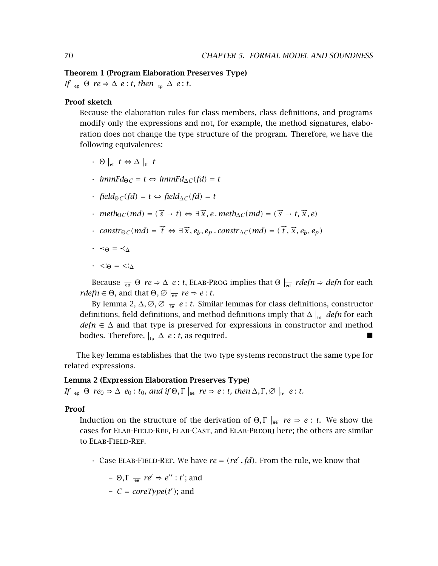#### Theorem 1 (Program Elaboration Preserves Type)

*If*  $\left| \frac{1}{\epsilon p} \oplus r e \right| \to \Delta e$  : *t, then*  $\left| \frac{1}{\epsilon p} \Delta e$  : *t.* 

## Proof sketch

Because the elaboration rules for class members, class definitions, and programs modify only the expressions and not, for example, the method signatures, elaboration does not change the type structure of the program. Therefore, we have the following equivalences:

$$
\cdot \Theta \mid_{\text{et}} t \Leftrightarrow \Delta \mid_{\text{tt}} t
$$

- $\cdot$  *immFd*Θ $\cap$  = *t*  $\Leftrightarrow$  *immFd*<sub>∆</sub> $C$ </sub>*(fd)* = *t*
- $\cdot$  *field* $\theta$ *C*(*fd*) = *t*  $\Leftrightarrow$  *field* $\Delta$ *C*(*fd*) = *t*
- $\cdot$  meth<sub> $\Theta C$ </sub> $(md) = (\vec{s} \rightarrow t) \Leftrightarrow \exists \vec{x}, e \cdot meth_{\Delta C}(md) = (\vec{s} \rightarrow t, \vec{x}, e)$
- $\cdot$  constr<sub> $\Theta C$ </sub> $(md) = \vec{t} \Leftrightarrow \exists \vec{x}, e_b, e_p \dots$ constr $\Delta C$  $(md) = (\vec{t}, \vec{x}, e_b, e_p)$
- $\cdot \prec_{\Theta} \; = \; \prec_{\Delta}$
- $\cdot$  <∴ $\Theta$  = <∴ $\Delta$

Because  $\frac{1}{\epsilon} \Theta$  *re*  $\Rightarrow \Delta$  *e* : *t*, ELAB-PROG implies that  $\Theta$   $\frac{1}{\epsilon}$  *rdefn*  $\Rightarrow$  *defn* for each *rdefn*  $\in \Theta$ , and that  $\Theta$ ,  $\emptyset$   $\Big|_{\text{ee}}$  *re*  $\Rightarrow$  *e* : *t*.

By lemma 2, Δ,  $\emptyset$ ,  $\emptyset$   $\frac{1}{\pi}$  *e* : *t*. Similar lemmas for class definitions, constructor definitions, field definitions, and method definitions imply that  $\Delta \vert_{\overline{t}d}$  *defn* for each *defn* ∈  $\Delta$  and that type is preserved for expressions in constructor and method hodies. Therefore,  $\vdash \Delta e$ : *t*, as required. bodies. Therefore,  $\frac{1}{\ln \Delta}$  *e* : *t*, as required.

The key lemma establishes that the two type systems reconstruct the same type for related expressions.

#### Lemma 2 (Expression Elaboration Preserves Type)

 $If \Big|_{\epsilon \rho} \Theta$  *re*<sub>0</sub>  $\Rightarrow \Delta$  *e*<sub>0</sub> : *t*<sub>0</sub>*, and if*  $\Theta$ *,*  $\Gamma$   $\Big|_{\epsilon \epsilon}$  *re*  $\Rightarrow$  *e* : *t, then*  $\Delta$ *,*  $\Gamma$ *,*  $\emptyset$   $\Big|_{\epsilon \epsilon}$  *e* : *t.* 

#### Proof

Induction on the structure of the derivation of  $\Theta$ ,  $\Gamma \models$   $re \Rightarrow e : t$ . We show the cases for Elab-Field-Ref, Elab-Cast, and Elab-Preobj here; the others are similar to Elab-Field-Ref.

• Case ELAB-FIELD-REF. We have  $re = (re' \cdot fd)$ . From the rule, we know that

$$
- \Theta, \Gamma \mid_{\text{ee}} r e' \Rightarrow e'': t'; \text{and}
$$

 $-C = coreType(t')$ ; and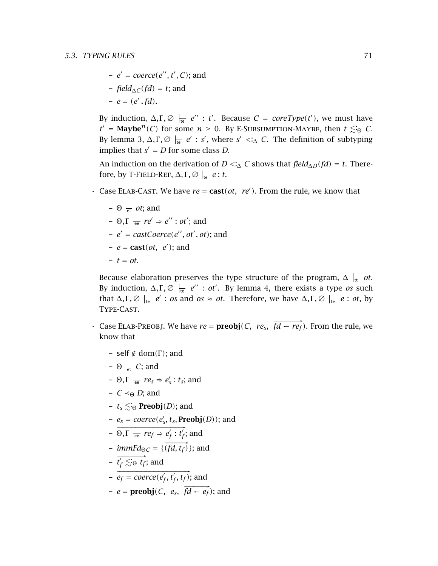$-e' = coerce(e'', t', C);$  and – *field*<sub>∆ $C$ </sub>(*fd*) = *t*; and  $-e = (e', f d).$ 

By induction,  $\Delta$ ,  $\Gamma$ ,  $\varnothing$   $\Big|_{\text{te}}$  *e''* : *t'*. Because  $C = coreType(t')$ , we must have  $t' = \text{Maybe}^n(C)$  for some  $n \ge 0$ . By E-SUBSUMPTION-MAYBE, then  $t \lesssim_{\Theta} C$ . By lemma 3,  $\Delta$ ,  $\Gamma$ ,  $\varnothing$   $\Big|_{\text{te}}$  *e'*: *s'*, where *s'* <: $\Delta$  *C*. The definition of subtyping implies that  $s' = D$  for some class *D*.

An induction on the derivation of *D* < $\cdot$ ∆ *C* shows that *field*<sub>∆*D*</sub>(*fd*) = *t*. Therefore, by T-FIELD-REF,  $\Delta$ ,  $\Gamma$ ,  $\varnothing$   $\Big|_{\text{te}}$  *e* : *t*.

- $\cdot$  Case ELAB-CAST. We have  $re = \text{cast}(ot, re')$ . From the rule, we know that
	- $\Theta$   $\Big|_{\text{et}}$  *ot*; and  $- \Theta, \Gamma \mid_{\text{ee}} r e' \Rightarrow e'' : \textit{ot}'; \text{and}$  $-e' = \text{castCoerce}(e'', \text{ of}', \text{ of});$  and
	- $-e = \text{cast}(ot, e')$ ; and
	- $t = o t$ .

Because elaboration preserves the type structure of the program,  $\Delta \vert_{\overline{\text{t}}}$  *ot*. By induction,  $\Delta$ ,  $\Gamma$ ,  $\varnothing$   $\vert_{\tau e}$  *e''*: *ot'*. By lemma 4, there exists a type *os* such that  $\Delta$ ,  $\Gamma$ ,  $\varnothing$   $\Big|_{\overline{\text{te}}}$  *e'* : *os* and *os* ≈ *ot*. Therefore, we have  $\Delta$ ,  $\Gamma$ ,  $\varnothing$   $\Big|_{\overline{\text{te}}}$  *e* : *ot*, by Type-Cast.

- Case ELAB-PREOBJ. We have  $re = \textbf{preobj}(C, re_s, \overrightarrow{fd re_f})$ . From the rule, we know that
	- self <sup>∉</sup> dom*(*<sup>Γ</sup> *)*; and
	- $\Theta$   $\Big|_{\text{et}}$  *C*; and
	- $\Theta$ ,  $\Gamma$   $\Big|_{\text{ee}}$   $re_s \Rightarrow e'_s : t_s$ ; and
	- $C$  ≺ $\Theta$  *D*; and
	- $t_s \leq \Theta$  **Preobj** $(D)$ ; and
	- $e_s = \text{coerce}(e'_s, t_s, \text{Preobj}(D));$  and

$$
- \Theta, \Gamma \mid_{\text{ee}} \text{ref} \Rightarrow e_f' : t_f'; \text{and}
$$

- $-$  *immFd*<sub> $\Theta$ *C* = { $\overrightarrow{(fd, tf)}$ }; and</sub>  $\overline{\phantom{a}}$
- $t_f' \lesssim 0$  *t<sub>f</sub>*; and
- # –  $e_f = \text{coerce}(e'_f, t'_f, t_f)$ ; and
- $-e = \textbf{preobj}(C, e_s, \overrightarrow{fd ef});$  and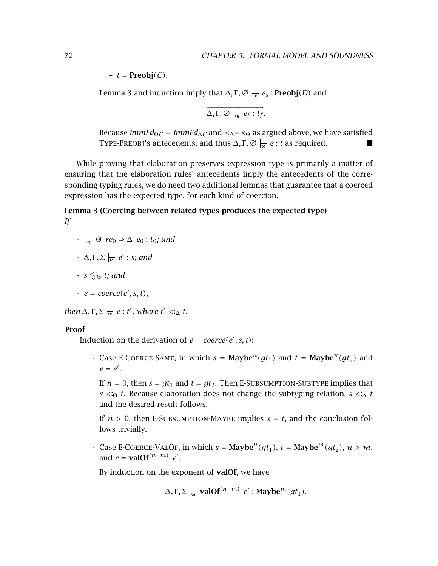$- t = \text{Preobj}(C)$ .

Lemma 3 and induction imply that  $\Delta$ ,  $\Gamma$ ,  $\varnothing \Big|_{\text{te}} e_s$ : **Preobj** $(D)$  and

$$
\overrightarrow{\Delta,\Gamma,\varnothing\models_{\mathsf{te}}e_{f}:t_{f}}.
$$

Because *immFd*<sub> $\Theta$ *C* = *immFd*<sub> $\Delta$ *C*</sub> and  $\prec$ <sub> $\Delta$ </sub> =  $\prec$  $\Theta$  as argued above, we have satisfied</sub> TYPE-PREOBJ's antecedents, and thus  $\Delta$ ,  $\Gamma$ ,  $\varnothing \big|_{\Gamma \in \mathcal{C}} e$ : *t* as required.

While proving that elaboration preserves expression type is primarily a matter of ensuring that the elaboration rules' antecedents imply the antecedents of the corresponding typing rules, we do need two additional lemmas that guarantee that a coerced expression has the expected type, for each kind of coercion.

## Lemma 3 (Coercing between related types produces the expected type) *If*

- $\cdot \models_{\mathsf{ep}} \Theta$  *re*<sub>0</sub>  $\Rightarrow \Delta$  *e*<sub>0</sub> : *t*<sub>0</sub>*; and*
- $\cdot \Delta, \Gamma, \Sigma \models e' : s;$  and
- $\cdot$  *s*  $\leq$   $\theta$  *t; and*
- $\cdot$  *e* = *coerce*(*e'*, *s*, *t*),

 $then \Delta, \Gamma, \Sigma \models e : t', where t' < \Delta t.$ 

#### Proof

Induction on the derivation of  $e = \text{coerce}(e', s, t)$ :

• Case E-COERCE-SAME, in which  $s = \text{Maybe}^n(gt_1)$  and  $t = \text{Maybe}^n(gt_2)$  and  $e = e'$ .

If  $n = 0$ , then  $s = gt_1$  and  $t = gt_2$ . Then E-SUBSUMPTION-SUBTYPE implies that *s* <:<sup>Θ</sup> *t*. Because elaboration does not change the subtyping relation, *s* <:<sup>△</sup> *t* and the desired result follows.

If  $n > 0$ , then E-SUBSUMPTION-MAYBE implies  $s = t$ , and the conclusion follows trivially.

• Case E-COERCE-VALOF, in which  $s = \text{Maybe}^n(gt_1)$ ,  $t = \text{Maybe}^m(gt_2)$ ,  $n > m$ , and  $e = \text{valOf}^{(n-m)} e'$ .

By induction on the exponent of valOf, we have

 $\Delta$ ,  $\Gamma$ ,  $\Sigma$   $\Big|_{\text{te}}$  **valOf**<sup> $(n-m)$ </sup> *e'* : **Maybe**<sup>*m*</sup> $(gt_1)$ .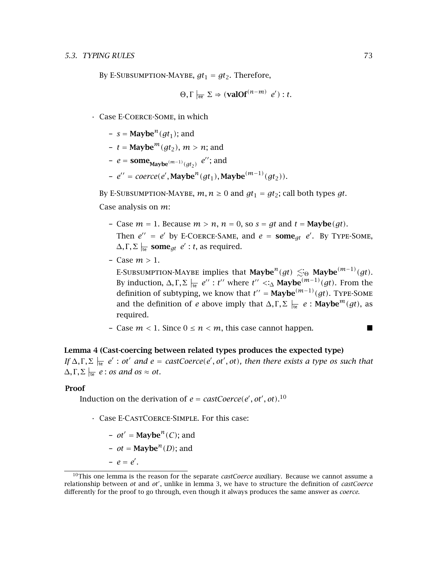By E-Subsumption-Maybe,  $gt_1 = gt_2$ . Therefore,

$$
\Theta, \Gamma \mid_{\mathsf{ee}} \Sigma \Rightarrow (\mathbf{valOf}^{(n-m)} \ e') : t.
$$

- Case E-Coerce-Some, in which
	- $-s = \text{Maybe}^n(gt_1)$ ; and
	- $t =$ **Maybe**<sup>*m*</sup>( $gt_2$ ), *m* > *n*; and
	- −  $e = \text{some}_{\text{Mapbe}}(m-1) (gt_2) e'$ ; and
	- *−*  $e' = \text{coerce}(e', \text{Mape}^n(gt_1), \text{Mape}^{(m-1)}(gt_2)).$

By E-SUBSUMPTION-MAYBE,  $m, n \geq 0$  and  $gt_1 = gt_2$ ; call both types gt.

Case analysis on *m*:

- Case  $m = 1$ . Because  $m > n$ ,  $n = 0$ , so  $s = gt$  and  $t = \text{Maybe}(gt)$ . Then  $e' = e'$  by E-COERCE-SAME, and  $e = \textbf{some}_{gt} e'$ . By TYPE-SOME,  $\Delta, \Gamma, \Sigma \models_{\text{te}} \textbf{some}_{gt} \ e' : t$ , as required.
- Case *m >* 1.

E-SUBSUMPTION-MAYBE implies that  $\text{Mape}^n(gt) \leq \Theta \text{Mape}^{(m-1)}(gt)$ . By induction,  $\Delta$ ,  $\Gamma$ ,  $\Sigma$   $\Big|_{\text{te}}$  *e''* : *t''* where *t''* <: $\Delta$  **Maybe**<sup>(m-1)</sup>(*gt*). From the definition of subtyping, we know that  $t'' = \text{Maybe}^{(m-1)}(gt)$ . Type-Some and the definition of *e* above imply that  $\Delta$ , Γ,  $\Sigma$   $\Big|_{\text{te}}$  *e* : **Maybe**<sup>*m*</sup>(*gt*), as required.

– Case *m <* 1. Since 0 ≤ *n < m*, this case cannot happen.

#### Lemma 4 (Cast-coercing between related types produces the expected type)

*If* Δ, Γ, Σ  $\vert_{\overline{te}}$  *e'* : *ot' and e* = *castCoerce*(*e'*, *ot'*, *ot*), then there exists a type os such that  $\Delta$ ,  $\Gamma$ ,  $\Sigma$   $\Big|_{\text{te}}$  *e* : *os and os*  $\approx$  *ot.* 

#### Proof

Induction on the derivation of  $e = \text{castCoerce}(e', \text{ot}', \text{ot})$ .<sup>10</sup>

- Case E-CastCoerce-Simple. For this case:
	- $-$  *ot'* = **Maybe**<sup>*n*</sup>(*C*); and
	- $-$  *ot* = **Maybe**<sup>*n*</sup>(*D*); and
	- $-e = e'$ .

<sup>10</sup>This one lemma is the reason for the separate *castCoerce* auxiliary. Because we cannot assume a relationship between *ot* and *ot'*, unlike in lemma 3, we have to structure the definition of *castCoerce* differently for the proof to go through, even though it always produces the same answer as *coerce*.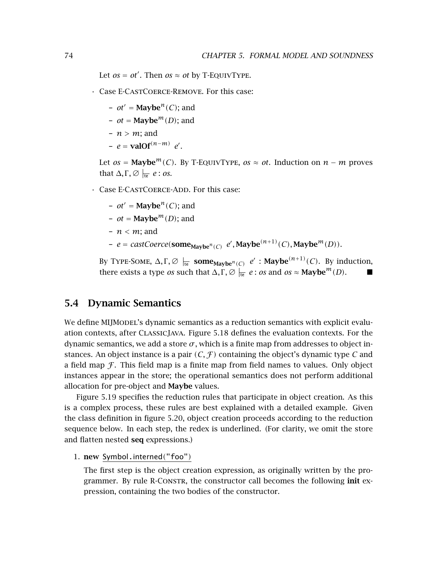Let  $os = ot'$ . Then  $os \approx ot$  by T-EquivType.

- Case E-CastCoerce-Remove. For this case:
	- $-$  *ot'* = **Maybe**<sup>*n*</sup>(*C*); and
	- $ot = \text{Maybe}^m(D)$ ; and
	- *n > m*; and
	- −  $e = \text{valOf}^{(n-m)} e'$ .

Let *os* = **Maybe**<sup>*m*</sup>(*C*). By T-EQUIVTYPE, *os*  $\approx$  *ot*. Induction on *n* − *m* proves that  $\Delta, \Gamma, \emptyset \models_{\mathsf{te}} e : \mathsf{os}.$ 

- Case E-CASTCOERCE-ADD. For this case:
	- $-$  *ot'* = **Maybe**<sup>*n*</sup>(*C*); and
	- $ot = \text{Maybe}^m(D)$ ; and
	- *n < m*; and
	- $-e = \text{castCoerce}(\text{some}_{\text{Mapbe}^n(C)} \ e', \text{Mapbe}^{(n+1)}(C), \text{Mapbe}^m(D)).$

By TYPE-SOME,  $\Delta$ ,  $\Gamma$ ,  $\varnothing$   $\Big|_{\mathbb{R}^n}$  **some<sub>Maybe</sub>**<sup>*n*</sup>(*C*)  $e'$  : **Maybe**<sup>(*n*+1)</sup>(*C*). By induction, there exists a type *os* such that  $\Delta, \Gamma, \emptyset \models_{\text{te}} e : os$  and  $os \approx \text{Maybe}^m(D)$ .

# 5.4 Dynamic Semantics

We define MIJMODEL's dynamic semantics as a reduction semantics with explicit evaluation contexts, after ClassicJava. Figure 5.18 defines the evaluation contexts. For the dynamic semantics, we add a store  $\sigma$ , which is a finite map from addresses to object instances. An object instance is a pair  $(C, \mathcal{F})$  containing the object's dynamic type  $C$  and a field map  $\mathcal F$ . This field map is a finite map from field names to values. Only object instances appear in the store; the operational semantics does not perform additional allocation for pre-object and **Maybe** values.

Figure 5.19 specifies the reduction rules that participate in object creation. As this is a complex process, these rules are best explained with a detailed example. Given the class definition in figure 5.20, object creation proceeds according to the reduction sequence below. In each step, the redex is underlined. (For clarity, we omit the store and flatten nested seq expressions.)

1. new Symbol.interned*(*"foo"*)*

The first step is the object creation expression, as originally written by the programmer. By rule R-CONSTR, the constructor call becomes the following **init** expression, containing the two bodies of the constructor.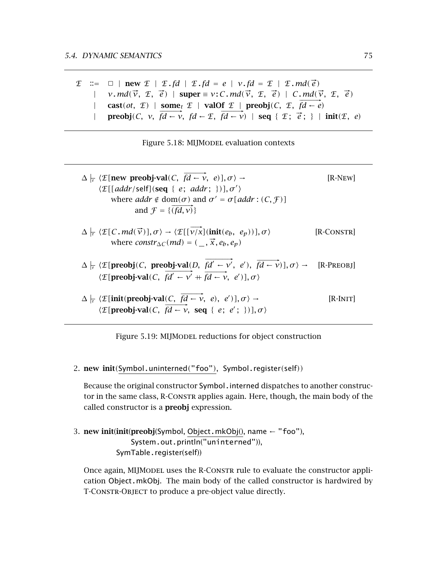|  | $E ::= \Box$   new $E \mid E \cdot fd \mid E \cdot fd = e \mid v \cdot fd = E \mid E \cdot md(\vec{e})$                                                                  |
|--|--------------------------------------------------------------------------------------------------------------------------------------------------------------------------|
|  | $v \cdot md(\vec{v}, \vec{\pounds}, \vec{e})$   super $\equiv v \cdot C \cdot md(\vec{v}, \vec{\pounds}, \vec{e})$   $C \cdot md(\vec{v}, \vec{\pounds}, \vec{e})$       |
|  | cast( <i>ot</i> , $\mathcal{I}$ )   some <sub>t</sub> $\mathcal{I}$   valOf $\mathcal{I}$   preobj( <i>C</i> , $\mathcal{I}$ , $fd \leftarrow e$ )                       |
|  | <b>preobj</b> (C, v, $\overline{fd - v}$ , $fd - \mathcal{I}$ , $fd - v$ )   <b>seq</b> { $\mathcal{I}$ ; $\overrightarrow{e}$ ; }   <b>init</b> ( $\mathcal{I}$ , $e$ ) |

|  | Figure 5.18: MIJMODEL evaluation contexts |  |  |  |
|--|-------------------------------------------|--|--|--|
|--|-------------------------------------------|--|--|--|

| $\Delta \mid_{\mathsf{r}} \langle \mathcal{I}[\text{new preobj-val}(\mathcal{C}, \overline{fd \leftarrow v}, e)], \sigma \rangle \rightarrow$<br>$\langle \mathcal{I}   [addr/self]$ (seq { e; addr; })], $\sigma'$<br>where <i>addr</i> $\notin$ dom $(\sigma)$ and $\sigma' = \sigma$ [ <i>addr</i> : (C, F)]<br>and $\mathcal{F} = \{ (fd, v) \}$ | <b>IR-NEWI</b>  |
|------------------------------------------------------------------------------------------------------------------------------------------------------------------------------------------------------------------------------------------------------------------------------------------------------------------------------------------------------|-----------------|
| $\Delta \mid_{\overline{\mathcal{V}}} \langle \mathcal{I}[(C, md(\vec{v})], \sigma \rangle \rightarrow \langle \mathcal{I}[(\vec{v}/\vec{x}](init(e_b, e_p))], \sigma \rangle$<br>where $constr_{\Delta C}(md) = (\_\ , \vec{x}, e_b, e_p)$                                                                                                          | <b>R-CONSTR</b> |
| $\Delta \not\models \langle \mathcal{I}$ [preobj(C, preobj-val(D, $fd' \leftarrow v', e'$ ), $\overrightarrow{fd \leftarrow v}$ ], $\sigma \rangle \rightarrow [\text{R-PreOBJ}]$<br>$\langle \mathcal{I}[\text{preobj-val}(\mathcal{C}, fd' \leftarrow v' + \overline{fd \leftarrow v}, e')], \sigma \rangle$                                       |                 |
| $\Delta \mid_{\Gamma} \langle \mathcal{F}[\text{init}(\text{preobj-val}(\mathcal{C}, \overline{fd - v}, e), e')] , \sigma \rangle \rightarrow$<br>$\langle \mathcal{E}[\text{preobj-val}(\mathcal{C}, \overline{fd - v}, \text{seq } \{ e; e'; \})], \sigma \rangle$                                                                                 | $ R$ -Init      |



2. new init*(*Symbol.uninterned*(*"foo"*),* Symbol.register*(*self*))*

Because the original constructor Symbol.interned dispatches to another constructor in the same class, R-Constr applies again. Here, though, the main body of the called constructor is a **preobj** expression.

3. new init(init(preobj(Symbol, Object.mkObj(), name ← "foo"), System.out.println("uninterned")), SymTable.register(self))

Once again, MIJMODEL uses the R-CONSTR rule to evaluate the constructor application Object.mkObj. The main body of the called constructor is hardwired by T-CONSTR-OBJECT to produce a pre-object value directly.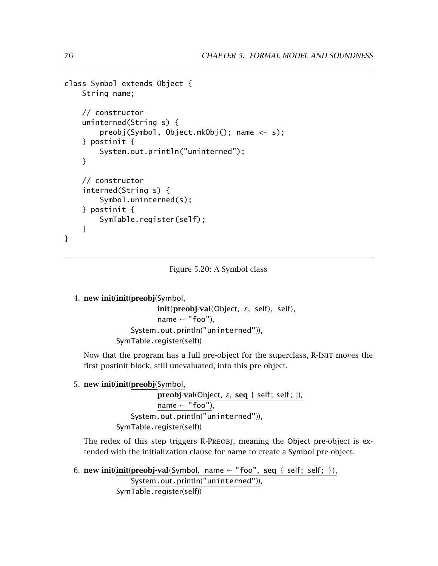```
class Symbol extends Object {
    String name;
    // constructor
    uninterned(String s) {
        preobj(Symbol, Object.mkObj(); name <- s);
    } postinit {
        System.out.println("uninterned");
    }
    // constructor
    interned(String s) {
        Symbol.uninterned(s);
    } postinit {
        SymTable.register(self);
    }
}
```
Figure 5.20: A Symbol class

```
4. new init(init(preobj(Symbol,
                       init(preobj-val(Object, ε, self), self),
                       name ← "foo"),
               System.out.println("uninterned")),
           SymTable.register(self))
```
Now that the program has a full pre-object for the superclass, R-Init moves the first postinit block, still unevaluated, into this pre-object.

5. new init(init(preobj(Symbol,

preobj-val(Object, *ε*, seq { self; self; }), name ← "foo"), System.out.println("uninterned")), SymTable.register(self))

The redex of this step triggers R-PREOBJ, meaning the Object pre-object is extended with the initialization clause for name to create a Symbol pre-object.

```
6. new init(init(preobj-val(Symbol, name ← "foo", seq { self; self; }),
               System.out.println("uninterned")),
           SymTable.register(self))
```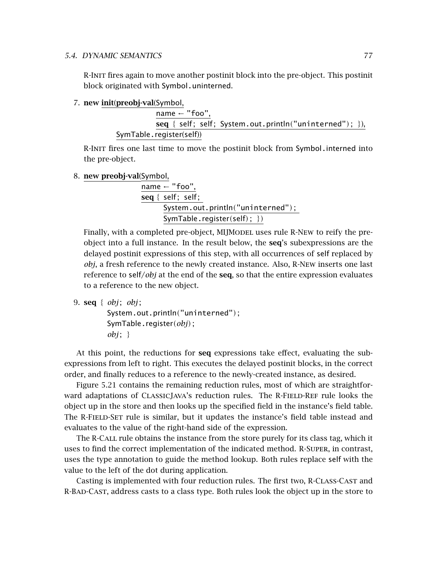## 5.4. DYNAMIC SEMANTICS 77

R-Init fires again to move another postinit block into the pre-object. This postinit block originated with Symbol.uninterned.

7. new init(preobj-val(Symbol,

```
name ← "foo",
           seq { self; self; System.out.println("uninterned") ; }),
SymTable.register(self))
```
R-Init fires one last time to move the postinit block from Symbol.interned into the pre-object.

8. new preobj-val(Symbol,

name ← "foo", seq { self; self; System.out.println*(*"uninterned"*)* ; SymTable.register*(*self*)* ; }*)*

Finally, with a completed pre-object, MIJMODEL uses rule R-NEW to reify the preobject into a full instance. In the result below, the seq's subexpressions are the delayed postinit expressions of this step, with all occurrences of self replaced by *obj*, a fresh reference to the newly created instance. Also, R-New inserts one last reference to self/*obj* at the end of the seq, so that the entire expression evaluates to a reference to the new object.

9. seq { *obj* ; *obj* ;

System.out.println*(*"uninterned"*)* ; SymTable.register*(obj)* ; *obj* ; }

At this point, the reductions for seq expressions take effect, evaluating the subexpressions from left to right. This executes the delayed postinit blocks, in the correct order, and finally reduces to a reference to the newly-created instance, as desired.

Figure 5.21 contains the remaining reduction rules, most of which are straightforward adaptations of CLASSICJAVA's reduction rules. The R-FIELD-REF rule looks the object up in the store and then looks up the specified field in the instance's field table. The R-Field-Set rule is similar, but it updates the instance's field table instead and evaluates to the value of the right-hand side of the expression.

The R-Call rule obtains the instance from the store purely for its class tag, which it uses to find the correct implementation of the indicated method. R-Super, in contrast, uses the type annotation to guide the method lookup. Both rules replace self with the value to the left of the dot during application.

Casting is implemented with four reduction rules. The first two, R-Class-Cast and R-Bad-Cast, address casts to a class type. Both rules look the object up in the store to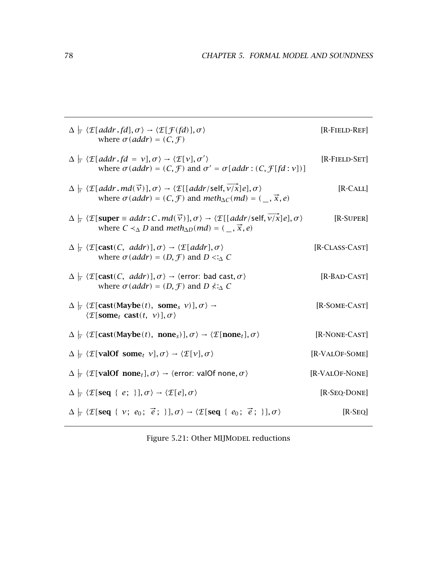| $\Delta \models \langle \mathcal{I}[addr.fd], \sigma \rangle \rightarrow \langle \mathcal{I}[f(fd)], \sigma \rangle$<br>where $\sigma$ ( <i>addr</i> ) = (C, <i>F</i> )                                                                                                      | [R-FIELD-REF]    |
|------------------------------------------------------------------------------------------------------------------------------------------------------------------------------------------------------------------------------------------------------------------------------|------------------|
| $\Delta \mid_{\Gamma} \langle \mathcal{I}[addr.fd = v], \sigma \rangle \rightarrow \langle \mathcal{I}[v], \sigma' \rangle$<br>where $\sigma(\alpha ddr) = (C, \mathcal{F})$ and $\sigma' = \sigma[\alpha ddr : (C, \mathcal{F}[fd : v])]$                                   | [R-FIELD-SET]    |
| $\Delta \mid_{\tau} \langle \mathcal{I}[addr, md(\vec{v})], \sigma \rangle \rightarrow \langle \mathcal{I}[[addr/self, v/x]e], \sigma \rangle$<br>where $\sigma(\text{addr}) = (C, \mathcal{F})$ and $\text{meth}_{\Delta C}(md) = (\underline{\ } , \overrightarrow{x}, e)$ | $[R-CALL]$       |
| $\Delta \mid_{\tau} \langle \mathcal{I}[\text{super} \equiv addr:C.md(\vec{v})], \sigma \rangle \rightarrow \langle \mathcal{I}[[addr/self, v/x]e], \sigma \rangle$<br>where $C \prec_{\Delta} D$ and meth $_{\Delta D}(md) = (\underline{\phantom{A}}, \vec{x}, e)$         | [R-SUPER]        |
| $\Delta \mid_{\Gamma} \langle \mathcal{E}[\text{cast}(C, addr)], \sigma \rangle \rightarrow \langle \mathcal{E}[addr], \sigma \rangle$<br>where $\sigma$ ( <i>addr</i> ) = ( <i>D</i> , <i>f</i> ) and <i>D</i> < $\Delta$ <i>C</i>                                          | $[R-CLASS-CAST]$ |
| $\Delta \mid_{\Gamma} \langle \mathcal{I}[\text{cast}(C, addr)], \sigma \rangle \rightarrow \langle \text{error: bad cast}, \sigma \rangle$<br>where $\sigma$ ( <i>addr</i> ) = ( <i>D</i> , <i>f</i> ) and <i>D</i> $\sharp$ : $\Delta$ <i>C</i>                            | $[R-BAD-CAST]$   |
| $\Delta \mid_{\mathsf{r}} \langle \mathcal{E}[\text{cast}(\text{Maybe}(t), \text{ some}_{\mathcal{S}} \nu)], \sigma \rangle \rightarrow$<br>$\langle \mathcal{F}[\text{some}_t \text{ cast}(t, \nu)], \sigma \rangle$                                                        | [R-SOME-CAST]    |
| $\Delta \mid_{\tau} \langle \mathcal{I}[\text{cast}(\text{Maybe}(t), \text{ none}_s)], \sigma \rangle \rightarrow \langle \mathcal{I}[\text{none}_t], \sigma \rangle$                                                                                                        | [R-NONE-CAST]    |
| $\Delta \mid_{\Gamma} \langle \mathcal{I}[valOf some_t \; v], \sigma \rangle \rightarrow \langle \mathcal{I}[v], \sigma \rangle$                                                                                                                                             | [R-VALOF-SOME]   |
| $\Delta \mid_{r} \langle \mathcal{I}[valOf none_{t}], \sigma \rangle \rightarrow \langle error: valOf none, \sigma \rangle$                                                                                                                                                  | [R-VALOF-NONE]   |
| $\Delta \mid_{\Gamma} \langle \mathcal{I}[\text{seq} \{ e; \} ], \sigma \rangle \rightarrow \langle \mathcal{I}[e], \sigma \rangle$                                                                                                                                          | [R-SEQ-DONE]     |
| $\Delta \mid_{\Gamma} \langle \mathcal{I}[\text{seq} \{ V; e_0; \vec{e}; \cdot \}, \sigma \rangle \rightarrow \langle \mathcal{I}[\text{seq} \{ e_0; \vec{e}; \cdot \}], \sigma \rangle$                                                                                     | $[R-SEQ]$        |

Figure 5.21: Other MIJMODEL reductions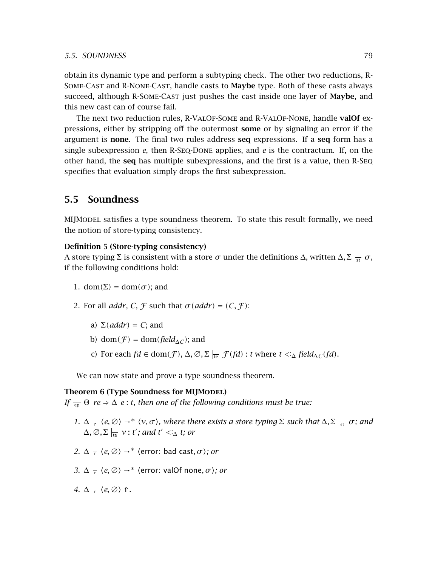obtain its dynamic type and perform a subtyping check. The other two reductions, R-SOME-CAST and R-NONE-CAST, handle casts to Maybe type. Both of these casts always succeed, although R-SOME-CAST just pushes the cast inside one layer of Maybe, and this new cast can of course fail.

The next two reduction rules, R-VALOF-SOME and R-VALOF-NONE, handle valOf expressions, either by stripping off the outermost some or by signaling an error if the argument is **none**. The final two rules address **seq** expressions. If a **seq** form has a single subexpression *e*, then R-Seq-Done applies, and *e* is the contractum. If, on the other hand, the seq has multiple subexpressions, and the first is a value, then R-Seq specifies that evaluation simply drops the first subexpression.

## 5.5 Soundness

MIJModel satisfies a type soundness theorem. To state this result formally, we need the notion of store-typing consistency.

#### Definition 5 (Store-typing consistency)

A store typing  $\Sigma$  is consistent with a store  $\sigma$  under the definitions  $\Delta$ , written  $\Delta$ ,  $\Sigma \vert_{st} \sigma$ , if the following conditions hold:

- 1. dom $(\Sigma)$  = dom $(\sigma)$ ; and
- 2. For all *addr*, *C*, *f* such that  $\sigma$  (*addr*) =  $(C, f)$ :
	- a)  $\Sigma$ *(addr)* = *C*; and
	- b) dom $(f)$  = dom $(field_{\Delta}c)$ ; and
	- c) For each  $fd \in \text{dom}(\mathcal{F})$ ,  $\Delta$ ,  $\varnothing$ ,  $\Sigma \big|_{\text{re}}$   $\mathcal{F}(fd)$  : *t* where  $t \leq \Delta$  field $\Delta_C(fd)$ .

We can now state and prove a type soundness theorem.

#### Theorem 6 (Type Soundness for MIJMODEL)

*If*  $\bigg|_{\overline{ep}} \Theta$  *re*  $\Rightarrow \Delta$  *e* : *t*, then one of the following conditions must be true:

- *1.*  $\Delta \big|_{\tau}$   $\langle e, \emptyset \rangle \rightarrow^* \langle v, \sigma \rangle$ , where there exists a store typing  $\Sigma$  such that  $\Delta$ ,  $\Sigma \big|_{\tau}$   $\sigma$ ; and  $\Delta$ *,* ∅, ∑  $\Big|_{\text{te}}$   $v$  : *t';* and *t'* <: $\Delta$  *t; or*
- *2.*  $\Delta \vert_{r} \langle e, \emptyset \rangle \rightarrow^*$  (error: bad cast,  $\sigma$ )*; or*
- *3.*  $\Delta \vert_{r} \langle e, \emptyset \rangle \rightarrow^* \langle error: \text{valOf none}, \sigma \rangle$ *; or*
- *4.*  $\Delta \models \langle e, \varnothing \rangle \Uparrow$ *.*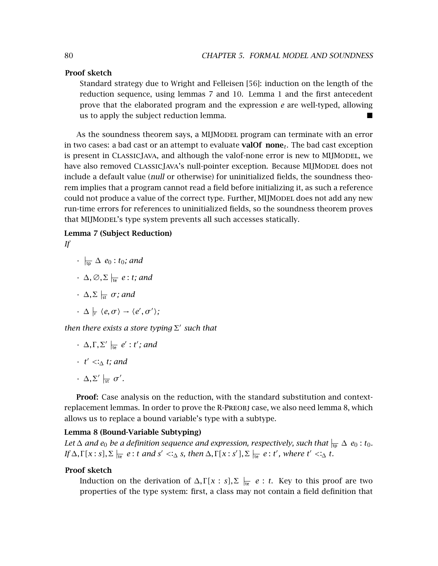## Proof sketch

Standard strategy due to Wright and Felleisen [56]: induction on the length of the reduction sequence, using lemmas 7 and 10. Lemma 1 and the first antecedent prove that the elaborated program and the expression *e* are well-typed, allowing us to apply the subject reduction lemma.

As the soundness theorem says, a MIJMODEL program can terminate with an error in two cases: a bad cast or an attempt to evaluate valOf none*<sup>t</sup>* . The bad cast exception is present in CLASSICJAVA, and although the valof-none error is new to MIJMODEL, we have also removed CLASSICJAVA's null-pointer exception. Because MIJMODEL does not include a default value (*null* or otherwise) for uninitialized fields, the soundness theorem implies that a program cannot read a field before initializing it, as such a reference could not produce a value of the correct type. Further, MIJMODEL does not add any new run-time errors for references to uninitialized fields, so the soundness theorem proves that MIJMODEL's type system prevents all such accesses statically.

## Lemma 7 (Subject Reduction)

*If*

- $\cdot \vert_{\overline{\text{t}} \text{p}} \Delta e_0 : t_0$ *; and*
- $\cdot$   $\Delta$ *,*  $\varnothing$ *,*  $\Sigma$   $\Big|_{\text{re}}$  *e* : *t;* and
- $\cdot \Delta, \Sigma \models \sigma$ *; and*
- $\cdot$   $\Delta \mid_{\mathsf{r}} \langle e, \sigma \rangle \rightarrow \langle e', \sigma' \rangle;$

*then there exists a store typing*  $\Sigma'$  *such that* 

- $\cdot$   $\Delta, \Gamma, \Sigma' \models e' : t'$ ; and
- *• t* <sup>0</sup> *<sup>&</sup>lt;*:<sup>∆</sup> *t; and*
- $\cdot$   $\Delta$ *,* $\Sigma'$   $\Big|_{\mathsf{st}}$   $\sigma'$ *.*

Proof: Case analysis on the reduction, with the standard substitution and contextreplacement lemmas. In order to prove the R-Preobj case, we also need lemma 8, which allows us to replace a bound variable's type with a subtype.

## Lemma 8 (Bound-Variable Subtyping)

*Let*  $\Delta$  *and*  $e_0$  *be* a definition sequence and expression, respectively, such that  $\frac{1}{10}$   $\Delta$   $e_0$  : *t*<sub>0</sub>*.* If  $\Delta, \Gamma[x:s], \Sigma \mid_{\overline{\text{te}}} e: t \text{ and } s' < \Delta s$ , then  $\Delta, \Gamma[x:s'], \Sigma \mid_{\overline{\text{te}}} e: t'$ , where  $t' < \Delta t$ .

### Proof sketch

Induction on the derivation of  $\Delta$ , Γ[x : *s*], Σ  $\frac{1}{16}$  *e* : *t*. Key to this proof are two properties of the type system: first, a class may not contain a field definition that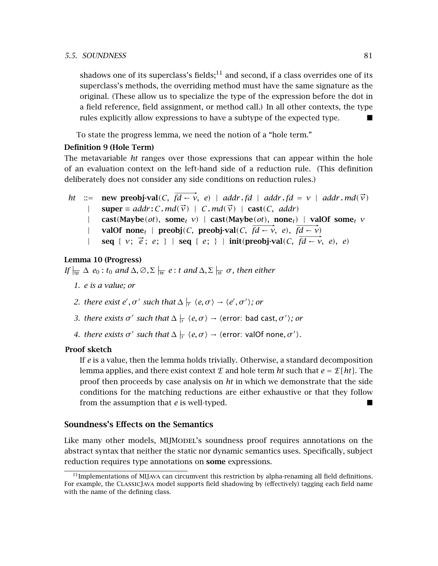## 5.5. SOUNDNESS 81

shadows one of its superclass's fields; $^{11}$  and second, if a class overrides one of its superclass's methods, the overriding method must have the same signature as the original. (These allow us to specialize the type of the expression before the dot in a field reference, field assignment, or method call.) In all other contexts, the type rules explicitly allow expressions to have a subtype of the expected type.

To state the progress lemma, we need the notion of a "hole term."

## Definition 9 (Hole Term)

The metavariable *ht* ranges over those expressions that can appear within the hole of an evaluation context on the left-hand side of a reduction rule. (This definition deliberately does not consider any side conditions on reduction rules.)

\n
$$
ht ::= \text{new preobj-val}(C, \overrightarrow{fd - v}, e) \mid \text{addr.fd} \mid \text{addr.fd} = v \mid \text{addr.md}(\overrightarrow{v})
$$
\n

\n\n $| \text{super} \equiv \text{addr:C.md}(\overrightarrow{v}) \mid C.\text{md}(\overrightarrow{v}) \mid \text{cast}(C, \text{addr})$ \n

\n\n $| \text{cast}(\text{Maybe}(\text{ot}), \text{some}_t \text{ v}) \mid \text{cast}(\text{Maybe}(\text{ot}), \text{none}_t) \mid \text{valOf} \text{some}_t \text{ v}$ \n

\n\n $| \text{ valOf none}_t \mid \text{preobj}(C, \text{preobj-val}(C, \overrightarrow{fd - v}, e), \overrightarrow{fd - v})$ \n

\n\n $| \text{ seq } \{ v; \overrightarrow{e} ; e; \} | \text{ seq } \{ e; \} \mid \text{init}(\text{preobj-val}(C, \overrightarrow{fd - v}, e), e)$ \n

## Lemma 10 (Progress)

*If*  $\vert \frac{\partial}{\partial P} \Delta e_0 : t_0 \text{ and } \Delta, \emptyset, \Sigma \vert \frac{\partial}{\partial P} e : t \text{ and } \Delta, \Sigma \vert \frac{\partial}{\partial S} \sigma$ , then either

- *1. e is a value; or*
- *2. there exist e',*  $\sigma'$  *such that*  $\Delta \vert_{\tau} \langle e, \sigma \rangle \rightarrow \langle e', \sigma' \rangle$ ; *or*
- *3. there exists*  $\sigma'$  *such that*  $\Delta \big|_{\tau} \langle e, \sigma \rangle \rightarrow \langle \text{error: bad cast}, \sigma' \rangle$ ; *or*
- *4. there exists*  $\sigma'$  *such that*  $\Delta \big|_{\tau} \langle e, \sigma \rangle \rightarrow \langle \text{error: } \text{valOf none}, \sigma' \rangle$ *.*

## Proof sketch

If *e* is a value, then the lemma holds trivially. Otherwise, a standard decomposition lemma applies, and there exist context  $E$  and hole term *ht* such that  $e = E[ht]$ . The proof then proceeds by case analysis on *ht* in which we demonstrate that the side conditions for the matching reductions are either exhaustive or that they follow from the assumption that *e* is well-typed.

## Soundness's Effects on the Semantics

Like many other models, MIJMODEL's soundness proof requires annotations on the abstract syntax that neither the static nor dynamic semantics uses. Specifically, subject reduction requires type annotations on **some** expressions.

 $11$ Implementations of MIJAVA can circumvent this restriction by alpha-renaming all field definitions. For example, the ClassicJava model supports field shadowing by (effectively) tagging each field name with the name of the defining class.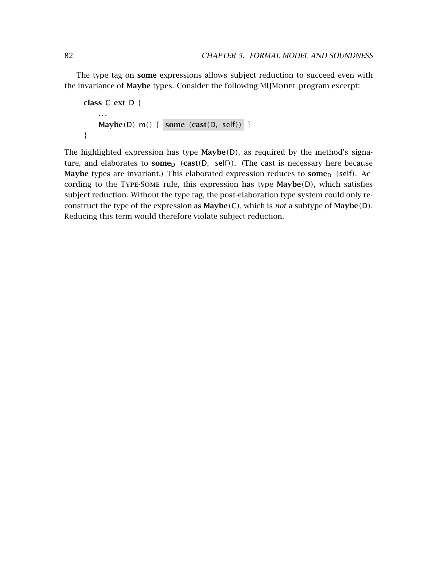The type tag on some expressions allows subject reduction to succeed even with the invariance of Maybe types. Consider the following MIJMODEL program excerpt:

```
class C ext D {
   . . .
   Maybe(D) m() { some (cast(D, self)) }
}
```
The highlighted expression has type Maybe*(*D*)*, as required by the method's signature, and elaborates to **some**<sub>D</sub> (cast(D, self)). (The cast is necessary here because Maybe types are invariant.) This elaborated expression reduces to some<sub>D</sub> (self). According to the Type-Some rule, this expression has type Maybe*(*D*)*, which satisfies subject reduction. Without the type tag, the post-elaboration type system could only reconstruct the type of the expression as Maybe*(*C*)*, which is *not* a subtype of Maybe*(*D*)*. Reducing this term would therefore violate subject reduction.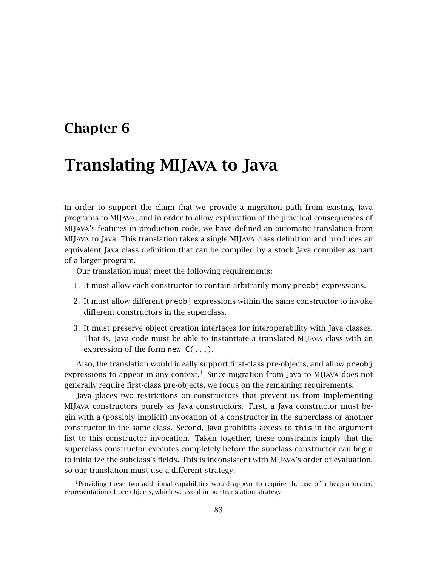# Chapter 6

# Translating MIJava to Java

In order to support the claim that we provide a migration path from existing Java programs to MIJava, and in order to allow exploration of the practical consequences of MIJava's features in production code, we have defined an automatic translation from MIJava to Java. This translation takes a single MIJava class definition and produces an equivalent Java class definition that can be compiled by a stock Java compiler as part of a larger program.

Our translation must meet the following requirements:

- 1. It must allow each constructor to contain arbitrarily many preobj expressions.
- 2. It must allow different preobj expressions within the same constructor to invoke different constructors in the superclass.
- 3. It must preserve object creation interfaces for interoperability with Java classes. That is, Java code must be able to instantiate a translated MIJava class with an expression of the form new  $C(\ldots)$ .

Also, the translation would ideally support first-class pre-objects, and allow preobj expressions to appear in any context.<sup>1</sup> Since migration from Java to MIJAVA does not generally require first-class pre-objects, we focus on the remaining requirements.

Java places two restrictions on constructors that prevent us from implementing MIJava constructors purely as Java constructors. First, a Java constructor must begin with a (possibly implicit) invocation of a constructor in the superclass or another constructor in the same class. Second, Java prohibits access to this in the argument list to this constructor invocation. Taken together, these constraints imply that the superclass constructor executes completely before the subclass constructor can begin to initialize the subclass's fields. This is inconsistent with MIJava's order of evaluation, so our translation must use a different strategy.

 $1$ Providing these two additional capabilities would appear to require the use of a heap-allocated representation of pre-objects, which we avoid in our translation strategy.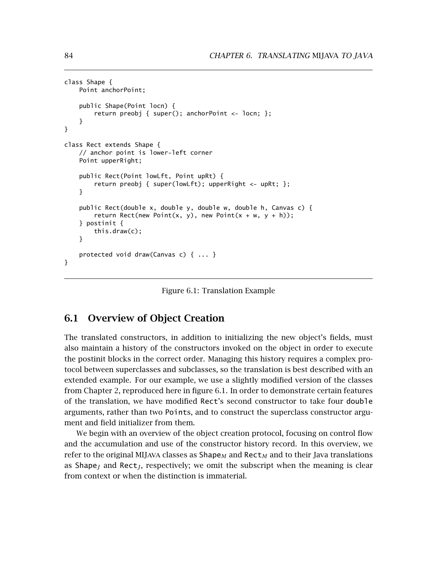```
class Shape {
    Point anchorPoint;
    public Shape(Point locn) {
        return preobj { super(); anchorPoint <- locn; };
    }
}
class Rect extends Shape {
    // anchor point is lower-left corner
    Point upperRight;
    public Rect(Point lowLft, Point upRt) {
        return preobj { super(lowLft); upperRight <- upRt; };
    }
    public Rect(double x, double y, double w, double h, Canvas c) {
        return Rect(new Point(x, y), new Point(x + w, y + h));
    } postinit {
        this.draw(c);
    }
    protected void draw(Canvas c) { ... }
}
```
Figure 6.1: Translation Example

## 6.1 Overview of Object Creation

The translated constructors, in addition to initializing the new object's fields, must also maintain a history of the constructors invoked on the object in order to execute the postinit blocks in the correct order. Managing this history requires a complex protocol between superclasses and subclasses, so the translation is best described with an extended example. For our example, we use a slightly modified version of the classes from Chapter 2, reproduced here in figure 6.1. In order to demonstrate certain features of the translation, we have modified Rect's second constructor to take four double arguments, rather than two Points, and to construct the superclass constructor argument and field initializer from them.

We begin with an overview of the object creation protocol, focusing on control flow and the accumulation and use of the constructor history record. In this overview, we refer to the original MIJAVA classes as Shape<sub>M</sub> and Rect<sub>M</sub> and to their Java translations as Shape<sub>*I*</sub> and Rect<sub>*I*</sub>, respectively; we omit the subscript when the meaning is clear from context or when the distinction is immaterial.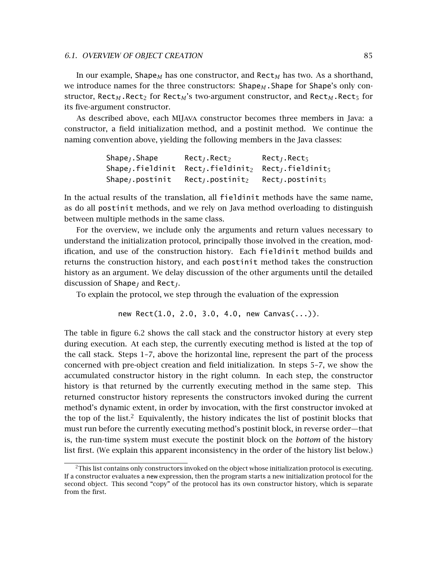#### 6.1. OVERVIEW OF OBJECT CREATION 85

In our example, Shape<sub>M</sub> has one constructor, and Rect<sub>M</sub> has two. As a shorthand, we introduce names for the three constructors: Shape<sub>M</sub>. Shape for Shape's only constructor, Rect<sub>*M*</sub> .Rect<sub>2</sub> for Rect<sub>*M*</sub>'s two-argument constructor, and Rect<sub>*M*</sub> .Rect<sub>5</sub> for its five-argument constructor.

As described above, each MIJava constructor becomes three members in Java: a constructor, a field initialization method, and a postinit method. We continue the naming convention above, yielding the following members in the Java classes:

| Shape <sub>J</sub> . Shape | $\mathsf{Rect}_I$ . $\mathsf{Rect}_2$                                                                             | $\mathsf{Rect}_I$ .Rect $_5$ |
|----------------------------|-------------------------------------------------------------------------------------------------------------------|------------------------------|
|                            | Shape <sub>I</sub> .fieldinit Rect <sub>I</sub> .fieldinit <sub>2</sub> Rect <sub>I</sub> .fieldinit <sub>5</sub> |                              |
| $Shape_J$ .postinit        | $RectI$ postinit <sub>2</sub> Rect <sub>I</sub> postinit <sub>5</sub>                                             |                              |

In the actual results of the translation, all fieldinit methods have the same name, as do all postinit methods, and we rely on Java method overloading to distinguish between multiple methods in the same class.

For the overview, we include only the arguments and return values necessary to understand the initialization protocol, principally those involved in the creation, modification, and use of the construction history. Each fieldinit method builds and returns the construction history, and each postinit method takes the construction history as an argument. We delay discussion of the other arguments until the detailed discussion of Shape*<sup>J</sup>* and Rect*<sup>J</sup>* .

To explain the protocol, we step through the evaluation of the expression

new Rect(1.0, 2.0, 3.0, 4.0, new Canvas(...))*.*

The table in figure 6.2 shows the call stack and the constructor history at every step during execution. At each step, the currently executing method is listed at the top of the call stack. Steps 1–7, above the horizontal line, represent the part of the process concerned with pre-object creation and field initialization. In steps 5–7, we show the accumulated constructor history in the right column. In each step, the constructor history is that returned by the currently executing method in the same step. This returned constructor history represents the constructors invoked during the current method's dynamic extent, in order by invocation, with the first constructor invoked at the top of the list.<sup>2</sup> Equivalently, the history indicates the list of postinit blocks that must run before the currently executing method's postinit block, in reverse order—that is, the run-time system must execute the postinit block on the *bottom* of the history list first. (We explain this apparent inconsistency in the order of the history list below.)

<sup>&</sup>lt;sup>2</sup>This list contains only constructors invoked on the object whose initialization protocol is executing. If a constructor evaluates a new expression, then the program starts a new initialization protocol for the second object. This second "copy" of the protocol has its own constructor history, which is separate from the first.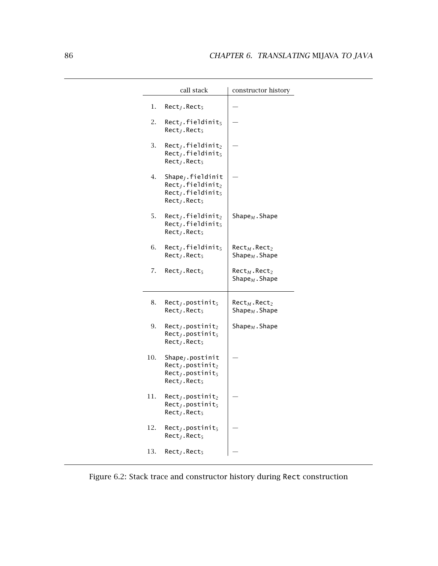|     | call stack                                                                                                                     | constructor history                                |
|-----|--------------------------------------------------------------------------------------------------------------------------------|----------------------------------------------------|
| 1.  | $Rect_J$ . $Rect_5$                                                                                                            |                                                    |
| 2.  | $\mathsf{Rect}_J.\mathsf{fieldinit}_5$<br>$RectJ$ . Rect <sub>5</sub>                                                          |                                                    |
| 3.  | $\mathsf{Rect}_J$ .fieldinit <sub>2</sub><br>$Rect_J$ .fieldinit <sub>5</sub><br>$RectJ$ . Rect <sub>5</sub>                   |                                                    |
| 4.  | $Shape_J$ .fieldinit<br>$Rect_J$ . fieldinit <sub>2</sub><br>$Rect_J$ . fieldinit $_5$<br>$\mathsf{Rect}_I$ .Rect <sub>5</sub> |                                                    |
| 5.  | $Rect_J$ .fieldinit <sub>2</sub><br>$Rect_J$ .fieldinit <sub>5</sub><br>$RectI$ .Rect <sub>5</sub>                             | Shape $_M$ . Shape                                 |
| 6.  | $Rect_J$ .fieldinit $_5$<br>$Rect_J$ . Rect <sub>5</sub>                                                                       | $\mathsf{Rect}_M$ .Rect $_2$<br>Shape $_M$ . Shape |
| 7.  | $Rect_J$ .Rect <sub>5</sub>                                                                                                    | $Rect_M$ . $Rect_2$<br>Shape $_M$ . Shape          |
| 8.  | $\mathsf{Rect}_J.\mathsf{postinit}_5$<br>$Rect_J$ . Rect <sub>5</sub>                                                          | $Rect_M$ .Rect <sub>2</sub><br>$Shape_M$ . Shape   |
| 9.  | $\mathsf{Rect}_J.\mathsf{postinit}_2$<br>$\mathsf{Rect}_J.\mathsf{postinit}_5$<br>$Rect_J$ .Rect <sub>5</sub>                  | Shape $_M$ . Shape                                 |
| 10. | $Shape_J$ .postinit<br>$\mathsf{Rect}_J.\mathsf{postinit}_2$<br>$Rect_J$ .postinit $_5$<br>$Rect_J$ . Rect <sub>5</sub>        |                                                    |
| 11. | $\mathsf{Rect}_J.\mathsf{postinit}_2$<br>$\mathsf{Rect}_I.\mathsf{postinit}_5$<br>$Rect_J$ . Rect <sub>5</sub>                 |                                                    |
| 12. | $RectI$ .postinit <sub>5</sub><br>$Rect_J$ . Rect <sub>5</sub>                                                                 |                                                    |
| 13. | $Rect_J$ . Rect <sub>5</sub>                                                                                                   |                                                    |

Figure 6.2: Stack trace and constructor history during Rect construction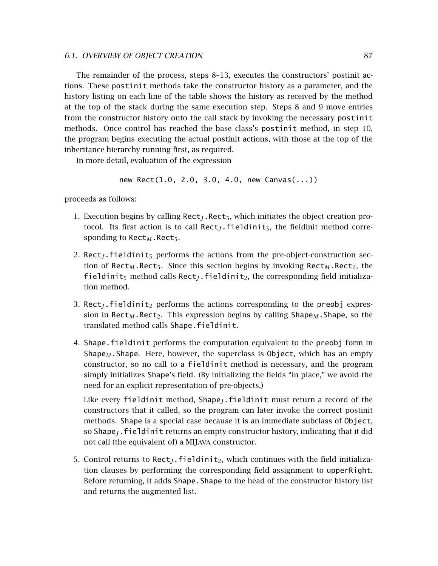#### 6.1. OVERVIEW OF OBJECT CREATION 87

The remainder of the process, steps 8–13, executes the constructors' postinit actions. These postinit methods take the constructor history as a parameter, and the history listing on each line of the table shows the history as received by the method at the top of the stack during the same execution step. Steps 8 and 9 move entries from the constructor history onto the call stack by invoking the necessary postinit methods. Once control has reached the base class's postinit method, in step 10, the program begins executing the actual postinit actions, with those at the top of the inheritance hierarchy running first, as required.

In more detail, evaluation of the expression

```
new Rect(1.0, 2.0, 3.0, 4.0, new Canvas(...))
```
proceeds as follows:

- 1. Execution begins by calling  $\text{Rect}_1$ . Rect<sub>5</sub>, which initiates the object creation protocol. Its first action is to call  $\text{Rect}_J$ . fieldinit<sub>5</sub>, the fieldinit method corresponding to  $\text{Rect}_M$ . Rect<sub>5</sub>.
- 2. Rect<sub>*I*</sub>.fieldinit<sub>5</sub> performs the actions from the pre-object-construction section of Rect<sub>*M*</sub> .Rect<sub>5</sub>. Since this section begins by invoking Rect<sub>*M*</sub> .Rect<sub>2</sub>, the fieldinit<sub>5</sub> method calls  $\text{Rect}_1$ . fieldinit<sub>2</sub>, the corresponding field initialization method.
- 3. Rect<sub>*I*</sub>.fieldinit<sub>2</sub> performs the actions corresponding to the preobj expression in Rect<sub>M</sub>. Rect<sub>2</sub>. This expression begins by calling  $Shape_M$ . Shape, so the translated method calls Shape.fieldinit.
- 4. Shape.fieldinit performs the computation equivalent to the preobj form in Shape*<sup>M</sup>* .Shape. Here, however, the superclass is Object, which has an empty constructor, so no call to a fieldinit method is necessary, and the program simply initializes Shape's field. (By initializing the fields "in place," we avoid the need for an explicit representation of pre-objects.)

Like every fieldinit method, Shape<sub>*I*</sub>.fieldinit must return a record of the constructors that it called, so the program can later invoke the correct postinit methods. Shape is a special case because it is an immediate subclass of Object, so Shape*J*.fieldinit returns an empty constructor history, indicating that it did not call (the equivalent of) a MIJava constructor.

5. Control returns to  $\text{Rect}_I$ . fieldinit<sub>2</sub>, which continues with the field initialization clauses by performing the corresponding field assignment to upperRight. Before returning, it adds Shape.Shape to the head of the constructor history list and returns the augmented list.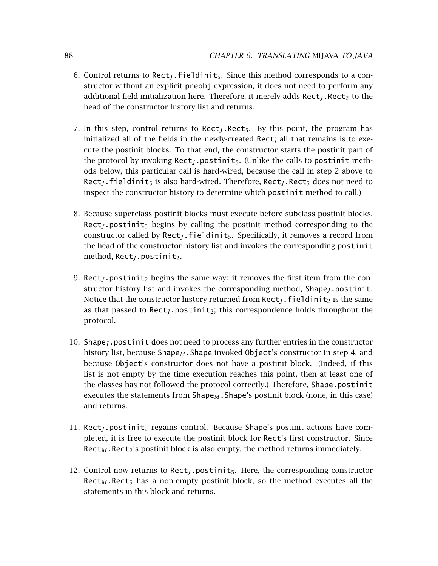- 6. Control returns to Rect<sub>*I*</sub>. fieldinit<sub>5</sub>. Since this method corresponds to a constructor without an explicit preobj expression, it does not need to perform any additional field initialization here. Therefore, it merely adds Rect<sub>*I*</sub>.Rect<sub>2</sub> to the head of the constructor history list and returns.
- 7. In this step, control returns to  $Rect<sub>I</sub>$ . Rect<sub>5</sub>. By this point, the program has initialized all of the fields in the newly-created Rect; all that remains is to execute the postinit blocks. To that end, the constructor starts the postinit part of the protocol by invoking  $\text{Rect}_J$ . postinit<sub>5</sub>. (Unlike the calls to postinit methods below, this particular call is hard-wired, because the call in step 2 above to Rect<sub>*I*</sub>. fieldinit<sub>5</sub> is also hard-wired. Therefore, Rect<sub>*I*</sub>. Rect<sub>5</sub> does not need to inspect the constructor history to determine which postinit method to call.)
- 8. Because superclass postinit blocks must execute before subclass postinit blocks,  $Rect<sub>I</sub>$  postinit<sub>5</sub> begins by calling the postinit method corresponding to the constructor called by Rect<sub>*I*</sub>.fieldinit<sub>5</sub>. Specifically, it removes a record from the head of the constructor history list and invokes the corresponding postinit method, Rect<sub>*I*</sub>.postinit<sub>2</sub>.
- 9. Rect<sub>*I*</sub>.postinit<sub>2</sub> begins the same way: it removes the first item from the constructor history list and invokes the corresponding method, Shape<sub>*I*</sub>.postinit. Notice that the constructor history returned from  $\text{Rect}_I$ . fieldinit<sub>2</sub> is the same as that passed to  $\text{Rect}_1$ .postinit<sub>2</sub>; this correspondence holds throughout the protocol.
- 10. Shape*J*.postinit does not need to process any further entries in the constructor history list, because Shape<sub>M</sub> . Shape invoked Object's constructor in step 4, and because Object's constructor does not have a postinit block. (Indeed, if this list is not empty by the time execution reaches this point, then at least one of the classes has not followed the protocol correctly.) Therefore, Shape.postinit executes the statements from Shape<sub>M</sub>. Shape's postinit block (none, in this case) and returns.
- 11. Rect<sub>*I*</sub>.postinit<sub>2</sub> regains control. Because Shape's postinit actions have completed, it is free to execute the postinit block for Rect's first constructor. Since  $Rect_M$ . Rect<sub>2</sub>'s postinit block is also empty, the method returns immediately.
- 12. Control now returns to Rect<sub>*I*</sub>.postinit<sub>5</sub>. Here, the corresponding constructor  $Rect_M$  . Rect<sub>5</sub> has a non-empty postinit block, so the method executes all the statements in this block and returns.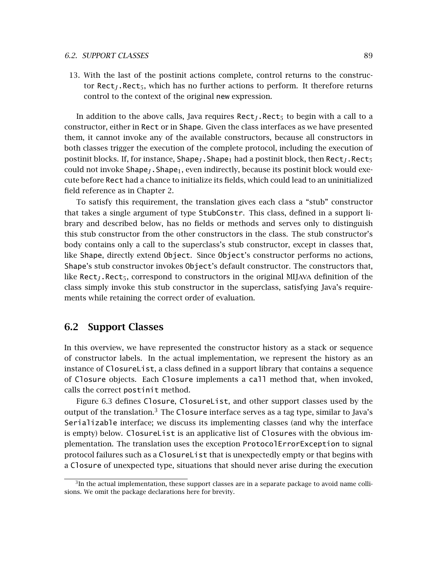#### 6.2. SUPPORT CLASSES 89

13. With the last of the postinit actions complete, control returns to the constructor Rect<sub>*I*</sub>.Rect<sub>5</sub>, which has no further actions to perform. It therefore returns control to the context of the original new expression.

In addition to the above calls, Java requires  $\text{Rect}_I$ . Rect<sub>5</sub> to begin with a call to a constructor, either in Rect or in Shape. Given the class interfaces as we have presented them, it cannot invoke any of the available constructors, because all constructors in both classes trigger the execution of the complete protocol, including the execution of postinit blocks. If, for instance,  $Shape<sub>I</sub>$ . Shape<sub>1</sub> had a postinit block, then Rect<sub>*I*</sub>. Rect<sub>5</sub> could not invoke Shape<sub>*I*</sub>. Shape<sub>1</sub>, even indirectly, because its postinit block would execute before Rect had a chance to initialize its fields, which could lead to an uninitialized field reference as in Chapter 2.

To satisfy this requirement, the translation gives each class a "stub" constructor that takes a single argument of type StubConstr. This class, defined in a support library and described below, has no fields or methods and serves only to distinguish this stub constructor from the other constructors in the class. The stub constructor's body contains only a call to the superclass's stub constructor, except in classes that, like Shape, directly extend Object. Since Object's constructor performs no actions, Shape's stub constructor invokes Object's default constructor. The constructors that, like Rect<sub>*J*</sub>. Rect<sub>5</sub>, correspond to constructors in the original MIJAVA definition of the class simply invoke this stub constructor in the superclass, satisfying Java's requirements while retaining the correct order of evaluation.

## 6.2 Support Classes

In this overview, we have represented the constructor history as a stack or sequence of constructor labels. In the actual implementation, we represent the history as an instance of ClosureList, a class defined in a support library that contains a sequence of Closure objects. Each Closure implements a call method that, when invoked, calls the correct postinit method.

Figure 6.3 defines Closure, ClosureList, and other support classes used by the output of the translation.<sup>3</sup> The Closure interface serves as a tag type, similar to Java's Serializable interface; we discuss its implementing classes (and why the interface is empty) below. ClosureList is an applicative list of Closures with the obvious implementation. The translation uses the exception ProtocolErrorException to signal protocol failures such as a ClosureList that is unexpectedly empty or that begins with a Closure of unexpected type, situations that should never arise during the execution

 $3$ In the actual implementation, these support classes are in a separate package to avoid name collisions. We omit the package declarations here for brevity.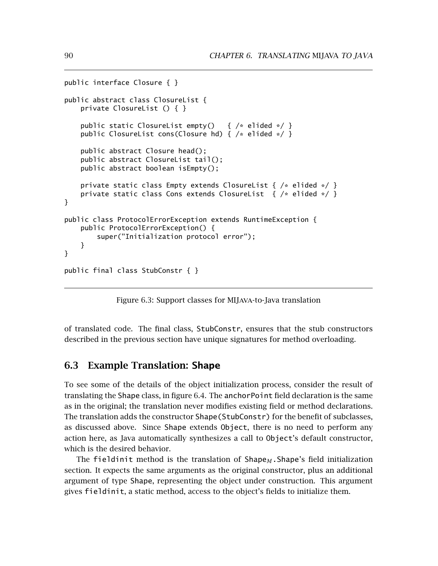```
public interface Closure { }
public abstract class ClosureList {
   private ClosureList () { }
   public static ClosureList empty() { /* elided */ }
   public ClosureList cons(Closure hd) { /* elided */ }
   public abstract Closure head();
   public abstract ClosureList tail();
   public abstract boolean isEmpty();
   private static class Empty extends ClosureList { /* elided */ }
   private static class Cons extends ClosureList { /* elided */ }
}
public class ProtocolErrorException extends RuntimeException {
   public ProtocolErrorException() {
        super("Initialization protocol error");
   }
}
public final class StubConstr { }
```
Figure 6.3: Support classes for MIJava-to-Java translation

of translated code. The final class, StubConstr, ensures that the stub constructors described in the previous section have unique signatures for method overloading.

## 6.3 Example Translation: **Shape**

To see some of the details of the object initialization process, consider the result of translating the Shape class, in figure 6.4. The anchorPoint field declaration is the same as in the original; the translation never modifies existing field or method declarations. The translation adds the constructor Shape(StubConstr) for the benefit of subclasses, as discussed above. Since Shape extends Object, there is no need to perform any action here, as Java automatically synthesizes a call to Object's default constructor, which is the desired behavior.

The fieldinit method is the translation of Shape<sub>M</sub>. Shape's field initialization section. It expects the same arguments as the original constructor, plus an additional argument of type Shape, representing the object under construction. This argument gives fieldinit, a static method, access to the object's fields to initialize them.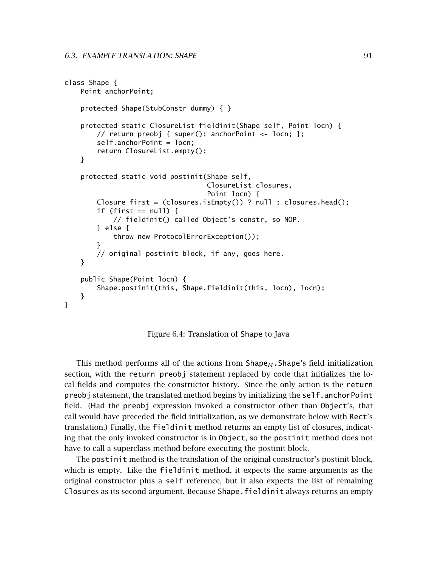```
class Shape {
   Point anchorPoint;
   protected Shape(StubConstr dummy) { }
   protected static ClosureList fieldinit(Shape self, Point locn) {
        // return preobj { super(); anchorPoint <- locn; };
        self.anchorPoint = locn;
        return ClosureList.empty();
   }
   protected static void postinit(Shape self,
                                   ClosureList closures,
                                   Point locn) {
       Closure first = (closures.isEmpty()) ? null : closures.head();
        if (first == null) {
            // fieldinit() called Object's constr, so NOP.
        } else {
            throw new ProtocolErrorException());
        }
        // original postinit block, if any, goes here.
   }
   public Shape(Point locn) {
        Shape.postinit(this, Shape.fieldinit(this, locn), locn);
   }
}
```
Figure 6.4: Translation of Shape to Java

This method performs all of the actions from Shape<sub>M</sub>. Shape's field initialization section, with the return preobj statement replaced by code that initializes the local fields and computes the constructor history. Since the only action is the return preobj statement, the translated method begins by initializing the self.anchorPoint field. (Had the preobj expression invoked a constructor other than Object's, that call would have preceded the field initialization, as we demonstrate below with Rect's translation.) Finally, the fieldinit method returns an empty list of closures, indicating that the only invoked constructor is in Object, so the postinit method does not have to call a superclass method before executing the postinit block.

The postinit method is the translation of the original constructor's postinit block, which is empty. Like the fieldinit method, it expects the same arguments as the original constructor plus a self reference, but it also expects the list of remaining Closures as its second argument. Because Shape.fieldinit always returns an empty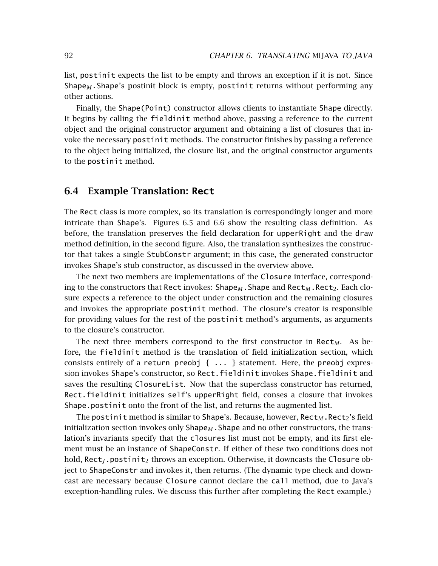list, postinit expects the list to be empty and throws an exception if it is not. Since Shape*<sup>M</sup>* .Shape's postinit block is empty, postinit returns without performing any other actions.

Finally, the Shape(Point) constructor allows clients to instantiate Shape directly. It begins by calling the fieldinit method above, passing a reference to the current object and the original constructor argument and obtaining a list of closures that invoke the necessary postinit methods. The constructor finishes by passing a reference to the object being initialized, the closure list, and the original constructor arguments to the postinit method.

## 6.4 Example Translation: **Rect**

The Rect class is more complex, so its translation is correspondingly longer and more intricate than Shape's. Figures 6.5 and 6.6 show the resulting class definition. As before, the translation preserves the field declaration for upperRight and the draw method definition, in the second figure. Also, the translation synthesizes the constructor that takes a single StubConstr argument; in this case, the generated constructor invokes Shape's stub constructor, as discussed in the overview above.

The next two members are implementations of the Closure interface, corresponding to the constructors that Rect invokes:  $Shape_M$ . Shape and  $Rect_M$ . Rect<sub>2</sub>. Each closure expects a reference to the object under construction and the remaining closures and invokes the appropriate postinit method. The closure's creator is responsible for providing values for the rest of the postinit method's arguments, as arguments to the closure's constructor.

The next three members correspond to the first constructor in  $Rect_M$ . As before, the fieldinit method is the translation of field initialization section, which consists entirely of a return preobj  $\{ \ldots \}$  statement. Here, the preobj expression invokes Shape's constructor, so Rect.fieldinit invokes Shape.fieldinit and saves the resulting ClosureList. Now that the superclass constructor has returned, Rect.fieldinit initializes self's upperRight field, conses a closure that invokes Shape.postinit onto the front of the list, and returns the augmented list.

The postinit method is similar to Shape's. Because, however, Rect<sub>N</sub>. Rect<sub>2</sub>'s field initialization section invokes only  $Shape_M$ . Shape and no other constructors, the translation's invariants specify that the closures list must not be empty, and its first element must be an instance of ShapeConstr. If either of these two conditions does not hold, Rect<sub>*I*</sub>.postinit<sub>2</sub> throws an exception. Otherwise, it downcasts the Closure object to ShapeConstr and invokes it, then returns. (The dynamic type check and downcast are necessary because Closure cannot declare the call method, due to Java's exception-handling rules. We discuss this further after completing the Rect example.)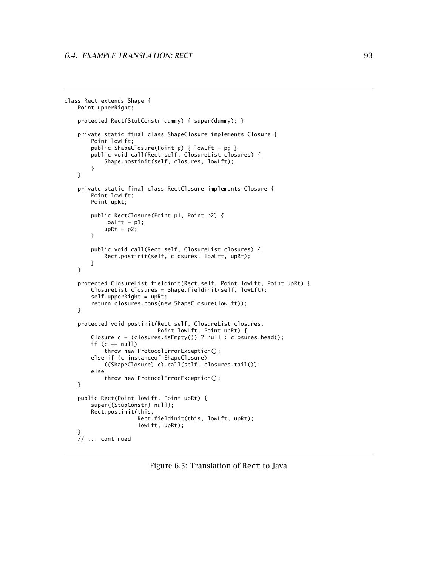```
class Rect extends Shape {
    Point upperRight;
    protected Rect(StubConstr dummy) { super(dummy); }
    private static final class ShapeClosure implements Closure {
        Point lowLft;
        public ShapeClosure(Point p) { lowLft = p; }
        public void call(Rect self, ClosureList closures) {
            Shape.postinit(self, closures, lowLft);
        }
   }
    private static final class RectClosure implements Closure {
        Point lowLft;
        Point upRt;
        public RectClosure(Point p1, Point p2) {
            lowLft = p1;upRt = p2;}
        public void call(Rect self, ClosureList closures) {
            Rect.postinit(self, closures, lowLft, upRt);
        }
   }
    protected ClosureList fieldinit(Rect self, Point lowLft, Point upRt) {
        ClosureList closures = Shape.fieldinit(self, lowLft);
        self.upperRight = upRt;
        return closures.cons(new ShapeClosure(lowLft));
    }
    protected void postinit(Rect self, ClosureList closures,
                            Point lowLft, Point upRt) {
        Closure c = (closures.isEmpty()) ? null : closures.head();
        if (c == null)throw new ProtocolErrorException();
        else if (c instanceof ShapeClosure)
            ((ShapeClosure) c).call(self, closures.tail());
        else
            throw new ProtocolErrorException();
   }
    public Rect(Point lowLft, Point upRt) {
        super((StubConstr) null);
        Rect.postinit(this,
                      Rect.fieldinit(this, lowLft, upRt);
                      lowLft, upRt);
    }
    // ... continued
```
Figure 6.5: Translation of Rect to Java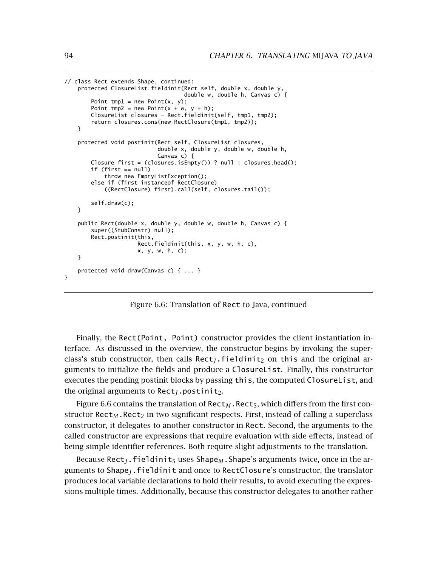```
// class Rect extends Shape, continued:
    protected ClosureList fieldinit(Rect self, double x, double y,
                                    double w, double h, Canvas c) {
        Point tmp1 = new Point(x, y);Point tmp2 = new Point(x + w, y + h);
        ClosureList closures = Rect.fieldinit(self, tmp1, tmp2);
        return closures.cons(new RectClosure(tmp1, tmp2));
    }
    protected void postinit(Rect self, ClosureList closures,
                            double x, double y, double w, double h,
                            Canvas c) {
        Closure first = (closures.isEmpty()) ? null : closures.head();if (first == null)
            throw new EmptyListException();
        else if (first instanceof RectClosure)
            ((RectClosure) first).call(self, closures.tail());
        self.draw(c);
    }
    public Rect(double x, double y, double w, double h, Canvas c) {
        super((StubConstr) null);
        Rect.postinit(this,
                      Rect.fieldinit(this, x, y, w, h, c),
                      x, y, w, h, c);
   }
    protected void draw(Canvas c) { ... }
}
```
Figure 6.6: Translation of Rect to Java, continued

Finally, the Rect(Point, Point) constructor provides the client instantiation interface. As discussed in the overview, the constructor begins by invoking the superclass's stub constructor, then calls  $\text{Rect}_1$ . fieldinit<sub>2</sub> on this and the original arguments to initialize the fields and produce a ClosureList. Finally, this constructor executes the pending postinit blocks by passing this, the computed ClosureList, and the original arguments to  $\text{Rect}_I$ . postinit<sub>2</sub>.

Figure 6.6 contains the translation of  $\text{Rect}_M$ .  $\text{Rect}_5$ , which differs from the first constructor Rect<sub>*M*</sub>. Rect<sub>2</sub> in two significant respects. First, instead of calling a superclass constructor, it delegates to another constructor in Rect. Second, the arguments to the called constructor are expressions that require evaluation with side effects, instead of being simple identifier references. Both require slight adjustments to the translation.

Because Rect<sub>*I*</sub>. fieldinit<sub>5</sub> uses Shape<sub>M</sub>. Shape's arguments twice, once in the arguments to Shape*J*.fieldinit and once to RectClosure's constructor, the translator produces local variable declarations to hold their results, to avoid executing the expressions multiple times. Additionally, because this constructor delegates to another rather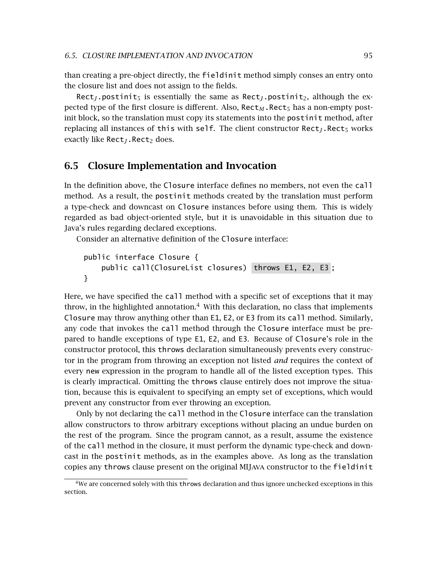than creating a pre-object directly, the fieldinit method simply conses an entry onto the closure list and does not assign to the fields.

Rect<sub>*I*</sub>.postinit<sub>5</sub> is essentially the same as  $Rect_1$ .postinit<sub>2</sub>, although the expected type of the first closure is different. Also,  $Rect_M$ . Rect<sub>5</sub> has a non-empty postinit block, so the translation must copy its statements into the postinit method, after replacing all instances of this with self. The client constructor  $Rect_1$ . Rect<sub>5</sub> works exactly like Rect<sub>*I*</sub>. Rect<sub>2</sub> does.

# 6.5 Closure Implementation and Invocation

In the definition above, the Closure interface defines no members, not even the call method. As a result, the postinit methods created by the translation must perform a type-check and downcast on Closure instances before using them. This is widely regarded as bad object-oriented style, but it is unavoidable in this situation due to Java's rules regarding declared exceptions.

Consider an alternative definition of the Closure interface:

```
public interface Closure {
    public call(ClosureList closures) throws E1, E2, E3 ;
}
```
Here, we have specified the call method with a specific set of exceptions that it may throw, in the highlighted annotation.<sup>4</sup> With this declaration, no class that implements Closure may throw anything other than E1, E2, or E3 from its call method. Similarly, any code that invokes the call method through the Closure interface must be prepared to handle exceptions of type E1, E2, and E3. Because of Closure's role in the constructor protocol, this throws declaration simultaneously prevents every constructor in the program from throwing an exception not listed *and* requires the context of every new expression in the program to handle all of the listed exception types. This is clearly impractical. Omitting the throws clause entirely does not improve the situation, because this is equivalent to specifying an empty set of exceptions, which would prevent any constructor from ever throwing an exception.

Only by not declaring the call method in the Closure interface can the translation allow constructors to throw arbitrary exceptions without placing an undue burden on the rest of the program. Since the program cannot, as a result, assume the existence of the call method in the closure, it must perform the dynamic type-check and downcast in the postinit methods, as in the examples above. As long as the translation copies any throws clause present on the original MIJava constructor to the fieldinit

<sup>&</sup>lt;sup>4</sup>We are concerned solely with this throws declaration and thus ignore unchecked exceptions in this section.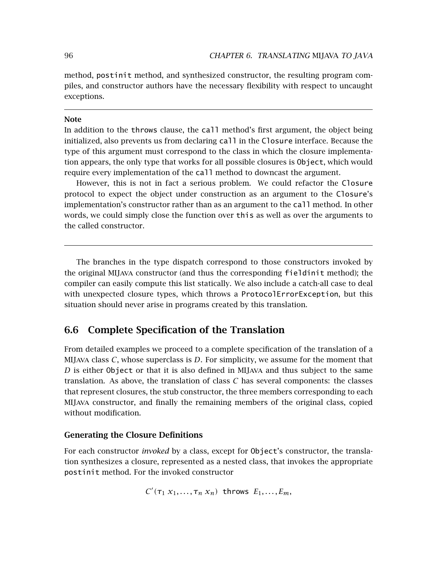method, postinit method, and synthesized constructor, the resulting program compiles, and constructor authors have the necessary flexibility with respect to uncaught exceptions.

## Note

In addition to the throws clause, the call method's first argument, the object being initialized, also prevents us from declaring call in the Closure interface. Because the type of this argument must correspond to the class in which the closure implementation appears, the only type that works for all possible closures is Object, which would require every implementation of the call method to downcast the argument.

However, this is not in fact a serious problem. We could refactor the Closure protocol to expect the object under construction as an argument to the Closure's implementation's constructor rather than as an argument to the call method. In other words, we could simply close the function over this as well as over the arguments to the called constructor.

The branches in the type dispatch correspond to those constructors invoked by the original MIJava constructor (and thus the corresponding fieldinit method); the compiler can easily compute this list statically. We also include a catch-all case to deal with unexpected closure types, which throws a ProtocolErrorException, but this situation should never arise in programs created by this translation.

# 6.6 Complete Specification of the Translation

From detailed examples we proceed to a complete specification of the translation of a MIJava class *C*, whose superclass is *D*. For simplicity, we assume for the moment that *D* is either Object or that it is also defined in MIJAVA and thus subject to the same translation. As above, the translation of class *C* has several components: the classes that represent closures, the stub constructor, the three members corresponding to each MIJava constructor, and finally the remaining members of the original class, copied without modification.

## Generating the Closure Definitions

For each constructor *invoked* by a class, except for Object's constructor, the translation synthesizes a closure, represented as a nested class, that invokes the appropriate postinit method. For the invoked constructor

$$
C'(\tau_1 x_1,\ldots,\tau_n x_n) \text{ throws } E_1,\ldots,E_m,
$$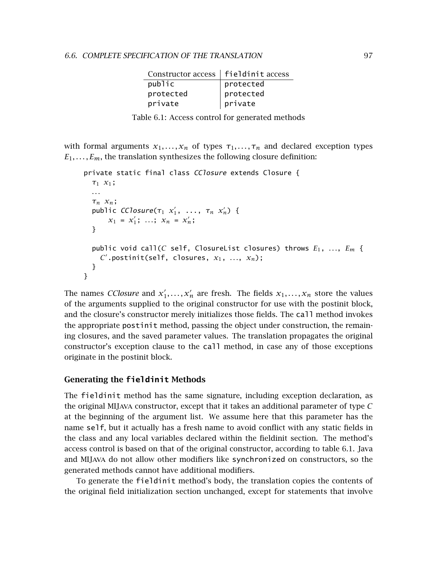| Constructor access   fieldinit access |           |
|---------------------------------------|-----------|
| public                                | protected |
| protected                             | protected |
| private                               | private   |

Table 6.1: Access control for generated methods

with formal arguments  $x_1, \ldots, x_n$  of types  $\tau_1, \ldots, \tau_n$  and declared exception types  $E_1, \ldots, E_m$ , the translation synthesizes the following closure definition:

```
private static final class CClosure extends Closure {
  τ1 x1;
  . . .
  τn xn;
  public CClosure(τ<sub>1</sub> x'_1, ..., τ<sub>n</sub> x'_n) {
       x_1 = x'_1; \ldots; x_n = x'_n;}
  public void call(C self, ClosureList closures) throws E_1, ..., E_m {
     C'.postinit(self, closures, x_1, ..., x_n);
  }
}
```
The names *CClosure* and  $x'_1, \ldots, x'_n$  are fresh. The fields  $x_1, \ldots, x_n$  store the values of the arguments supplied to the original constructor for use with the postinit block, and the closure's constructor merely initializes those fields. The call method invokes the appropriate postinit method, passing the object under construction, the remaining closures, and the saved parameter values. The translation propagates the original constructor's exception clause to the call method, in case any of those exceptions originate in the postinit block.

### Generating the **fieldinit** Methods

The fieldinit method has the same signature, including exception declaration, as the original MIJava constructor, except that it takes an additional parameter of type *C* at the beginning of the argument list. We assume here that this parameter has the name self, but it actually has a fresh name to avoid conflict with any static fields in the class and any local variables declared within the fieldinit section. The method's access control is based on that of the original constructor, according to table 6.1. Java and MIJava do not allow other modifiers like synchronized on constructors, so the generated methods cannot have additional modifiers.

To generate the fieldinit method's body, the translation copies the contents of the original field initialization section unchanged, except for statements that involve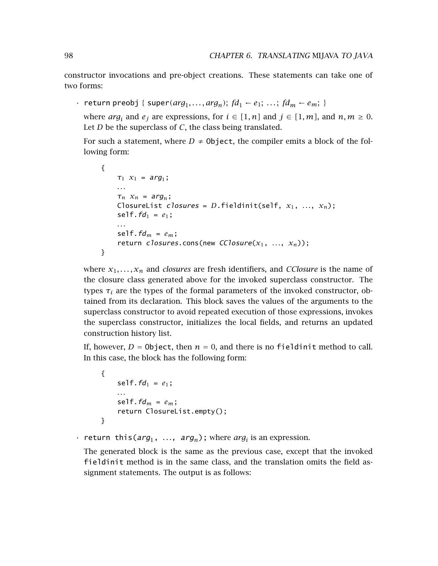constructor invocations and pre-object creations. These statements can take one of two forms:

 $\cdot$  return preobj { super(*arg*<sub>1</sub>,...,*arg*<sub>n</sub>);  $fd_1 \leftarrow e_1$ ; ...;  $fd_m \leftarrow e_m$ ; }

where  $arg_i$  and  $e_j$  are expressions, for  $i \in [1, n]$  and  $j \in [1, m]$ , and  $n, m \ge 0$ . Let *D* be the superclass of *C*, the class being translated.

For such a statement, where  $D \neq 0$  bject, the compiler emits a block of the following form:

```
{
    \tau_1 x<sub>1</sub> = arg_1;
     . . .
    \tau_n x_n = arg_n;
    ClosureList closures = D.fieldinit(self, x_1, ..., x_n);
    self.fd_1 = e_1;. . .
    self.fd_m = e_m;
    return closures.cons(new CClosure(x1, . . ., xn));
}
```
where  $x_1, \ldots, x_n$  and *closures* are fresh identifiers, and *CClosure* is the name of the closure class generated above for the invoked superclass constructor. The types  $\tau_i$  are the types of the formal parameters of the invoked constructor, obtained from its declaration. This block saves the values of the arguments to the superclass constructor to avoid repeated execution of those expressions, invokes the superclass constructor, initializes the local fields, and returns an updated construction history list.

If, however,  $D = 0$ bject, then  $n = 0$ , and there is no fieldinit method to call. In this case, the block has the following form:

```
{
    self.fd_1 = e_1;
    . . .
    self.fd_m = e_m;
    return ClosureList.empty();
}
```
 $\cdot$  return this( $arg_1$ , ...,  $arg_n$ ); where  $arg_i$  is an expression.

The generated block is the same as the previous case, except that the invoked fieldinit method is in the same class, and the translation omits the field assignment statements. The output is as follows: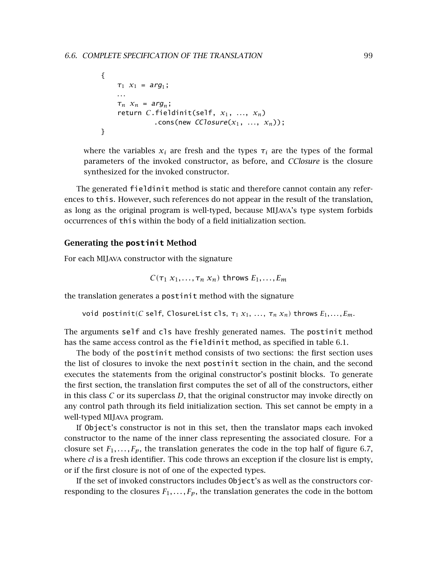```
{
     \tau_1 x<sub>1</sub> = arg<sub>1</sub>;
     . . .
     τn xn = argn;
     return C.fieldinit(self, x1, . . ., xn)
                  .cons(new CClosure(x_1, ..., x_n));
}
```
where the variables  $x_i$  are fresh and the types  $\tau_i$  are the types of the formal parameters of the invoked constructor, as before, and *CClosure* is the closure synthesized for the invoked constructor.

The generated fieldinit method is static and therefore cannot contain any references to this. However, such references do not appear in the result of the translation, as long as the original program is well-typed, because MIJava's type system forbids occurrences of this within the body of a field initialization section.

### Generating the **postinit** Method

For each MIJava constructor with the signature

$$
C(\tau_1 x_1,\ldots,\tau_n x_n)
$$
 throws  $E_1,\ldots,E_m$ 

the translation generates a postinit method with the signature

```
void postinit(C self, ClosureList cls, \tau_1 x_1, \ldots, \tau_n x_n) throws E_1, \ldots, E_m.
```
The arguments self and cls have freshly generated names. The postinit method has the same access control as the fieldinit method, as specified in table 6.1.

The body of the postinit method consists of two sections: the first section uses the list of closures to invoke the next postinit section in the chain, and the second executes the statements from the original constructor's postinit blocks. To generate the first section, the translation first computes the set of all of the constructors, either in this class *C* or its superclass *D*, that the original constructor may invoke directly on any control path through its field initialization section. This set cannot be empty in a well-typed MIJava program.

If Object's constructor is not in this set, then the translator maps each invoked constructor to the name of the inner class representing the associated closure. For a closure set  $F_1, \ldots, F_p$ , the translation generates the code in the top half of figure 6.7, where *cl* is a fresh identifier. This code throws an exception if the closure list is empty, or if the first closure is not of one of the expected types.

If the set of invoked constructors includes Object's as well as the constructors corresponding to the closures  $F_1, \ldots, F_p$ , the translation generates the code in the bottom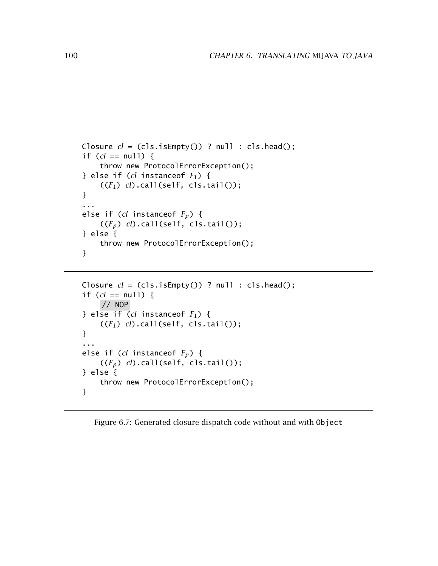```
Closure cl = (cls.isEmpty()) ? null : cls.head();
if (cl == null) {
    throw new ProtocolErrorException();
} else if (cl instanceof F1) {
    ((F1) cl).call(self, cls.tail());
}
...
else if (cl instanceof Fp) {
    ((Fp) cl).call(self, cls.tail());
} else {
    throw new ProtocolErrorException();
}
```

```
Closure cl = (cls.isEmpty()) ? null : cls.head();
if (cl == null) {
    // NOP
} else if (cl instanceof F_1) {
    ((F1) cl).call(self, cls.tail());
}
...
else if (cl instanceof Fp) {
    ((Fp) cl).call(self, cls.tail());
} else {
    throw new ProtocolErrorException();
}
```
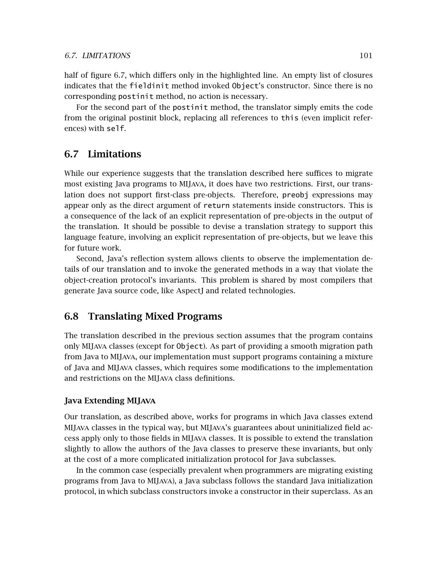half of figure 6.7, which differs only in the highlighted line. An empty list of closures indicates that the fieldinit method invoked Object's constructor. Since there is no corresponding postinit method, no action is necessary.

For the second part of the postinit method, the translator simply emits the code from the original postinit block, replacing all references to this (even implicit references) with self.

# 6.7 Limitations

While our experience suggests that the translation described here suffices to migrate most existing Java programs to MIJava, it does have two restrictions. First, our translation does not support first-class pre-objects. Therefore, preobj expressions may appear only as the direct argument of return statements inside constructors. This is a consequence of the lack of an explicit representation of pre-objects in the output of the translation. It should be possible to devise a translation strategy to support this language feature, involving an explicit representation of pre-objects, but we leave this for future work.

Second, Java's reflection system allows clients to observe the implementation details of our translation and to invoke the generated methods in a way that violate the object-creation protocol's invariants. This problem is shared by most compilers that generate Java source code, like AspectJ and related technologies.

# 6.8 Translating Mixed Programs

The translation described in the previous section assumes that the program contains only MIJava classes (except for Object). As part of providing a smooth migration path from Java to MIJava, our implementation must support programs containing a mixture of Java and MIJava classes, which requires some modifications to the implementation and restrictions on the MIJava class definitions.

## Java Extending MIJava

Our translation, as described above, works for programs in which Java classes extend MIJava classes in the typical way, but MIJava's guarantees about uninitialized field access apply only to those fields in MIJava classes. It is possible to extend the translation slightly to allow the authors of the Java classes to preserve these invariants, but only at the cost of a more complicated initialization protocol for Java subclasses.

In the common case (especially prevalent when programmers are migrating existing programs from Java to MIJava), a Java subclass follows the standard Java initialization protocol, in which subclass constructors invoke a constructor in their superclass. As an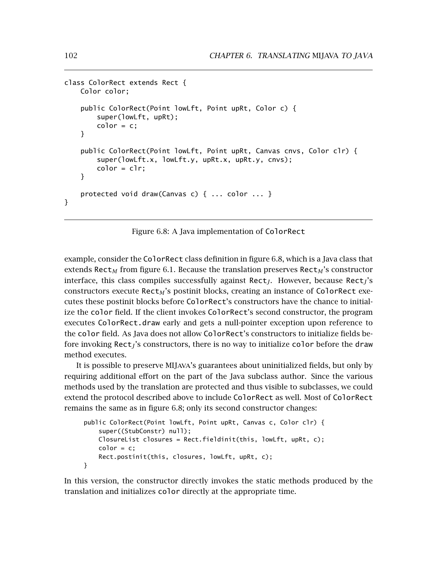```
class ColorRect extends Rect {
   Color color;
   public ColorRect(Point lowLft, Point upRt, Color c) {
        super(lowLft, upRt);
        color = c;}
   public ColorRect(Point lowLft, Point upRt, Canvas cnvs, Color clr) {
        super(lowLft.x, lowLft.y, upRt.x, upRt.y, cnvs);
        color = clr;}
   protected void draw(Canvas c) { ... color ... }
}
```
Figure 6.8: A Java implementation of ColorRect

example, consider the ColorRect class definition in figure 6.8, which is a Java class that extends Rect*<sup>M</sup>* from figure 6.1. Because the translation preserves Rect*<sup>M</sup>* 's constructor interface, this class compiles successfully against Rect*<sup>J</sup>* . However, because Rect*<sup>J</sup>* 's constructors execute Rect*<sup>M</sup>* 's postinit blocks, creating an instance of ColorRect executes these postinit blocks before ColorRect's constructors have the chance to initialize the color field. If the client invokes ColorRect's second constructor, the program executes ColorRect.draw early and gets a null-pointer exception upon reference to the color field. As Java does not allow ColorRect's constructors to initialize fields before invoking Rect*<sup>J</sup>* 's constructors, there is no way to initialize color before the draw method executes.

It is possible to preserve MIJava's guarantees about uninitialized fields, but only by requiring additional effort on the part of the Java subclass author. Since the various methods used by the translation are protected and thus visible to subclasses, we could extend the protocol described above to include ColorRect as well. Most of ColorRect remains the same as in figure 6.8; only its second constructor changes:

```
public ColorRect(Point lowLft, Point upRt, Canvas c, Color clr) {
    super((StubConstr) null);
    ClosureList closures = Rect.fieldinit(this, lowLft, upRt, c);
    color = c;Rect.postinit(this, closures, lowLft, upRt, c);
}
```
In this version, the constructor directly invokes the static methods produced by the translation and initializes color directly at the appropriate time.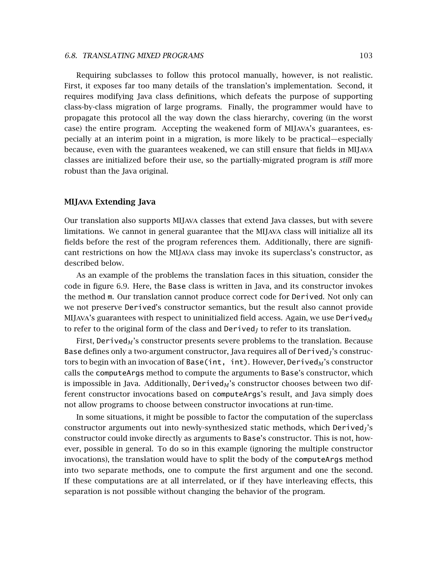#### 6.8. TRANSLATING MIXED PROGRAMS 103

Requiring subclasses to follow this protocol manually, however, is not realistic. First, it exposes far too many details of the translation's implementation. Second, it requires modifying Java class definitions, which defeats the purpose of supporting class-by-class migration of large programs. Finally, the programmer would have to propagate this protocol all the way down the class hierarchy, covering (in the worst case) the entire program. Accepting the weakened form of MIJava's guarantees, especially at an interim point in a migration, is more likely to be practical—especially because, even with the guarantees weakened, we can still ensure that fields in MIJava classes are initialized before their use, so the partially-migrated program is *still* more robust than the Java original.

### MIJava Extending Java

Our translation also supports MIJava classes that extend Java classes, but with severe limitations. We cannot in general guarantee that the MIJava class will initialize all its fields before the rest of the program references them. Additionally, there are significant restrictions on how the MIJava class may invoke its superclass's constructor, as described below.

As an example of the problems the translation faces in this situation, consider the code in figure 6.9. Here, the Base class is written in Java, and its constructor invokes the method m. Our translation cannot produce correct code for Derived. Not only can we not preserve Derived's constructor semantics, but the result also cannot provide MIJAVA's guarantees with respect to uninitialized field access. Again, we use  $Derived_M$ to refer to the original form of the class and  $Derived<sub>I</sub>$  to refer to its translation.

First, Derived*<sup>M</sup>* 's constructor presents severe problems to the translation. Because Base defines only a two-argument constructor, Java requires all of Derived*<sup>J</sup>* 's constructors to begin with an invocation of Base(int, int). However, Derived<sub>M</sub>'s constructor calls the computeArgs method to compute the arguments to Base's constructor, which is impossible in Java. Additionally, Derived*<sup>M</sup>* 's constructor chooses between two different constructor invocations based on computeArgs's result, and Java simply does not allow programs to choose between constructor invocations at run-time.

In some situations, it might be possible to factor the computation of the superclass constructor arguments out into newly-synthesized static methods, which Derived*<sup>J</sup>* 's constructor could invoke directly as arguments to Base's constructor. This is not, however, possible in general. To do so in this example (ignoring the multiple constructor invocations), the translation would have to split the body of the computeArgs method into two separate methods, one to compute the first argument and one the second. If these computations are at all interrelated, or if they have interleaving effects, this separation is not possible without changing the behavior of the program.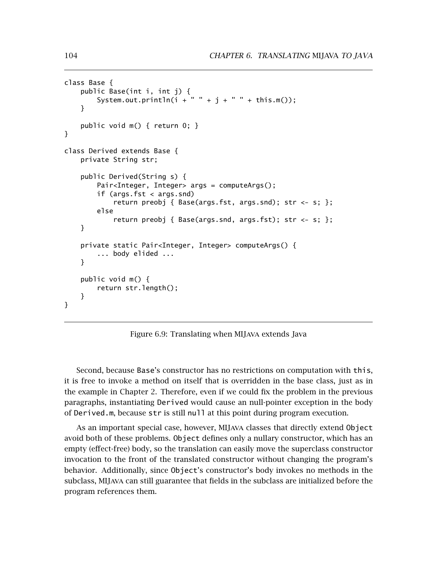```
class Base {
    public Base(int i, int j) {
        System.out.println(i + " " + j + " " + this.m());
    }
    public void m() { return 0; }
}
class Derived extends Base {
    private String str;
    public Derived(String s) {
        Pair<Integer, Integer> args = computeArgs();
        if (args.fst < args.snd)
            return preobj { Base(args.fst, args.snd); str <- s; };
        else
            return preobj { Base(args.snd, args.fst); str <- s; };
    }
    private static Pair<Integer, Integer> computeArgs() {
        ... body elided ...
    }
    public void m() {
        return str.length();
    }
}
```
Figure 6.9: Translating when MIJava extends Java

Second, because Base's constructor has no restrictions on computation with this, it is free to invoke a method on itself that is overridden in the base class, just as in the example in Chapter 2. Therefore, even if we could fix the problem in the previous paragraphs, instantiating Derived would cause an null-pointer exception in the body of Derived.m, because str is still null at this point during program execution.

As an important special case, however, MIJava classes that directly extend Object avoid both of these problems. Object defines only a nullary constructor, which has an empty (effect-free) body, so the translation can easily move the superclass constructor invocation to the front of the translated constructor without changing the program's behavior. Additionally, since Object's constructor's body invokes no methods in the subclass, MIJava can still guarantee that fields in the subclass are initialized before the program references them.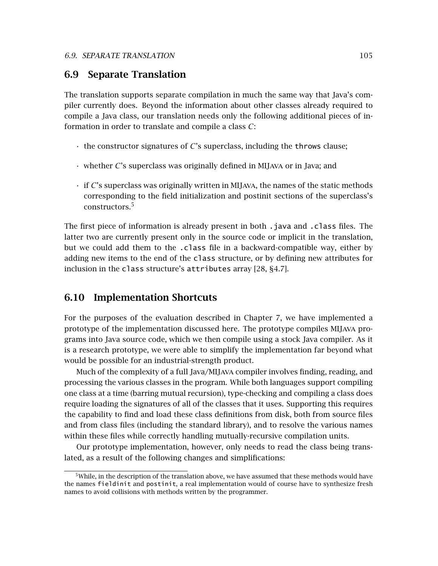## 6.9 Separate Translation

The translation supports separate compilation in much the same way that Java's compiler currently does. Beyond the information about other classes already required to compile a Java class, our translation needs only the following additional pieces of information in order to translate and compile a class *C*:

- the constructor signatures of *C*'s superclass, including the throws clause;
- whether *C*'s superclass was originally defined in MIJava or in Java; and
- if *C*'s superclass was originally written in MIJava, the names of the static methods corresponding to the field initialization and postinit sections of the superclass's constructors.<sup>5</sup>

The first piece of information is already present in both .java and .class files. The latter two are currently present only in the source code or implicit in the translation, but we could add them to the .class file in a backward-compatible way, either by adding new items to the end of the class structure, or by defining new attributes for inclusion in the class structure's attributes array [28, §4.7].

## 6.10 Implementation Shortcuts

For the purposes of the evaluation described in Chapter 7, we have implemented a prototype of the implementation discussed here. The prototype compiles MIJava programs into Java source code, which we then compile using a stock Java compiler. As it is a research prototype, we were able to simplify the implementation far beyond what would be possible for an industrial-strength product.

Much of the complexity of a full Java/MIJava compiler involves finding, reading, and processing the various classes in the program. While both languages support compiling one class at a time (barring mutual recursion), type-checking and compiling a class does require loading the signatures of all of the classes that it uses. Supporting this requires the capability to find and load these class definitions from disk, both from source files and from class files (including the standard library), and to resolve the various names within these files while correctly handling mutually-recursive compilation units.

Our prototype implementation, however, only needs to read the class being translated, as a result of the following changes and simplifications:

<sup>&</sup>lt;sup>5</sup>While, in the description of the translation above, we have assumed that these methods would have the names fieldinit and postinit, a real implementation would of course have to synthesize fresh names to avoid collisions with methods written by the programmer.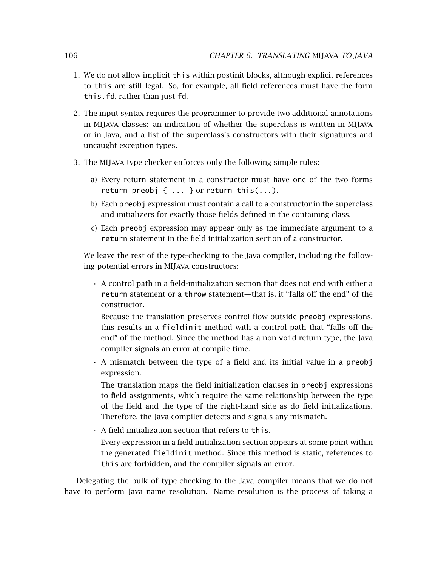- 1. We do not allow implicit this within postinit blocks, although explicit references to this are still legal. So, for example, all field references must have the form this.fd, rather than just fd.
- 2. The input syntax requires the programmer to provide two additional annotations in MIJava classes: an indication of whether the superclass is written in MIJava or in Java, and a list of the superclass's constructors with their signatures and uncaught exception types.
- 3. The MIJava type checker enforces only the following simple rules:
	- a) Every return statement in a constructor must have one of the two forms return preobj  $\{ \ldots \}$  or return this $(\ldots)$ .
	- b) Each preobj expression must contain a call to a constructor in the superclass and initializers for exactly those fields defined in the containing class.
	- c) Each preobj expression may appear only as the immediate argument to a return statement in the field initialization section of a constructor.

We leave the rest of the type-checking to the Java compiler, including the following potential errors in MIJava constructors:

• A control path in a field-initialization section that does not end with either a return statement or a throw statement—that is, it "falls off the end" of the constructor.

Because the translation preserves control flow outside preobj expressions, this results in a fieldinit method with a control path that "falls off the end" of the method. Since the method has a non-void return type, the Java compiler signals an error at compile-time.

• A mismatch between the type of a field and its initial value in a preobj expression.

The translation maps the field initialization clauses in preobj expressions to field assignments, which require the same relationship between the type of the field and the type of the right-hand side as do field initializations. Therefore, the Java compiler detects and signals any mismatch.

• A field initialization section that refers to this.

Every expression in a field initialization section appears at some point within the generated fieldinit method. Since this method is static, references to this are forbidden, and the compiler signals an error.

Delegating the bulk of type-checking to the Java compiler means that we do not have to perform Java name resolution. Name resolution is the process of taking a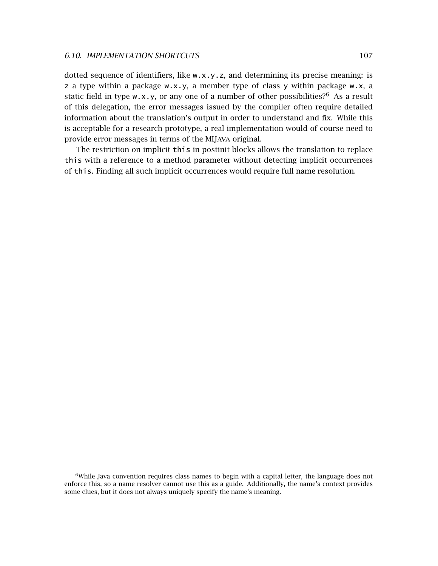dotted sequence of identifiers, like w.x.y.z, and determining its precise meaning: is z a type within a package w.x.y, a member type of class y within package w.x, a static field in type  $w.x.y$ , or any one of a number of other possibilities?<sup>6</sup> As a result of this delegation, the error messages issued by the compiler often require detailed information about the translation's output in order to understand and fix. While this is acceptable for a research prototype, a real implementation would of course need to provide error messages in terms of the MIJava original.

The restriction on implicit this in postinit blocks allows the translation to replace this with a reference to a method parameter without detecting implicit occurrences of this. Finding all such implicit occurrences would require full name resolution.

<sup>&</sup>lt;sup>6</sup>While Java convention requires class names to begin with a capital letter, the language does not enforce this, so a name resolver cannot use this as a guide. Additionally, the name's context provides some clues, but it does not always uniquely specify the name's meaning.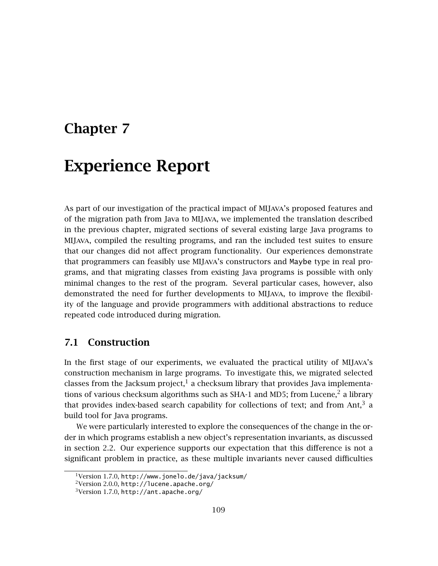# Chapter 7

# Experience Report

As part of our investigation of the practical impact of MIJava's proposed features and of the migration path from Java to MIJava, we implemented the translation described in the previous chapter, migrated sections of several existing large Java programs to MIJava, compiled the resulting programs, and ran the included test suites to ensure that our changes did not affect program functionality. Our experiences demonstrate that programmers can feasibly use MIJava's constructors and Maybe type in real programs, and that migrating classes from existing Java programs is possible with only minimal changes to the rest of the program. Several particular cases, however, also demonstrated the need for further developments to MIJava, to improve the flexibility of the language and provide programmers with additional abstractions to reduce repeated code introduced during migration.

## 7.1 Construction

In the first stage of our experiments, we evaluated the practical utility of MIJava's construction mechanism in large programs. To investigate this, we migrated selected classes from the Jacksum project,<sup>1</sup> a checksum library that provides Java implementations of various checksum algorithms such as SHA-1 and MD5; from Lucene,<sup>2</sup> a library that provides index-based search capability for collections of text; and from Ant,<sup>3</sup> a build tool for Java programs.

We were particularly interested to explore the consequences of the change in the order in which programs establish a new object's representation invariants, as discussed in section 2.2. Our experience supports our expectation that this difference is not a significant problem in practice, as these multiple invariants never caused difficulties

 $1$ Version 1.7.0, http://www.jonelo.de/java/jacksum/

<sup>2</sup>Version 2.0.0, http://lucene.apache.org/

<sup>3</sup>Version 1.7.0, http://ant.apache.org/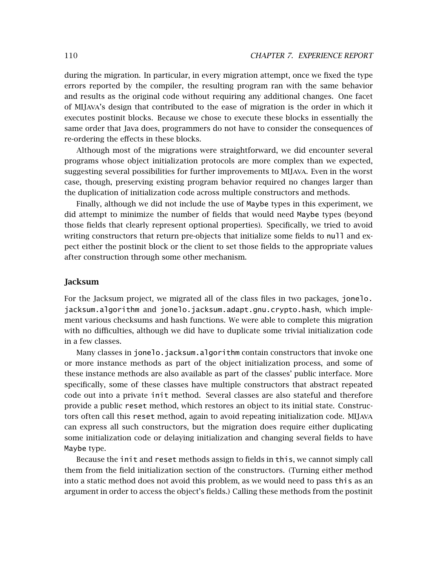during the migration. In particular, in every migration attempt, once we fixed the type errors reported by the compiler, the resulting program ran with the same behavior and results as the original code without requiring any additional changes. One facet of MIJava's design that contributed to the ease of migration is the order in which it executes postinit blocks. Because we chose to execute these blocks in essentially the same order that Java does, programmers do not have to consider the consequences of re-ordering the effects in these blocks.

Although most of the migrations were straightforward, we did encounter several programs whose object initialization protocols are more complex than we expected, suggesting several possibilities for further improvements to MIJava. Even in the worst case, though, preserving existing program behavior required no changes larger than the duplication of initialization code across multiple constructors and methods.

Finally, although we did not include the use of Maybe types in this experiment, we did attempt to minimize the number of fields that would need Maybe types (beyond those fields that clearly represent optional properties). Specifically, we tried to avoid writing constructors that return pre-objects that initialize some fields to null and expect either the postinit block or the client to set those fields to the appropriate values after construction through some other mechanism.

### Jacksum

For the Jacksum project, we migrated all of the class files in two packages, jonelo. jacksum.algorithm and jonelo.jacksum.adapt.gnu.crypto.hash, which implement various checksums and hash functions. We were able to complete this migration with no difficulties, although we did have to duplicate some trivial initialization code in a few classes.

Many classes in jonelo.jacksum.algorithm contain constructors that invoke one or more instance methods as part of the object initialization process, and some of these instance methods are also available as part of the classes' public interface. More specifically, some of these classes have multiple constructors that abstract repeated code out into a private init method. Several classes are also stateful and therefore provide a public reset method, which restores an object to its initial state. Constructors often call this reset method, again to avoid repeating initialization code. MIJava can express all such constructors, but the migration does require either duplicating some initialization code or delaying initialization and changing several fields to have Maybe type.

Because the init and reset methods assign to fields in this, we cannot simply call them from the field initialization section of the constructors. (Turning either method into a static method does not avoid this problem, as we would need to pass this as an argument in order to access the object's fields.) Calling these methods from the postinit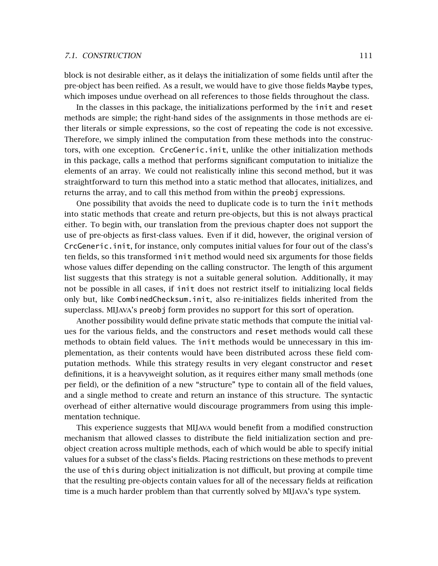#### 7.1. CONSTRUCTION 111

block is not desirable either, as it delays the initialization of some fields until after the pre-object has been reified. As a result, we would have to give those fields Maybe types, which imposes undue overhead on all references to those fields throughout the class.

In the classes in this package, the initializations performed by the init and reset methods are simple; the right-hand sides of the assignments in those methods are either literals or simple expressions, so the cost of repeating the code is not excessive. Therefore, we simply inlined the computation from these methods into the constructors, with one exception. CrcGeneric.init, unlike the other initialization methods in this package, calls a method that performs significant computation to initialize the elements of an array. We could not realistically inline this second method, but it was straightforward to turn this method into a static method that allocates, initializes, and returns the array, and to call this method from within the preobj expressions.

One possibility that avoids the need to duplicate code is to turn the init methods into static methods that create and return pre-objects, but this is not always practical either. To begin with, our translation from the previous chapter does not support the use of pre-objects as first-class values. Even if it did, however, the original version of CrcGeneric.init, for instance, only computes initial values for four out of the class's ten fields, so this transformed init method would need six arguments for those fields whose values differ depending on the calling constructor. The length of this argument list suggests that this strategy is not a suitable general solution. Additionally, it may not be possible in all cases, if init does not restrict itself to initializing local fields only but, like CombinedChecksum.init, also re-initializes fields inherited from the superclass. MIJava's preobj form provides no support for this sort of operation.

Another possibility would define private static methods that compute the initial values for the various fields, and the constructors and reset methods would call these methods to obtain field values. The init methods would be unnecessary in this implementation, as their contents would have been distributed across these field computation methods. While this strategy results in very elegant constructor and reset definitions, it is a heavyweight solution, as it requires either many small methods (one per field), or the definition of a new "structure" type to contain all of the field values, and a single method to create and return an instance of this structure. The syntactic overhead of either alternative would discourage programmers from using this implementation technique.

This experience suggests that MIJava would benefit from a modified construction mechanism that allowed classes to distribute the field initialization section and preobject creation across multiple methods, each of which would be able to specify initial values for a subset of the class's fields. Placing restrictions on these methods to prevent the use of this during object initialization is not difficult, but proving at compile time that the resulting pre-objects contain values for all of the necessary fields at reification time is a much harder problem than that currently solved by MIJava's type system.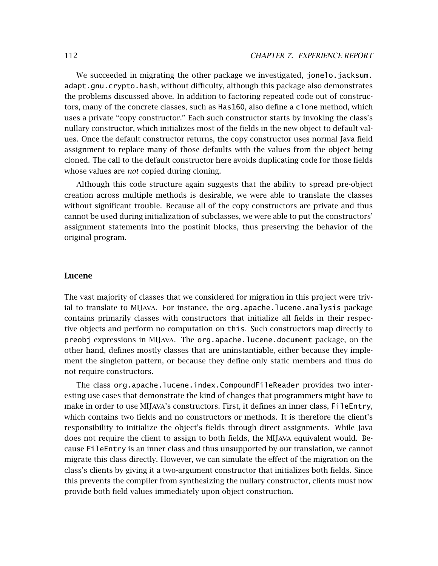We succeeded in migrating the other package we investigated, jonelo.jacksum. adapt.gnu.crypto.hash, without difficulty, although this package also demonstrates the problems discussed above. In addition to factoring repeated code out of constructors, many of the concrete classes, such as Has160, also define a clone method, which uses a private "copy constructor." Each such constructor starts by invoking the class's nullary constructor, which initializes most of the fields in the new object to default values. Once the default constructor returns, the copy constructor uses normal Java field assignment to replace many of those defaults with the values from the object being cloned. The call to the default constructor here avoids duplicating code for those fields whose values are *not* copied during cloning.

Although this code structure again suggests that the ability to spread pre-object creation across multiple methods is desirable, we were able to translate the classes without significant trouble. Because all of the copy constructors are private and thus cannot be used during initialization of subclasses, we were able to put the constructors' assignment statements into the postinit blocks, thus preserving the behavior of the original program.

### Lucene

The vast majority of classes that we considered for migration in this project were trivial to translate to MIJAVA. For instance, the org.apache.lucene.analysis package contains primarily classes with constructors that initialize all fields in their respective objects and perform no computation on this. Such constructors map directly to preobj expressions in MIJava. The org.apache.lucene.document package, on the other hand, defines mostly classes that are uninstantiable, either because they implement the singleton pattern, or because they define only static members and thus do not require constructors.

The class org.apache.lucene.index.CompoundFileReader provides two interesting use cases that demonstrate the kind of changes that programmers might have to make in order to use MIJava's constructors. First, it defines an inner class, FileEntry, which contains two fields and no constructors or methods. It is therefore the client's responsibility to initialize the object's fields through direct assignments. While Java does not require the client to assign to both fields, the MIJava equivalent would. Because FileEntry is an inner class and thus unsupported by our translation, we cannot migrate this class directly. However, we can simulate the effect of the migration on the class's clients by giving it a two-argument constructor that initializes both fields. Since this prevents the compiler from synthesizing the nullary constructor, clients must now provide both field values immediately upon object construction.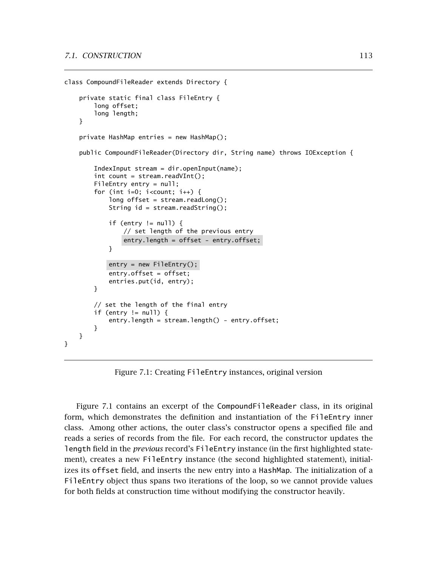```
class CompoundFileReader extends Directory {
    private static final class FileEntry {
        long offset;
        long length;
    }
    private HashMap entries = new HashMap();
    public CompoundFileReader(Directory dir, String name) throws IOException {
        IndexInput stream = dir.openInput(name);
        int count = stream.readVInt();
        FileEntry entry = null;
        for (int i=0; i<count; i++) {
            long offset = stream.readLong();
            String id = stream.readString();
            if (entry != null) {
                // set length of the previous entry
                entry.length = offset - entry.offset;
            }
           entry = new FileEntry();entry.offset = offset;
            entries.put(id, entry);
        }
        // set the length of the final entry
        if (entry != null) {
            entry.length = stream.length() - entry.offset;}
   }
}
```
Figure 7.1: Creating FileEntry instances, original version

Figure 7.1 contains an excerpt of the CompoundFileReader class, in its original form, which demonstrates the definition and instantiation of the FileEntry inner class. Among other actions, the outer class's constructor opens a specified file and reads a series of records from the file. For each record, the constructor updates the length field in the *previous* record's FileEntry instance (in the first highlighted statement), creates a new FileEntry instance (the second highlighted statement), initializes its offset field, and inserts the new entry into a HashMap. The initialization of a FileEntry object thus spans two iterations of the loop, so we cannot provide values for both fields at construction time without modifying the constructor heavily.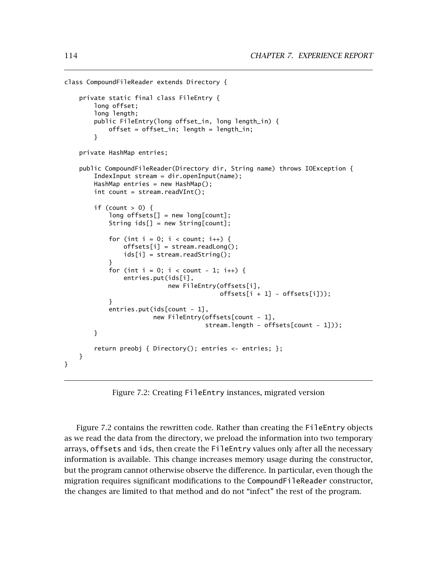```
class CompoundFileReader extends Directory {
    private static final class FileEntry {
        long offset;
        long length;
        public FileEntry(long offset_in, long length_in) {
            offset = offset_in; length = length_in;
        }
    private HashMap entries;
    public CompoundFileReader(Directory dir, String name) throws IOException {
        IndexInput stream = dir.openInput(name);
        HashMap entries = new HashMap();
        int count = stream.readVInt();
        if (count > 0) {
            long offsets[] = new long[count];
            String ids[] = new String[count];
            for (int i = 0; i < count; i+1) {
                offsets[i] = stream.readLong();ids[i] = stream.readString();
            }
            for (int i = 0; i < count - 1; i++) {
                entries.put(ids[i],
                            new FileEntry(offsets[i],
                                          offsets[i + 1] - offsets[i]),}
            entries.put(ids[count - 1],
                        new FileEntry(offsets[count - 1],
                                      stream.length - offsets[count - 1]));
        }
        return preobj { Directory(); entries <- entries; };
   }
}
```
Figure 7.2: Creating FileEntry instances, migrated version

Figure 7.2 contains the rewritten code. Rather than creating the FileEntry objects as we read the data from the directory, we preload the information into two temporary arrays, offsets and ids, then create the FileEntry values only after all the necessary information is available. This change increases memory usage during the constructor, but the program cannot otherwise observe the difference. In particular, even though the migration requires significant modifications to the CompoundFileReader constructor, the changes are limited to that method and do not "infect" the rest of the program.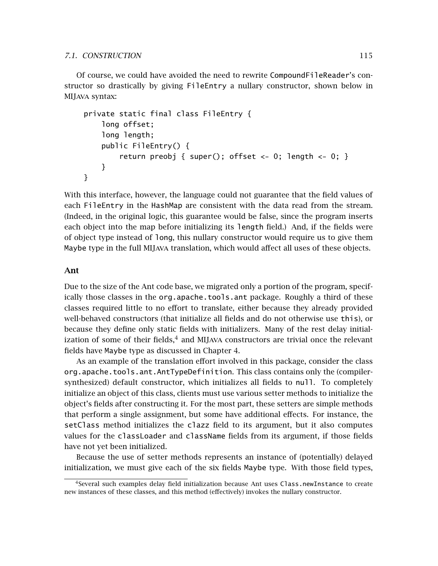7.1. CONSTRUCTION 115

Of course, we could have avoided the need to rewrite CompoundFileReader's constructor so drastically by giving FileEntry a nullary constructor, shown below in MIJava syntax:

```
private static final class FileEntry {
    long offset;
    long length;
    public FileEntry() {
        return preobj { super(); offset <- 0; length <- 0; }
    }
}
```
With this interface, however, the language could not guarantee that the field values of each FileEntry in the HashMap are consistent with the data read from the stream. (Indeed, in the original logic, this guarantee would be false, since the program inserts each object into the map before initializing its length field.) And, if the fields were of object type instead of long, this nullary constructor would require us to give them Maybe type in the full MIJava translation, which would affect all uses of these objects.

## Ant

Due to the size of the Ant code base, we migrated only a portion of the program, specifically those classes in the org.apache.tools.ant package. Roughly a third of these classes required little to no effort to translate, either because they already provided well-behaved constructors (that initialize all fields and do not otherwise use this), or because they define only static fields with initializers. Many of the rest delay initialization of some of their fields, $4$  and MIJAVA constructors are trivial once the relevant fields have Maybe type as discussed in Chapter 4.

As an example of the translation effort involved in this package, consider the class org.apache.tools.ant.AntTypeDefinition. This class contains only the (compilersynthesized) default constructor, which initializes all fields to null. To completely initialize an object of this class, clients must use various setter methods to initialize the object's fields after constructing it. For the most part, these setters are simple methods that perform a single assignment, but some have additional effects. For instance, the setClass method initializes the clazz field to its argument, but it also computes values for the classLoader and className fields from its argument, if those fields have not yet been initialized.

Because the use of setter methods represents an instance of (potentially) delayed initialization, we must give each of the six fields Maybe type. With those field types,

<sup>&</sup>lt;sup>4</sup>Several such examples delay field initialization because Ant uses Class.newInstance to create new instances of these classes, and this method (effectively) invokes the nullary constructor.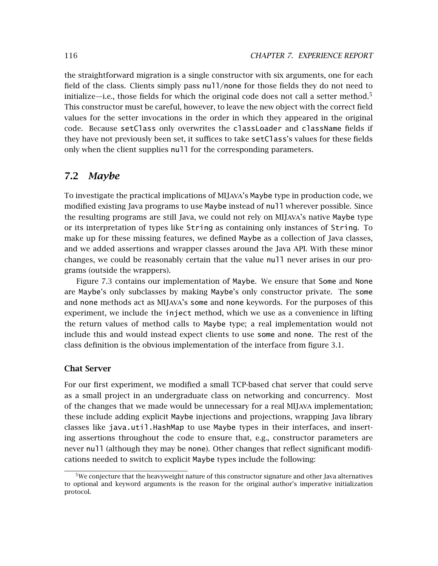the straightforward migration is a single constructor with six arguments, one for each field of the class. Clients simply pass null/none for those fields they do not need to initialize—i.e., those fields for which the original code does not call a setter method.<sup>5</sup> This constructor must be careful, however, to leave the new object with the correct field values for the setter invocations in the order in which they appeared in the original code. Because setClass only overwrites the classLoader and className fields if they have not previously been set, it suffices to take setClass's values for these fields only when the client supplies null for the corresponding parameters.

## 7.2 *Maybe*

To investigate the practical implications of MIJava's Maybe type in production code, we modified existing Java programs to use Maybe instead of null wherever possible. Since the resulting programs are still Java, we could not rely on MIJava's native Maybe type or its interpretation of types like String as containing only instances of String. To make up for these missing features, we defined Maybe as a collection of Java classes, and we added assertions and wrapper classes around the Java API. With these minor changes, we could be reasonably certain that the value null never arises in our programs (outside the wrappers).

Figure 7.3 contains our implementation of Maybe. We ensure that Some and None are Maybe's only subclasses by making Maybe's only constructor private. The some and none methods act as MIJava's some and none keywords. For the purposes of this experiment, we include the inject method, which we use as a convenience in lifting the return values of method calls to Maybe type; a real implementation would not include this and would instead expect clients to use some and none. The rest of the class definition is the obvious implementation of the interface from figure 3.1.

## Chat Server

For our first experiment, we modified a small TCP-based chat server that could serve as a small project in an undergraduate class on networking and concurrency. Most of the changes that we made would be unnecessary for a real MIJava implementation; these include adding explicit Maybe injections and projections, wrapping Java library classes like java.util.HashMap to use Maybe types in their interfaces, and inserting assertions throughout the code to ensure that, e.g., constructor parameters are never null (although they may be none). Other changes that reflect significant modifications needed to switch to explicit Maybe types include the following:

 $5$ We conjecture that the heavyweight nature of this constructor signature and other Java alternatives to optional and keyword arguments is the reason for the original author's imperative initialization protocol.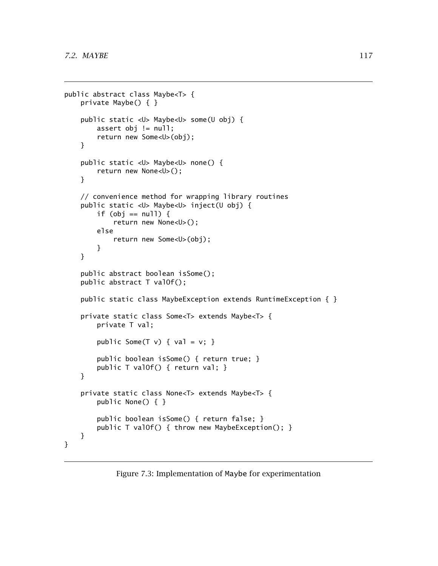```
public abstract class Maybe<T> {
    private Maybe() { }
    public static <U> Maybe<U> some(U obj) {
        assert obj != null;return new Some<U>(obj);
    }
    public static <U> Maybe<U> none() {
        return new None<U>();
    }
    // convenience method for wrapping library routines
    public static <U> Maybe<U> inject(U obj) {
        if (obj == null) {
            return new None<U>();
        else
            return new Some<U>(obj);
        }
    }
    public abstract boolean isSome();
    public abstract T valOf();
    public static class MaybeException extends RuntimeException { }
    private static class Some<T> extends Maybe<T> {
        private T val;
        public Some(T v) { val = v; }
        public boolean isSome() { return true; }
        public T valOf() { return val; }
    }
    private static class None<T> extends Maybe<T> {
        public None() { }
        public boolean isSome() { return false; }
        public T valOf() { throw new MaybeException(); }
    }
}
```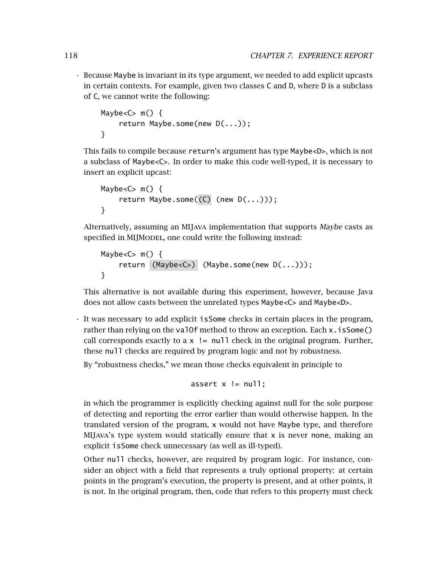• Because Maybe is invariant in its type argument, we needed to add explicit upcasts in certain contexts. For example, given two classes C and D, where D is a subclass of C, we cannot write the following:

```
Maybe<C> m() \{return Maybe.some(new D(...));
}
```
This fails to compile because return's argument has type Maybe<D>, which is not a subclass of Maybe<C>. In order to make this code well-typed, it is necessary to insert an explicit upcast:

```
Maybe<C> m() \{return Maybe.some((C) (new D(\ldots)));
}
```
Alternatively, assuming an MIJava implementation that supports Maybe casts as specified in MIJMODEL, one could write the following instead:

```
Maybe<C> m() \{return (Maybe<C>) (Maybe.some(new D(...)));
}
```
This alternative is not available during this experiment, however, because Java does not allow casts between the unrelated types Maybe<C> and Maybe<D>.

- It was necessary to add explicit isSome checks in certain places in the program, rather than relying on the valof method to throw an exception. Each x. isSome() call corresponds exactly to a  $x$  != null check in the original program. Further, these null checks are required by program logic and not by robustness.
	- By "robustness checks," we mean those checks equivalent in principle to

```
assert x := null;
```
in which the programmer is explicitly checking against null for the sole purpose of detecting and reporting the error earlier than would otherwise happen. In the translated version of the program, x would not have Maybe type, and therefore MIJAVA's type system would statically ensure that  $x$  is never none, making an explicit isSome check unnecessary (as well as ill-typed).

Other null checks, however, are required by program logic. For instance, consider an object with a field that represents a truly optional property: at certain points in the program's execution, the property is present, and at other points, it is not. In the original program, then, code that refers to this property must check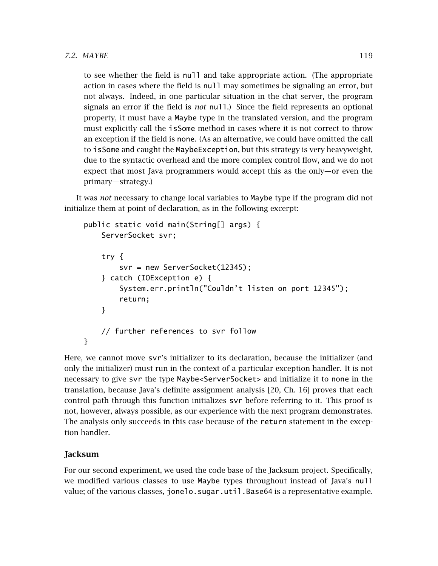to see whether the field is null and take appropriate action. (The appropriate action in cases where the field is null may sometimes be signaling an error, but not always. Indeed, in one particular situation in the chat server, the program signals an error if the field is *not* null.) Since the field represents an optional property, it must have a Maybe type in the translated version, and the program must explicitly call the isSome method in cases where it is not correct to throw an exception if the field is none. (As an alternative, we could have omitted the call to isSome and caught the MaybeException, but this strategy is very heavyweight, due to the syntactic overhead and the more complex control flow, and we do not expect that most Java programmers would accept this as the only—or even the primary—strategy.)

It was *not* necessary to change local variables to Maybe type if the program did not initialize them at point of declaration, as in the following excerpt:

```
public static void main(String[] args) {
    ServerSocket svr;
    try {
        svr = new ServerSocket(12345);
    } catch (IOException e) {
        System.err.println("Couldn't listen on port 12345");
        return;
    }
    // further references to svr follow
}
```
Here, we cannot move svr's initializer to its declaration, because the initializer (and only the initializer) must run in the context of a particular exception handler. It is not necessary to give svr the type Maybe<ServerSocket> and initialize it to none in the translation, because Java's definite assignment analysis [20, Ch. 16] proves that each control path through this function initializes svr before referring to it. This proof is not, however, always possible, as our experience with the next program demonstrates. The analysis only succeeds in this case because of the return statement in the exception handler.

# Jacksum

For our second experiment, we used the code base of the Jacksum project. Specifically, we modified various classes to use Maybe types throughout instead of Java's null value; of the various classes, jonelo.sugar.util.Base64 is a representative example.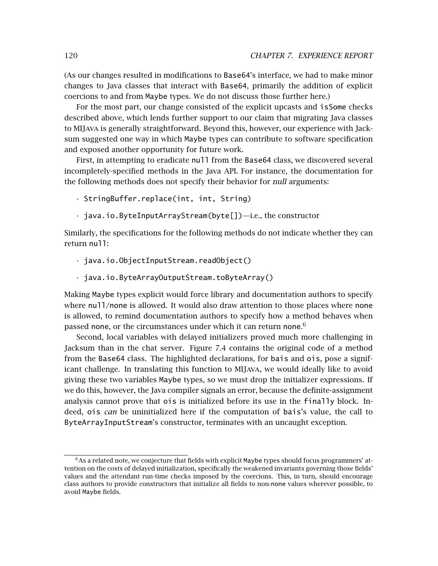(As our changes resulted in modifications to Base64's interface, we had to make minor changes to Java classes that interact with Base64, primarily the addition of explicit coercions to and from Maybe types. We do not discuss those further here.)

For the most part, our change consisted of the explicit upcasts and isSome checks described above, which lends further support to our claim that migrating Java classes to MIJava is generally straightforward. Beyond this, however, our experience with Jacksum suggested one way in which Maybe types can contribute to software specification and exposed another opportunity for future work.

First, in attempting to eradicate null from the Base64 class, we discovered several incompletely-specified methods in the Java API. For instance, the documentation for the following methods does not specify their behavior for null arguments:

- StringBuffer.replace(int, int, String)
- java.io.ByteInputArrayStream(byte[])—i.e., the constructor

Similarly, the specifications for the following methods do not indicate whether they can return null:

- java.io.ObjectInputStream.readObject()
- java.io.ByteArrayOutputStream.toByteArray()

Making Maybe types explicit would force library and documentation authors to specify where null/none is allowed. It would also draw attention to those places where none is allowed, to remind documentation authors to specify how a method behaves when passed none, or the circumstances under which it can return none. $^6$ 

Second, local variables with delayed initializers proved much more challenging in Jacksum than in the chat server. Figure 7.4 contains the original code of a method from the Base64 class. The highlighted declarations, for bais and ois, pose a significant challenge. In translating this function to MIJava, we would ideally like to avoid giving these two variables Maybe types, so we must drop the initializer expressions. If we do this, however, the Java compiler signals an error, because the definite-assignment analysis cannot prove that ois is initialized before its use in the finally block. Indeed, ois *can* be uninitialized here if the computation of bais's value, the call to ByteArrayInputStream's constructor, terminates with an uncaught exception.

 $6$ As a related note, we conjecture that fields with explicit Maybe types should focus programmers' attention on the costs of delayed initialization, specifically the weakened invariants governing those fields' values and the attendant run-time checks imposed by the coercions. This, in turn, should encourage class authors to provide constructors that initialize all fields to non-none values wherever possible, to avoid Maybe fields.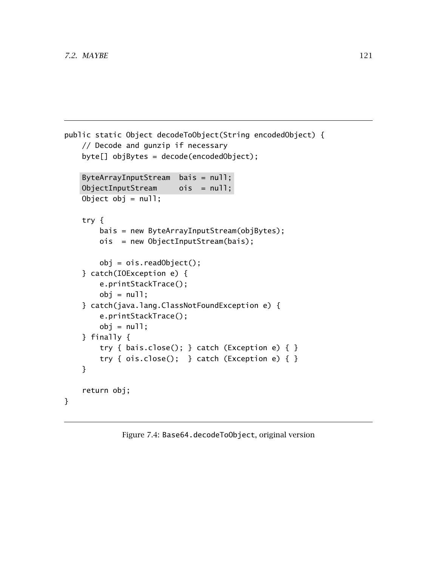```
public static Object decodeToObject(String encodedObject) {
   // Decode and gunzip if necessary
   byte[] objBytes = decode(encodedObject);
   ByteArrayInputStream bais = null;
   ObjectInputStream ois = null;
   Object obj = null;try {
        bais = new ByteArrayInputStream(objBytes);
       ois = new ObjectInputStream(bais);
       obj = ois.readObject();
    } catch(IOException e) {
        e.printStackTrace();
       obj = null;} catch(java.lang.ClassNotFoundException e) {
        e.printStackTrace();
       obj = null;} finally {
       try { bais.close(); } catch (Exception e) { }
       try { ois.close(); } catch (Exception e) { }
   }
   return obj;
}
```
Figure 7.4: Base64.decodeToObject, original version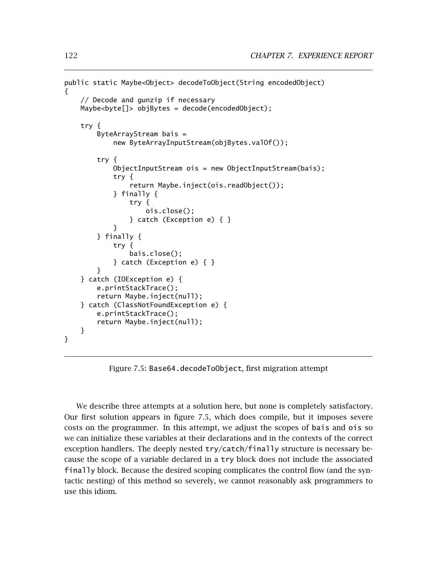```
public static Maybe<Object> decodeToObject(String encodedObject)
{
   // Decode and gunzip if necessary
   Maybe<byte[]> objBytes = decode(encodedObject);
   try {
        ByteArrayStream bais =
            new ByteArrayInputStream(objBytes.valOf());
       try {
            ObjectInputStream ois = new ObjectInputStream(bais);
            try {
                return Maybe.inject(ois.readObject());
            } finally {
                try {
                    ois.close();
                } catch (Exception e) { }
            }
        } finally {
            try {
                bais.close();
            } catch (Exception e) { }
       }
   } catch (IOException e) {
       e.printStackTrace();
        return Maybe.inject(null);
   } catch (ClassNotFoundException e) {
        e.printStackTrace();
        return Maybe.inject(null);
   }
}
```
Figure 7.5: Base64.decodeToObject, first migration attempt

We describe three attempts at a solution here, but none is completely satisfactory. Our first solution appears in figure 7.5, which does compile, but it imposes severe costs on the programmer. In this attempt, we adjust the scopes of bais and ois so we can initialize these variables at their declarations and in the contexts of the correct exception handlers. The deeply nested try/catch/finally structure is necessary because the scope of a variable declared in a try block does not include the associated finally block. Because the desired scoping complicates the control flow (and the syntactic nesting) of this method so severely, we cannot reasonably ask programmers to use this idiom.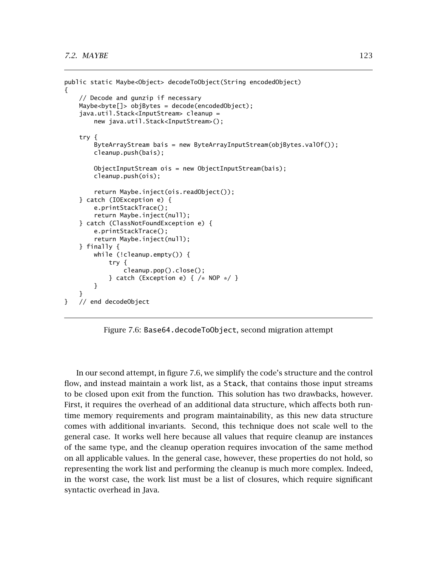```
public static Maybe<Object> decodeToObject(String encodedObject)
{
   // Decode and gunzip if necessary
   Maybe<byte[]> objBytes = decode(encodedObject);
   java.util.Stack<InputStream> cleanup =
       new java.util.Stack<InputStream>();
   try {
        ByteArrayStream bais = new ByteArrayInputStream(objBytes.valOf());
       cleanup.push(bais);
       ObjectInputStream ois = new ObjectInputStream(bais);
       cleanup.push(ois);
        return Maybe.inject(ois.readObject());
   } catch (IOException e) {
       e.printStackTrace();
       return Maybe.inject(null);
   } catch (ClassNotFoundException e) {
        e.printStackTrace();
        return Maybe.inject(null);
   } finally {
       while (!cleanup.empty()) {
            try {
                cleanup.pop().close();
            } catch (Exception e) \{ /* NOP */ \}}
   }
} // end decodeObject
```
Figure 7.6: Base64.decodeToObject, second migration attempt

In our second attempt, in figure 7.6, we simplify the code's structure and the control flow, and instead maintain a work list, as a Stack, that contains those input streams to be closed upon exit from the function. This solution has two drawbacks, however. First, it requires the overhead of an additional data structure, which affects both runtime memory requirements and program maintainability, as this new data structure comes with additional invariants. Second, this technique does not scale well to the general case. It works well here because all values that require cleanup are instances of the same type, and the cleanup operation requires invocation of the same method on all applicable values. In the general case, however, these properties do not hold, so representing the work list and performing the cleanup is much more complex. Indeed, in the worst case, the work list must be a list of closures, which require significant syntactic overhead in Java.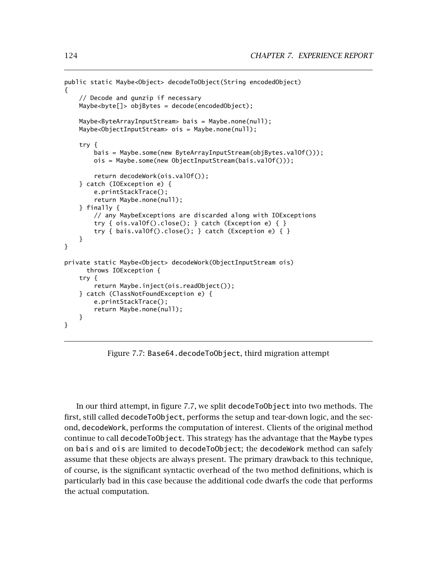```
public static Maybe<Object> decodeToObject(String encodedObject)
{
    // Decode and gunzip if necessary
    Maybe<byte[]> objBytes = decode(encodedObject);
    Maybe<ByteArrayInputStream> bais = Maybe.none(null);
    Maybe<ObjectInputStream> ois = Maybe.none(null);
    try {
        bais = Maybe.some(new ByteArrayInputStream(objBytes.valOf()));
        ois = Maybe.some(new ObjectInputStream(bais.valOf()));
        return decodeWork(ois.valOf());
    } catch (IOException e) {
        e.printStackTrace();
        return Maybe.none(null);
    } finally {
        // any MaybeExceptions are discarded along with IOExceptions
        try { ois.valOf().close(); } catch (Exception e) { }
        try { bais.valOf().close(); } catch (Exception e) { }
   }
}
private static Maybe<Object> decodeWork(ObjectInputStream ois)
      throws IOException {
    try {
        return Maybe.inject(ois.readObject());
    } catch (ClassNotFoundException e) {
        e.printStackTrace();
        return Maybe.none(null);
   }
}
```
Figure 7.7: Base64.decodeToObject, third migration attempt

In our third attempt, in figure 7.7, we split decodeToObject into two methods. The first, still called decodeToObject, performs the setup and tear-down logic, and the second, decodeWork, performs the computation of interest. Clients of the original method continue to call decodeToObject. This strategy has the advantage that the Maybe types on bais and ois are limited to decodeToObject; the decodeWork method can safely assume that these objects are always present. The primary drawback to this technique, of course, is the significant syntactic overhead of the two method definitions, which is particularly bad in this case because the additional code dwarfs the code that performs the actual computation.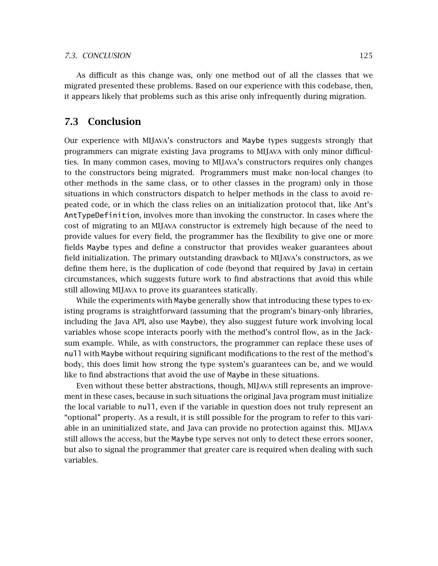### 7.3. CONCLUSION 125

As difficult as this change was, only one method out of all the classes that we migrated presented these problems. Based on our experience with this codebase, then, it appears likely that problems such as this arise only infrequently during migration.

## 7.3 Conclusion

Our experience with MIJava's constructors and Maybe types suggests strongly that programmers can migrate existing Java programs to MIJava with only minor difficulties. In many common cases, moving to MIJava's constructors requires only changes to the constructors being migrated. Programmers must make non-local changes (to other methods in the same class, or to other classes in the program) only in those situations in which constructors dispatch to helper methods in the class to avoid repeated code, or in which the class relies on an initialization protocol that, like Ant's AntTypeDefinition, involves more than invoking the constructor. In cases where the cost of migrating to an MIJava constructor is extremely high because of the need to provide values for every field, the programmer has the flexibility to give one or more fields Maybe types and define a constructor that provides weaker guarantees about field initialization. The primary outstanding drawback to MIJava's constructors, as we define them here, is the duplication of code (beyond that required by Java) in certain circumstances, which suggests future work to find abstractions that avoid this while still allowing MIJava to prove its guarantees statically.

While the experiments with Maybe generally show that introducing these types to existing programs is straightforward (assuming that the program's binary-only libraries, including the Java API, also use Maybe), they also suggest future work involving local variables whose scope interacts poorly with the method's control flow, as in the Jacksum example. While, as with constructors, the programmer can replace these uses of null with Maybe without requiring significant modifications to the rest of the method's body, this does limit how strong the type system's guarantees can be, and we would like to find abstractions that avoid the use of Maybe in these situations.

Even without these better abstractions, though, MIJava still represents an improvement in these cases, because in such situations the original Java program must initialize the local variable to null, even if the variable in question does not truly represent an "optional" property. As a result, it is still possible for the program to refer to this variable in an uninitialized state, and Java can provide no protection against this. MIJava still allows the access, but the Maybe type serves not only to detect these errors sooner, but also to signal the programmer that greater care is required when dealing with such variables.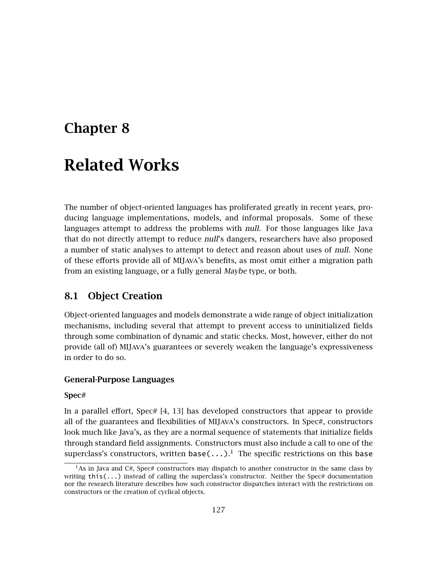# Chapter 8

# Related Works

The number of object-oriented languages has proliferated greatly in recent years, producing language implementations, models, and informal proposals. Some of these languages attempt to address the problems with *null*. For those languages like Java that do not directly attempt to reduce *null*'s dangers, researchers have also proposed a number of static analyses to attempt to detect and reason about uses of null. None of these efforts provide all of MIJava's benefits, as most omit either a migration path from an existing language, or a fully general Maybe type, or both.

# 8.1 Object Creation

Object-oriented languages and models demonstrate a wide range of object initialization mechanisms, including several that attempt to prevent access to uninitialized fields through some combination of dynamic and static checks. Most, however, either do not provide (all of) MIJava's guarantees or severely weaken the language's expressiveness in order to do so.

## General-Purpose Languages

## Spec#

In a parallel effort, Spec# [4, 13] has developed constructors that appear to provide all of the guarantees and flexibilities of MIJava's constructors. In Spec#, constructors look much like Java's, as they are a normal sequence of statements that initialize fields through standard field assignments. Constructors must also include a call to one of the superclass's constructors, written  $base(\ldots)$ .<sup>1</sup> The specific restrictions on this base

<sup>&</sup>lt;sup>1</sup>As in Java and  $C#$ , Spec# constructors may dispatch to another constructor in the same class by writing  $this(...)$  instead of calling the superclass's constructor. Neither the Spec# documentation nor the research literature describes how such constructor dispatches interact with the restrictions on constructors or the creation of cyclical objects.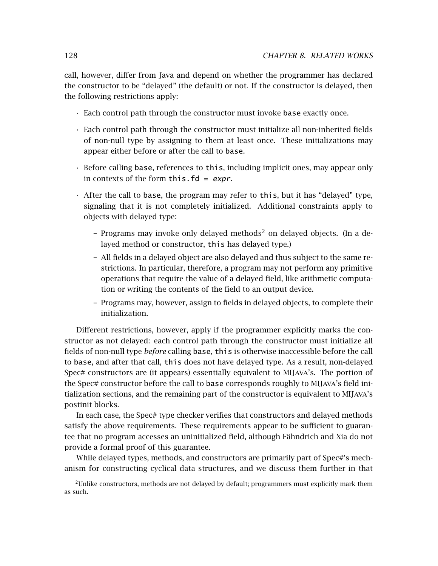call, however, differ from Java and depend on whether the programmer has declared the constructor to be "delayed" (the default) or not. If the constructor is delayed, then the following restrictions apply:

- Each control path through the constructor must invoke base exactly once.
- Each control path through the constructor must initialize all non-inherited fields of non-null type by assigning to them at least once. These initializations may appear either before or after the call to base.
- Before calling base, references to this, including implicit ones, may appear only in contexts of the form this.  $fd = expr$ .
- After the call to base, the program may refer to this, but it has "delayed" type, signaling that it is not completely initialized. Additional constraints apply to objects with delayed type:
	- $-$  Programs may invoke only delayed methods<sup>2</sup> on delayed objects. (In a delayed method or constructor, this has delayed type.)
	- All fields in a delayed object are also delayed and thus subject to the same restrictions. In particular, therefore, a program may not perform any primitive operations that require the value of a delayed field, like arithmetic computation or writing the contents of the field to an output device.
	- Programs may, however, assign to fields in delayed objects, to complete their initialization.

Different restrictions, however, apply if the programmer explicitly marks the constructor as not delayed: each control path through the constructor must initialize all fields of non-null type *before* calling base, this is otherwise inaccessible before the call to base, and after that call, this does not have delayed type. As a result, non-delayed Spec# constructors are (it appears) essentially equivalent to MIJava's. The portion of the Spec# constructor before the call to base corresponds roughly to MIJava's field initialization sections, and the remaining part of the constructor is equivalent to MIJava's postinit blocks.

In each case, the Spec# type checker verifies that constructors and delayed methods satisfy the above requirements. These requirements appear to be sufficient to guarantee that no program accesses an uninitialized field, although Fähndrich and Xia do not provide a formal proof of this guarantee.

While delayed types, methods, and constructors are primarily part of Spec#'s mechanism for constructing cyclical data structures, and we discuss them further in that

 $2$ Unlike constructors, methods are not delayed by default; programmers must explicitly mark them as such.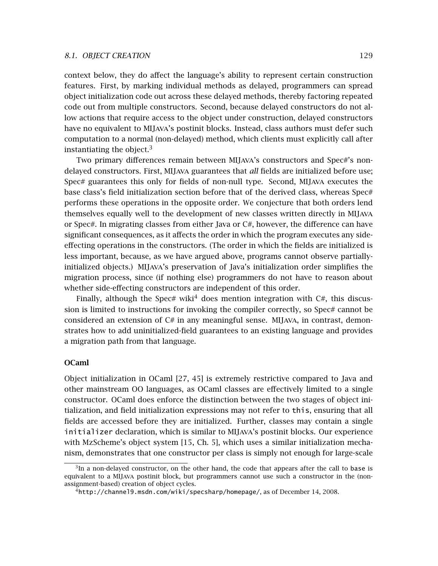### 8.1. OBJECT CREATION 129

context below, they do affect the language's ability to represent certain construction features. First, by marking individual methods as delayed, programmers can spread object initialization code out across these delayed methods, thereby factoring repeated code out from multiple constructors. Second, because delayed constructors do not allow actions that require access to the object under construction, delayed constructors have no equivalent to MIJava's postinit blocks. Instead, class authors must defer such computation to a normal (non-delayed) method, which clients must explicitly call after instantiating the object.<sup>3</sup>

Two primary differences remain between MIJAVA's constructors and Spec#'s nondelayed constructors. First, MIJava guarantees that *all* fields are initialized before use; Spec# guarantees this only for fields of non-null type. Second, MIJava executes the base class's field initialization section before that of the derived class, whereas Spec# performs these operations in the opposite order. We conjecture that both orders lend themselves equally well to the development of new classes written directly in MIJava or Spec#. In migrating classes from either Java or C#, however, the difference can have significant consequences, as it affects the order in which the program executes any sideeffecting operations in the constructors. (The order in which the fields are initialized is less important, because, as we have argued above, programs cannot observe partiallyinitialized objects.) MIJava's preservation of Java's initialization order simplifies the migration process, since (if nothing else) programmers do not have to reason about whether side-effecting constructors are independent of this order.

Finally, although the Spec# wiki<sup>4</sup> does mention integration with  $C#$ , this discussion is limited to instructions for invoking the compiler correctly, so Spec# cannot be considered an extension of  $C#$  in any meaningful sense. MIJAVA, in contrast, demonstrates how to add uninitialized-field guarantees to an existing language and provides a migration path from that language.

#### OCaml

Object initialization in OCaml [27, 45] is extremely restrictive compared to Java and other mainstream OO languages, as OCaml classes are effectively limited to a single constructor. OCaml does enforce the distinction between the two stages of object initialization, and field initialization expressions may not refer to this, ensuring that all fields are accessed before they are initialized. Further, classes may contain a single initializer declaration, which is similar to MIJava's postinit blocks. Our experience with MzScheme's object system [15, Ch. 5], which uses a similar initialization mechanism, demonstrates that one constructor per class is simply not enough for large-scale

 $3$ In a non-delayed constructor, on the other hand, the code that appears after the call to base is equivalent to a MIJava postinit block, but programmers cannot use such a constructor in the (nonassignment-based) creation of object cycles.

<sup>4</sup>http://channel9.msdn.com/wiki/specsharp/homepage/, as of December 14, 2008.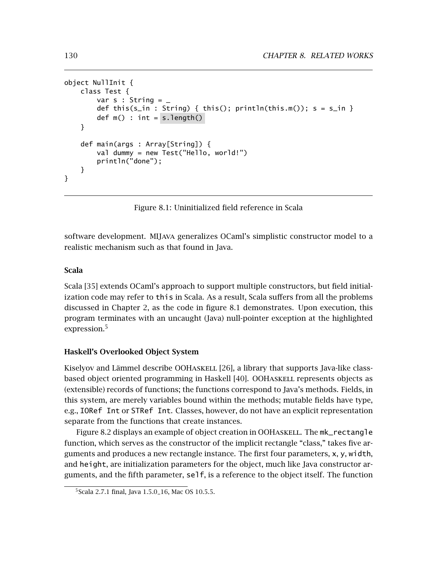```
object NullInit {
    class Test {
        var s : String = \overline{\phantom{a}}def this(s_in : String) { this(); println(this.m()); s = s_in }
        def m() : int = s.length()
    }
    def main(args : Array[String]) {
        val dummy = new Test("Hello, world!")
        println("done");
    }
}
```
Figure 8.1: Uninitialized field reference in Scala

software development. MIJava generalizes OCaml's simplistic constructor model to a realistic mechanism such as that found in Java.

## Scala

Scala [35] extends OCaml's approach to support multiple constructors, but field initialization code may refer to this in Scala. As a result, Scala suffers from all the problems discussed in Chapter 2, as the code in figure 8.1 demonstrates. Upon execution, this program terminates with an uncaught (Java) null-pointer exception at the highlighted expression.<sup>5</sup>

## Haskell's Overlooked Object System

Kiselyov and Lämmel describe OOHASKELL [26], a library that supports Java-like classbased object oriented programming in Haskell [40]. OOHaskell represents objects as (extensible) records of functions; the functions correspond to Java's methods. Fields, in this system, are merely variables bound within the methods; mutable fields have type, e.g., IORef Int or STRef Int. Classes, however, do not have an explicit representation separate from the functions that create instances.

Figure 8.2 displays an example of object creation in OOHASKELL. The mk\_rectangle function, which serves as the constructor of the implicit rectangle "class," takes five arguments and produces a new rectangle instance. The first four parameters, x, y, width, and height, are initialization parameters for the object, much like Java constructor arguments, and the fifth parameter, self, is a reference to the object itself. The function

<sup>5</sup>Scala 2.7.1 final, Java 1.5.0\_16, Mac OS 10.5.5.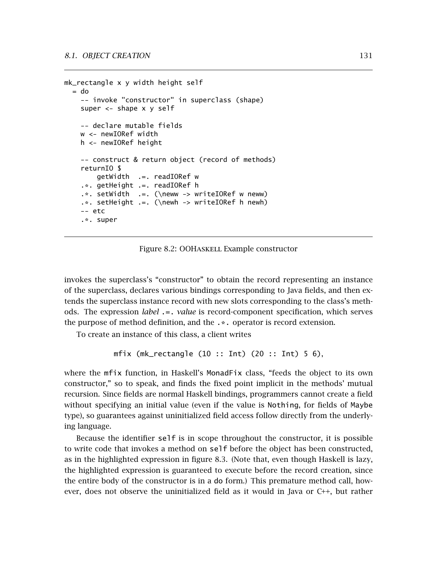```
mk_rectangle x y width height self
 = do
   -- invoke "constructor" in superclass (shape)
   super <- shape x y self
   -- declare mutable fields
   w <- newIORef width
   h <- newIORef height
   -- construct & return object (record of methods)
   returnIO $
        getWidth .=. readIORef w
    .*. getHeight .=. readIORef h
    .*. setWidth .= (\neww -> writeIORef w neww)
    .*. setHeight .=. (\newh -> writeIORef h newh)
    -- etc
    .*. super
```
Figure 8.2: OOHaskell Example constructor

invokes the superclass's "constructor" to obtain the record representing an instance of the superclass, declares various bindings corresponding to Java fields, and then extends the superclass instance record with new slots corresponding to the class's methods. The expression *label* .=. *value* is record-component specification, which serves the purpose of method definition, and the .\*. operator is record extension.

To create an instance of this class, a client writes

```
mfix (mk_rectangle (10 :: Int) (20 :: Int) 5 6),
```
where the mfix function, in Haskell's MonadFix class, "feeds the object to its own constructor," so to speak, and finds the fixed point implicit in the methods' mutual recursion. Since fields are normal Haskell bindings, programmers cannot create a field without specifying an initial value (even if the value is Nothing, for fields of Maybe type), so guarantees against uninitialized field access follow directly from the underlying language.

Because the identifier self is in scope throughout the constructor, it is possible to write code that invokes a method on self before the object has been constructed, as in the highlighted expression in figure 8.3. (Note that, even though Haskell is lazy, the highlighted expression is guaranteed to execute before the record creation, since the entire body of the constructor is in a do form.) This premature method call, however, does not observe the uninitialized field as it would in Java or C++, but rather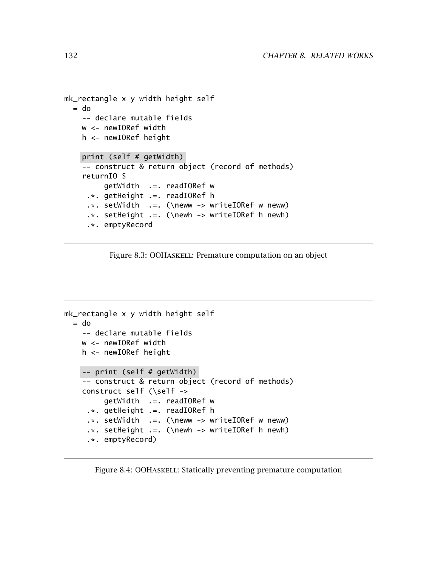```
mk_rectangle x y width height self
 = do
    -- declare mutable fields
   w <- newIORef width
   h <- newIORef height
   print (self # getWidth)
    -- construct & return object (record of methods)
    returnIO $
         getWidth .=. readIORef w
     .*. getHeight .=. readIORef h
     .*. setWidth .=(\n\text{www -> writeIORef } w new).*. setHeight .=. (\newh -> writeIORef h newh)
     .*. emptyRecord
```
Figure 8.3: OOHASKELL: Premature computation on an object

```
mk_rectangle x y width height self
 = do
    -- declare mutable fields
   w <- newIORef width
   h <- newIORef height
   -- print (self # getWidth)
    -- construct & return object (record of methods)
   construct self (\self ->
        getWidth .=. readIORef w
     .*. getHeight .=. readIORef h
     .*. setWidth .= (\neww -> writeIORef w neww)
     .*. setHeight .=. (\newh -> writeIORef h newh)
     .*. emptyRecord)
```
Figure 8.4: OOHASKELL: Statically preventing premature computation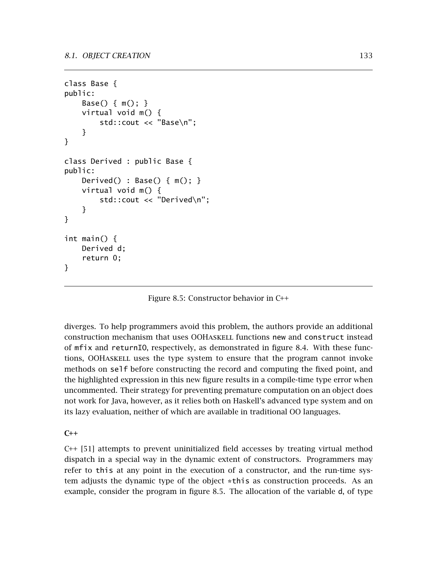```
class Base {
public:
    Base() { m(); }
    virtual void m() {
        std::cout << "Base\n";
    }
}
class Derived : public Base {
public:
    Derived() : Base() { m(); }
    virtual void m() {
        std::cout << "Derived\n";
    }
}
int main() {
    Derived d;
    return 0;
}
```
Figure 8.5: Constructor behavior in C++

diverges. To help programmers avoid this problem, the authors provide an additional construction mechanism that uses OOHaskell functions new and construct instead of mfix and returnIO, respectively, as demonstrated in figure 8.4. With these functions, OOHaskell uses the type system to ensure that the program cannot invoke methods on self before constructing the record and computing the fixed point, and the highlighted expression in this new figure results in a compile-time type error when uncommented. Their strategy for preventing premature computation on an object does not work for Java, however, as it relies both on Haskell's advanced type system and on its lazy evaluation, neither of which are available in traditional OO languages.

 $C++$ 

C++ [51] attempts to prevent uninitialized field accesses by treating virtual method dispatch in a special way in the dynamic extent of constructors. Programmers may refer to this at any point in the execution of a constructor, and the run-time system adjusts the dynamic type of the object \*this as construction proceeds. As an example, consider the program in figure 8.5. The allocation of the variable d, of type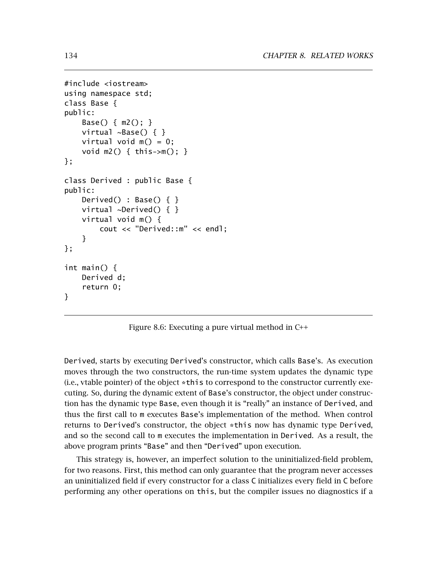```
#include <iostream>
using namespace std;
class Base {
public:
    Base() { m2(); }
    virtual \simBase() { }
    virtual void m() = 0;
    void m2() { this->m(); }
};
class Derived : public Base {
public:
    Derived() : Base() { }
    virtual \simDerived() { }
    virtual void m() {
        cout << "Derived::m" << endl;
    }
};
int main() {
    Derived d;
    return 0;
}
```
Figure 8.6: Executing a pure virtual method in C++

Derived, starts by executing Derived's constructor, which calls Base's. As execution moves through the two constructors, the run-time system updates the dynamic type  $(i.e., vtable pointer)$  of the object  $*$ this to correspond to the constructor currently executing. So, during the dynamic extent of Base's constructor, the object under construction has the dynamic type Base, even though it is "really" an instance of Derived, and thus the first call to m executes Base's implementation of the method. When control returns to Derived's constructor, the object \*this now has dynamic type Derived, and so the second call to m executes the implementation in Derived. As a result, the above program prints "Base" and then "Derived" upon execution.

This strategy is, however, an imperfect solution to the uninitialized-field problem, for two reasons. First, this method can only guarantee that the program never accesses an uninitialized field if every constructor for a class C initializes every field in C before performing any other operations on this, but the compiler issues no diagnostics if a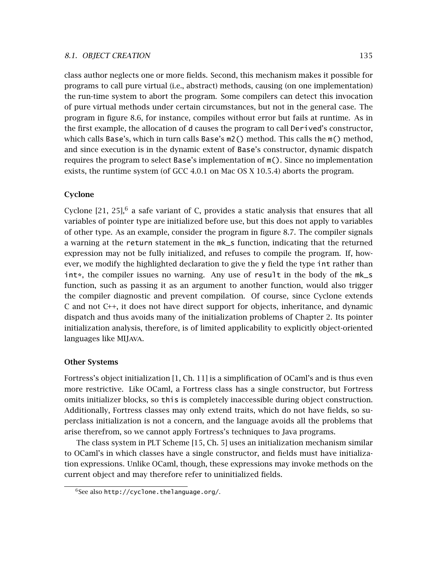class author neglects one or more fields. Second, this mechanism makes it possible for programs to call pure virtual (i.e., abstract) methods, causing (on one implementation) the run-time system to abort the program. Some compilers can detect this invocation of pure virtual methods under certain circumstances, but not in the general case. The program in figure 8.6, for instance, compiles without error but fails at runtime. As in the first example, the allocation of d causes the program to call Derived's constructor, which calls Base's, which in turn calls Base's m2() method. This calls the m() method, and since execution is in the dynamic extent of Base's constructor, dynamic dispatch requires the program to select Base's implementation of m(). Since no implementation exists, the runtime system (of GCC 4.0.1 on Mac OS X 10.5.4) aborts the program.

### **Cyclone**

Cyclone  $[21, 25]$ , a safe variant of C, provides a static analysis that ensures that all variables of pointer type are initialized before use, but this does not apply to variables of other type. As an example, consider the program in figure 8.7. The compiler signals a warning at the return statement in the mk\_s function, indicating that the returned expression may not be fully initialized, and refuses to compile the program. If, however, we modify the highlighted declaration to give the y field the type int rather than int\*, the compiler issues no warning. Any use of result in the body of the mk\_s function, such as passing it as an argument to another function, would also trigger the compiler diagnostic and prevent compilation. Of course, since Cyclone extends C and not C++, it does not have direct support for objects, inheritance, and dynamic dispatch and thus avoids many of the initialization problems of Chapter 2. Its pointer initialization analysis, therefore, is of limited applicability to explicitly object-oriented languages like MIJava.

### Other Systems

Fortress's object initialization [1, Ch. 11] is a simplification of OCaml's and is thus even more restrictive. Like OCaml, a Fortress class has a single constructor, but Fortress omits initializer blocks, so this is completely inaccessible during object construction. Additionally, Fortress classes may only extend traits, which do not have fields, so superclass initialization is not a concern, and the language avoids all the problems that arise therefrom, so we cannot apply Fortress's techniques to Java programs.

The class system in PLT Scheme [15, Ch. 5] uses an initialization mechanism similar to OCaml's in which classes have a single constructor, and fields must have initialization expressions. Unlike OCaml, though, these expressions may invoke methods on the current object and may therefore refer to uninitialized fields.

<sup>6</sup>See also http://cyclone.thelanguage.org/.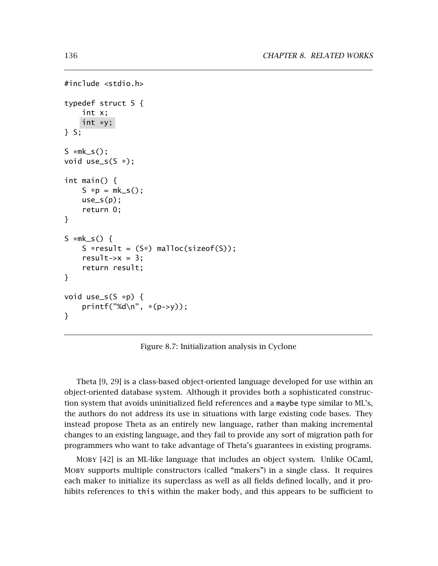```
#include <stdio.h>
typedef struct S {
    int x;
    int *y;
} S;
S *mk_s();
void use_s(S \cdot x);
int main() {
    S * p = mk_s();
    use_s(p);return 0;
}
S *mk_s() {
    S *result = (S*) malloc(sizeof(S));
    result-\geq x = 3;
    return result;
}
void use_s(S *p) {
    printf("%d\nu", *(p->y));}
```
Figure 8.7: Initialization analysis in Cyclone

Theta [9, 29] is a class-based object-oriented language developed for use within an object-oriented database system. Although it provides both a sophisticated construction system that avoids uninitialized field references and a maybe type similar to ML's, the authors do not address its use in situations with large existing code bases. They instead propose Theta as an entirely new language, rather than making incremental changes to an existing language, and they fail to provide any sort of migration path for programmers who want to take advantage of Theta's guarantees in existing programs.

Moby [42] is an ML-like language that includes an object system. Unlike OCaml, Moby supports multiple constructors (called "makers") in a single class. It requires each maker to initialize its superclass as well as all fields defined locally, and it prohibits references to this within the maker body, and this appears to be sufficient to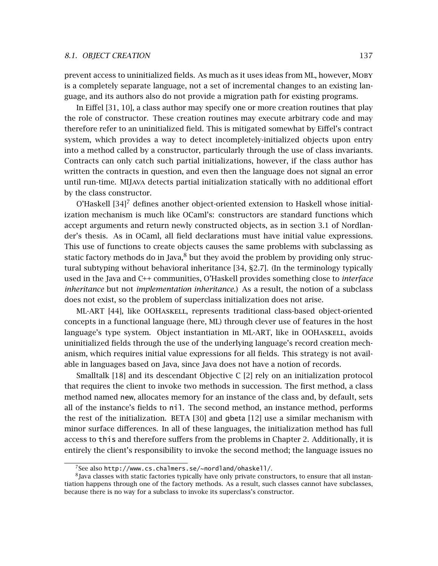prevent access to uninitialized fields. As much as it uses ideas from ML, however, Moby is a completely separate language, not a set of incremental changes to an existing language, and its authors also do not provide a migration path for existing programs.

In Eiffel [31, 10], a class author may specify one or more creation routines that play the role of constructor. These creation routines may execute arbitrary code and may therefore refer to an uninitialized field. This is mitigated somewhat by Eiffel's contract system, which provides a way to detect incompletely-initialized objects upon entry into a method called by a constructor, particularly through the use of class invariants. Contracts can only catch such partial initializations, however, if the class author has written the contracts in question, and even then the language does not signal an error until run-time. MIJava detects partial initialization statically with no additional effort by the class constructor.

O'Haskell [34]<sup>7</sup> defines another object-oriented extension to Haskell whose initialization mechanism is much like OCaml's: constructors are standard functions which accept arguments and return newly constructed objects, as in section 3.1 of Nordlander's thesis. As in OCaml, all field declarations must have initial value expressions. This use of functions to create objects causes the same problems with subclassing as static factory methods do in Java, $^8$  but they avoid the problem by providing only structural subtyping without behavioral inheritance [34, §2.7]. (In the terminology typically used in the Java and C++ communities, O'Haskell provides something close to *interface inheritance* but not *implementation inheritance*.) As a result, the notion of a subclass does not exist, so the problem of superclass initialization does not arise.

ML-ART [44], like OOHaskell, represents traditional class-based object-oriented concepts in a functional language (here, ML) through clever use of features in the host language's type system. Object instantiation in ML-ART, like in OOHASKELL, avoids uninitialized fields through the use of the underlying language's record creation mechanism, which requires initial value expressions for all fields. This strategy is not available in languages based on Java, since Java does not have a notion of records.

Smalltalk [18] and its descendant Objective C [2] rely on an initialization protocol that requires the client to invoke two methods in succession. The first method, a class method named new, allocates memory for an instance of the class and, by default, sets all of the instance's fields to nil. The second method, an instance method, performs the rest of the initialization. BETA [30] and gbeta [12] use a similar mechanism with minor surface differences. In all of these languages, the initialization method has full access to this and therefore suffers from the problems in Chapter 2. Additionally, it is entirely the client's responsibility to invoke the second method; the language issues no

<sup>7</sup>See also http://www.cs.chalmers.se/~nordland/ohaskell/.

<sup>8</sup> Java classes with static factories typically have only private constructors, to ensure that all instantiation happens through one of the factory methods. As a result, such classes cannot have subclasses, because there is no way for a subclass to invoke its superclass's constructor.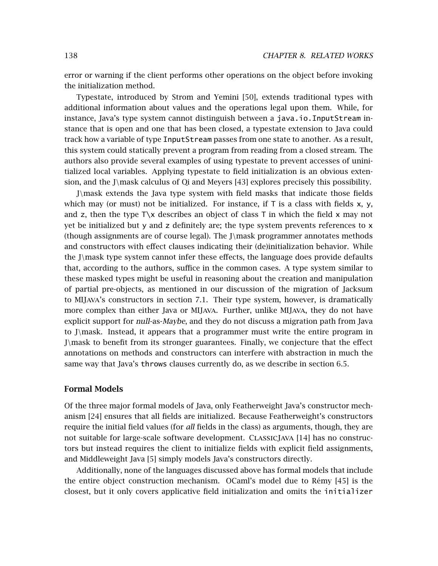error or warning if the client performs other operations on the object before invoking the initialization method.

Typestate, introduced by Strom and Yemini [50], extends traditional types with additional information about values and the operations legal upon them. While, for instance, Java's type system cannot distinguish between a java.io.InputStream instance that is open and one that has been closed, a typestate extension to Java could track how a variable of type InputStream passes from one state to another. As a result, this system could statically prevent a program from reading from a closed stream. The authors also provide several examples of using typestate to prevent accesses of uninitialized local variables. Applying typestate to field initialization is an obvious extension, and the J\mask calculus of Qi and Meyers [43] explores precisely this possibility.

J\mask extends the Java type system with field masks that indicate those fields which may (or must) not be initialized. For instance, if  $T$  is a class with fields  $x$ ,  $y$ , and z, then the type  $T\x$  describes an object of class T in which the field x may not yet be initialized but  $y$  and z definitely are; the type system prevents references to  $x$ (though assignments are of course legal). The J $\mathbb{S}$  programmer annotates methods and constructors with effect clauses indicating their (de)initialization behavior. While the J\mask type system cannot infer these effects, the language does provide defaults that, according to the authors, suffice in the common cases. A type system similar to these masked types might be useful in reasoning about the creation and manipulation of partial pre-objects, as mentioned in our discussion of the migration of Jacksum to MIJava's constructors in section 7.1. Their type system, however, is dramatically more complex than either Java or MIJava. Further, unlike MIJava, they do not have explicit support for *null-as-Maybe*, and they do not discuss a migration path from Java to J\mask. Instead, it appears that a programmer must write the entire program in J\mask to benefit from its stronger guarantees. Finally, we conjecture that the effect annotations on methods and constructors can interfere with abstraction in much the same way that Java's throws clauses currently do, as we describe in section 6.5.

### Formal Models

Of the three major formal models of Java, only Featherweight Java's constructor mechanism [24] ensures that all fields are initialized. Because Featherweight's constructors require the initial field values (for *all* fields in the class) as arguments, though, they are not suitable for large-scale software development. ClassicJava [14] has no constructors but instead requires the client to initialize fields with explicit field assignments, and Middleweight Java [5] simply models Java's constructors directly.

Additionally, none of the languages discussed above has formal models that include the entire object construction mechanism. OCaml's model due to Rémy [45] is the closest, but it only covers applicative field initialization and omits the initializer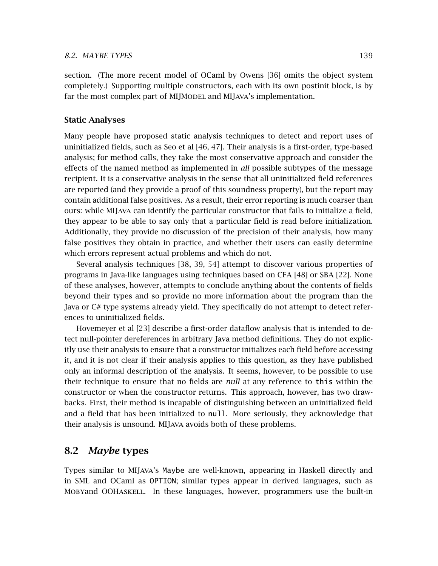### 8.2. MAYBE TYPES 139

section. (The more recent model of OCaml by Owens [36] omits the object system completely.) Supporting multiple constructors, each with its own postinit block, is by far the most complex part of MIJMODEL and MIJAVA's implementation.

### Static Analyses

Many people have proposed static analysis techniques to detect and report uses of uninitialized fields, such as Seo et al [46, 47]. Their analysis is a first-order, type-based analysis; for method calls, they take the most conservative approach and consider the effects of the named method as implemented in *all* possible subtypes of the message recipient. It is a conservative analysis in the sense that all uninitialized field references are reported (and they provide a proof of this soundness property), but the report may contain additional false positives. As a result, their error reporting is much coarser than ours: while MIJava can identify the particular constructor that fails to initialize a field, they appear to be able to say only that a particular field is read before initialization. Additionally, they provide no discussion of the precision of their analysis, how many false positives they obtain in practice, and whether their users can easily determine which errors represent actual problems and which do not.

Several analysis techniques [38, 39, 54] attempt to discover various properties of programs in Java-like languages using techniques based on CFA [48] or SBA [22]. None of these analyses, however, attempts to conclude anything about the contents of fields beyond their types and so provide no more information about the program than the Java or C# type systems already yield. They specifically do not attempt to detect references to uninitialized fields.

Hovemeyer et al [23] describe a first-order dataflow analysis that is intended to detect null-pointer dereferences in arbitrary Java method definitions. They do not explicitly use their analysis to ensure that a constructor initializes each field before accessing it, and it is not clear if their analysis applies to this question, as they have published only an informal description of the analysis. It seems, however, to be possible to use their technique to ensure that no fields are null at any reference to this within the constructor or when the constructor returns. This approach, however, has two drawbacks. First, their method is incapable of distinguishing between an uninitialized field and a field that has been initialized to null. More seriously, they acknowledge that their analysis is unsound. MIJava avoids both of these problems.

### 8.2 *Maybe* types

Types similar to MIJava's Maybe are well-known, appearing in Haskell directly and in SML and OCaml as OPTION; similar types appear in derived languages, such as Mobyand OOHaskell. In these languages, however, programmers use the built-in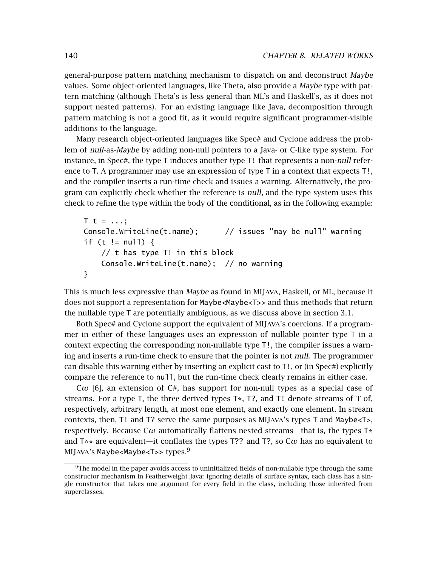general-purpose pattern matching mechanism to dispatch on and deconstruct Maybe values. Some object-oriented languages, like Theta, also provide a Maybe type with pattern matching (although Theta's is less general than ML's and Haskell's, as it does not support nested patterns). For an existing language like Java, decomposition through pattern matching is not a good fit, as it would require significant programmer-visible additions to the language.

Many research object-oriented languages like Spec# and Cyclone address the problem of null-as-Maybe by adding non-null pointers to a Java- or C-like type system. For instance, in Spec#, the type T induces another type T! that represents a non-null reference to T. A programmer may use an expression of type T in a context that expects T!, and the compiler inserts a run-time check and issues a warning. Alternatively, the program can explicitly check whether the reference is null, and the type system uses this check to refine the type within the body of the conditional, as in the following example:

```
T t = ...;Console.WriteLine(t.name); // issues "may be null" warning
if (t != null) {
   // t has type T! in this block
   Console.WriteLine(t.name); // no warning
}
```
This is much less expressive than *Maybe* as found in MIJAVA, Haskell, or ML, because it does not support a representation for Maybe<Maybe<T>> and thus methods that return the nullable type T are potentially ambiguous, as we discuss above in section 3.1.

Both Spec# and Cyclone support the equivalent of MIJava's coercions. If a programmer in either of these languages uses an expression of nullable pointer type T in a context expecting the corresponding non-nullable type T!, the compiler issues a warning and inserts a run-time check to ensure that the pointer is not *null*. The programmer can disable this warning either by inserting an explicit cast to T!, or (in Spec#) explicitly compare the reference to null, but the run-time check clearly remains in either case.

 $C\omega$  [6], an extension of  $C\#$ , has support for non-null types as a special case of streams. For a type T, the three derived types  $T^*$ , T?, and T! denote streams of T of, respectively, arbitrary length, at most one element, and exactly one element. In stream contexts, then, T! and T? serve the same purposes as MIJava's types T and Maybe<T>, respectively. Because C*ω* automatically flattens nested streams—that is, the types T\* and  $T**$  are equivalent—it conflates the types T?? and T?, so  $C\omega$  has no equivalent to MIJAVA's <code>Maybe</code><<code>Maybe</code><<code>T>></code> types. $^9$ 

 $9$ The model in the paper avoids access to uninitialized fields of non-nullable type through the same constructor mechanism in Featherweight Java: ignoring details of surface syntax, each class has a single constructor that takes one argument for every field in the class, including those inherited from superclasses.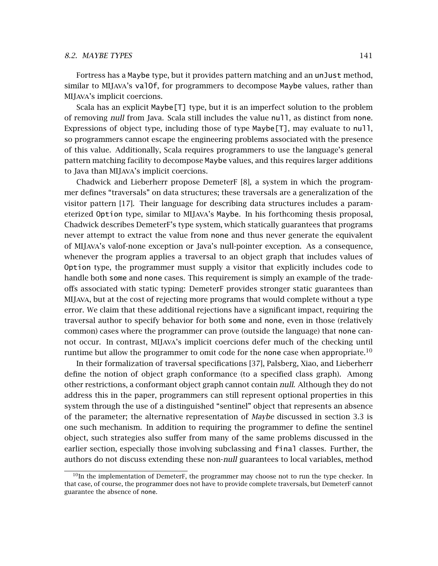#### 8.2. MAYBE TYPES 141

Fortress has a Maybe type, but it provides pattern matching and an unJust method, similar to MIJava's valOf, for programmers to decompose Maybe values, rather than MIJava's implicit coercions.

Scala has an explicit Maybe<sup>[T]</sup> type, but it is an imperfect solution to the problem of removing null from Java. Scala still includes the value null, as distinct from none. Expressions of object type, including those of type Maybe[T], may evaluate to null, so programmers cannot escape the engineering problems associated with the presence of this value. Additionally, Scala requires programmers to use the language's general pattern matching facility to decompose Maybe values, and this requires larger additions to Java than MIJava's implicit coercions.

Chadwick and Lieberherr propose DemeterF [8], a system in which the programmer defines "traversals" on data structures; these traversals are a generalization of the visitor pattern [17]. Their language for describing data structures includes a parameterized Option type, similar to MIJava's Maybe. In his forthcoming thesis proposal, Chadwick describes DemeterF's type system, which statically guarantees that programs never attempt to extract the value from none and thus never generate the equivalent of MIJava's valof-none exception or Java's null-pointer exception. As a consequence, whenever the program applies a traversal to an object graph that includes values of Option type, the programmer must supply a visitor that explicitly includes code to handle both some and none cases. This requirement is simply an example of the tradeoffs associated with static typing: DemeterF provides stronger static guarantees than MIJava, but at the cost of rejecting more programs that would complete without a type error. We claim that these additional rejections have a significant impact, requiring the traversal author to specify behavior for both some and none, even in those (relatively common) cases where the programmer can prove (outside the language) that none cannot occur. In contrast, MIJava's implicit coercions defer much of the checking until runtime but allow the programmer to omit code for the none case when appropriate.<sup>10</sup>

In their formalization of traversal specifications [37], Palsberg, Xiao, and Lieberherr define the notion of object graph conformance (to a specified class graph). Among other restrictions, a conformant object graph cannot contain null. Although they do not address this in the paper, programmers can still represent optional properties in this system through the use of a distinguished "sentinel" object that represents an absence of the parameter; the alternative representation of *Maybe* discussed in section 3.3 is one such mechanism. In addition to requiring the programmer to define the sentinel object, such strategies also suffer from many of the same problems discussed in the earlier section, especially those involving subclassing and final classes. Further, the authors do not discuss extending these non-null guarantees to local variables, method

 $10$ In the implementation of DemeterF, the programmer may choose not to run the type checker. In that case, of course, the programmer does not have to provide complete traversals, but DemeterF cannot guarantee the absence of none.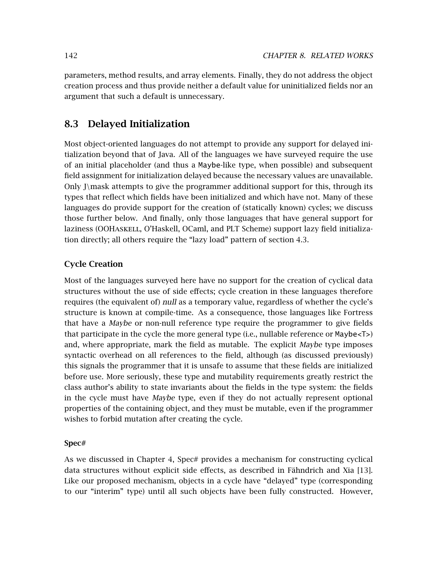parameters, method results, and array elements. Finally, they do not address the object creation process and thus provide neither a default value for uninitialized fields nor an argument that such a default is unnecessary.

## 8.3 Delayed Initialization

Most object-oriented languages do not attempt to provide any support for delayed initialization beyond that of Java. All of the languages we have surveyed require the use of an initial placeholder (and thus a Maybe-like type, when possible) and subsequent field assignment for initialization delayed because the necessary values are unavailable. Only J\mask attempts to give the programmer additional support for this, through its types that reflect which fields have been initialized and which have not. Many of these languages do provide support for the creation of (statically known) cycles; we discuss those further below. And finally, only those languages that have general support for laziness (OOHaskell, O'Haskell, OCaml, and PLT Scheme) support lazy field initialization directly; all others require the "lazy load" pattern of section 4.3.

## Cycle Creation

Most of the languages surveyed here have no support for the creation of cyclical data structures without the use of side effects; cycle creation in these languages therefore requires (the equivalent of) null as a temporary value, regardless of whether the cycle's structure is known at compile-time. As a consequence, those languages like Fortress that have a *Maybe* or non-null reference type require the programmer to give fields that participate in the cycle the more general type (i.e., nullable reference or Maybe<T>) and, where appropriate, mark the field as mutable. The explicit *Maybe* type imposes syntactic overhead on all references to the field, although (as discussed previously) this signals the programmer that it is unsafe to assume that these fields are initialized before use. More seriously, these type and mutability requirements greatly restrict the class author's ability to state invariants about the fields in the type system: the fields in the cycle must have Maybe type, even if they do not actually represent optional properties of the containing object, and they must be mutable, even if the programmer wishes to forbid mutation after creating the cycle.

### Spec#

As we discussed in Chapter 4, Spec# provides a mechanism for constructing cyclical data structures without explicit side effects, as described in Fähndrich and Xia [13]. Like our proposed mechanism, objects in a cycle have "delayed" type (corresponding to our "interim" type) until all such objects have been fully constructed. However,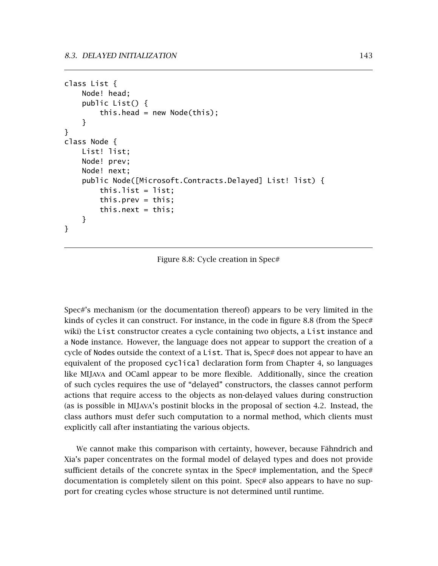```
class List {
   Node! head;
    public List() {
        this.head = new Node(this);
    }
}
class Node {
    List! list;
    Node! prev;
    Node! next;
    public Node([Microsoft.Contracts.Delayed] List! list) {
        this.list = list;
        this.prev = this;
        this.next = this;
    }
}
```
### Figure 8.8: Cycle creation in Spec#

Spec#'s mechanism (or the documentation thereof) appears to be very limited in the kinds of cycles it can construct. For instance, in the code in figure 8.8 (from the Spec $#$ wiki) the List constructor creates a cycle containing two objects, a List instance and a Node instance. However, the language does not appear to support the creation of a cycle of Nodes outside the context of a List. That is, Spec# does not appear to have an equivalent of the proposed cyclical declaration form from Chapter 4, so languages like MIJava and OCaml appear to be more flexible. Additionally, since the creation of such cycles requires the use of "delayed" constructors, the classes cannot perform actions that require access to the objects as non-delayed values during construction (as is possible in MIJava's postinit blocks in the proposal of section 4.2. Instead, the class authors must defer such computation to a normal method, which clients must explicitly call after instantiating the various objects.

We cannot make this comparison with certainty, however, because Fähndrich and Xia's paper concentrates on the formal model of delayed types and does not provide sufficient details of the concrete syntax in the Spec# implementation, and the Spec# documentation is completely silent on this point. Spec# also appears to have no support for creating cycles whose structure is not determined until runtime.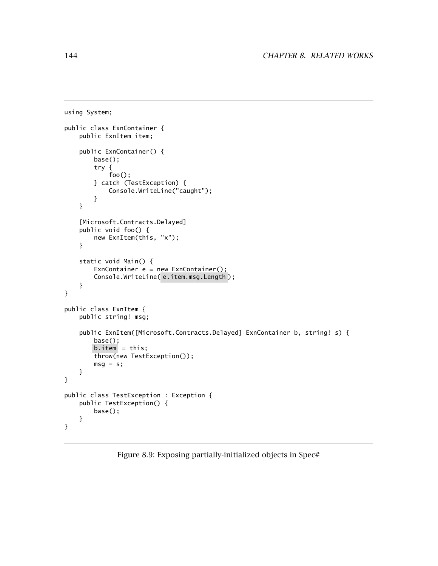```
using System;
public class ExnContainer {
    public ExnItem item;
    public ExnContainer() {
        base();
        try {
            foo();
        } catch (TestException) {
            Console.WriteLine("caught");
        }
    }
    [Microsoft.Contracts.Delayed]
    public void foo() {
        new ExnItem(this, "x");
    }
    static void Main() {
        ExnContainer e = new ExnContainer();
        Console.WriteLine( e.item.msg.Length );
    }
}
public class ExnItem {
    public string! msg;
    public ExnItem([Microsoft.Contracts.Delayed] ExnContainer b, string! s) {
        base();
       b.item = this;
        throw(new TestException());
        msg = s;}
}
public class TestException : Exception {
    public TestException() {
        base();
    }
}
```
Figure 8.9: Exposing partially-initialized objects in Spec#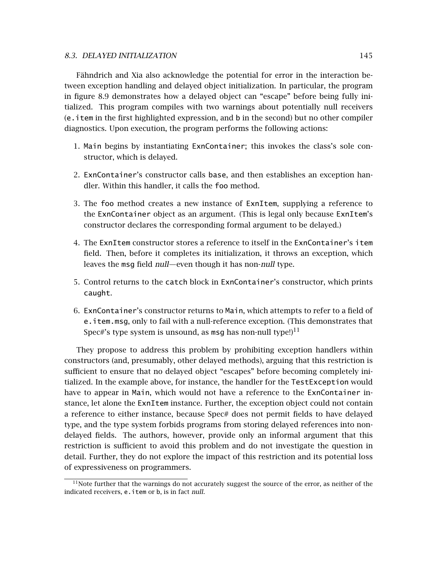### 8.3. DELAYED INITIALIZATION 145

Fähndrich and Xia also acknowledge the potential for error in the interaction between exception handling and delayed object initialization. In particular, the program in figure 8.9 demonstrates how a delayed object can "escape" before being fully initialized. This program compiles with two warnings about potentially null receivers (e.item in the first highlighted expression, and b in the second) but no other compiler diagnostics. Upon execution, the program performs the following actions:

- 1. Main begins by instantiating ExnContainer; this invokes the class's sole constructor, which is delayed.
- 2. ExnContainer's constructor calls base, and then establishes an exception handler. Within this handler, it calls the foo method.
- 3. The foo method creates a new instance of ExnItem, supplying a reference to the ExnContainer object as an argument. (This is legal only because ExnItem's constructor declares the corresponding formal argument to be delayed.)
- 4. The ExnItem constructor stores a reference to itself in the ExnContainer's item field. Then, before it completes its initialization, it throws an exception, which leaves the msg field null—even though it has non-null type.
- 5. Control returns to the catch block in ExnContainer's constructor, which prints caught.
- 6. ExnContainer's constructor returns to Main, which attempts to refer to a field of e.item.msg, only to fail with a null-reference exception. (This demonstrates that Spec#'s type system is unsound, as msq has non-null type!)<sup>11</sup>

They propose to address this problem by prohibiting exception handlers within constructors (and, presumably, other delayed methods), arguing that this restriction is sufficient to ensure that no delayed object "escapes" before becoming completely initialized. In the example above, for instance, the handler for the TestException would have to appear in Main, which would not have a reference to the ExnContainer instance, let alone the ExnItem instance. Further, the exception object could not contain a reference to either instance, because Spec# does not permit fields to have delayed type, and the type system forbids programs from storing delayed references into nondelayed fields. The authors, however, provide only an informal argument that this restriction is sufficient to avoid this problem and do not investigate the question in detail. Further, they do not explore the impact of this restriction and its potential loss of expressiveness on programmers.

 $11$ Note further that the warnings do not accurately suggest the source of the error, as neither of the indicated receivers, e.item or b, is in fact null.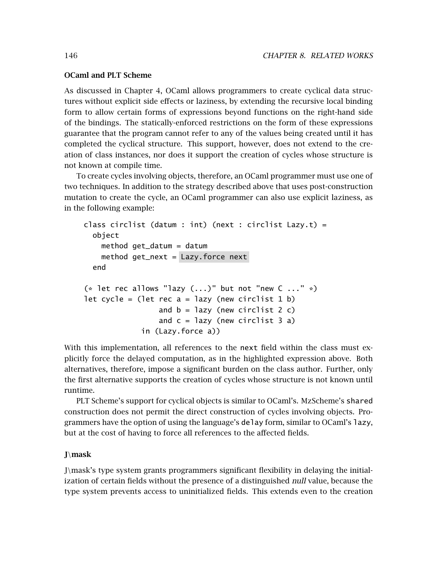### OCaml and PLT Scheme

As discussed in Chapter 4, OCaml allows programmers to create cyclical data structures without explicit side effects or laziness, by extending the recursive local binding form to allow certain forms of expressions beyond functions on the right-hand side of the bindings. The statically-enforced restrictions on the form of these expressions guarantee that the program cannot refer to any of the values being created until it has completed the cyclical structure. This support, however, does not extend to the creation of class instances, nor does it support the creation of cycles whose structure is not known at compile time.

To create cycles involving objects, therefore, an OCaml programmer must use one of two techniques. In addition to the strategy described above that uses post-construction mutation to create the cycle, an OCaml programmer can also use explicit laziness, as in the following example:

```
class circlist (datum : int) (next : circlist Lazy.t) =
  object
    method get_datum = datum
    method get\_next = Lazy.force nextend
(*) let rec allows "lazy (...)' but not "new (\ldots, "*)let cycle = (let rec a = \text{lazy (new circlist 1 b)}and b = \text{lazy} (new circlist 2 c)
                  and c = \text{lazy} (new circlist 3 a)
              in (Lazy.force a))
```
With this implementation, all references to the next field within the class must explicitly force the delayed computation, as in the highlighted expression above. Both alternatives, therefore, impose a significant burden on the class author. Further, only the first alternative supports the creation of cycles whose structure is not known until runtime.

PLT Scheme's support for cyclical objects is similar to OCaml's. MzScheme's shared construction does not permit the direct construction of cycles involving objects. Programmers have the option of using the language's delay form, similar to OCaml's lazy, but at the cost of having to force all references to the affected fields.

### J\mask

J\mask's type system grants programmers significant flexibility in delaying the initialization of certain fields without the presence of a distinguished *null* value, because the type system prevents access to uninitialized fields. This extends even to the creation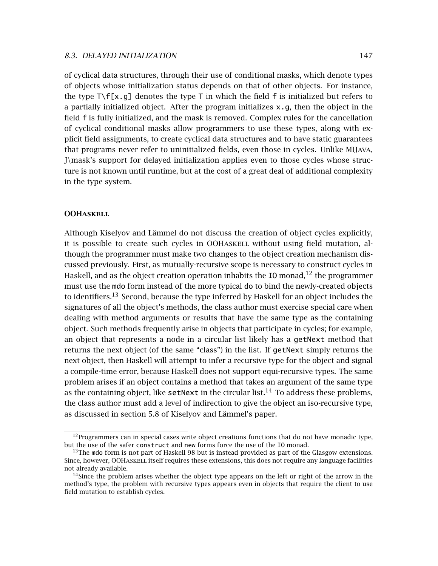of cyclical data structures, through their use of conditional masks, which denote types of objects whose initialization status depends on that of other objects. For instance, the type  $T\{x,g\}$  denotes the type T in which the field f is initialized but refers to a partially initialized object. After the program initializes  $x \cdot q$ , then the object in the field f is fully initialized, and the mask is removed. Complex rules for the cancellation of cyclical conditional masks allow programmers to use these types, along with explicit field assignments, to create cyclical data structures and to have static guarantees that programs never refer to uninitialized fields, even those in cycles. Unlike MIJava, J\mask's support for delayed initialization applies even to those cycles whose structure is not known until runtime, but at the cost of a great deal of additional complexity in the type system.

### **OOHASKELL**

Although Kiselyov and Lämmel do not discuss the creation of object cycles explicitly, it is possible to create such cycles in OOHaskell without using field mutation, although the programmer must make two changes to the object creation mechanism discussed previously. First, as mutually-recursive scope is necessary to construct cycles in Haskell, and as the object creation operation inhabits the  $I0$  monad,  $12$  the programmer must use the mdo form instead of the more typical do to bind the newly-created objects to identifiers.<sup>13</sup> Second, because the type inferred by Haskell for an object includes the signatures of all the object's methods, the class author must exercise special care when dealing with method arguments or results that have the same type as the containing object. Such methods frequently arise in objects that participate in cycles; for example, an object that represents a node in a circular list likely has a getNext method that returns the next object (of the same "class") in the list. If getNext simply returns the next object, then Haskell will attempt to infer a recursive type for the object and signal a compile-time error, because Haskell does not support equi-recursive types. The same problem arises if an object contains a method that takes an argument of the same type as the containing object, like setNext in the circular list.<sup>14</sup> To address these problems, the class author must add a level of indirection to give the object an iso-recursive type, as discussed in section 5.8 of Kiselyov and Lämmel's paper.

<sup>&</sup>lt;sup>12</sup>Programmers can in special cases write object creations functions that do not have monadic type, but the use of the safer construct and new forms force the use of the IO monad.

<sup>&</sup>lt;sup>13</sup>The mdo form is not part of Haskell 98 but is instead provided as part of the Glasgow extensions. Since, however, OOHaskell itself requires these extensions, this does not require any language facilities not already available.

<sup>&</sup>lt;sup>14</sup>Since the problem arises whether the object type appears on the left or right of the arrow in the method's type, the problem with recursive types appears even in objects that require the client to use field mutation to establish cycles.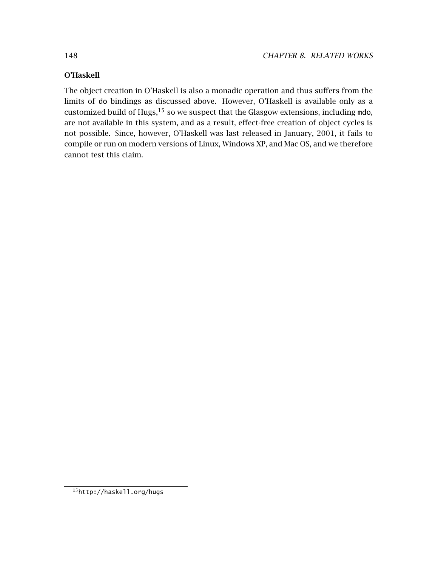## O'Haskell

The object creation in O'Haskell is also a monadic operation and thus suffers from the limits of do bindings as discussed above. However, O'Haskell is available only as a customized build of Hugs, $15$  so we suspect that the Glasgow extensions, including mdo, are not available in this system, and as a result, effect-free creation of object cycles is not possible. Since, however, O'Haskell was last released in January, 2001, it fails to compile or run on modern versions of Linux, Windows XP, and Mac OS, and we therefore cannot test this claim.

<sup>15</sup>http://haskell.org/hugs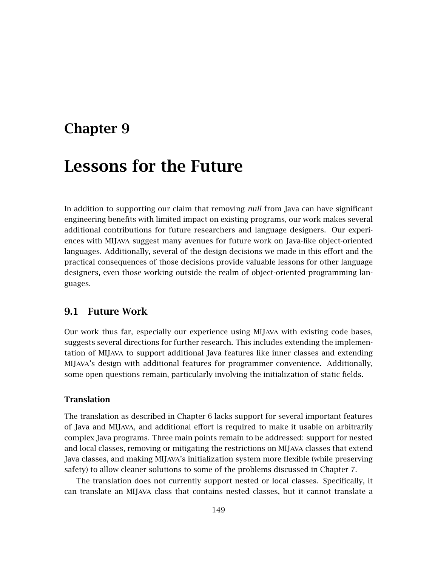## Chapter 9

## Lessons for the Future

In addition to supporting our claim that removing null from Java can have significant engineering benefits with limited impact on existing programs, our work makes several additional contributions for future researchers and language designers. Our experiences with MIJava suggest many avenues for future work on Java-like object-oriented languages. Additionally, several of the design decisions we made in this effort and the practical consequences of those decisions provide valuable lessons for other language designers, even those working outside the realm of object-oriented programming languages.

## 9.1 Future Work

Our work thus far, especially our experience using MIJava with existing code bases, suggests several directions for further research. This includes extending the implementation of MIJava to support additional Java features like inner classes and extending MIJava's design with additional features for programmer convenience. Additionally, some open questions remain, particularly involving the initialization of static fields.

### Translation

The translation as described in Chapter 6 lacks support for several important features of Java and MIJava, and additional effort is required to make it usable on arbitrarily complex Java programs. Three main points remain to be addressed: support for nested and local classes, removing or mitigating the restrictions on MIJava classes that extend Java classes, and making MIJava's initialization system more flexible (while preserving safety) to allow cleaner solutions to some of the problems discussed in Chapter 7.

The translation does not currently support nested or local classes. Specifically, it can translate an MIJava class that contains nested classes, but it cannot translate a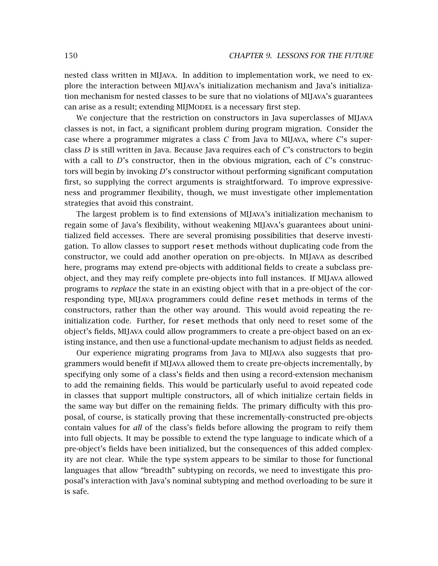nested class written in MIJava. In addition to implementation work, we need to explore the interaction between MIJava's initialization mechanism and Java's initialization mechanism for nested classes to be sure that no violations of MIJava's guarantees can arise as a result; extending MIJMODEL is a necessary first step.

We conjecture that the restriction on constructors in Java superclasses of MIJava classes is not, in fact, a significant problem during program migration. Consider the case where a programmer migrates a class *C* from Java to MIJava, where *C*'s superclass *D* is still written in Java. Because Java requires each of *C*'s constructors to begin with a call to *D*'s constructor, then in the obvious migration, each of *C*'s constructors will begin by invoking *D*'s constructor without performing significant computation first, so supplying the correct arguments is straightforward. To improve expressiveness and programmer flexibility, though, we must investigate other implementation strategies that avoid this constraint.

The largest problem is to find extensions of MIJava's initialization mechanism to regain some of Java's flexibility, without weakening MIJava's guarantees about uninitialized field accesses. There are several promising possibilities that deserve investigation. To allow classes to support reset methods without duplicating code from the constructor, we could add another operation on pre-objects. In MIJava as described here, programs may extend pre-objects with additional fields to create a subclass preobject, and they may reify complete pre-objects into full instances. If MIJava allowed programs to *replace* the state in an existing object with that in a pre-object of the corresponding type, MIJava programmers could define reset methods in terms of the constructors, rather than the other way around. This would avoid repeating the reinitialization code. Further, for reset methods that only need to reset some of the object's fields, MIJava could allow programmers to create a pre-object based on an existing instance, and then use a functional-update mechanism to adjust fields as needed.

Our experience migrating programs from Java to MIJava also suggests that programmers would benefit if MIJava allowed them to create pre-objects incrementally, by specifying only some of a class's fields and then using a record-extension mechanism to add the remaining fields. This would be particularly useful to avoid repeated code in classes that support multiple constructors, all of which initialize certain fields in the same way but differ on the remaining fields. The primary difficulty with this proposal, of course, is statically proving that these incrementally-constructed pre-objects contain values for *all* of the class's fields before allowing the program to reify them into full objects. It may be possible to extend the type language to indicate which of a pre-object's fields have been initialized, but the consequences of this added complexity are not clear. While the type system appears to be similar to those for functional languages that allow "breadth" subtyping on records, we need to investigate this proposal's interaction with Java's nominal subtyping and method overloading to be sure it is safe.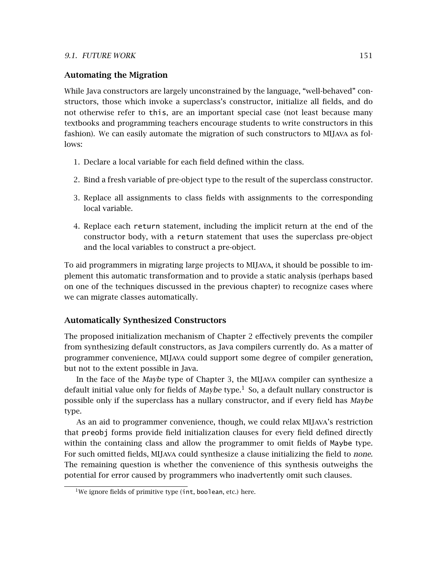### Automating the Migration

While Java constructors are largely unconstrained by the language, "well-behaved" constructors, those which invoke a superclass's constructor, initialize all fields, and do not otherwise refer to this, are an important special case (not least because many textbooks and programming teachers encourage students to write constructors in this fashion). We can easily automate the migration of such constructors to MIJava as follows:

- 1. Declare a local variable for each field defined within the class.
- 2. Bind a fresh variable of pre-object type to the result of the superclass constructor.
- 3. Replace all assignments to class fields with assignments to the corresponding local variable.
- 4. Replace each return statement, including the implicit return at the end of the constructor body, with a return statement that uses the superclass pre-object and the local variables to construct a pre-object.

To aid programmers in migrating large projects to MIJava, it should be possible to implement this automatic transformation and to provide a static analysis (perhaps based on one of the techniques discussed in the previous chapter) to recognize cases where we can migrate classes automatically.

## Automatically Synthesized Constructors

The proposed initialization mechanism of Chapter 2 effectively prevents the compiler from synthesizing default constructors, as Java compilers currently do. As a matter of programmer convenience, MIJava could support some degree of compiler generation, but not to the extent possible in Java.

In the face of the Maybe type of Chapter 3, the MIJava compiler can synthesize a default initial value only for fields of *Maybe* type.<sup>1</sup> So, a default nullary constructor is possible only if the superclass has a nullary constructor, and if every field has Maybe type.

As an aid to programmer convenience, though, we could relax MIJava's restriction that preobj forms provide field initialization clauses for every field defined directly within the containing class and allow the programmer to omit fields of Maybe type. For such omitted fields, MIJAVA could synthesize a clause initializing the field to *none*. The remaining question is whether the convenience of this synthesis outweighs the potential for error caused by programmers who inadvertently omit such clauses.

<sup>&</sup>lt;sup>1</sup>We ignore fields of primitive type ( $int$ , boolean, etc.) here.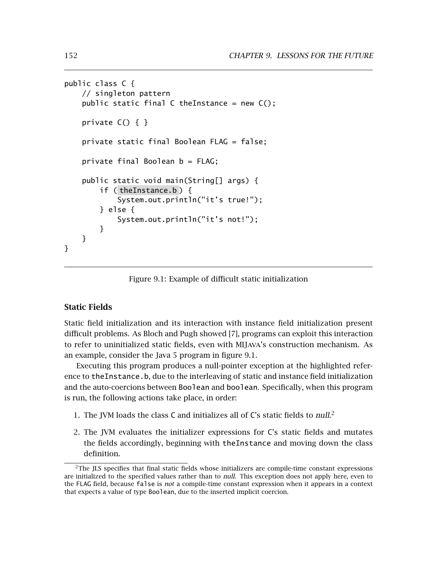```
public class C {
    // singleton pattern
    public static final C theInstance = new C();
    private C() \{ \}private static final Boolean FLAG = false;
    private final Boolean b = FLAG;
    public static void main(String[] args) {
        if ( theInstance.b ) {
            System.out.println("it's true!");
        } else {
            System.out.println("it's not!");
        }
    }
}
```
Figure 9.1: Example of difficult static initialization

### Static Fields

Static field initialization and its interaction with instance field initialization present difficult problems. As Bloch and Pugh showed [7], programs can exploit this interaction to refer to uninitialized static fields, even with MIJava's construction mechanism. As an example, consider the Java 5 program in figure 9.1.

Executing this program produces a null-pointer exception at the highlighted reference to theInstance.b, due to the interleaving of static and instance field initialization and the auto-coercions between Boolean and boolean. Specifically, when this program is run, the following actions take place, in order:

- 1. The JVM loads the class C and initializes all of C's static fields to null.<sup>2</sup>
- 2. The JVM evaluates the initializer expressions for C's static fields and mutates the fields accordingly, beginning with theInstance and moving down the class definition.

<sup>2</sup>The JLS specifies that final static fields whose initializers are compile-time constant expressions are initialized to the specified values rather than to null. This exception does not apply here, even to the FLAG field, because false is *not* a compile-time constant expression when it appears in a context that expects a value of type Boolean, due to the inserted implicit coercion.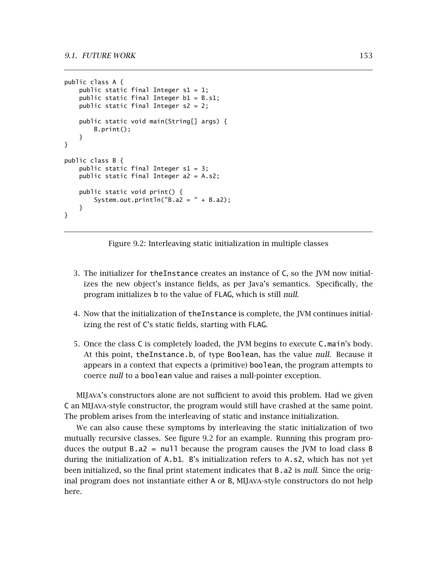```
public class A {
    public static final Integer s1 = 1;
    public static final Integer b1 = B.s1;
    public static final Integer s2 = 2;
    public static void main(String[] args) {
        B.print();
    }
}
public class B {
    public static final Integer s1 = 3;
    public static final Integer a2 = A.s2;
    public static void print() {
        System.out.println("B.a2 = " + B.a2);}
}
```


- 3. The initializer for theInstance creates an instance of C, so the JVM now initializes the new object's instance fields, as per Java's semantics. Specifically, the program initializes b to the value of FLAG, which is still null.
- 4. Now that the initialization of theInstance is complete, the JVM continues initializing the rest of C's static fields, starting with FLAG.
- 5. Once the class C is completely loaded, the JVM begins to execute C.main's body. At this point, theInstance.b, of type Boolean, has the value null. Because it appears in a context that expects a (primitive) boolean, the program attempts to coerce null to a boolean value and raises a null-pointer exception.

MIJava's constructors alone are not sufficient to avoid this problem. Had we given C an MIJava-style constructor, the program would still have crashed at the same point. The problem arises from the interleaving of static and instance initialization.

We can also cause these symptoms by interleaving the static initialization of two mutually recursive classes. See figure 9.2 for an example. Running this program produces the output  $B.a2 = null$  because the program causes the JVM to load class B during the initialization of A.b1. B's initialization refers to A.s2, which has not yet been initialized, so the final print statement indicates that B. a2 is *null*. Since the original program does not instantiate either A or B, MIJava-style constructors do not help here.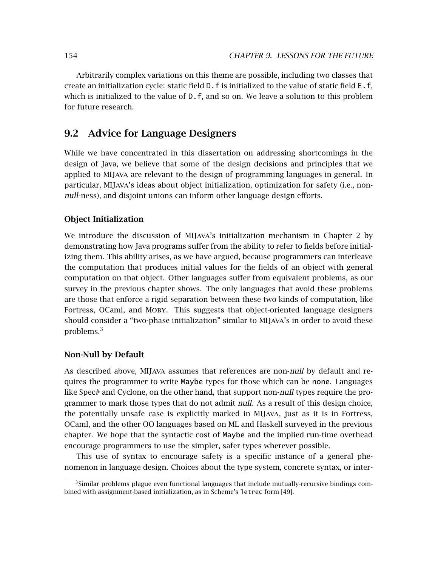Arbitrarily complex variations on this theme are possible, including two classes that create an initialization cycle: static field D.f is initialized to the value of static field E.f, which is initialized to the value of  $D.f$ , and so on. We leave a solution to this problem for future research.

## 9.2 Advice for Language Designers

While we have concentrated in this dissertation on addressing shortcomings in the design of Java, we believe that some of the design decisions and principles that we applied to MIJava are relevant to the design of programming languages in general. In particular, MIJava's ideas about object initialization, optimization for safety (i.e., nonnull-ness), and disjoint unions can inform other language design efforts.

### Object Initialization

We introduce the discussion of MIJava's initialization mechanism in Chapter 2 by demonstrating how Java programs suffer from the ability to refer to fields before initializing them. This ability arises, as we have argued, because programmers can interleave the computation that produces initial values for the fields of an object with general computation on that object. Other languages suffer from equivalent problems, as our survey in the previous chapter shows. The only languages that avoid these problems are those that enforce a rigid separation between these two kinds of computation, like Fortress, OCaml, and Moby. This suggests that object-oriented language designers should consider a "two-phase initialization" similar to MIJava's in order to avoid these problems.<sup>3</sup>

### Non-Null by Default

As described above, MIJAVA assumes that references are non-*null* by default and requires the programmer to write Maybe types for those which can be none. Languages like Spec# and Cyclone, on the other hand, that support non-null types require the programmer to mark those types that do not admit null. As a result of this design choice, the potentially unsafe case is explicitly marked in MIJava, just as it is in Fortress, OCaml, and the other OO languages based on ML and Haskell surveyed in the previous chapter. We hope that the syntactic cost of Maybe and the implied run-time overhead encourage programmers to use the simpler, safer types wherever possible.

This use of syntax to encourage safety is a specific instance of a general phenomenon in language design. Choices about the type system, concrete syntax, or inter-

 $3$ Similar problems plague even functional languages that include mutually-recursive bindings combined with assignment-based initialization, as in Scheme's letrec form [49].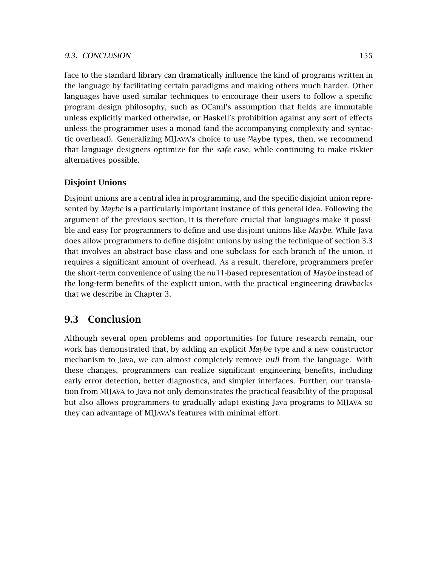### 9.3. CONCLUSION 155

face to the standard library can dramatically influence the kind of programs written in the language by facilitating certain paradigms and making others much harder. Other languages have used similar techniques to encourage their users to follow a specific program design philosophy, such as OCaml's assumption that fields are immutable unless explicitly marked otherwise, or Haskell's prohibition against any sort of effects unless the programmer uses a monad (and the accompanying complexity and syntactic overhead). Generalizing MIJava's choice to use Maybe types, then, we recommend that language designers optimize for the *safe* case, while continuing to make riskier alternatives possible.

### Disjoint Unions

Disjoint unions are a central idea in programming, and the specific disjoint union represented by Maybe is a particularly important instance of this general idea. Following the argument of the previous section, it is therefore crucial that languages make it possible and easy for programmers to define and use disjoint unions like *Maybe*. While Java does allow programmers to define disjoint unions by using the technique of section 3.3 that involves an abstract base class and one subclass for each branch of the union, it requires a significant amount of overhead. As a result, therefore, programmers prefer the short-term convenience of using the null-based representation of Maybe instead of the long-term benefits of the explicit union, with the practical engineering drawbacks that we describe in Chapter 3.

## 9.3 Conclusion

Although several open problems and opportunities for future research remain, our work has demonstrated that, by adding an explicit Maybe type and a new constructor mechanism to Java, we can almost completely remove *null* from the language. With these changes, programmers can realize significant engineering benefits, including early error detection, better diagnostics, and simpler interfaces. Further, our translation from MIJava to Java not only demonstrates the practical feasibility of the proposal but also allows programmers to gradually adapt existing Java programs to MIJava so they can advantage of MIJava's features with minimal effort.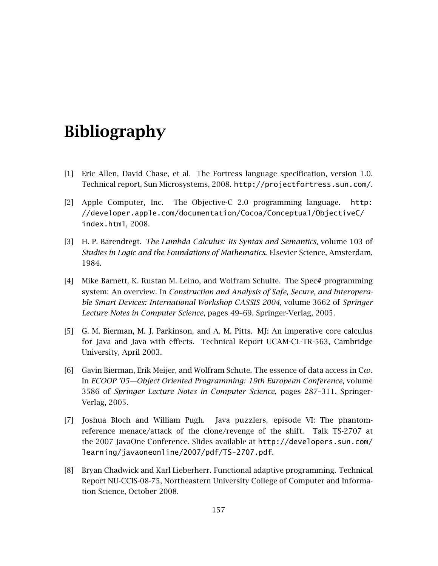# Bibliography

- [1] Eric Allen, David Chase, et al. The Fortress language specification, version 1.0. Technical report, Sun Microsystems, 2008. http://projectfortress.sun.com/.
- [2] Apple Computer, Inc. The Objective-C 2.0 programming language. http: //developer.apple.com/documentation/Cocoa/Conceptual/ObjectiveC/ index.html, 2008.
- [3] H. P. Barendregt. *The Lambda Calculus: Its Syntax and Semantics*, volume 103 of *Studies in Logic and the Foundations of Mathematics*. Elsevier Science, Amsterdam, 1984.
- [4] Mike Barnett, K. Rustan M. Leino, and Wolfram Schulte. The Spec# programming system: An overview. In *Construction and Analysis of Safe, Secure, and Interoperable Smart Devices: International Workshop CASSIS 2004*, volume 3662 of *Springer Lecture Notes in Computer Science*, pages 49–69. Springer-Verlag, 2005.
- [5] G. M. Bierman, M. J. Parkinson, and A. M. Pitts. MJ: An imperative core calculus for Java and Java with effects. Technical Report UCAM-CL-TR-563, Cambridge University, April 2003.
- [6] Gavin Bierman, Erik Meijer, and Wolfram Schute. The essence of data access in C*ω*. In *ECOOP '05—Object Oriented Programming: 19th European Conference*, volume 3586 of *Springer Lecture Notes in Computer Science*, pages 287–311. Springer-Verlag, 2005.
- [7] Joshua Bloch and William Pugh. Java puzzlers, episode VI: The phantomreference menace/attack of the clone/revenge of the shift. Talk TS-2707 at the 2007 JavaOne Conference. Slides available at http://developers.sun.com/ learning/javaoneonline/2007/pdf/TS-2707.pdf.
- [8] Bryan Chadwick and Karl Lieberherr. Functional adaptive programming. Technical Report NU-CCIS-08-75, Northeastern University College of Computer and Information Science, October 2008.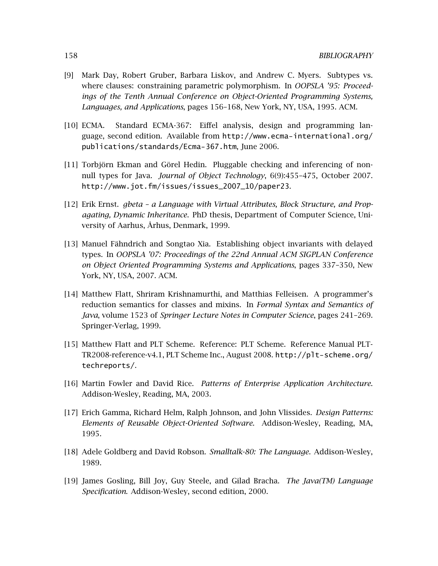- [9] Mark Day, Robert Gruber, Barbara Liskov, and Andrew C. Myers. Subtypes vs. where clauses: constraining parametric polymorphism. In *OOPSLA '95: Proceedings of the Tenth Annual Conference on Object-Oriented Programming Systems, Languages, and Applications*, pages 156–168, New York, NY, USA, 1995. ACM.
- [10] ECMA. Standard ECMA-367: Eiffel analysis, design and programming language, second edition. Available from http://www.ecma-international.org/ publications/standards/Ecma-367.htm, June 2006.
- [11] Torbjörn Ekman and Görel Hedin. Pluggable checking and inferencing of nonnull types for Java. *Journal of Object Technology*, 6(9):455–475, October 2007. http://www.jot.fm/issues/issues\_2007\_10/paper23.
- [12] Erik Ernst. *gbeta a Language with Virtual Attributes, Block Structure, and Propagating, Dynamic Inheritance*. PhD thesis, Department of Computer Science, University of Aarhus, Århus, Denmark, 1999.
- [13] Manuel Fähndrich and Songtao Xia. Establishing object invariants with delayed types. In *OOPSLA '07: Proceedings of the 22nd Annual ACM SIGPLAN Conference on Object Oriented Programming Systems and Applications*, pages 337–350, New York, NY, USA, 2007. ACM.
- [14] Matthew Flatt, Shriram Krishnamurthi, and Matthias Felleisen. A programmer's reduction semantics for classes and mixins. In *Formal Syntax and Semantics of Java*, volume 1523 of *Springer Lecture Notes in Computer Science*, pages 241–269. Springer-Verlag, 1999.
- [15] Matthew Flatt and PLT Scheme. Reference: PLT Scheme. Reference Manual PLT-TR2008-reference-v4.1, PLT Scheme Inc., August 2008. http://plt-scheme.org/ techreports/.
- [16] Martin Fowler and David Rice. *Patterns of Enterprise Application Architecture*. Addison-Wesley, Reading, MA, 2003.
- [17] Erich Gamma, Richard Helm, Ralph Johnson, and John Vlissides. *Design Patterns: Elements of Reusable Object-Oriented Software*. Addison-Wesley, Reading, MA, 1995.
- [18] Adele Goldberg and David Robson. *Smalltalk-80: The Language*. Addison-Wesley, 1989.
- [19] James Gosling, Bill Joy, Guy Steele, and Gilad Bracha. *The Java(TM) Language Specification*. Addison-Wesley, second edition, 2000.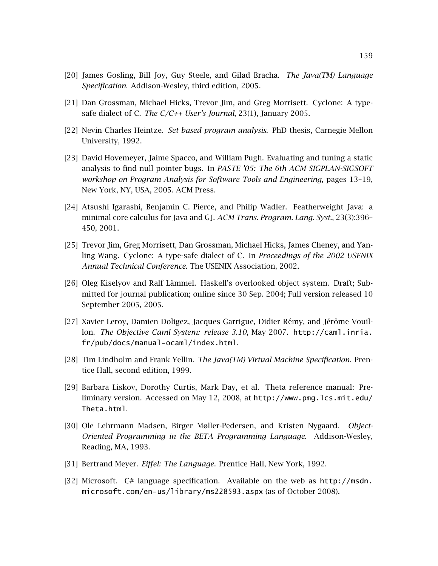- [20] James Gosling, Bill Joy, Guy Steele, and Gilad Bracha. *The Java(TM) Language Specification*. Addison-Wesley, third edition, 2005.
- [21] Dan Grossman, Michael Hicks, Trevor Jim, and Greg Morrisett. Cyclone: A typesafe dialect of C. *The C/C*++ *User's Journal*, 23(1), January 2005.
- [22] Nevin Charles Heintze. *Set based program analysis*. PhD thesis, Carnegie Mellon University, 1992.
- [23] David Hovemeyer, Jaime Spacco, and William Pugh. Evaluating and tuning a static analysis to find null pointer bugs. In *PASTE '05: The 6th ACM SIGPLAN-SIGSOFT workshop on Program Analysis for Software Tools and Engineering*, pages 13–19, New York, NY, USA, 2005. ACM Press.
- [24] Atsushi Igarashi, Benjamin C. Pierce, and Philip Wadler. Featherweight Java: a minimal core calculus for Java and GJ. *ACM Trans. Program. Lang. Syst.*, 23(3):396– 450, 2001.
- [25] Trevor Jim, Greg Morrisett, Dan Grossman, Michael Hicks, James Cheney, and Yanling Wang. Cyclone: A type-safe dialect of C. In *Proceedings of the 2002 USENIX Annual Technical Conference*. The USENIX Association, 2002.
- [26] Oleg Kiselyov and Ralf Lämmel. Haskell's overlooked object system. Draft; Submitted for journal publication; online since 30 Sep. 2004; Full version released 10 September 2005, 2005.
- [27] Xavier Leroy, Damien Doligez, Jacques Garrigue, Didier Rémy, and Jérôme Vouillon. *The Objective Caml System: release 3.10*, May 2007. http://caml.inria. fr/pub/docs/manual-ocaml/index.html.
- [28] Tim Lindholm and Frank Yellin. *The Java(TM) Virtual Machine Specification*. Prentice Hall, second edition, 1999.
- [29] Barbara Liskov, Dorothy Curtis, Mark Day, et al. Theta reference manual: Preliminary version. Accessed on May 12, 2008, at http://www.pmg.lcs.mit.edu/ Theta.html.
- [30] Ole Lehrmann Madsen, Birger Møller-Pedersen, and Kristen Nygaard. *Object-Oriented Programming in the BETA Programming Language*. Addison-Wesley, Reading, MA, 1993.
- [31] Bertrand Meyer. *Eiffel: The Language*. Prentice Hall, New York, 1992.
- [32] Microsoft. C# language specification. Available on the web as http://msdn. microsoft.com/en-us/library/ms228593.aspx (as of October 2008).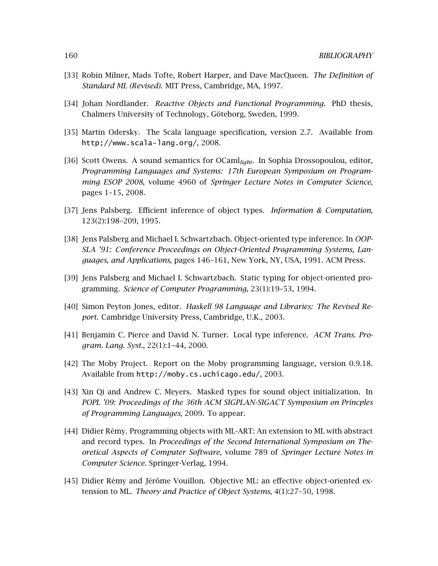- [33] Robin Milner, Mads Tofte, Robert Harper, and Dave MacQueen. *The Definition of Standard ML (Revised)*. MIT Press, Cambridge, MA, 1997.
- [34] Johan Nordlander. *Reactive Objects and Functional Programming*. PhD thesis, Chalmers University of Technology, Göteborg, Sweden, 1999.
- [35] Martin Odersky. The Scala language specification, version 2.7. Available from http;//www.scala-lang.org/, 2008.
- [36] Scott Owens. A sound semantics for OCaml*light*. In Sophia Drossopoulou, editor, *Programming Languages and Systems: 17th European Symposium on Programming ESOP 2008*, volume 4960 of *Springer Lecture Notes in Computer Science*, pages 1–15, 2008.
- [37] Jens Palsberg. Efficient inference of object types. *Information & Computation*, 123(2):198–209, 1995.
- [38] Jens Palsberg and Michael I. Schwartzbach. Object-oriented type inference. In *OOP-SLA '91: Conference Proceedings on Object-Oriented Programming Systems, Languages, and Applications*, pages 146–161, New York, NY, USA, 1991. ACM Press.
- [39] Jens Palsberg and Michael I. Schwartzbach. Static typing for object-oriented programming. *Science of Computer Programming*, 23(1):19–53, 1994.
- [40] Simon Peyton Jones, editor. *Haskell 98 Language and Libraries: The Revised Report*. Cambridge University Press, Cambridge, U.K., 2003.
- [41] Benjamin C. Pierce and David N. Turner. Local type inference. *ACM Trans. Program. Lang. Syst.*, 22(1):1–44, 2000.
- [42] The Moby Project. Report on the Moby programming language, version 0.9.18. Available from http://moby.cs.uchicago.edu/, 2003.
- [43] Xin Qi and Andrew C. Meyers. Masked types for sound object initialization. In *POPL '09: Proceedings of the 36th ACM SIGPLAN-SIGACT Symposium on Princples of Programming Languages*, 2009. To appear.
- [44] Didier Rémy. Programming objects with ML-ART: An extension to ML with abstract and record types. In *Proceedings of the Second International Symposium on Theoretical Aspects of Computer Software*, volume 789 of *Springer Lecture Notes in Computer Science*. Springer-Verlag, 1994.
- [45] Didier Rémy and Jérôme Vouillon. Objective ML: an effective object-oriented extension to ML. *Theory and Practice of Object Systems*, 4(1):27–50, 1998.